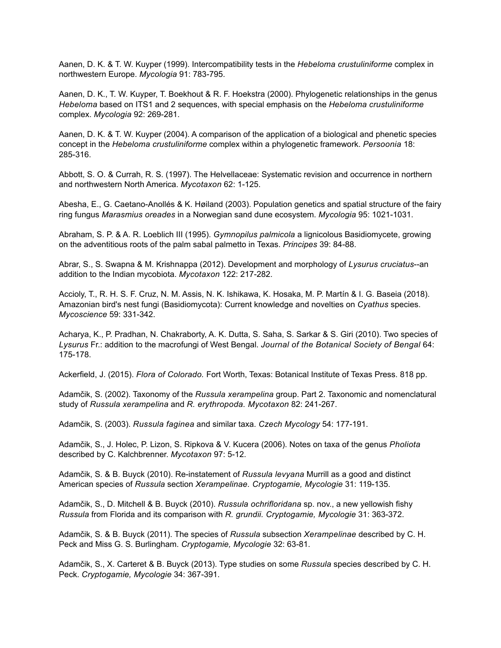Aanen, D. K. & T. W. Kuyper (1999). Intercompatibility tests in the *Hebeloma crustuliniforme* complex in northwestern Europe. *Mycologia* 91: 783-795.

Aanen, D. K., T. W. Kuyper, T. Boekhout & R. F. Hoekstra (2000). Phylogenetic relationships in the genus *Hebeloma* based on ITS1 and 2 sequences, with special emphasis on the *Hebeloma crustuliniforme* complex. *Mycologia* 92: 269-281.

Aanen, D. K. & T. W. Kuyper (2004). A comparison of the application of a biological and phenetic species concept in the *Hebeloma crustuliniforme* complex within a phylogenetic framework. *Persoonia* 18: 285-316.

Abbott, S. O. & Currah, R. S. (1997). The Helvellaceae: Systematic revision and occurrence in northern and northwestern North America. *Mycotaxon* 62: 1-125.

Abesha, E., G. Caetano-Anollés & K. Høiland (2003). Population genetics and spatial structure of the fairy ring fungus *Marasmius oreades* in a Norwegian sand dune ecosystem. *Mycologia* 95: 1021-1031.

Abraham, S. P. & A. R. Loeblich III (1995). *Gymnopilus palmicola* a lignicolous Basidiomycete, growing on the adventitious roots of the palm sabal palmetto in Texas. *Principes* 39: 84-88.

Abrar, S., S. Swapna & M. Krishnappa (2012). Development and morphology of *Lysurus cruciatus*--an addition to the Indian mycobiota. *Mycotaxon* 122: 217-282.

Accioly, T., R. H. S. F. Cruz, N. M. Assis, N. K. Ishikawa, K. Hosaka, M. P. Martín & I. G. Baseia (2018). Amazonian bird's nest fungi (Basidiomycota): Current knowledge and novelties on *Cyathus* species. *Mycoscience* 59: 331-342.

Acharya, K., P. Pradhan, N. Chakraborty, A. K. Dutta, S. Saha, S. Sarkar & S. Giri (2010). Two species of *Lysurus* Fr.: addition to the macrofungi of West Bengal. *Journal of the Botanical Society of Bengal* 64: 175-178.

Ackerfield, J. (2015). *Flora of Colorado.* Fort Worth, Texas: Botanical Institute of Texas Press. 818 pp.

Adamčik, S. (2002). Taxonomy of the *Russula xerampelina* group. Part 2. Taxonomic and nomenclatural study of *Russula xerampelina* and *R. erythropoda. Mycotaxon* 82: 241-267.

Adamčik, S. (2003). *Russula faginea* and similar taxa. *Czech Mycology* 54: 177-191.

Adamčik, S., J. Holec, P. Lizon, S. Ripkova & V. Kucera (2006). Notes on taxa of the genus *Pholiota* described by C. Kalchbrenner. *Mycotaxon* 97: 5-12.

Adamčik, S. & B. Buyck (2010). Re-instatement of *Russula levyana* Murrill as a good and distinct American species of *Russula* section *Xerampelinae. Cryptogamie, Mycologie* 31: 119-135.

Adamčik, S., D. Mitchell & B. Buyck (2010). *Russula ochrifloridana* sp. nov., a new yellowish fishy *Russula* from Florida and its comparison with *R. grundii. Cryptogamie, Mycologie* 31: 363-372.

Adamčik, S. & B. Buyck (2011). The species of *Russula* subsection *Xerampelinae* described by C. H. Peck and Miss G. S. Burlingham. *Cryptogamie, Mycologie* 32: 63-81.

Adamčik, S., X. Carteret & B. Buyck (2013). Type studies on some *Russula* species described by C. H. Peck. *Cryptogamie, Mycologie* 34: 367-391.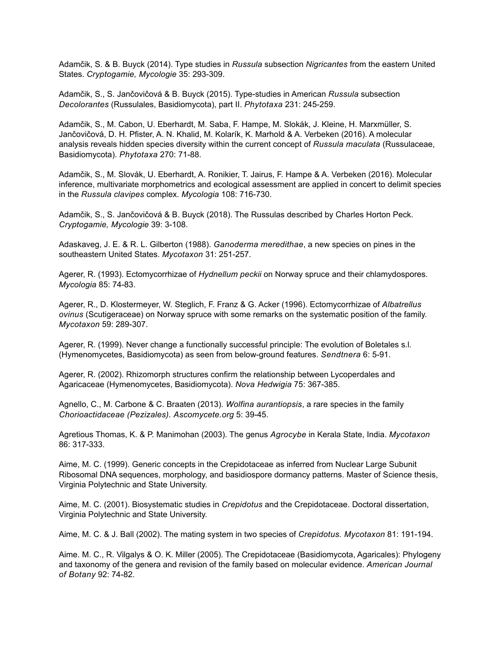Adamčik, S. & B. Buyck (2014). Type studies in *Russula* subsection *Nigricantes* from the eastern United States. *Cryptogamie, Mycologie* 35: 293-309.

Adamčik, S., S. Jančovičová & B. Buyck (2015). Type-studies in American *Russula* subsection *Decolorantes* (Russulales, Basidiomycota), part II. *Phytotaxa* 231: 245-259.

Adamčik, S., M. Cabon, U. Eberhardt, M. Saba, F. Hampe, M. Slokák, J. Kleine, H. Marxmüller, S. Jančovičová, D. H. Pfister, A. N. Khalid, M. Kolarík, K. Marhold & A. Verbeken (2016). A molecular analysis reveals hidden species diversity within the current concept of *Russula maculata* (Russulaceae, Basidiomycota). *Phytotaxa* 270: 71-88.

Adamčik, S., M. Slovák, U. Eberhardt, A. Ronikier, T. Jairus, F. Hampe & A. Verbeken (2016). Molecular inference, multivariate morphometrics and ecological assessment are applied in concert to delimit species in the *Russula clavipes* complex. *Mycologia* 108: 716-730.

Adamčik, S., S. Jančovičová & B. Buyck (2018). The Russulas described by Charles Horton Peck. *Cryptogamie, Mycologie* 39: 3-108.

Adaskaveg, J. E. & R. L. Gilberton (1988). *Ganoderma meredithae*, a new species on pines in the southeastern United States. *Mycotaxon* 31: 251-257.

Agerer, R. (1993). Ectomycorrhizae of *Hydnellum peckii* on Norway spruce and their chlamydospores. *Mycologia* 85: 74-83.

Agerer, R., D. Klostermeyer, W. Steglich, F. Franz & G. Acker (1996). Ectomycorrhizae of *Albatrellus ovinus* (Scutigeraceae) on Norway spruce with some remarks on the systematic position of the family. *Mycotaxon* 59: 289-307.

Agerer, R. (1999). Never change a functionally successful principle: The evolution of Boletales s.l. (Hymenomycetes, Basidiomycota) as seen from below-ground features. *Sendtnera* 6: 5-91.

Agerer, R. (2002). Rhizomorph structures confirm the relationship between Lycoperdales and Agaricaceae (Hymenomycetes, Basidiomycota). *Nova Hedwigia* 75: 367-385.

Agnello, C., M. Carbone & C. Braaten (2013). *Wolfina aurantiopsis*, a rare species in the family *Chorioactidaceae (Pezizales). Ascomycete.org* 5: 39-45.

Agretious Thomas, K. & P. Manimohan (2003). The genus *Agrocybe* in Kerala State, India. *Mycotaxon* 86: 317-333.

Aime, M. C. (1999). Generic concepts in the Crepidotaceae as inferred from Nuclear Large Subunit Ribosomal DNA sequences, morphology, and basidiospore dormancy patterns. Master of Science thesis, Virginia Polytechnic and State University.

Aime, M. C. (2001). Biosystematic studies in *Crepidotus* and the Crepidotaceae. Doctoral dissertation, Virginia Polytechnic and State University.

Aime, M. C. & J. Ball (2002). The mating system in two species of *Crepidotus. Mycotaxon* 81: 191-194.

Aime. M. C., R. Vilgalys & O. K. Miller (2005). The Crepidotaceae (Basidiomycota, Agaricales): Phylogeny and taxonomy of the genera and revision of the family based on molecular evidence. *American Journal of Botany* 92: 74-82.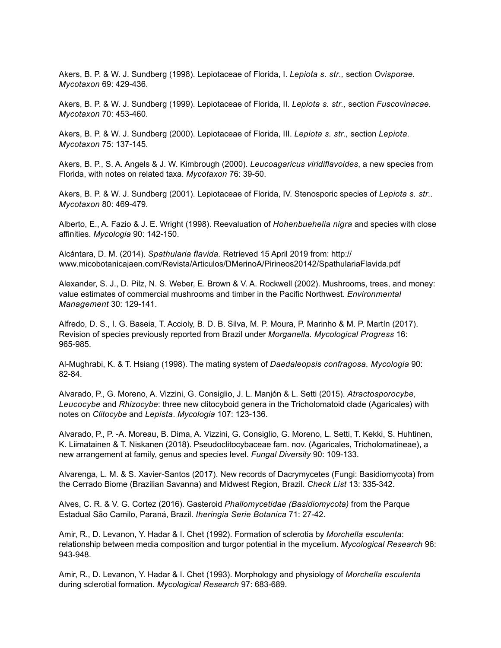Akers, B. P. & W. J. Sundberg (1998). Lepiotaceae of Florida, I. *Lepiota s. str.,* section *Ovisporae. Mycotaxon* 69: 429-436.

Akers, B. P. & W. J. Sundberg (1999). Lepiotaceae of Florida, II. *Lepiota s. str.,* section *Fuscovinacae. Mycotaxon* 70: 453-460.

Akers, B. P. & W. J. Sundberg (2000). Lepiotaceae of Florida, III. *Lepiota s. str.,* section *Lepiota. Mycotaxon* 75: 137-145.

Akers, B. P., S. A. Angels & J. W. Kimbrough (2000). *Leucoagaricus viridiflavoides*, a new species from Florida, with notes on related taxa. *Mycotaxon* 76: 39-50.

Akers, B. P. & W. J. Sundberg (2001). Lepiotaceae of Florida, IV. Stenosporic species of *Lepiota s. str.. Mycotaxon* 80: 469-479.

Alberto, E., A. Fazio & J. E. Wright (1998). Reevaluation of *Hohenbuehelia nigra* and species with close affinities. *Mycologia* 90: 142-150.

Alcántara, D. M. (2014). *Spathularia flavida.* Retrieved 15 April 2019 from: http:// www.micobotanicajaen.com/Revista/Articulos/DMerinoA/Pirineos20142/SpathulariaFlavida.pdf

Alexander, S. J., D. Pilz, N. S. Weber, E. Brown & V. A. Rockwell (2002). Mushrooms, trees, and money: value estimates of commercial mushrooms and timber in the Pacific Northwest. *Environmental Management* 30: 129-141.

Alfredo, D. S., I. G. Baseia, T. Accioly, B. D. B. Silva, M. P. Moura, P. Marinho & M. P. Martín (2017). Revision of species previously reported from Brazil under *Morganella. Mycological Progress* 16: 965-985.

Al-Mughrabi, K. & T. Hsiang (1998). The mating system of *Daedaleopsis confragosa. Mycologia* 90: 82-84.

Alvarado, P., G. Moreno, A. Vizzini, G. Consiglio, J. L. Manjón & L. Setti (2015). *Atractosporocybe*, *Leucocybe* and *Rhizocybe*: three new clitocyboid genera in the Tricholomatoid clade (Agaricales) with notes on *Clitocybe* and *Lepista*. *Mycologia* 107: 123-136.

Alvarado, P., P. -A. Moreau, B. Dima, A. Vizzini, G. Consiglio, G. Moreno, L. Setti, T. Kekki, S. Huhtinen, K. Liimatainen & T. Niskanen (2018). Pseudoclitocybaceae fam. nov. (Agaricales, Tricholomatineae), a new arrangement at family, genus and species level. *Fungal Diversity* 90: 109-133.

Alvarenga, L. M. & S. Xavier-Santos (2017). New records of Dacrymycetes (Fungi: Basidiomycota) from the Cerrado Biome (Brazilian Savanna) and Midwest Region, Brazil. *Check List* 13: 335-342.

Alves, C. R. & V. G. Cortez (2016). Gasteroid *Phallomycetidae (Basidiomycota)* from the Parque Estadual São Camilo, Paraná, Brazil. *Iheringia Serie Botanica* 71: 27-42.

Amir, R., D. Levanon, Y. Hadar & I. Chet (1992). Formation of sclerotia by *Morchella esculenta*: relationship between media composition and turgor potential in the mycelium. *Mycological Research* 96: 943-948.

Amir, R., D. Levanon, Y. Hadar & I. Chet (1993). Morphology and physiology of *Morchella esculenta*  during sclerotial formation. *Mycological Research* 97: 683-689.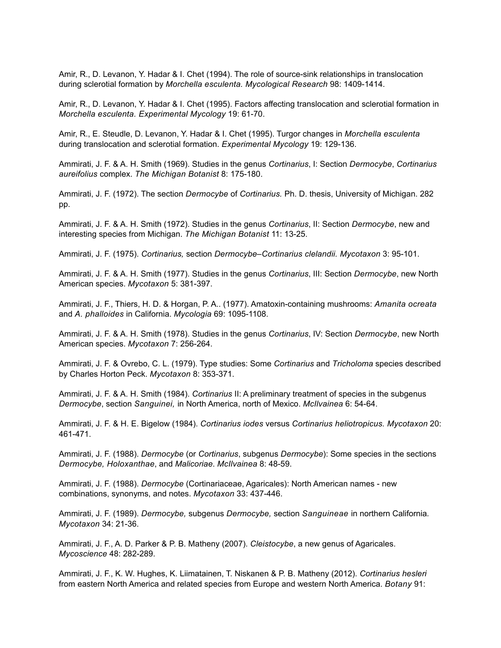Amir, R., D. Levanon, Y. Hadar & I. Chet (1994). The role of source-sink relationships in translocation during sclerotial formation by *Morchella esculenta. Mycological Research* 98: 1409-1414.

Amir, R., D. Levanon, Y. Hadar & I. Chet (1995). Factors affecting translocation and sclerotial formation in *Morchella esculenta. Experimental Mycology* 19: 61-70.

Amir, R., E. Steudle, D. Levanon, Y. Hadar & I. Chet (1995). Turgor changes in *Morchella esculenta*  during translocation and sclerotial formation. *Experimental Mycology* 19: 129-136.

Ammirati, J. F. & A. H. Smith (1969). Studies in the genus *Cortinarius*, I: Section *Dermocybe*, *Cortinarius aureifolius* complex. *The Michigan Botanist* 8: 175-180.

Ammirati, J. F. (1972). The section *Dermocybe* of *Cortinarius.* Ph. D. thesis, University of Michigan. 282 pp.

Ammirati, J. F. & A. H. Smith (1972). Studies in the genus *Cortinarius*, II: Section *Dermocybe*, new and interesting species from Michigan. *The Michigan Botanist* 11: 13-25.

Ammirati, J. F. (1975). *Cortinarius,* section *Dermocybe–Cortinarius clelandii. Mycotaxon* 3: 95-101.

Ammirati, J. F. & A. H. Smith (1977). Studies in the genus *Cortinarius*, III: Section *Dermocybe*, new North American species. *Mycotaxon* 5: 381-397.

Ammirati, J. F., Thiers, H. D. & Horgan, P. A.. (1977). Amatoxin-containing mushrooms: *Amanita ocreata* and *A. phalloides* in California. *Mycologia* 69: 1095-1108.

Ammirati, J. F. & A. H. Smith (1978). Studies in the genus *Cortinarius*, IV: Section *Dermocybe*, new North American species. *Mycotaxon* 7: 256-264.

Ammirati, J. F. & Ovrebo, C. L. (1979). Type studies: Some *Cortinarius* and *Tricholoma* species described by Charles Horton Peck. *Mycotaxon* 8: 353-371.

Ammirati, J. F. & A. H. Smith (1984). *Cortinarius* II: A preliminary treatment of species in the subgenus *Dermocybe*, section *Sanguinei,* in North America, north of Mexico. *McIlvainea* 6: 54-64.

Ammirati, J. F. & H. E. Bigelow (1984). *Cortinarius iodes* versus *Cortinarius heliotropicus. Mycotaxon* 20: 461-471.

Ammirati, J. F. (1988). *Dermocybe* (or *Cortinarius*, subgenus *Dermocybe*): Some species in the sections *Dermocybe, Holoxanthae*, and *Malicoriae*. *McIlvainea* 8: 48-59.

Ammirati, J. F. (1988). *Dermocybe* (Cortinariaceae, Agaricales): North American names - new combinations, synonyms, and notes. *Mycotaxon* 33: 437-446.

Ammirati, J. F. (1989). *Dermocybe,* subgenus *Dermocybe,* section *Sanguineae* in northern California*. Mycotaxon* 34: 21-36.

Ammirati, J. F., A. D. Parker & P. B. Matheny (2007). *Cleistocybe*, a new genus of Agaricales. *Mycoscience* 48: 282-289.

Ammirati, J. F., K. W. Hughes, K. Liimatainen, T. Niskanen & P. B. Matheny (2012). *Cortinarius hesleri* from eastern North America and related species from Europe and western North America. *Botany* 91: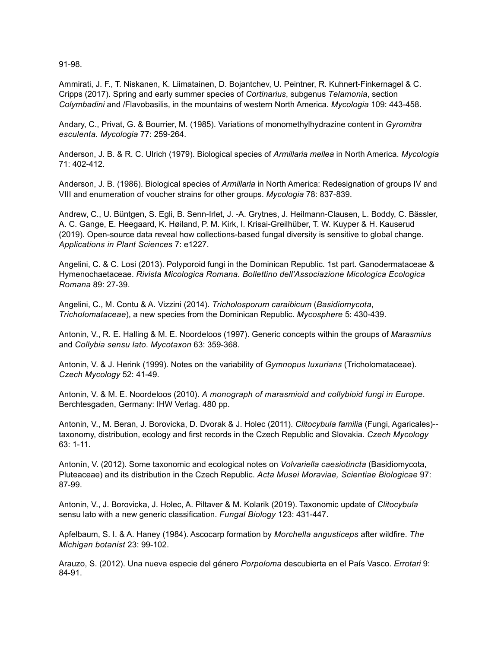91-98.

Ammirati, J. F., T. Niskanen, K. Liimatainen, D. Bojantchev, U. Peintner, R. Kuhnert-Finkernagel & C. Cripps (2017). Spring and early summer species of *Cortinarius*, subgenus *Telamonia*, section *Colymbadini* and /Flavobasilis, in the mountains of western North America. *Mycologia* 109: 443-458.

Andary, C., Privat, G. & Bourrier, M. (1985). Variations of monomethylhydrazine content in *Gyromitra esculenta. Mycologia* 77: 259-264.

Anderson, J. B. & R. C. Ulrich (1979). Biological species of *Armillaria mellea* in North America. *Mycologia* 71: 402-412.

Anderson, J. B. (1986). Biological species of *Armillaria* in North America: Redesignation of groups IV and VIII and enumeration of voucher strains for other groups. *Mycologia* 78: 837-839.

Andrew, C., U. Büntgen, S. Egli, B. Senn-Irlet, J. -A. Grytnes, J. Heilmann-Clausen, L. Boddy, C. Bässler, A. C. Gange, E. Heegaard, K. Høiland, P. M. Kirk, I. Krisai-Greilhüber, T. W. Kuyper & H. Kauserud (2019). Open-source data reveal how collections-based fungal diversity is sensitive to global change. *Applications in Plant Sciences* 7: e1227.

Angelini, C. & C. Losi (2013). Polyporoid fungi in the Dominican Republic. 1st part. Ganodermataceae & Hymenochaetaceae. *Rivista Micologica Romana. Bollettino dell'Associazione Micologica Ecologica Romana* 89: 27-39.

Angelini, C., M. Contu & A. Vizzini (2014). *Tricholosporum caraibicum* (*Basidiomycota*, *Tricholomataceae*), a new species from the Dominican Republic. *Mycosphere* 5: 430-439.

Antonin, V., R. E. Halling & M. E. Noordeloos (1997). Generic concepts within the groups of *Marasmius* and *Collybia sensu lato*. *Mycotaxon* 63: 359-368.

Antonin, V. & J. Herink (1999). Notes on the variability of *Gymnopus luxurians* (Tricholomataceae). *Czech Mycology* 52: 41-49.

Antonin, V. & M. E. Noordeloos (2010). *A monograph of marasmioid and collybioid fungi in Europe*. Berchtesgaden, Germany: IHW Verlag. 480 pp.

Antonin, V., M. Beran, J. Borovicka, D. Dvorak & J. Holec (2011). *Clitocybula familia* (Fungi, Agaricales)- taxonomy, distribution, ecology and first records in the Czech Republic and Slovakia. *Czech Mycology*  63: 1-11.

Antonín, V. (2012). Some taxonomic and ecological notes on *Volvariella caesiotincta* (Basidiomycota, Pluteaceae) and its distribution in the Czech Republic. *Acta Musei Moraviae, Scientiae Biologicae* 97: 87-99.

Antonin, V., J. Borovicka, J. Holec, A. Piltaver & M. Kolarik (2019). Taxonomic update of *Clitocybula* sensu lato with a new generic classification. *Fungal Biology* 123: 431-447.

Apfelbaum, S. I. & A. Haney (1984). Ascocarp formation by *Morchella angusticeps* after wildfire. *The Michigan botanist* 23: 99-102.

Arauzo, S. (2012). Una nueva especie del género *Porpoloma* descubierta en el País Vasco. *Errotari* 9: 84-91.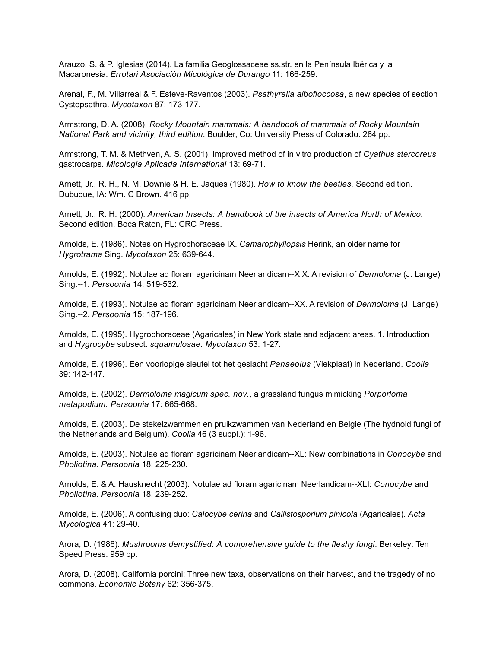Arauzo, S. & P. Iglesias (2014). La familia Geoglossaceae ss.str. en la Península Ibérica y la Macaronesia. *Errotari Asociación Micológica de Durango* 11: 166-259.

Arenal, F., M. Villarreal & F. Esteve-Raventos (2003). *Psathyrella albofloccosa*, a new species of section Cystopsathra. *Mycotaxon* 87: 173-177.

Armstrong, D. A. (2008). *Rocky Mountain mammals: A handbook of mammals of Rocky Mountain National Park and vicinity, third edition*. Boulder, Co: University Press of Colorado. 264 pp.

Armstrong, T. M. & Methven, A. S. (2001). Improved method of in vitro production of *Cyathus stercoreus* gastrocarps. *Micologia Aplicada International* 13: 69-71.

Arnett, Jr., R. H., N. M. Downie & H. E. Jaques (1980). *How to know the beetles.* Second edition. Dubuque, IA: Wm. C Brown. 416 pp.

Arnett, Jr., R. H. (2000). *American Insects: A handbook of the insects of America North of Mexico.*  Second edition. Boca Raton, FL: CRC Press.

Arnolds, E. (1986). Notes on Hygrophoraceae IX. *Camarophyllopsis* Herink, an older name for *Hygrotrama* Sing. *Mycotaxon* 25: 639-644.

Arnolds, E. (1992). Notulae ad floram agaricinam Neerlandicam--XIX. A revision of *Dermoloma* (J. Lange) Sing.--1. *Persoonia* 14: 519-532.

Arnolds, E. (1993). Notulae ad floram agaricinam Neerlandicam--XX. A revision of *Dermoloma* (J. Lange) Sing.--2. *Persoonia* 15: 187-196.

Arnolds, E. (1995). Hygrophoraceae (Agaricales) in New York state and adjacent areas. 1. Introduction and *Hygrocybe* subsect. *squamulosae. Mycotaxon* 53: 1-27.

Arnolds, E. (1996). Een voorlopige sleutel tot het geslacht *Panaeolus* (Vlekplaat) in Nederland. *Coolia* 39: 142-147.

Arnolds, E. (2002). *Dermoloma magicum spec. nov.*, a grassland fungus mimicking *Porporloma metapodium. Persoonia* 17: 665-668.

Arnolds, E. (2003). De stekelzwammen en pruikzwammen van Nederland en Belgie (The hydnoid fungi of the Netherlands and Belgium). *Coolia* 46 (3 suppl.): 1-96.

Arnolds, E. (2003). Notulae ad floram agaricinam Neerlandicam--XL: New combinations in *Conocybe* and *Pholiotina*. *Persoonia* 18: 225-230.

Arnolds, E. & A. Hausknecht (2003). Notulae ad floram agaricinam Neerlandicam--XLI: *Conocybe* and *Pholiotina*. *Persoonia* 18: 239-252.

Arnolds, E. (2006). A confusing duo: *Calocybe cerina* and *Callistosporium pinicola* (Agaricales). *Acta Mycologica* 41: 29-40.

Arora, D. (1986). *Mushrooms demystified: A comprehensive guide to the fleshy fungi*. Berkeley: Ten Speed Press. 959 pp.

Arora, D. (2008). California porcini: Three new taxa, observations on their harvest, and the tragedy of no commons. *Economic Botany* 62: 356-375.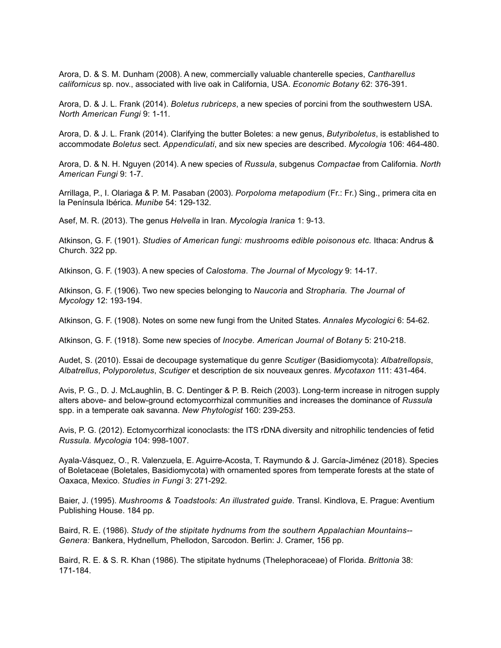Arora, D. & S. M. Dunham (2008). A new, commercially valuable chanterelle species, *Cantharellus californicus* sp. nov., associated with live oak in California, USA. *Economic Botany* 62: 376-391.

Arora, D. & J. L. Frank (2014). *Boletus rubriceps*, a new species of porcini from the southwestern USA. *North American Fungi* 9: 1-11.

Arora, D. & J. L. Frank (2014). Clarifying the butter Boletes: a new genus, *Butyriboletus*, is established to accommodate *Boletus* sect. *Appendiculati*, and six new species are described. *Mycologia* 106: 464-480.

Arora, D. & N. H. Nguyen (2014). A new species of *Russula*, subgenus *Compactae* from California. *North American Fungi* 9: 1-7.

Arrillaga, P., I. Olariaga & P. M. Pasaban (2003). *Porpoloma metapodium* (Fr.: Fr.) Sing., primera cita en la Península Ibérica. *Munibe* 54: 129-132.

Asef, M. R. (2013). The genus *Helvella* in Iran. *Mycologia Iranica* 1: 9-13.

Atkinson, G. F. (1901). *Studies of American fungi: mushrooms edible poisonous etc.* Ithaca: Andrus & Church. 322 pp.

Atkinson, G. F. (1903). A new species of *Calostoma*. *The Journal of Mycology* 9: 14-17.

Atkinson, G. F. (1906). Two new species belonging to *Naucoria* and *Stropharia. The Journal of Mycology* 12: 193-194.

Atkinson, G. F. (1908). Notes on some new fungi from the United States. *Annales Mycologici* 6: 54-62.

Atkinson, G. F. (1918). Some new species of *Inocybe. American Journal of Botany* 5: 210-218.

Audet, S. (2010). Essai de decoupage systematique du genre *Scutiger* (Basidiomycota): *Albatrellopsis*, *Albatrellus*, *Polyporoletus*, *Scutiger* et description de six nouveaux genres. *Mycotaxon* 111: 431-464.

Avis, P. G., D. J. McLaughlin, B. C. Dentinger & P. B. Reich (2003). Long-term increase in nitrogen supply alters above- and below-ground ectomycorrhizal communities and increases the dominance of *Russula* spp. in a temperate oak savanna. *New Phytologist* 160: 239-253.

Avis, P. G. (2012). Ectomycorrhizal iconoclasts: the ITS rDNA diversity and nitrophilic tendencies of fetid *Russula. Mycologia* 104: 998-1007.

Ayala-Vásquez, O., R. Valenzuela, E. Aguirre-Acosta, T. Raymundo & J. García-Jiménez (2018). Species of Boletaceae (Boletales, Basidiomycota) with ornamented spores from temperate forests at the state of Oaxaca, Mexico. *Studies in Fungi* 3: 271-292.

Baier, J. (1995). *Mushrooms & Toadstools: An illustrated guide.* Transl. Kindlova, E. Prague: Aventium Publishing House. 184 pp.

Baird, R. E. (1986). *Study of the stipitate hydnums from the southern Appalachian Mountains-- Genera:* Bankera, Hydnellum, Phellodon, Sarcodon. Berlin: J. Cramer, 156 pp.

Baird, R. E. & S. R. Khan (1986). The stipitate hydnums (Thelephoraceae) of Florida. *Brittonia* 38: 171-184.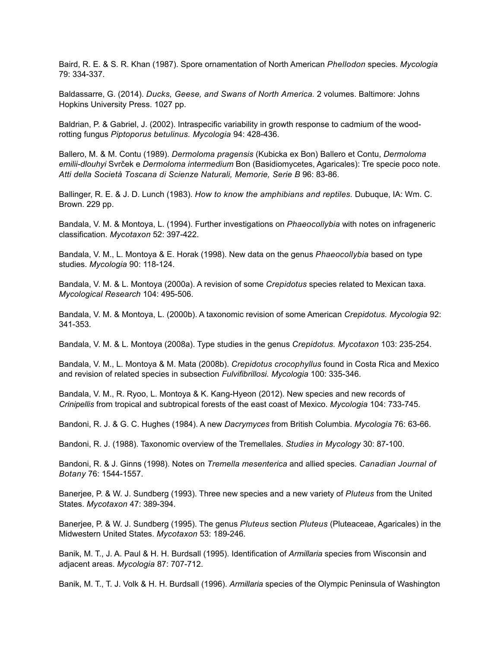Baird, R. E. & S. R. Khan (1987). Spore ornamentation of North American *Phellodon* species. *Mycologia* 79: 334-337.

Baldassarre, G. (2014). *Ducks, Geese, and Swans of North America.* 2 volumes. Baltimore: Johns Hopkins University Press. 1027 pp.

Baldrian, P. & Gabriel, J. (2002). Intraspecific variability in growth response to cadmium of the woodrotting fungus *Piptoporus betulinus. Mycologia* 94: 428-436.

Ballero, M. & M. Contu (1989). *Dermoloma pragensis* (Kubicka ex Bon) Ballero et Contu, *Dermoloma emilii-dlouhyi* Svrček e *Dermoloma intermedium* Bon (Basidiomycetes, Agaricales): Tre specie poco note. *Atti della Società Toscana di Scienze Naturali, Memorie, Serie B* 96: 83-86.

Ballinger, R. E. & J. D. Lunch (1983). *How to know the amphibians and reptiles.* Dubuque, IA: Wm. C. Brown. 229 pp.

Bandala, V. M. & Montoya, L. (1994). Further investigations on *Phaeocollybia* with notes on infrageneric classification. *Mycotaxon* 52: 397-422.

Bandala, V. M., L. Montoya & E. Horak (1998). New data on the genus *Phaeocollybia* based on type studies. *Mycologia* 90: 118-124.

Bandala, V. M. & L. Montoya (2000a). A revision of some *Crepidotus* species related to Mexican taxa. *Mycological Research* 104: 495-506.

Bandala, V. M. & Montoya, L. (2000b). A taxonomic revision of some American *Crepidotus. Mycologia* 92: 341-353.

Bandala, V. M. & L. Montoya (2008a). Type studies in the genus *Crepidotus. Mycotaxon* 103: 235-254.

Bandala, V. M., L. Montoya & M. Mata (2008b). *Crepidotus crocophyllus* found in Costa Rica and Mexico and revision of related species in subsection *Fulvifibrillosi. Mycologia* 100: 335-346.

Bandala, V. M., R. Ryoo, L. Montoya & K. Kang-Hyeon (2012). New species and new records of *Crinipellis* from tropical and subtropical forests of the east coast of Mexico. *Mycologia* 104: 733-745.

Bandoni, R. J. & G. C. Hughes (1984). A new *Dacrymyces* from British Columbia. *Mycologia* 76: 63-66.

Bandoni, R. J. (1988). Taxonomic overview of the Tremellales. *Studies in Mycology* 30: 87-100.

Bandoni, R. & J. Ginns (1998). Notes on *Tremella mesenterica* and allied species. *Canadian Journal of Botany* 76: 1544-1557.

Banerjee, P. & W. J. Sundberg (1993). Three new species and a new variety of *Pluteus* from the United States. *Mycotaxon* 47: 389-394.

Banerjee, P. & W. J. Sundberg (1995). The genus *Pluteus* section *Pluteus* (Pluteaceae, Agaricales) in the Midwestern United States. *Mycotaxon* 53: 189-246.

Banik, M. T., J. A. Paul & H. H. Burdsall (1995). Identification of *Armillaria* species from Wisconsin and adjacent areas. *Mycologia* 87: 707-712.

Banik, M. T., T. J. Volk & H. H. Burdsall (1996). *Armillaria* species of the Olympic Peninsula of Washington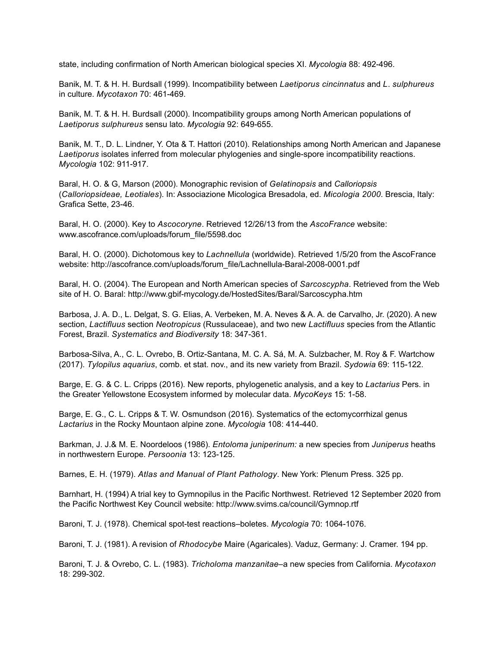state, including confirmation of North American biological species XI. *Mycologia* 88: 492-496.

Banik, M. T. & H. H. Burdsall (1999). Incompatibility between *Laetiporus cincinnatus* and *L*. *sulphureus* in culture. *Mycotaxon* 70: 461-469.

Banik, M. T. & H. H. Burdsall (2000). Incompatibility groups among North American populations of *Laetiporus sulphureus* sensu lato. *Mycologia* 92: 649-655.

Banik, M. T., D. L. Lindner, Y. Ota & T. Hattori (2010). Relationships among North American and Japanese *Laetiporus* isolates inferred from molecular phylogenies and single-spore incompatibility reactions. *Mycologia* 102: 911-917.

Baral, H. O. & G, Marson (2000). Monographic revision of *Gelatinopsis* and *Calloriopsis* (*Calloriopsideae, Leotiales*). In: Associazione Micologica Bresadola, ed. *Micologia 2000*. Brescia, Italy: Grafica Sette, 23-46.

Baral, H. O. (2000). Key to *Ascocoryne*. Retrieved 12/26/13 from the *AscoFrance* website: www.ascofrance.com/uploads/forum\_file/5598.doc

Baral, H. O. (2000). Dichotomous key to *Lachnellula* (worldwide). Retrieved 1/5/20 from the AscoFrance website: http://ascofrance.com/uploads/forum\_file/Lachnellula-Baral-2008-0001.pdf

Baral, H. O. (2004). The European and North American species of *Sarcoscypha*. Retrieved from the Web site of H. O. Baral: http://www.gbif-mycology.de/HostedSites/Baral/Sarcoscypha.htm

Barbosa, J. A. D., L. Delgat, S. G. Elias, A. Verbeken, M. A. Neves & A. A. de Carvalho, Jr. (2020). A new section, *Lactifluus* section *Neotropicus* (Russulaceae), and two new *Lactifluus* species from the Atlantic Forest, Brazil. *Systematics and Biodiversity* 18: 347-361.

Barbosa-Silva, A., C. L. Ovrebo, B. Ortiz-Santana, M. C. A. Sá, M. A. Sulzbacher, M. Roy & F. Wartchow (2017). *Tylopilus aquarius*, comb. et stat. nov., and its new variety from Brazil. *Sydowia* 69: 115-122.

Barge, E. G. & C. L. Cripps (2016). New reports, phylogenetic analysis, and a key to *Lactarius* Pers. in the Greater Yellowstone Ecosystem informed by molecular data. *MycoKeys* 15: 1-58.

Barge, E. G., C. L. Cripps & T. W. Osmundson (2016). Systematics of the ectomycorrhizal genus *Lactarius* in the Rocky Mountaon alpine zone. *Mycologia* 108: 414-440.

Barkman, J. J.& M. E. Noordeloos (1986). *Entoloma juniperinum:* a new species from *Juniperus* heaths in northwestern Europe. *Persoonia* 13: 123-125.

Barnes, E. H. (1979). *Atlas and Manual of Plant Pathology*. New York: Plenum Press. 325 pp.

Barnhart, H. (1994) A trial key to Gymnopilus in the Pacific Northwest. Retrieved 12 September 2020 from the Pacific Northwest Key Council website: http://www.svims.ca/council/Gymnop.rtf

Baroni, T. J. (1978). Chemical spot-test reactions–boletes. *Mycologia* 70: 1064-1076.

Baroni, T. J. (1981). A revision of *Rhodocybe* Maire (Agaricales). Vaduz, Germany: J. Cramer. 194 pp.

Baroni, T. J. & Ovrebo, C. L. (1983). *Tricholoma manzanitae*–a new species from California. *Mycotaxon* 18: 299-302.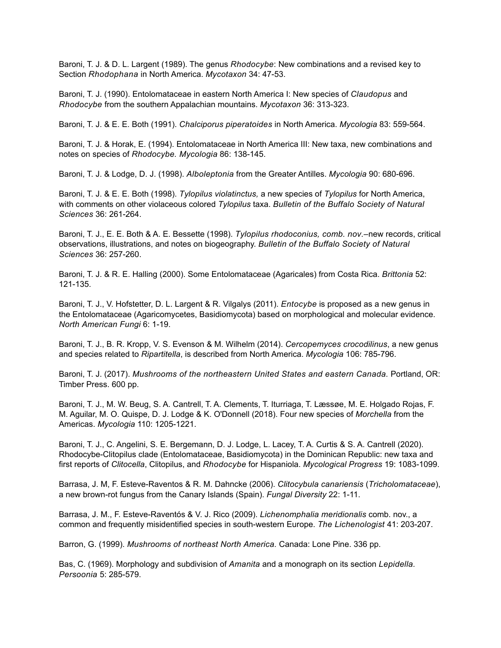Baroni, T. J. & D. L. Largent (1989). The genus *Rhodocybe*: New combinations and a revised key to Section *Rhodophana* in North America. *Mycotaxon* 34: 47-53.

Baroni, T. J. (1990). Entolomataceae in eastern North America I: New species of *Claudopus* and *Rhodocybe* from the southern Appalachian mountains. *Mycotaxon* 36: 313-323.

Baroni, T. J. & E. E. Both (1991). *Chalciporus piperatoides* in North America. *Mycologia* 83: 559-564.

Baroni, T. J. & Horak, E. (1994). Entolomataceae in North America III: New taxa, new combinations and notes on species of *Rhodocybe. Mycologia* 86: 138-145.

Baroni, T. J. & Lodge, D. J. (1998). *Alboleptonia* from the Greater Antilles. *Mycologia* 90: 680-696.

Baroni, T. J. & E. E. Both (1998). *Tylopilus violatinctus,* a new species of *Tylopilus* for North America, with comments on other violaceous colored *Tylopilus* taxa. *Bulletin of the Buffalo Society of Natural Sciences* 36: 261-264.

Baroni, T. J., E. E. Both & A. E. Bessette (1998). *Tylopilus rhodoconius, comb. nov.–*new records, critical observations, illustrations, and notes on biogeography. *Bulletin of the Buffalo Society of Natural Sciences* 36: 257-260.

Baroni, T. J. & R. E. Halling (2000). Some Entolomataceae (Agaricales) from Costa Rica. *Brittonia* 52: 121-135.

Baroni, T. J., V. Hofstetter, D. L. Largent & R. Vilgalys (2011). *Entocybe* is proposed as a new genus in the Entolomataceae (Agaricomycetes, Basidiomycota) based on morphological and molecular evidence. *North American Fungi* 6: 1-19.

Baroni, T. J., B. R. Kropp, V. S. Evenson & M. Wilhelm (2014). *Cercopemyces crocodilinus*, a new genus and species related to *Ripartitella*, is described from North America. *Mycologia* 106: 785-796.

Baroni, T. J. (2017). *Mushrooms of the northeastern United States and eastern Canada.* Portland, OR: Timber Press. 600 pp.

Baroni, T. J., M. W. Beug, S. A. Cantrell, T. A. Clements, T. Iturriaga, T. Læssøe, M. E. Holgado Rojas, F. M. Aguilar, M. O. Quispe, D. J. Lodge & K. O'Donnell (2018). Four new species of *Morchella* from the Americas. *Mycologia* 110: 1205-1221.

Baroni, T. J., C. Angelini, S. E. Bergemann, D. J. Lodge, L. Lacey, T. A. Curtis & S. A. Cantrell (2020). Rhodocybe-Clitopilus clade (Entolomataceae, Basidiomycota) in the Dominican Republic: new taxa and first reports of *Clitocella*, Clitopilus, and *Rhodocybe* for Hispaniola. *Mycological Progress* 19: 1083-1099.

Barrasa, J. M, F. Esteve-Raventos & R. M. Dahncke (2006). *Clitocybula canariensis* (*Tricholomataceae*), a new brown-rot fungus from the Canary Islands (Spain). *Fungal Diversity* 22: 1-11.

Barrasa, J. M., F. Esteve-Raventós & V. J. Rico (2009). *Lichenomphalia meridionalis* comb. nov., a common and frequently misidentified species in south-western Europe. *The Lichenologist* 41: 203-207.

Barron, G. (1999). *Mushrooms of northeast North America.* Canada: Lone Pine. 336 pp.

Bas, C. (1969). Morphology and subdivision of *Amanita* and a monograph on its section *Lepidella. Persoonia* 5: 285-579.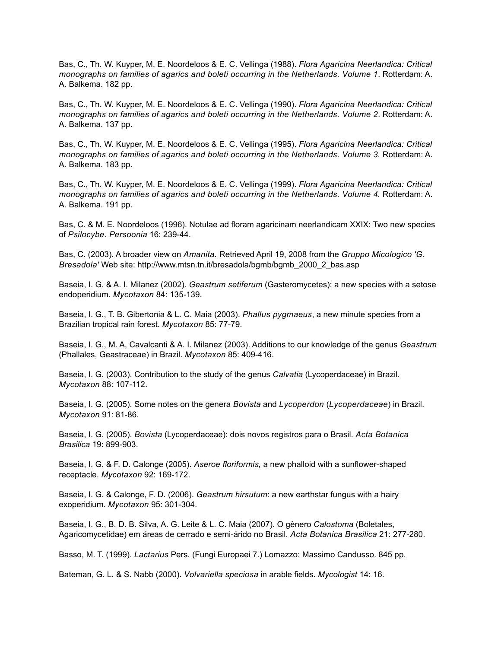Bas, C., Th. W. Kuyper, M. E. Noordeloos & E. C. Vellinga (1988). *Flora Agaricina Neerlandica: Critical monographs on families of agarics and boleti occurring in the Netherlands. Volume 1*. Rotterdam: A. A. Balkema. 182 pp.

Bas, C., Th. W. Kuyper, M. E. Noordeloos & E. C. Vellinga (1990). *Flora Agaricina Neerlandica: Critical monographs on families of agarics and boleti occurring in the Netherlands. Volume 2*. Rotterdam: A. A. Balkema. 137 pp.

Bas, C., Th. W. Kuyper, M. E. Noordeloos & E. C. Vellinga (1995). *Flora Agaricina Neerlandica: Critical monographs on families of agarics and boleti occurring in the Netherlands. Volume 3.* Rotterdam: A. A. Balkema. 183 pp.

Bas, C., Th. W. Kuyper, M. E. Noordeloos & E. C. Vellinga (1999). *Flora Agaricina Neerlandica: Critical monographs on families of agarics and boleti occurring in the Netherlands. Volume 4.* Rotterdam: A. A. Balkema. 191 pp.

Bas, C. & M. E. Noordeloos (1996). Notulae ad floram agaricinam neerlandicam XXIX: Two new species of *Psilocybe. Persoonia* 16: 239-44.

Bas, C. (2003). A broader view on *Amanita.* Retrieved April 19, 2008 from the *Gruppo Micologico 'G. Bresadola'* Web site: http://www.mtsn.tn.it/bresadola/bgmb/bgmb\_2000\_2\_bas.asp

Baseia, I. G. & A. I. Milanez (2002). *Geastrum setiferum* (Gasteromycetes): a new species with a setose endoperidium. *Mycotaxon* 84: 135-139.

Baseia, I. G., T. B. Gibertonia & L. C. Maia (2003). *Phallus pygmaeus*, a new minute species from a Brazilian tropical rain forest. *Mycotaxon* 85: 77-79.

Baseia, I. G., M. A, Cavalcanti & A. I. Milanez (2003). Additions to our knowledge of the genus *Geastrum* (Phallales, Geastraceae) in Brazil. *Mycotaxon* 85: 409-416.

Baseia, I. G. (2003). Contribution to the study of the genus *Calvatia* (Lycoperdaceae) in Brazil. *Mycotaxon* 88: 107-112.

Baseia, I. G. (2005). Some notes on the genera *Bovista* and *Lycoperdon* (*Lycoperdaceae*) in Brazil. *Mycotaxon* 91: 81-86.

Baseia, I. G. (2005). *Bovista* (Lycoperdaceae): dois novos registros para o Brasil. *Acta Botanica Brasilica* 19: 899-903.

Baseia, I. G. & F. D. Calonge (2005). *Aseroe floriformis,* a new phalloid with a sunflower-shaped receptacle. *Mycotaxon* 92: 169-172.

Baseia, I. G. & Calonge, F. D. (2006). *Geastrum hirsutum*: a new earthstar fungus with a hairy exoperidium. *Mycotaxon* 95: 301-304.

Baseia, I. G., B. D. B. Silva, A. G. Leite & L. C. Maia (2007). O gênero *Calostoma* (Boletales, Agaricomycetidae) em áreas de cerrado e semi-árido no Brasil. *Acta Botanica Brasilica* 21: 277-280.

Basso, M. T. (1999). *Lactarius* Pers. (Fungi Europaei 7.) Lomazzo: Massimo Candusso. 845 pp.

Bateman, G. L. & S. Nabb (2000). *Volvariella speciosa* in arable fields. *Mycologist* 14: 16.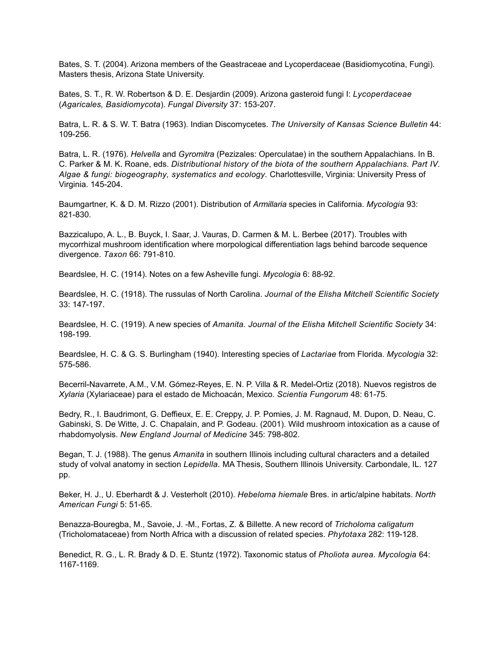Bates, S. T. (2004). Arizona members of the Geastraceae and Lycoperdaceae (Basidiomycotina, Fungi). Masters thesis, Arizona State University.

Bates, S. T., R. W. Robertson & D. E. Desjardin (2009). Arizona gasteroid fungi I: *Lycoperdaceae*  (*Agaricales, Basidiomycota*). *Fungal Diversity* 37: 153-207.

Batra, L. R. & S. W. T. Batra (1963). Indian Discomycetes. *The University of Kansas Science Bulletin* 44: 109-256.

Batra, L. R. (1976). *Helvella* and *Gyromitra* (Pezizales: Operculatae) in the southern Appalachians. In B. C. Parker & M. K. Roane, eds. *Distributional history of the biota of the southern Appalachians. Part IV. Algae & fungi: biogeography, systematics and ecology.* Charlottesville, Virginia: University Press of Virginia. 145-204.

Baumgartner, K. & D. M. Rizzo (2001). Distribution of *Armillaria* species in California. *Mycologia* 93: 821-830.

Bazzicalupo, A. L., B. Buyck, I. Saar, J. Vauras, D. Carmen & M. L. Berbee (2017). Troubles with mycorrhizal mushroom identification where morpological differentiation lags behind barcode sequence divergence. *Taxon* 66: 791-810.

Beardslee, H. C. (1914). Notes on a few Asheville fungi. *Mycologia* 6: 88-92.

Beardslee, H. C. (1918). The russulas of North Carolina. *Journal of the Elisha Mitchell Scientific Society* 33: 147-197.

Beardslee, H. C. (1919). A new species of *Amanita. Journal of the Elisha Mitchell Scientific Society* 34: 198-199.

Beardslee, H. C. & G. S. Burlingham (1940). Interesting species of *Lactariae* from Florida. *Mycologia* 32: 575-586.

Becerril-Navarrete, A.M., V.M. Gómez-Reyes, E. N. P. Villa & R. Medel-Ortiz (2018). Nuevos registros de *Xylaria* (Xylariaceae) para el estado de Michoacán, Mexico. *Scientia Fungorum* 48: 61-75.

Bedry, R., I. Baudrimont, G. Deffieux, E. E. Creppy, J. P. Pomies, J. M. Ragnaud, M. Dupon, D. Neau, C. Gabinski, S. De Witte, J. C. Chapalain, and P. Godeau. (2001). Wild mushroom intoxication as a cause of rhabdomyolysis. *New England Journal of Medicine* 345: 798-802.

Began, T. J. (1988). The genus *Amanita* in southern Illinois including cultural characters and a detailed study of volval anatomy in section *Lepidella.* MA Thesis, Southern Illinois University. Carbondale, IL. 127 pp.

Beker, H. J., U. Eberhardt & J. Vesterholt (2010). *Hebeloma hiemale* Bres. in artic/alpine habitats. *North American Fungi* 5: 51-65.

Benazza-Bouregba, M., Savoie, J. -M., Fortas, Z. & Billette. A new record of *Tricholoma caligatum* (Tricholomataceae) from North Africa with a discussion of related species. *Phytotaxa* 282: 119-128.

Benedict, R. G., L. R. Brady & D. E. Stuntz (1972). Taxonomic status of *Pholiota aurea. Mycologia* 64: 1167-1169.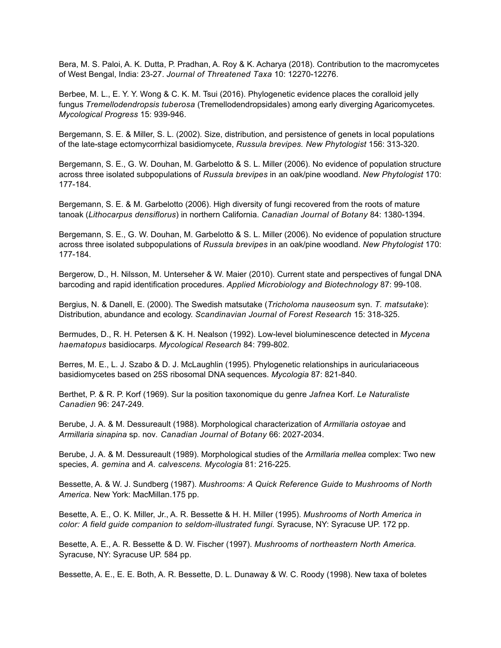Bera, M. S. Paloi, A. K. Dutta, P. Pradhan, A. Roy & K. Acharya (2018). Contribution to the macromycetes of West Bengal, India: 23-27. *Journal of Threatened Taxa* 10: 12270-12276.

Berbee, M. L., E. Y. Y. Wong & C. K. M. Tsui (2016). Phylogenetic evidence places the coralloid jelly fungus *Tremellodendropsis tuberosa* (Tremellodendropsidales) among early diverging Agaricomycetes. *Mycological Progress* 15: 939-946.

Bergemann, S. E. & Miller, S. L. (2002). Size, distribution, and persistence of genets in local populations of the late-stage ectomycorrhizal basidiomycete, *Russula brevipes. New Phytologist* 156: 313-320.

Bergemann, S. E., G. W. Douhan, M. Garbelotto & S. L. Miller (2006). No evidence of population structure across three isolated subpopulations of *Russula brevipes* in an oak/pine woodland. *New Phytologist* 170: 177-184.

Bergemann, S. E. & M. Garbelotto (2006). High diversity of fungi recovered from the roots of mature tanoak (*Lithocarpus densiflorus*) in northern California. *Canadian Journal of Botany* 84: 1380-1394.

Bergemann, S. E., G. W. Douhan, M. Garbelotto & S. L. Miller (2006). No evidence of population structure across three isolated subpopulations of *Russula brevipes* in an oak/pine woodland. *New Phytologist* 170: 177-184.

Bergerow, D., H. Nilsson, M. Unterseher & W. Maier (2010). Current state and perspectives of fungal DNA barcoding and rapid identification procedures. *Applied Microbiology and Biotechnology* 87: 99-108.

Bergius, N. & Danell, E. (2000). The Swedish matsutake (*Tricholoma nauseosum* syn. *T. matsutake*): Distribution, abundance and ecology. *Scandinavian Journal of Forest Research* 15: 318-325.

Bermudes, D., R. H. Petersen & K. H. Nealson (1992). Low-level bioluminescence detected in *Mycena haematopus* basidiocarps. *Mycological Research* 84: 799-802.

Berres, M. E., L. J. Szabo & D. J. McLaughlin (1995). Phylogenetic relationships in auriculariaceous basidiomycetes based on 25S ribosomal DNA sequences. *Mycologia* 87: 821-840.

Berthet, P. & R. P. Korf (1969). Sur la position taxonomique du genre *Jafnea* Korf. *Le Naturaliste Canadien* 96: 247-249.

Berube, J. A. & M. Dessureault (1988). Morphological characterization of *Armillaria ostoyae* and *Armillaria sinapina* sp. nov*. Canadian Journal of Botany* 66: 2027-2034.

Berube, J. A. & M. Dessureault (1989). Morphological studies of the *Armillaria mellea* complex: Two new species, *A. gemina* and *A. calvescens. Mycologia* 81: 216-225.

Bessette, A. & W. J. Sundberg (1987). *Mushrooms: A Quick Reference Guide to Mushrooms of North America*. New York: MacMillan.175 pp.

Besette, A. E., O. K. Miller, Jr., A. R. Bessette & H. H. Miller (1995). *Mushrooms of North America in color: A field guide companion to seldom-illustrated fungi.* Syracuse, NY: Syracuse UP. 172 pp.

Besette, A. E., A. R. Bessette & D. W. Fischer (1997). *Mushrooms of northeastern North America.* Syracuse, NY: Syracuse UP. 584 pp.

Bessette, A. E., E. E. Both, A. R. Bessette, D. L. Dunaway & W. C. Roody (1998). New taxa of boletes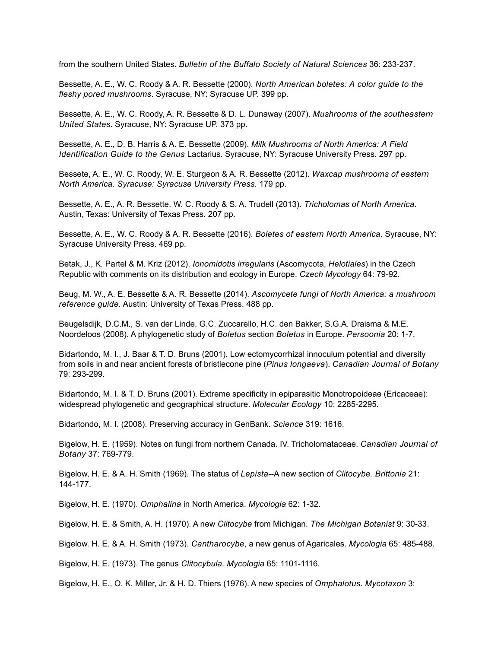from the southern United States. *Bulletin of the Buffalo Society of Natural Sciences* 36: 233-237.

Bessette, A. E., W. C. Roody & A. R. Bessette (2000). *North American boletes: A color guide to the fleshy pored mushrooms*. Syracuse, NY: Syracuse UP. 399 pp.

Bessette, A. E., W. C. Roody, A. R. Bessette & D. L. Dunaway (2007). *Mushrooms of the southeastern United States*. Syracuse, NY: Syracuse UP. 373 pp.

Bessette, A. E., D. B. Harris & A. E. Bessette (2009). *Milk Mushrooms of North America: A Field Identification Guide to the Genus* Lactarius. Syracuse, NY: Syracuse University Press. 297 pp.

Bessete, A. E., W. C. Roody, W. E. Sturgeon & A. R. Bessette (2012). *Waxcap mushrooms of eastern North America. Syracuse: Syracuse University Press.* 179 pp.

Bessette, A. E., A. R. Bessette. W. C. Roody & S. A. Trudell (2013). *Tricholomas of North America*. Austin, Texas: University of Texas Press. 207 pp.

Bessette, A. E., W. C. Roody & A. R. Bessette (2016). *Boletes of eastern North America*. Syracuse, NY: Syracuse University Press. 469 pp.

Betak, J., K. Partel & M. Kriz (2012). *Ionomidotis irregularis* (Ascomycota, *Helotiales*) in the Czech Republic with comments on its distribution and ecology in Europe. *Czech Mycology* 64: 79-92.

Beug, M. W., A. E. Bessette & A. R. Bessette (2014). *Ascomycete fungi of North America: a mushroom reference guide.* Austin: University of Texas Press. 488 pp.

Beugelsdijk, D.C.M., S. van der Linde, G.C. Zuccarello, H.C. den Bakker, S.G.A. Draisma & M.E. Noordeloos (2008). A phylogenetic study of *Boletus* section *Boletus* in Europe. *Persoonia* 20: 1-7.

Bidartondo, M. I., J. Baar & T. D. Bruns (2001). Low ectomycorrhizal innoculum potential and diversity from soils in and near ancient forests of bristlecone pine (*Pinus longaeva*). *Canadian Journal of Botany* 79: 293-299.

Bidartondo, M. I. & T. D. Bruns (2001). Extreme specificity in epiparasitic Monotropoideae (Ericaceae): widespread phylogenetic and geographical structure. *Molecular Ecology* 10: 2285-2295.

Bidartondo, M. I. (2008). Preserving accuracy in GenBank. *Science* 319: 1616.

Bigelow, H. E. (1959). Notes on fungi from northern Canada. IV. Tricholomataceae. *Canadian Journal of Botany* 37: 769-779.

Bigelow, H. E. & A. H. Smith (1969). The status of *Lepista*--A new section of *Clitocybe. Brittonia* 21: 144-177.

Bigelow, H. E. (1970). *Omphalina* in North America. *Mycologia* 62: 1-32.

Bigelow, H. E. & Smith, A. H. (1970). A new *Clitocybe* from Michigan. *The Michigan Botanist* 9: 30-33.

Bigelow. H. E. & A. H. Smith (1973). *Cantharocybe*, a new genus of Agaricales. *Mycologia* 65: 485-488.

Bigelow, H. E. (1973). The genus *Clitocybula. Mycologia* 65: 1101-1116.

Bigelow, H. E., O. K. Miller, Jr. & H. D. Thiers (1976). A new species of *Omphalotus*. *Mycotaxon* 3: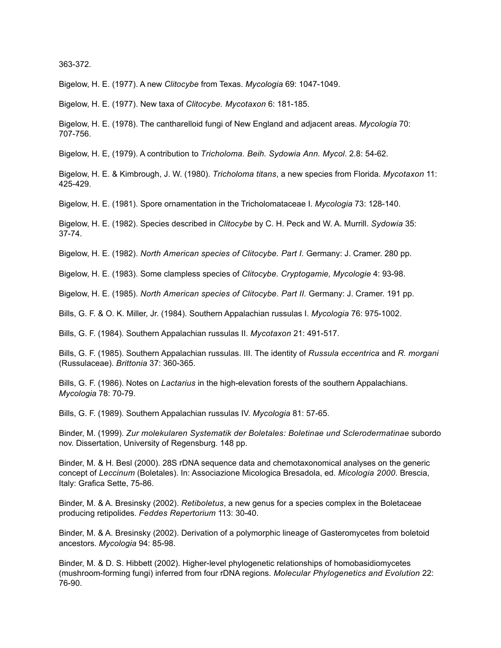363-372.

Bigelow, H. E. (1977). A new *Clitocybe* from Texas. *Mycologia* 69: 1047-1049.

Bigelow, H. E. (1977). New taxa of *Clitocybe. Mycotaxon* 6: 181-185.

Bigelow, H. E. (1978). The cantharelloid fungi of New England and adjacent areas. *Mycologia* 70: 707-756.

Bigelow, H. E, (1979). A contribution to *Tricholoma. Beih. Sydowia Ann. Mycol*. 2.8: 54-62.

Bigelow, H. E. & Kimbrough, J. W. (1980). *Tricholoma titans*, a new species from Florida. *Mycotaxon* 11: 425-429.

Bigelow, H. E. (1981). Spore ornamentation in the Tricholomataceae I. *Mycologia* 73: 128-140.

Bigelow, H. E. (1982). Species described in *Clitocybe* by C. H. Peck and W. A. Murrill. *Sydowia* 35: 37-74.

Bigelow, H. E. (1982). *North American species of Clitocybe. Part I.* Germany: J. Cramer. 280 pp.

Bigelow, H. E. (1983). Some clampless species of *Clitocybe. Cryptogamie, Mycologie* 4: 93-98.

Bigelow, H. E. (1985). *North American species of Clitocybe. Part II.* Germany: J. Cramer. 191 pp.

Bills, G. F. & O. K. Miller, Jr. (1984). Southern Appalachian russulas I. *Mycologia* 76: 975-1002.

Bills, G. F. (1984). Southern Appalachian russulas II. *Mycotaxon* 21: 491-517.

Bills, G. F. (1985). Southern Appalachian russulas. III. The identity of *Russula eccentrica* and *R. morgani* (Russulaceae). *Brittonia* 37: 360-365.

Bills, G. F. (1986). Notes on *Lactarius* in the high-elevation forests of the southern Appalachians. *Mycologia* 78: 70-79.

Bills, G. F. (1989). Southern Appalachian russulas IV. *Mycologia* 81: 57-65.

Binder, M. (1999). *Zur molekularen Systematik der Boletales: Boletinae und Sclerodermatinae* subordo nov. Dissertation, University of Regensburg. 148 pp.

Binder, M. & H. Besl (2000). 28S rDNA sequence data and chemotaxonomical analyses on the generic concept of *Leccinum* (Boletales). In: Associazione Micologica Bresadola, ed. *Micologia 2000*. Brescia, Italy: Grafica Sette, 75-86.

Binder, M. & A. Bresinsky (2002). *Retiboletus*, a new genus for a species complex in the Boletaceae producing retipolides. *Feddes Repertorium* 113: 30-40.

Binder, M. & A. Bresinsky (2002). Derivation of a polymorphic lineage of Gasteromycetes from boletoid ancestors. *Mycologia* 94: 85-98.

Binder, M. & D. S. Hibbett (2002). Higher-level phylogenetic relationships of homobasidiomycetes (mushroom-forming fungi) inferred from four rDNA regions. *Molecular Phylogenetics and Evolution* 22: 76-90.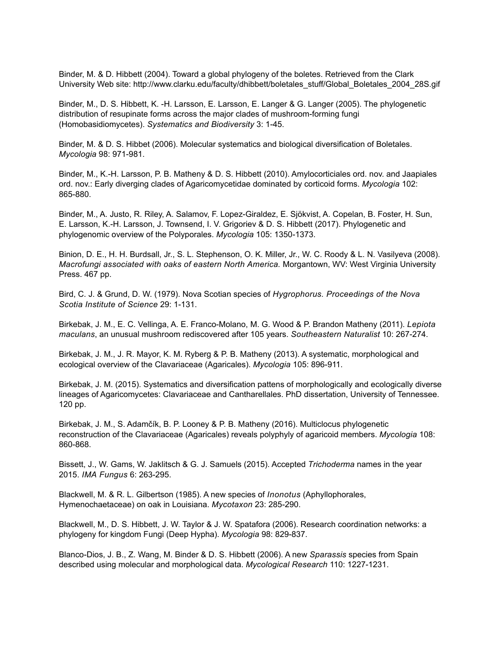Binder, M. & D. Hibbett (2004). Toward a global phylogeny of the boletes. Retrieved from the Clark University Web site: http://www.clarku.edu/faculty/dhibbett/boletales\_stuff/Global\_Boletales\_2004\_28S.gif

Binder, M., D. S. Hibbett, K. -H. Larsson, E. Larsson, E. Langer & G. Langer (2005). The phylogenetic distribution of resupinate forms across the major clades of mushroom-forming fungi (Homobasidiomycetes). *Systematics and Biodiversity* 3: 1-45.

Binder, M. & D. S. Hibbet (2006). Molecular systematics and biological diversification of Boletales. *Mycologia* 98: 971-981.

Binder, M., K.-H. Larsson, P. B. Matheny & D. S. Hibbett (2010). Amylocorticiales ord. nov. and Jaapiales ord. nov.: Early diverging clades of Agaricomycetidae dominated by corticoid forms. *Mycologia* 102: 865-880.

Binder, M., A. Justo, R. Riley, A. Salamov, F. Lopez-Giraldez, E. Sjökvist, A. Copelan, B. Foster, H. Sun, E. Larsson, K.-H. Larsson, J. Townsend, I. V. Grigoriev & D. S. Hibbett (2017). Phylogenetic and phylogenomic overview of the Polyporales. *Mycologia* 105: 1350-1373.

Binion, D. E., H. H. Burdsall, Jr., S. L. Stephenson, O. K. Miller, Jr., W. C. Roody & L. N. Vasilyeva (2008). *Macrofungi associated with oaks of eastern North America.* Morgantown, WV: West Virginia University Press. 467 pp.

Bird, C. J. & Grund, D. W. (1979). Nova Scotian species of *Hygrophorus. Proceedings of the Nova Scotia Institute of Science* 29: 1-131.

Birkebak, J. M., E. C. Vellinga, A. E. Franco-Molano, M. G. Wood & P. Brandon Matheny (2011). *Lepiota maculans*, an unusual mushroom rediscovered after 105 years. *Southeastern Naturalist* 10: 267-274.

Birkebak, J. M., J. R. Mayor, K. M. Ryberg & P. B. Matheny (2013). A systematic, morphological and ecological overview of the Clavariaceae (Agaricales). *Mycologia* 105: 896-911.

Birkebak, J. M. (2015). Systematics and diversification pattens of morphologically and ecologically diverse lineages of Agaricomycetes: Clavariaceae and Cantharellales. PhD dissertation, University of Tennessee. 120 pp.

Birkebak, J. M., S. Adamčík, B. P. Looney & P. B. Matheny (2016). Multiclocus phylogenetic reconstruction of the Clavariaceae (Agaricales) reveals polyphyly of agaricoid members. *Mycologia* 108: 860-868.

Bissett, J., W. Gams, W. Jaklitsch & G. J. Samuels (2015). Accepted *Trichoderma* names in the year 2015. *IMA Fungus* 6: 263-295.

Blackwell, M. & R. L. Gilbertson (1985). A new species of *Inonotus* (Aphyllophorales, Hymenochaetaceae) on oak in Louisiana. *Mycotaxon* 23: 285-290.

Blackwell, M., D. S. Hibbett, J. W. Taylor & J. W. Spatafora (2006). Research coordination networks: a phylogeny for kingdom Fungi (Deep Hypha). *Mycologia* 98: 829-837.

Blanco-Dios, J. B., Z. Wang, M. Binder & D. S. Hibbett (2006). A new *Sparassis* species from Spain described using molecular and morphological data. *Mycological Research* 110: 1227-1231.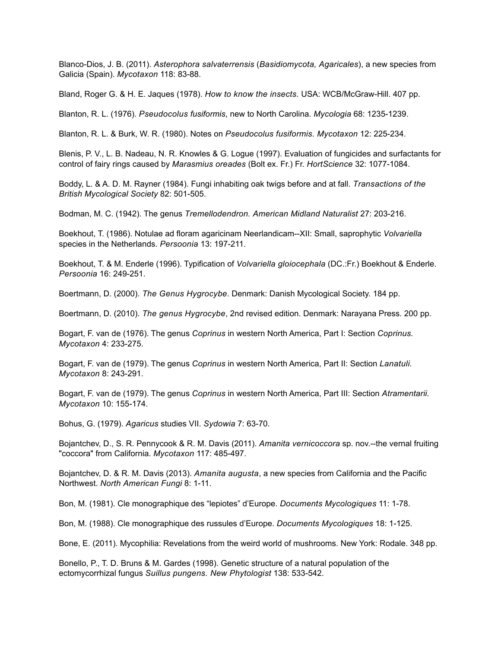Blanco-Dios, J. B. (2011). *Asterophora salvaterrensis* (*Basidiomycota, Agaricales*), a new species from Galicia (Spain). *Mycotaxon* 118: 83-88.

Bland, Roger G. & H. E. Jaques (1978). *How to know the insects.* USA: WCB/McGraw-Hill. 407 pp.

Blanton, R. L. (1976). *Pseudocolus fusiformis*, new to North Carolina. *Mycologia* 68: 1235-1239.

Blanton, R. L. & Burk, W. R. (1980). Notes on *Pseudocolus fusiformis. Mycotaxon* 12: 225-234.

Blenis, P. V., L. B. Nadeau, N. R. Knowles & G. Logue (1997). Evaluation of fungicides and surfactants for control of fairy rings caused by *Marasmius oreades* (Bolt ex. Fr.) Fr. *HortScience* 32: 1077-1084.

Boddy, L. & A. D. M. Rayner (1984). Fungi inhabiting oak twigs before and at fall. *Transactions of the British Mycological Society* 82: 501-505.

Bodman, M. C. (1942). The genus *Tremellodendron. American Midland Naturalist* 27: 203-216.

Boekhout, T. (1986). Notulae ad floram agaricinam Neerlandicam--XII: Small, saprophytic *Volvariella* species in the Netherlands. *Persoonia* 13: 197-211.

Boekhout, T. & M. Enderle (1996). Typification of *Volvariella gloiocephala* (DC.:Fr.) Boekhout & Enderle. *Persoonia* 16: 249-251.

Boertmann, D. (2000). *The Genus Hygrocybe*. Denmark: Danish Mycological Society. 184 pp.

Boertmann, D. (2010). *The genus Hygrocybe*, 2nd revised edition. Denmark: Narayana Press. 200 pp.

Bogart, F. van de (1976). The genus *Coprinus* in western North America, Part I: Section *Coprinus. Mycotaxon* 4: 233-275.

Bogart, F. van de (1979). The genus *Coprinus* in western North America, Part II: Section *Lanatuli. Mycotaxon* 8: 243-291.

Bogart, F. van de (1979). The genus *Coprinus* in western North America, Part III: Section *Atramentarii. Mycotaxon* 10: 155-174.

Bohus, G. (1979). *Agaricus* studies VII. *Sydowia* 7: 63-70.

Bojantchev, D., S. R. Pennycook & R. M. Davis (2011). *Amanita vernicoccora* sp. nov.--the vernal fruiting "coccora" from California. *Mycotaxon* 117: 485-497.

Bojantchev, D. & R. M. Davis (2013). *Amanita augusta*, a new species from California and the Pacific Northwest. *North American Fungi* 8: 1-11.

Bon, M. (1981). Cle monographique des "lepiotes" d'Europe. *Documents Mycologiques* 11: 1-78.

Bon, M. (1988). Cle monographique des russules d'Europe. *Documents Mycologiques* 18: 1-125.

Bone, E. (2011). Mycophilia: Revelations from the weird world of mushrooms. New York: Rodale. 348 pp.

Bonello, P., T. D. Bruns & M. Gardes (1998). Genetic structure of a natural population of the ectomycorrhizal fungus *Suillus pungens. New Phytologist* 138: 533-542.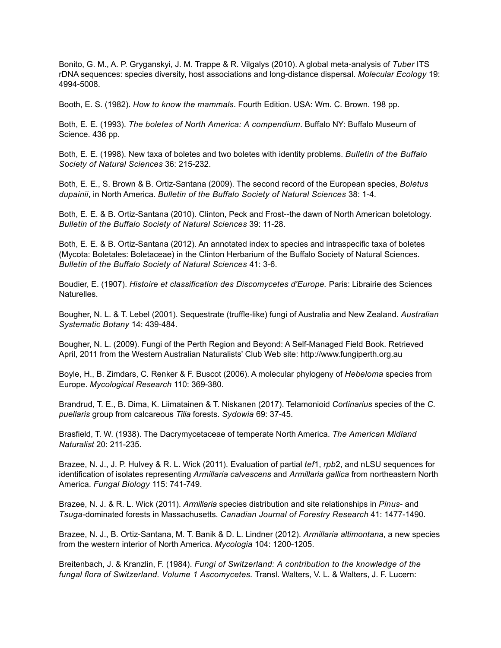Bonito, G. M., A. P. Gryganskyi, J. M. Trappe & R. Vilgalys (2010). A global meta-analysis of *Tuber* ITS rDNA sequences: species diversity, host associations and long-distance dispersal. *Molecular Ecology* 19: 4994-5008.

Booth, E. S. (1982). *How to know the mammals*. Fourth Edition. USA: Wm. C. Brown. 198 pp.

Both, E. E. (1993). *The boletes of North America: A compendium*. Buffalo NY: Buffalo Museum of Science. 436 pp.

Both, E. E. (1998). New taxa of boletes and two boletes with identity problems. *Bulletin of the Buffalo Society of Natural Sciences* 36: 215-232.

Both, E. E., S. Brown & B. Ortiz-Santana (2009). The second record of the European species, *Boletus dupainii*, in North America. *Bulletin of the Buffalo Society of Natural Sciences* 38: 1-4.

Both, E. E. & B. Ortiz-Santana (2010). Clinton, Peck and Frost--the dawn of North American boletology. *Bulletin of the Buffalo Society of Natural Sciences* 39: 11-28.

Both, E. E. & B. Ortiz-Santana (2012). An annotated index to species and intraspecific taxa of boletes (Mycota: Boletales: Boletaceae) in the Clinton Herbarium of the Buffalo Society of Natural Sciences. *Bulletin of the Buffalo Society of Natural Sciences* 41: 3-6.

Boudier, E. (1907). *Histoire et classification des Discomycetes d'Europe.* Paris: Librairie des Sciences **Naturelles** 

Bougher, N. L. & T. Lebel (2001). Sequestrate (truffle-like) fungi of Australia and New Zealand. *Australian Systematic Botany* 14: 439-484.

Bougher, N. L. (2009). Fungi of the Perth Region and Beyond: A Self-Managed Field Book. Retrieved April, 2011 from the Western Australian Naturalists' Club Web site: http://www.fungiperth.org.au

Boyle, H., B. Zimdars, C. Renker & F. Buscot (2006). A molecular phylogeny of *Hebeloma* species from Europe. *Mycological Research* 110: 369-380.

Brandrud, T. E., B. Dima, K. Liimatainen & T. Niskanen (2017). Telamonioid *Cortinarius* species of the *C. puellaris* group from calcareous *Tilia* forests. *Sydowia* 69: 37-45.

Brasfield, T. W. (1938). The Dacrymycetaceae of temperate North America. *The American Midland Naturalist* 20: 211-235.

Brazee, N. J., J. P. Hulvey & R. L. Wick (2011). Evaluation of partial *tef*1, *rpb*2, and nLSU sequences for identification of isolates representing *Armillaria calvescens* and *Armillaria gallica* from northeastern North America. *Fungal Biology* 115: 741-749.

Brazee, N. J. & R. L. Wick (2011). *Armillaria* species distribution and site relationships in *Pinus*- and *Tsuga*-dominated forests in Massachusetts. *Canadian Journal of Forestry Research* 41: 1477-1490.

Brazee, N. J., B. Ortiz-Santana, M. T. Banik & D. L. Lindner (2012). *Armillaria altimontana*, a new species from the western interior of North America. *Mycologia* 104: 1200-1205.

Breitenbach, J. & Kranzlin, F. (1984). *Fungi of Switzerland: A contribution to the knowledge of the fungal flora of Switzerland. Volume 1 Ascomycetes.* Transl. Walters, V. L. & Walters, J. F. Lucern: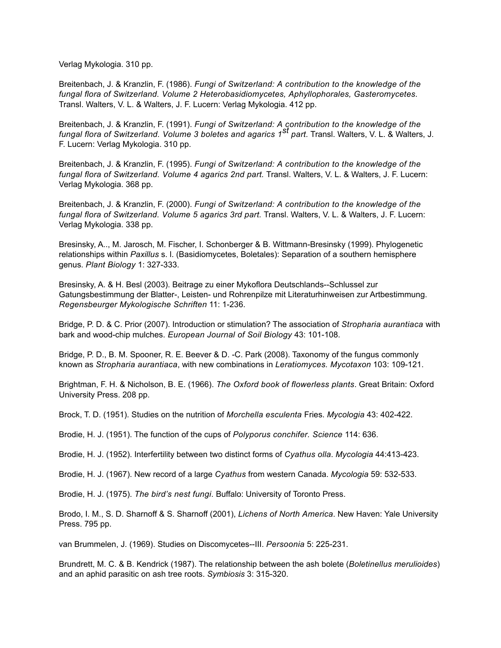Verlag Mykologia. 310 pp.

Breitenbach, J. & Kranzlin, F. (1986). *Fungi of Switzerland: A contribution to the knowledge of the fungal flora of Switzerland. Volume 2 Heterobasidiomycetes, Aphyllophorales, Gasteromycetes.* Transl. Walters, V. L. & Walters, J. F. Lucern: Verlag Mykologia. 412 pp.

Breitenbach, J. & Kranzlin, F. (1991). *Fungi of Switzerland: A contribution to the knowledge of the fungal flora of Switzerland. Volume 3 boletes and agarics 1st part.* Transl. Walters, V. L. & Walters, J. F. Lucern: Verlag Mykologia. 310 pp.

Breitenbach, J. & Kranzlin, F. (1995). *Fungi of Switzerland: A contribution to the knowledge of the fungal flora of Switzerland. Volume 4 agarics 2nd part.* Transl. Walters, V. L. & Walters, J. F. Lucern: Verlag Mykologia. 368 pp.

Breitenbach, J. & Kranzlin, F. (2000). *Fungi of Switzerland: A contribution to the knowledge of the fungal flora of Switzerland. Volume 5 agarics 3rd part.* Transl. Walters, V. L. & Walters, J. F. Lucern: Verlag Mykologia. 338 pp.

Bresinsky, A.., M. Jarosch, M. Fischer, I. Schonberger & B. Wittmann-Bresinsky (1999). Phylogenetic relationships within *Paxillus* s. l. (Basidiomycetes, Boletales): Separation of a southern hemisphere genus. *Plant Biology* 1: 327-333.

Bresinsky, A. & H. Besl (2003). Beitrage zu einer Mykoflora Deutschlands--Schlussel zur Gatungsbestimmung der Blatter-, Leisten- und Rohrenpilze mit Literaturhinweisen zur Artbestimmung. *Regensbeurger Mykologische Schriften* 11: 1-236.

Bridge, P. D. & C. Prior (2007). Introduction or stimulation? The association of *Stropharia aurantiaca* with bark and wood-chip mulches. *European Journal of Soil Biology* 43: 101-108.

Bridge, P. D., B. M. Spooner, R. E. Beever & D. -C. Park (2008). Taxonomy of the fungus commonly known as *Stropharia aurantiaca*, with new combinations in *Leratiomyces. Mycotaxon* 103: 109-121.

Brightman, F. H. & Nicholson, B. E. (1966). *The Oxford book of flowerless plants*. Great Britain: Oxford University Press. 208 pp.

Brock, T. D. (1951). Studies on the nutrition of *Morchella esculenta* Fries. *Mycologia* 43: 402-422.

Brodie, H. J. (1951). The function of the cups of *Polyporus conchifer. Science* 114: 636.

Brodie, H. J. (1952). Interfertility between two distinct forms of *Cyathus olla*. *Mycologia* 44:413-423.

Brodie, H. J. (1967). New record of a large *Cyathus* from western Canada. *Mycologia* 59: 532-533.

Brodie, H. J. (1975). *The bird's nest fungi*. Buffalo: University of Toronto Press.

Brodo, I. M., S. D. Sharnoff & S. Sharnoff (2001), *Lichens of North America*. New Haven: Yale University Press. 795 pp.

van Brummelen, J. (1969). Studies on Discomycetes--III. *Persoonia* 5: 225-231.

Brundrett, M. C. & B. Kendrick (1987). The relationship between the ash bolete (*Boletinellus merulioides*) and an aphid parasitic on ash tree roots. *Symbiosis* 3: 315-320.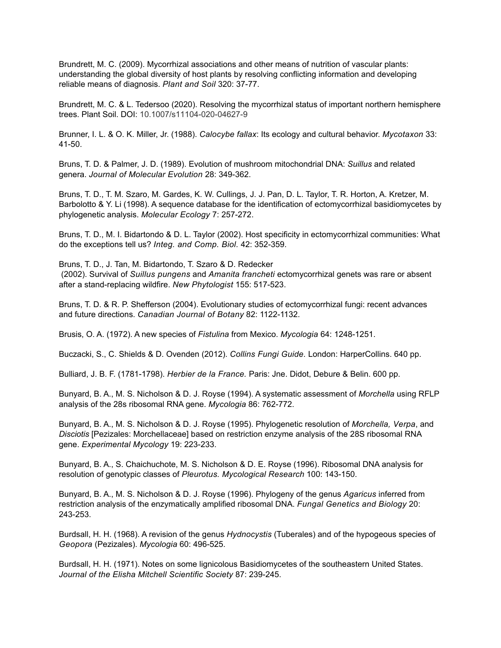Brundrett, M. C. (2009). Mycorrhizal associations and other means of nutrition of vascular plants: understanding the global diversity of host plants by resolving conflicting information and developing reliable means of diagnosis. *Plant and Soil* 320: 37-77.

Brundrett, M. C. & L. Tedersoo (2020). Resolving the mycorrhizal status of important northern hemisphere trees. Plant Soil. DOI: 10.1007/s11104-020-04627-9

Brunner, I. L. & O. K. Miller, Jr. (1988). *Calocybe fallax*: Its ecology and cultural behavior. *Mycotaxon* 33: 41-50.

Bruns, T. D. & Palmer, J. D. (1989). Evolution of mushroom mitochondrial DNA: *Suillus* and related genera. *Journal of Molecular Evolution* 28: 349-362.

Bruns, T. D., T. M. Szaro, M. Gardes, K. W. Cullings, J. J. Pan, D. L. Taylor, T. R. Horton, A. Kretzer, M. Barbolotto & Y. Li (1998). A sequence database for the identification of ectomycorrhizal basidiomycetes by phylogenetic analysis. *Molecular Ecology* 7: 257-272.

Bruns, T. D., M. I. Bidartondo & D. L. Taylor (2002). Host specificity in ectomycorrhizal communities: What do the exceptions tell us? *Integ. and Comp. Biol.* 42: 352-359.

Bruns, T. D., J. Tan, M. Bidartondo, T. Szaro & D. Redecker (2002). Survival of *Suillus pungens* and *Amanita francheti* ectomycorrhizal genets was rare or absent after a stand-replacing wildfire. *New Phytologist* 155: 517-523.

Bruns, T. D. & R. P. Shefferson (2004). Evolutionary studies of ectomycorrhizal fungi: recent advances and future directions. *Canadian Journal of Botany* 82: 1122-1132.

Brusis, O. A. (1972). A new species of *Fistulina* from Mexico. *Mycologia* 64: 1248-1251.

Buczacki, S., C. Shields & D. Ovenden (2012). *Collins Fungi Guide.* London: HarperCollins. 640 pp.

Bulliard, J. B. F. (1781-1798). *Herbier de la France.* Paris: Jne. Didot, Debure & Belin. 600 pp.

Bunyard, B. A., M. S. Nicholson & D. J. Royse (1994). A systematic assessment of *Morchella* using RFLP analysis of the 28s ribosomal RNA gene. *Mycologia* 86: 762-772.

Bunyard, B. A., M. S. Nicholson & D. J. Royse (1995). Phylogenetic resolution of *Morchella, Verpa*, and *Disciotis* [Pezizales: Morchellaceae] based on restriction enzyme analysis of the 28S ribosomal RNA gene. *Experimental Mycology* 19: 223-233.

Bunyard, B. A., S. Chaichuchote, M. S. Nicholson & D. E. Royse (1996). Ribosomal DNA analysis for resolution of genotypic classes of *Pleurotus. Mycological Research* 100: 143-150.

Bunyard, B. A., M. S. Nicholson & D. J. Royse (1996). Phylogeny of the genus *Agaricus* inferred from restriction analysis of the enzymatically amplified ribosomal DNA. *Fungal Genetics and Biology* 20: 243-253.

Burdsall, H. H. (1968). A revision of the genus *Hydnocystis* (Tuberales) and of the hypogeous species of *Geopora* (Pezizales). *Mycologia* 60: 496-525.

Burdsall, H. H. (1971). Notes on some lignicolous Basidiomycetes of the southeastern United States. *Journal of the Elisha Mitchell Scientific Society* 87: 239-245.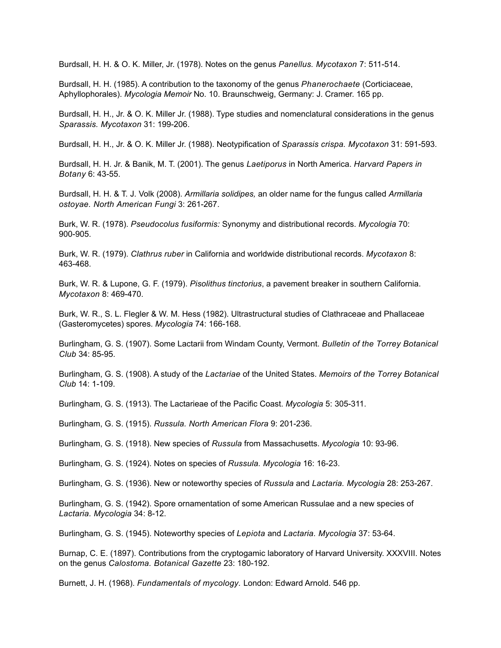Burdsall, H. H. & O. K. Miller, Jr. (1978). Notes on the genus *Panellus. Mycotaxon* 7: 511-514.

Burdsall, H. H. (1985). A contribution to the taxonomy of the genus *Phanerochaete* (Corticiaceae, Aphyllophorales). *Mycologia Memoir* No. 10. Braunschweig, Germany: J. Cramer. 165 pp.

Burdsall, H. H., Jr. & O. K. Miller Jr. (1988). Type studies and nomenclatural considerations in the genus *Sparassis. Mycotaxon* 31: 199-206.

Burdsall, H. H., Jr. & O. K. Miller Jr. (1988). Neotypification of *Sparassis crispa. Mycotaxon* 31: 591-593.

Burdsall, H. H. Jr. & Banik, M. T. (2001). The genus *Laetiporus* in North America. *Harvard Papers in Botany* 6: 43-55.

Burdsall, H. H. & T. J. Volk (2008). *Armillaria solidipes,* an older name for the fungus called *Armillaria ostoyae. North American Fungi* 3: 261-267.

Burk, W. R. (1978). *Pseudocolus fusiformis:* Synonymy and distributional records. *Mycologia* 70: 900-905.

Burk, W. R. (1979). *Clathrus ruber* in California and worldwide distributional records. *Mycotaxon* 8: 463-468.

Burk, W. R. & Lupone, G. F. (1979). *Pisolithus tinctorius*, a pavement breaker in southern California. *Mycotaxon* 8: 469-470.

Burk, W. R., S. L. Flegler & W. M. Hess (1982). Ultrastructural studies of Clathraceae and Phallaceae (Gasteromycetes) spores. *Mycologia* 74: 166-168.

Burlingham, G. S. (1907). Some Lactarii from Windam County, Vermont. *Bulletin of the Torrey Botanical Club* 34: 85-95.

Burlingham, G. S. (1908). A study of the *Lactariae* of the United States. *Memoirs of the Torrey Botanical Club* 14: 1-109.

Burlingham, G. S. (1913). The Lactarieae of the Pacific Coast. *Mycologia* 5: 305-311.

Burlingham, G. S. (1915). *Russula. North American Flora* 9: 201-236.

Burlingham, G. S. (1918). New species of *Russula* from Massachusetts. *Mycologia* 10: 93-96.

Burlingham, G. S. (1924). Notes on species of *Russula. Mycologia* 16: 16-23.

Burlingham, G. S. (1936). New or noteworthy species of *Russula* and *Lactaria. Mycologia* 28: 253-267.

Burlingham, G. S. (1942). Spore ornamentation of some American Russulae and a new species of *Lactaria. Mycologia* 34: 8-12.

Burlingham, G. S. (1945). Noteworthy species of *Lepiota* and *Lactaria. Mycologia* 37: 53-64.

Burnap, C. E. (1897). Contributions from the cryptogamic laboratory of Harvard University. XXXVIII. Notes on the genus *Calostoma. Botanical Gazette* 23: 180-192.

Burnett, J. H. (1968). *Fundamentals of mycology.* London: Edward Arnold. 546 pp.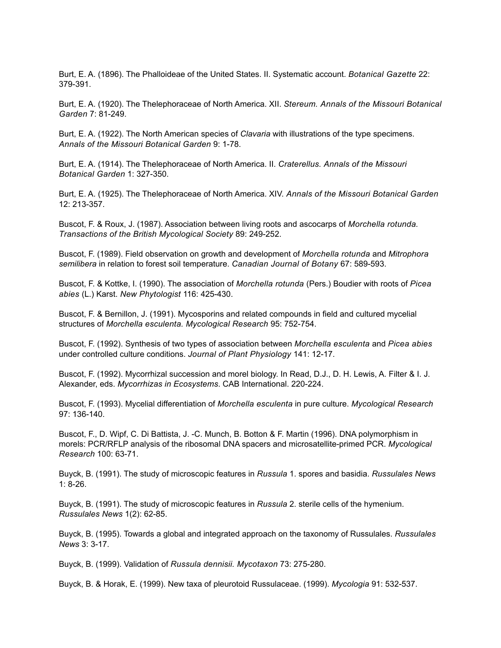Burt, E. A. (1896). The Phalloideae of the United States. II. Systematic account. *Botanical Gazette* 22: 379-391.

Burt, E. A. (1920). The Thelephoraceae of North America. XII. *Stereum. Annals of the Missouri Botanical Garden* 7: 81-249.

Burt, E. A. (1922). The North American species of *Clavaria* with illustrations of the type specimens. *Annals of the Missouri Botanical Garden* 9: 1-78.

Burt, E. A. (1914). The Thelephoraceae of North America. II. *Craterellus. Annals of the Missouri Botanical Garden* 1: 327-350.

Burt, E. A. (1925). The Thelephoraceae of North America. XIV. *Annals of the Missouri Botanical Garden* 12: 213-357.

Buscot, F. & Roux, J. (1987). Association between living roots and ascocarps of *Morchella rotunda. Transactions of the British Mycological Society* 89: 249-252.

Buscot, F. (1989). Field observation on growth and development of *Morchella rotunda* and *Mitrophora semilibera* in relation to forest soil temperature. *Canadian Journal of Botany* 67: 589-593.

Buscot, F. & Kottke, I. (1990). The association of *Morchella rotunda* (Pers.) Boudier with roots of *Picea abies* (L.) Karst. *New Phytologist* 116: 425-430.

Buscot, F. & Bernillon, J. (1991). Mycosporins and related compounds in field and cultured mycelial structures of *Morchella esculenta. Mycological Research* 95: 752-754.

Buscot, F. (1992). Synthesis of two types of association between *Morchella esculenta* and *Picea abies*  under controlled culture conditions. *Journal of Plant Physiology* 141: 12-17.

Buscot, F. (1992). Mycorrhizal succession and morel biology. In Read, D.J., D. H. Lewis, A. Filter & I. J. Alexander, eds. *Mycorrhizas in Ecosystems*. CAB International. 220-224.

Buscot, F. (1993). Mycelial differentiation of *Morchella esculenta* in pure culture. *Mycological Research* 97: 136-140.

Buscot, F., D. Wipf, C. Di Battista, J. -C. Munch, B. Botton & F. Martin (1996). DNA polymorphism in morels: PCR/RFLP analysis of the ribosomal DNA spacers and microsatellite-primed PCR. *Mycological Research* 100: 63-71.

Buyck, B. (1991). The study of microscopic features in *Russula* 1. spores and basidia. *Russulales News* 1: 8-26.

Buyck, B. (1991). The study of microscopic features in *Russula* 2. sterile cells of the hymenium. *Russulales News* 1(2): 62-85.

Buyck, B. (1995). Towards a global and integrated approach on the taxonomy of Russulales. *Russulales News* 3: 3-17.

Buyck, B. (1999). Validation of *Russula dennisii. Mycotaxon* 73: 275-280.

Buyck, B. & Horak, E. (1999). New taxa of pleurotoid Russulaceae. (1999). *Mycologia* 91: 532-537.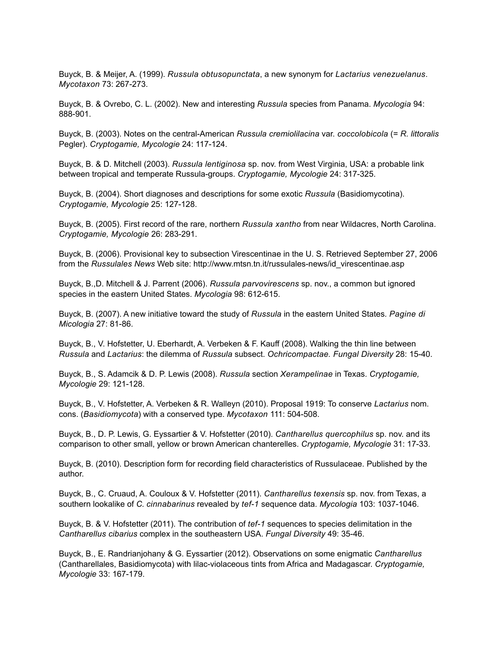Buyck, B. & Meijer, A. (1999). *Russula obtusopunctata*, a new synonym for *Lactarius venezuelanus*. *Mycotaxon* 73: 267-273.

Buyck, B. & Ovrebo, C. L. (2002). New and interesting *Russula* species from Panama. *Mycologia* 94: 888-901.

Buyck, B. (2003). Notes on the central-American *Russula cremiolilacina* var. *coccolobicola* (= *R. littoralis* Pegler). *Cryptogamie, Mycologie* 24: 117-124.

Buyck, B. & D. Mitchell (2003). *Russula lentiginosa* sp. nov. from West Virginia, USA: a probable link between tropical and temperate Russula-groups. *Cryptogamie, Mycologie* 24: 317-325.

Buyck, B. (2004). Short diagnoses and descriptions for some exotic *Russula* (Basidiomycotina). *Cryptogamie, Mycologie* 25: 127-128.

Buyck, B. (2005). First record of the rare, northern *Russula xantho* from near Wildacres, North Carolina. *Cryptogamie, Mycologie* 26: 283-291.

Buyck, B. (2006). Provisional key to subsection Virescentinae in the U. S. Retrieved September 27, 2006 from the *Russulales News* Web site: http://www.mtsn.tn.it/russulales-news/id\_virescentinae.asp

Buyck, B.,D. Mitchell & J. Parrent (2006). *Russula parvovirescens* sp. nov., a common but ignored species in the eastern United States. *Mycologia* 98: 612-615.

Buyck, B. (2007). A new initiative toward the study of *Russula* in the eastern United States. *Pagine di Micologia* 27: 81-86.

Buyck, B., V. Hofstetter, U. Eberhardt, A. Verbeken & F. Kauff (2008). Walking the thin line between *Russula* and *Lactarius*: the dilemma of *Russula* subsect. *Ochricompactae. Fungal Diversity* 28: 15-40.

Buyck, B., S. Adamcik & D. P. Lewis (2008). *Russula* section *Xerampelinae* in Texas. *Cryptogamie, Mycologie* 29: 121-128.

Buyck, B., V. Hofstetter, A. Verbeken & R. Walleyn (2010). Proposal 1919: To conserve *Lactarius* nom. cons. (*Basidiomycota*) with a conserved type. *Mycotaxon* 111: 504-508.

Buyck, B., D. P. Lewis, G. Eyssartier & V. Hofstetter (2010). *Cantharellus quercophilus* sp. nov. and its comparison to other small, yellow or brown American chanterelles. *Cryptogamie, Mycologie* 31: 17-33.

Buyck, B. (2010). Description form for recording field characteristics of Russulaceae. Published by the author.

Buyck, B., C. Cruaud, A. Couloux & V. Hofstetter (2011). *Cantharellus texensis* sp. nov. from Texas, a southern lookalike of *C*. *cinnabarinus* revealed by *tef*-*1* sequence data. *Mycologia* 103: 1037-1046.

Buyck, B. & V. Hofstetter (2011). The contribution of *tef-1* sequences to species delimitation in the *Cantharellus cibarius* complex in the southeastern USA. *Fungal Diversity* 49: 35-46.

Buyck, B., E. Randrianjohany & G. Eyssartier (2012). Observations on some enigmatic *Cantharellus* (Cantharellales, Basidiomycota) with lilac-violaceous tints from Africa and Madagascar. *Cryptogamie, Mycologie* 33: 167-179.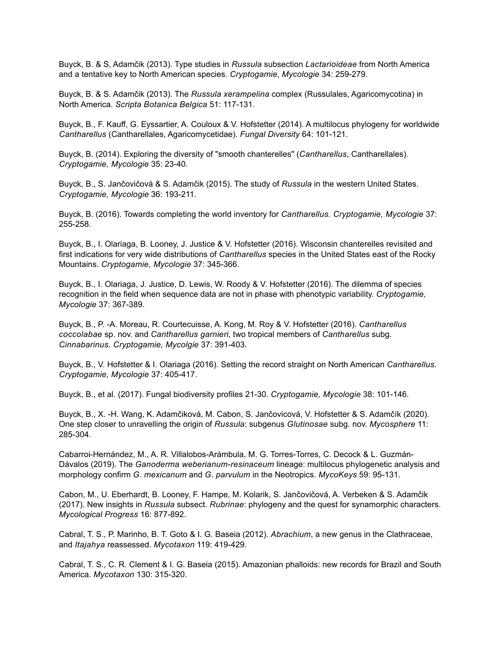Buyck, B. & S, Adamčik (2013). Type studies in *Russula* subsection *Lactarioideae* from North America and a tentative key to North American species. *Cryptogamie*, *Mycologie* 34: 259-279.

Buyck, B. & S. Adamčik (2013). The *Russula xerampelina* complex (Russulales, Agaricomycotina) in North America. *Scripta Botanica Belgica* 51: 117-131.

Buyck, B., F. Kauff, G. Eyssartier, A. Couloux & V. Hofstetter (2014). A multilocus phylogeny for worldwide *Cantharellus* (Cantharellales, Agaricomycetidae). *Fungal Diversity* 64: 101-121.

Buyck, B. (2014). Exploring the diversity of "smooth chanterelles" (*Cantharellus*, Cantharellales). *Cryptogamie, Mycologie* 35: 23-40.

Buyck, B., S. Jančovičová & S. Adamčik (2015). The study of *Russula* in the western United States. *Cryptogamie, Mycologie* 36: 193-211.

Buyck, B. (2016). Towards completing the world inventory for *Cantharellus. Cryptogamie, Mycologie* 37: 255-258.

Buyck, B., I. Olariaga, B. Looney, J. Justice & V. Hofstetter (2016). Wisconsin chanterelles revisited and first indications for very wide distributions of *Cantharellus* species in the United States east of the Rocky Mountains. *Cryptogamie, Mycologie* 37: 345-366.

Buyck, B., I. Olariaga, J. Justice, D. Lewis, W. Roody & V. Hofstetter (2016). The dilemma of species recognition in the field when sequence data are not in phase with phenotypic variability. *Cryptogamie, Mycologie* 37: 367-389.

Buyck, B., P. -A. Moreau, R. Courtecuisse, A. Kong, M. Roy & V. Hofstetter (2016). *Cantharellus coccolabae* sp. nov. and *Cantharellus garnieri*, two tropical members of *Cantharellus* subg. *Cinnabarinus. Cryptogamie, Mycolgie* 37: 391-403.

Buyck, B., V. Hofstetter & I. Olariaga (2016). Setting the record straight on North American *Cantharellus. Cryptogamie, Mycologie* 37: 405-417.

Buyck, B., et al. (2017). Fungal biodiversity profiles 21-30. *Cryptogamie, Mycologie* 38: 101-146.

Buyck, B., X. -H. Wang, K. Adamčiková, M. Cabon, S. Jančovicová, V. Hofstetter & S. Adamčík (2020). One step closer to unravelling the origin of *Russula*: subgenus *Glutinosae* subg. nov. *Mycosphere* 11: 285-304.

Cabarroi-Hernández, M., A. R. Villalobos-Arámbula, M. G. Torres-Torres, C. Decock & L. Guzmán-Dávalos (2019). The *Ganoderma weberianum-resinaceum* lineage: multilocus phylogenetic analysis and morphology confirm *G*. *mexicanum* and *G*. *parvulum* in the Neotropics. *MycoKeys* 59: 95-131.

Cabon, M., U. Eberhardt, B. Looney, F. Hampe, M. Kolarik, S. Jančovičová, A. Verbeken & S. Adamčik (2017). New insights in *Russula* subsect. *Rubrinae*: phylogeny and the quest for synamorphic characters. *Mycological Progress* 16: 877-892.

Cabral, T. S., P. Marinho, B. T. Goto & I. G. Baseia (2012). *Abrachium*, a new genus in the Clathraceae, and *Itajahya* reassessed. *Mycotaxon* 119: 419-429.

Cabral, T. S., C. R. Clement & I. G. Baseia (2015). Amazonian phalloids: new records for Brazil and South America. *Mycotaxon* 130: 315-320.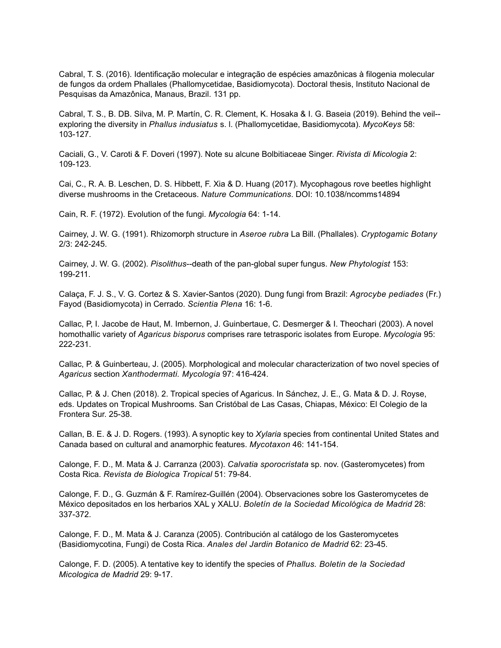Cabral, T. S. (2016). Identificação molecular e integração de espécies amazônicas à filogenia molecular de fungos da ordem Phallales (Phallomycetidae, Basidiomycota). Doctoral thesis, Instituto Nacional de Pesquisas da Amazônica, Manaus, Brazil. 131 pp.

Cabral, T. S., B. DB. Silva, M. P. Martín, C. R. Clement, K. Hosaka & I. G. Baseia (2019). Behind the veil- exploring the diversity in *Phallus indusiatus* s. l. (Phallomycetidae, Basidiomycota). *MycoKeys* 58: 103-127.

Caciali, G., V. Caroti & F. Doveri (1997). Note su alcune Bolbitiaceae Singer. *Rivista di Micologia* 2: 109-123.

Cai, C., R. A. B. Leschen, D. S. Hibbett, F. Xia & D. Huang (2017). Mycophagous rove beetles highlight diverse mushrooms in the Cretaceous. *Nature Communications*. DOI: 10.1038/ncomms14894

Cain, R. F. (1972). Evolution of the fungi. *Mycologia* 64: 1-14.

Cairney, J. W. G. (1991). Rhizomorph structure in *Aseroe rubra* La Bill. (Phallales). *Cryptogamic Botany* 2/3: 242-245.

Cairney, J. W. G. (2002). *Pisolithus*--death of the pan-global super fungus. *New Phytologist* 153: 199-211.

Calaça, F. J. S., V. G. Cortez & S. Xavier-Santos (2020). Dung fungi from Brazil: *Agrocybe pediades* (Fr.) Fayod (Basidiomycota) in Cerrado. *Scientia Plena* 16: 1-6.

Callac, P, I. Jacobe de Haut, M. Imbernon, J. Guinbertaue, C. Desmerger & I. Theochari (2003). A novel homothallic variety of *Agaricus bisporus* comprises rare tetrasporic isolates from Europe. *Mycologia* 95: 222-231.

Callac, P. & Guinberteau, J. (2005). Morphological and molecular characterization of two novel species of *Agaricus* section *Xanthodermati. Mycologia* 97: 416-424.

Callac, P. & J. Chen (2018). 2. Tropical species of Agaricus. In Sánchez, J. E., G. Mata & D. J. Royse, eds. Updates on Tropical Mushrooms. San Cristóbal de Las Casas, Chiapas, México: El Colegio de la Frontera Sur. 25-38.

Callan, B. E. & J. D. Rogers. (1993). A synoptic key to *Xylaria* species from continental United States and Canada based on cultural and anamorphic features. *Mycotaxon* 46: 141-154.

Calonge, F. D., M. Mata & J. Carranza (2003). *Calvatia sporocristata* sp. nov. (Gasteromycetes) from Costa Rica. *Revista de Biologica Tropical* 51: 79-84.

Calonge, F. D., G. Guzmán & F. Ramírez-Guillén (2004). Observaciones sobre los Gasteromycetes de México depositados en los herbarios XAL y XALU. *Boletín de la Sociedad Micológica de Madrid* 28: 337-372.

Calonge, F. D., M. Mata & J. Caranza (2005). Contribución al catálogo de los Gasteromycetes (Basidiomycotina, Fungi) de Costa Rica. *Anales del Jardin Botanico de Madrid* 62: 23-45.

Calonge, F. D. (2005). A tentative key to identify the species of *Phallus. Boletin de la Sociedad Micologica de Madrid* 29: 9-17.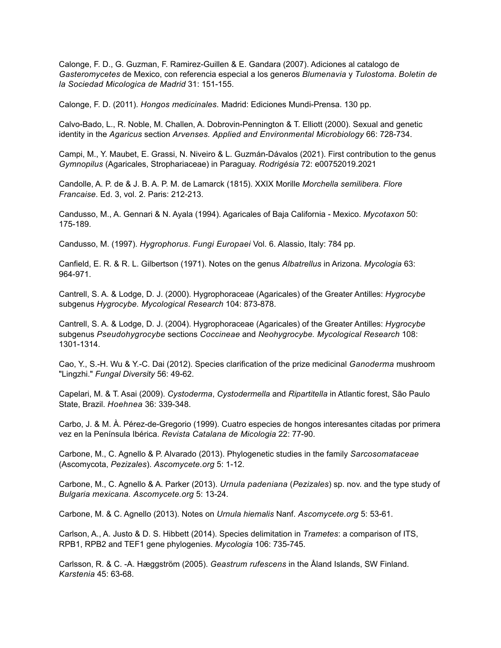Calonge, F. D., G. Guzman, F. Ramirez-Guillen & E. Gandara (2007). Adiciones al catalogo de *Gasteromycetes* de Mexico, con referencia especial a los generos *Blumenavia* y *Tulostoma*. *Boletin de la Sociedad Micologica de Madrid* 31: 151-155.

Calonge, F. D. (2011). *Hongos medicinales.* Madrid: Ediciones Mundi-Prensa. 130 pp.

Calvo-Bado, L., R. Noble, M. Challen, A. Dobrovin-Pennington & T. Elliott (2000). Sexual and genetic identity in the *Agaricus* section *Arvenses. Applied and Environmental Microbiology* 66: 728-734.

Campi, M., Y. Maubet, E. Grassi, N. Niveiro & L. Guzmán-Dávalos (2021). First contribution to the genus *Gymnopilus* (Agaricales, Strophariaceae) in Paraguay. *Rodrigésia* 72: e00752019.2021

Candolle, A. P. de & J. B. A. P. M. de Lamarck (1815). XXIX Morille *Morchella semilibera. Flore Francaise*. Ed. 3, vol. 2. Paris: 212-213.

Candusso, M., A. Gennari & N. Ayala (1994). Agaricales of Baja California - Mexico. *Mycotaxon* 50: 175-189.

Candusso, M. (1997). *Hygrophorus*. *Fungi Europaei* Vol. 6. Alassio, Italy: 784 pp.

Canfield, E. R. & R. L. Gilbertson (1971). Notes on the genus *Albatrellus* in Arizona. *Mycologia* 63: 964-971.

Cantrell, S. A. & Lodge, D. J. (2000). Hygrophoraceae (Agaricales) of the Greater Antilles: *Hygrocybe* subgenus *Hygrocybe. Mycological Research* 104: 873-878.

Cantrell, S. A. & Lodge, D. J. (2004). Hygrophoraceae (Agaricales) of the Greater Antilles: *Hygrocybe* subgenus *Pseudohygrocybe* sections *Coccineae* and *Neohygrocybe. Mycological Research* 108: 1301-1314.

Cao, Y., S.-H. Wu & Y.-C. Dai (2012). Species clarification of the prize medicinal *Ganoderma* mushroom "Lingzhi." *Fungal Diversity* 56: 49-62.

Capelari, M. & T. Asai (2009). *Cystoderma*, *Cystodermella* and *Ripartitella* in Atlantic forest, São Paulo State, Brazil. *Hoehnea* 36: 339-348.

Carbo, J. & M. À. Pérez-de-Gregorio (1999). Cuatro especies de hongos interesantes citadas por primera vez en la Península Ibérica. *Revista Catalana de Micologia* 22: 77-90.

Carbone, M., C. Agnello & P. Alvarado (2013). Phylogenetic studies in the family *Sarcosomataceae* (Ascomycota, *Pezizales*). *Ascomycete.org* 5: 1-12.

Carbone, M., C. Agnello & A. Parker (2013). *Urnula padeniana* (*Pezizales*) sp. nov. and the type study of *Bulgaria mexicana. Ascomycete.org* 5: 13-24.

Carbone, M. & C. Agnello (2013). Notes on *Urnula hiemalis* Nanf. *Ascomycete.org* 5: 53-61.

Carlson, A., A. Justo & D. S. Hibbett (2014). Species delimitation in *Trametes*: a comparison of ITS, RPB1, RPB2 and TEF1 gene phylogenies. *Mycologia* 106: 735-745.

Carlsson, R. & C. -A. Hæggström (2005). *Geastrum rufescens* in the Åland Islands, SW Finland. *Karstenia* 45: 63-68.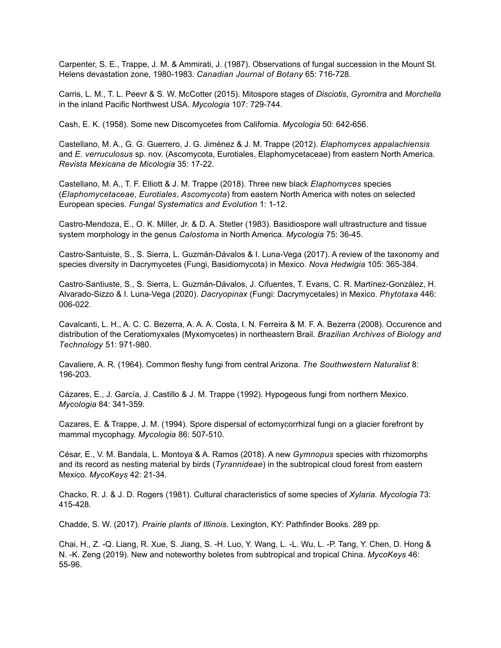Carpenter, S. E., Trappe, J. M. & Ammirati, J. (1987). Observations of fungal succession in the Mount St. Helens devastation zone, 1980-1983. *Canadian Journal of Botany* 65: 716-728.

Carris, L. M., T. L. Peevr & S. W. McCotter (2015). Mitospore stages of *Disciotis*, *Gyromitra* and *Morchella* in the inland Pacific Northwest USA. *Mycologia* 107: 729-744.

Cash, E. K. (1958). Some new Discomycetes from California. *Mycologia* 50: 642-656.

Castellano, M. A., G. G. Guerrero, J. G. Jiménez & J. M. Trappe (2012). *Elaphomyces appalachiensis* and *E. verruculosus* sp. nov. (Ascomycota, Eurotiales, Elaphomycetaceae) from eastern North America. *Revista Mexicana de Micologia* 35: 17-22.

Castellano, M. A., T. F. Elliott & J. M. Trappe (2018). Three new black *Elaphomyces* species (*Elaphomycetaceae*, *Eurotiales*, *Ascomycota*) from eastern North America with notes on selected European species. *Fungal Systematics and Evolution* 1: 1-12.

Castro-Mendoza, E., O. K. Miller, Jr. & D. A. Stetler (1983). Basidiospore wall ultrastructure and tissue system morphology in the genus *Calostoma* in North America. *Mycologia* 75: 36-45.

Castro-Santuiste, S., S. Sierra, L. Guzmán-Dávalos & I. Luna-Vega (2017). A review of the taxonomy and species diversity in Dacrymycetes (Fungi, Basidiomycota) in Mexico. *Nova Hedwigia* 105: 365-384.

Castro-Santiuste, S., S. Sierra, L. Guzmán-Dávalos, J. Cifuentes, T. Evans, C. R. Martínez-González, H. Alvarado-Sizzo & I. Luna-Vega (2020). *Dacryopinax* (Fungi: Dacrymycetales) in Mexico. *Phytotaxa* 446: 006-022.

Cavalcanti, L. H., A. C. C. Bezerra, A. A. A. Costa, I. N. Ferreira & M. F. A. Bezerra (2008). Occurence and distribution of the Ceratiomyxales (Myxomycetes) in northeastern Brail. *Brazilian Archives of Biology and Technology* 51: 971-980.

Cavaliere, A. R. (1964). Common fleshy fungi from central Arizona. *The Southwestern Naturalist* 8: 196-203.

Cázares, E., J. García, J. Castillo & J. M. Trappe (1992). Hypogeous fungi from northern Mexico. *Mycologia* 84: 341-359.

Cazares, E. & Trappe, J. M. (1994). Spore dispersal of ectomycorrhizal fungi on a glacier forefront by mammal mycophagy. *Mycologia* 86: 507-510.

César, E., V. M. Bandala, L. Montoya & A. Ramos (2018). A new *Gymnopus* species with rhizomorphs and its record as nesting material by birds (*Tyrannideae*) in the subtropical cloud forest from eastern Mexico. *MycoKeys* 42: 21-34.

Chacko, R. J. & J. D. Rogers (1981). Cultural characteristics of some species of *Xylaria. Mycologia* 73: 415-428.

Chadde, S. W. (2017). *Prairie plants of Illinois*. Lexington, KY: Pathfinder Books. 289 pp.

Chai, H., Z. -Q. Liang, R. Xue, S. Jiang, S. -H. Luo, Y. Wang, L. -L. Wu, L. -P. Tang, Y. Chen, D. Hong & N. -K. Zeng (2019). New and noteworthy boletes from subtropical and tropical China. *MycoKeys* 46: 55-96.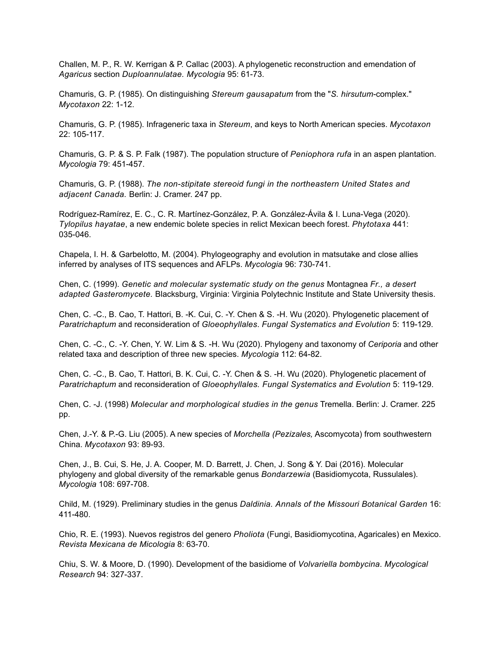Challen, M. P., R. W. Kerrigan & P. Callac (2003). A phylogenetic reconstruction and emendation of *Agaricus* section *Duploannulatae. Mycologia* 95: 61-73.

Chamuris, G. P. (1985). On distinguishing *Stereum gausapatum* from the "*S. hirsutum*-complex." *Mycotaxon* 22: 1-12.

Chamuris, G. P. (1985). Infrageneric taxa in *Stereum*, and keys to North American species. *Mycotaxon* 22: 105-117.

Chamuris, G. P. & S. P. Falk (1987). The population structure of *Peniophora rufa* in an aspen plantation. *Mycologia* 79: 451-457.

Chamuris, G. P. (1988). *The non-stipitate stereoid fungi in the northeastern United States and adjacent Canada.* Berlin: J. Cramer. 247 pp.

Rodríguez-Ramírez, E. C., C. R. Martínez-González, P. A. González-Ávila & I. Luna-Vega (2020). *Tylopilus hayatae*, a new endemic bolete species in relict Mexican beech forest. *Phytotaxa* 441: 035-046.

Chapela, I. H. & Garbelotto, M. (2004). Phylogeography and evolution in matsutake and close allies inferred by analyses of ITS sequences and AFLPs. *Mycologia* 96: 730-741.

Chen, C. (1999). *Genetic and molecular systematic study on the genus* Montagnea *Fr., a desert adapted Gasteromycete.* Blacksburg, Virginia: Virginia Polytechnic Institute and State University thesis.

Chen, C. -C., B. Cao, T. Hattori, B. -K. Cui, C. -Y. Chen & S. -H. Wu (2020). Phylogenetic placement of *Paratrichaptum* and reconsideration of *Gloeophyllales*. *Fungal Systematics and Evolution* 5: 119-129.

Chen, C. -C., C. -Y. Chen, Y. W. Lim & S. -H. Wu (2020). Phylogeny and taxonomy of *Ceriporia* and other related taxa and description of three new species. *Mycologia* 112: 64-82.

Chen, C. -C., B. Cao, T. Hattori, B. K. Cui, C. -Y. Chen & S. -H. Wu (2020). Phylogenetic placement of *Paratrichaptum* and reconsideration of *Gloeophyllales. Fungal Systematics and Evolution* 5: 119-129.

Chen, C. -J. (1998) *Molecular and morphological studies in the genus* Tremella. Berlin: J. Cramer. 225 pp.

Chen, J.-Y. & P.-G. Liu (2005). A new species of *Morchella (Pezizales,* Ascomycota) from southwestern China. *Mycotaxon* 93: 89-93.

Chen, J., B. Cui, S. He, J. A. Cooper, M. D. Barrett, J. Chen, J. Song & Y. Dai (2016). Molecular phylogeny and global diversity of the remarkable genus *Bondarzewia* (Basidiomycota, Russulales). *Mycologia* 108: 697-708.

Child, M. (1929). Preliminary studies in the genus *Daldinia. Annals of the Missouri Botanical Garden* 16: 411-480.

Chio, R. E. (1993). Nuevos registros del genero *Pholiota* (Fungi, Basidiomycotina, Agaricales) en Mexico. *Revista Mexicana de Micologia* 8: 63-70.

Chiu, S. W. & Moore, D. (1990). Development of the basidiome of *Volvariella bombycina*. *Mycological Research* 94: 327-337.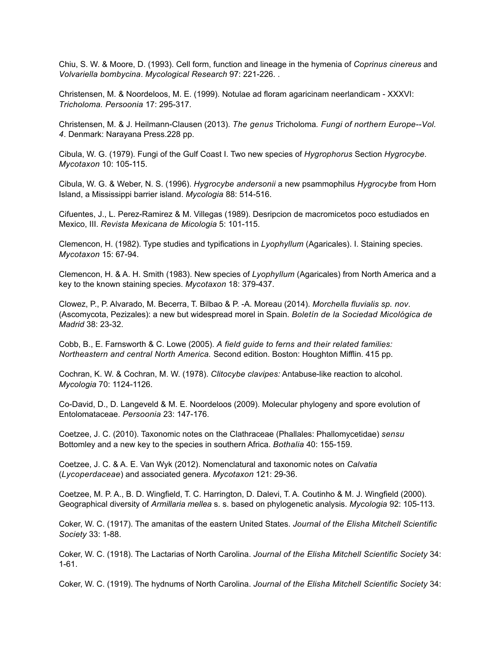Chiu, S. W. & Moore, D. (1993). Cell form, function and lineage in the hymenia of *Coprinus cinereus* and *Volvariella bombycina*. *Mycological Research* 97: 221-226. .

Christensen, M. & Noordeloos, M. E. (1999). Notulae ad floram agaricinam neerlandicam - XXXVI: *Tricholoma. Persoonia* 17: 295-317.

Christensen, M. & J. Heilmann-Clausen (2013). *The genus* Tricholoma*. Fungi of northern Europe--Vol. 4*. Denmark: Narayana Press.228 pp.

Cibula, W. G. (1979). Fungi of the Gulf Coast I. Two new species of *Hygrophorus* Section *Hygrocybe*. *Mycotaxon* 10: 105-115.

Cibula, W. G. & Weber, N. S. (1996). *Hygrocybe andersonii* a new psammophilus *Hygrocybe* from Horn Island, a Mississippi barrier island. *Mycologia* 88: 514-516.

Cifuentes, J., L. Perez-Ramirez & M. Villegas (1989). Desripcion de macromicetos poco estudiados en Mexico, III. *Revista Mexicana de Micologia* 5: 101-115.

Clemencon, H. (1982). Type studies and typifications in *Lyophyllum* (Agaricales). I. Staining species. *Mycotaxon* 15: 67-94.

Clemencon, H. & A. H. Smith (1983). New species of *Lyophyllum* (Agaricales) from North America and a key to the known staining species. *Mycotaxon* 18: 379-437.

Clowez, P., P. Alvarado, M. Becerra, T. Bilbao & P. -A. Moreau (2014). *Morchella fluvialis sp. nov*. (Ascomycota, Pezizales): a new but widespread morel in Spain. *Boletín de la Sociedad Micológica de Madrid* 38: 23-32.

Cobb, B., E. Farnsworth & C. Lowe (2005). *A field guide to ferns and their related families: Northeastern and central North America.* Second edition. Boston: Houghton Mifflin. 415 pp.

Cochran, K. W. & Cochran, M. W. (1978). *Clitocybe clavipes:* Antabuse-like reaction to alcohol. *Mycologia* 70: 1124-1126.

Co-David, D., D. Langeveld & M. E. Noordeloos (2009). Molecular phylogeny and spore evolution of Entolomataceae. *Persoonia* 23: 147-176.

Coetzee, J. C. (2010). Taxonomic notes on the Clathraceae (Phallales: Phallomycetidae) *sensu* Bottomley and a new key to the species in southern Africa. *Bothalia* 40: 155-159.

Coetzee, J. C. & A. E. Van Wyk (2012). Nomenclatural and taxonomic notes on *Calvatia* (*Lycoperdaceae*) and associated genera. *Mycotaxon* 121: 29-36.

Coetzee, M. P. A., B. D. Wingfield, T. C. Harrington, D. Dalevi, T. A. Coutinho & M. J. Wingfield (2000). Geographical diversity of *Armillaria mellea* s. s. based on phylogenetic analysis. *Mycologia* 92: 105-113.

Coker, W. C. (1917). The amanitas of the eastern United States. *Journal of the Elisha Mitchell Scientific Society* 33: 1-88.

Coker, W. C. (1918). The Lactarias of North Carolina. *Journal of the Elisha Mitchell Scientific Society* 34: 1-61.

Coker, W. C. (1919). The hydnums of North Carolina. *Journal of the Elisha Mitchell Scientific Society* 34: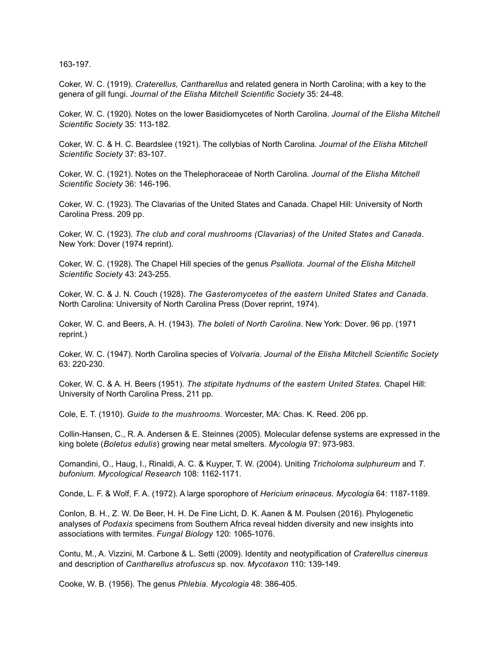163-197.

Coker, W. C. (1919). *Craterellus, Cantharellus* and related genera in North Carolina; with a key to the genera of gill fungi. *Journal of the Elisha Mitchell Scientific Society* 35: 24-48.

Coker, W. C. (1920). Notes on the lower Basidiomycetes of North Carolina. *Journal of the Elisha Mitchell Scientific Society* 35: 113-182.

Coker, W. C. & H. C. Beardslee (1921). The collybias of North Carolina. *Journal of the Elisha Mitchell Scientific Society* 37: 83-107.

Coker, W. C. (1921). Notes on the Thelephoraceae of North Carolina. *Journal of the Elisha Mitchell Scientific Society* 36: 146-196.

Coker, W. C. (1923). The Clavarias of the United States and Canada. Chapel Hill: University of North Carolina Press. 209 pp.

Coker, W. C. (1923). *The club and coral mushrooms (Clavarias) of the United States and Canada*. New York: Dover (1974 reprint).

Coker, W. C. (1928). The Chapel Hill species of the genus *Psalliota*. *Journal of the Elisha Mitchell Scientific Society* 43: 243-255.

Coker, W. C. & J. N. Couch (1928). *The Gasteromycetes of the eastern United States and Canada*. North Carolina: University of North Carolina Press (Dover reprint, 1974).

Coker, W. C. and Beers, A. H. (1943). *The boleti of North Carolina*. New York: Dover. 96 pp. (1971 reprint.)

Coker, W. C. (1947). North Carolina species of *Volvaria*. *Journal of the Elisha Mitchell Scientific Society* 63: 220-230.

Coker, W. C. & A. H. Beers (1951). *The stipitate hydnums of the eastern United States.* Chapel Hill: University of North Carolina Press, 211 pp.

Cole, E. T. (1910). *Guide to the mushrooms.* Worcester, MA: Chas. K. Reed. 206 pp.

Collin-Hansen, C., R. A. Andersen & E. Steinnes (2005). Molecular defense systems are expressed in the king bolete (*Boletus edulis*) growing near metal smelters. *Mycologia* 97: 973-983.

Comandini, O., Haug, I., Rinaldi, A. C. & Kuyper, T. W. (2004). Uniting *Tricholoma sulphureum* and *T. bufonium. Mycological Research* 108: 1162-1171.

Conde, L. F. & Wolf, F. A. (1972). A large sporophore of *Hericium erinaceus. Mycologia* 64: 1187-1189.

Conlon, B. H., Z. W. De Beer, H. H. De Fine Licht, D. K. Aanen & M. Poulsen (2016). Phylogenetic analyses of *Podaxis* specimens from Southern Africa reveal hidden diversity and new insights into associations with termites. *Fungal Biology* 120: 1065-1076.

Contu, M., A. Vizzini, M. Carbone & L. Setti (2009). Identity and neotypification of *Craterellus cinereus* and description of *Cantharellus atrofuscus* sp. nov. *Mycotaxon* 110: 139-149.

Cooke, W. B. (1956). The genus *Phlebia. Mycologia* 48: 386-405.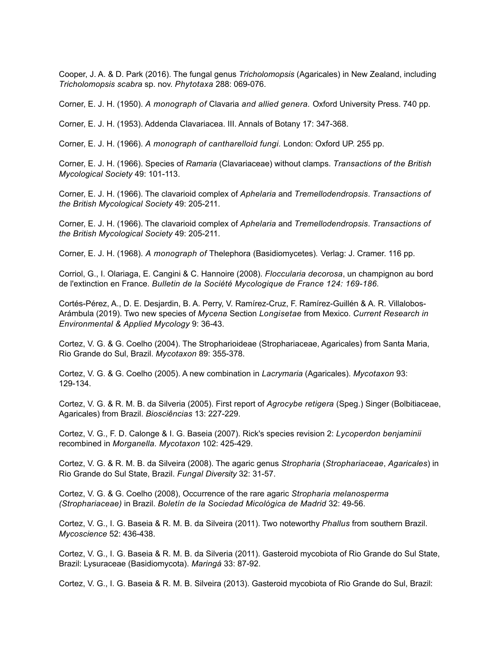Cooper, J. A. & D. Park (2016). The fungal genus *Tricholomopsis* (Agaricales) in New Zealand, including *Tricholomopsis scabra* sp. nov. *Phytotaxa* 288: 069-076.

Corner, E. J. H. (1950). *A monograph of* Clavaria *and allied genera.* Oxford University Press. 740 pp.

Corner, E. J. H. (1953). Addenda Clavariacea. III. Annals of Botany 17: 347-368.

Corner, E. J. H. (1966). *A monograph of cantharelloid fungi.* London: Oxford UP. 255 pp.

Corner, E. J. H. (1966). Species of *Ramaria* (Clavariaceae) without clamps. *Transactions of the British Mycological Society* 49: 101-113.

Corner, E. J. H. (1966). The clavarioid complex of *Aphelaria* and *Tremellodendropsis*. *Transactions of the British Mycological Society* 49: 205-211.

Corner, E. J. H. (1966). The clavarioid complex of *Aphelaria* and *Tremellodendropsis*. *Transactions of the British Mycological Society* 49: 205-211.

Corner, E. J. H. (1968). *A monograph of* Thelephora (Basidiomycetes)*.* Verlag: J. Cramer. 116 pp.

Corriol, G., I. Olariaga, E. Cangini & C. Hannoire (2008). *Floccularia decorosa*, un champignon au bord de l'extinction en France. *Bulletin de la Société Mycologique de France 124: 169-186.*

Cortés-Pérez, A., D. E. Desjardin, B. A. Perry, V. Ramírez-Cruz, F. Ramírez-Guillén & A. R. Villalobos-Arámbula (2019). Two new species of *Mycena* Section *Longisetae* from Mexico. *Current Research in Environmental & Applied Mycology* 9: 36-43.

Cortez, V. G. & G. Coelho (2004). The Stropharioideae (Strophariaceae, Agaricales) from Santa Maria, Rio Grande do Sul, Brazil. *Mycotaxon* 89: 355-378.

Cortez, V. G. & G. Coelho (2005). A new combination in *Lacrymaria* (Agaricales). *Mycotaxon* 93: 129-134.

Cortez, V. G. & R. M. B. da Silveria (2005). First report of *Agrocybe retigera* (Speg.) Singer (Bolbitiaceae, Agaricales) from Brazil. *Biosciências* 13: 227-229.

Cortez, V. G., F. D. Calonge & I. G. Baseia (2007). Rick's species revision 2: *Lycoperdon benjaminii* recombined in *Morganella. Mycotaxon* 102: 425-429.

Cortez, V. G. & R. M. B. da Silveira (2008). The agaric genus *Stropharia* (*Strophariaceae*, *Agaricales*) in Rio Grande do Sul State, Brazil. *Fungal Diversity* 32: 31-57.

Cortez, V. G. & G. Coelho (2008), Occurrence of the rare agaric *Stropharia melanosperma (Strophariaceae)* in Brazil. *Boletín de la Sociedad Micológica de Madrid* 32: 49-56.

Cortez, V. G., I. G. Baseia & R. M. B. da Silveira (2011). Two noteworthy *Phallus* from southern Brazil. *Mycoscience* 52: 436-438.

Cortez, V. G., I. G. Baseia & R. M. B. da Silveria (2011). Gasteroid mycobiota of Rio Grande do Sul State, Brazil: Lysuraceae (Basidiomycota). *Maringá* 33: 87-92.

Cortez, V. G., I. G. Baseia & R. M. B. Silveira (2013). Gasteroid mycobiota of Rio Grande do Sul, Brazil: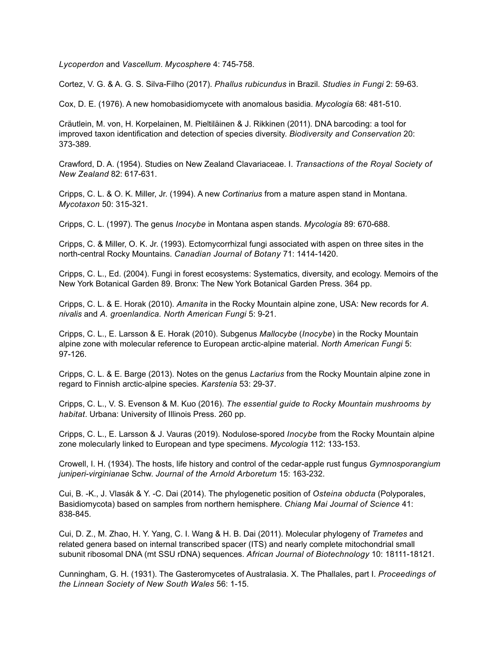*Lycoperdon* and *Vascellum*. *Mycosphere* 4: 745-758.

Cortez, V. G. & A. G. S. Silva-Filho (2017). *Phallus rubicundus* in Brazil. *Studies in Fungi* 2: 59-63.

Cox, D. E. (1976). A new homobasidiomycete with anomalous basidia. *Mycologia* 68: 481-510.

Cräutlein, M. von, H. Korpelainen, M. Pieltiläinen & J. Rikkinen (2011). DNA barcoding: a tool for improved taxon identification and detection of species diversity. *Biodiversity and Conservation* 20: 373-389.

Crawford, D. A. (1954). Studies on New Zealand Clavariaceae. I. *Transactions of the Royal Society of New Zealand* 82: 617-631.

Cripps, C. L. & O. K. Miller, Jr. (1994). A new *Cortinarius* from a mature aspen stand in Montana. *Mycotaxon* 50: 315-321.

Cripps, C. L. (1997). The genus *Inocybe* in Montana aspen stands. *Mycologia* 89: 670-688.

Cripps, C. & Miller, O. K. Jr. (1993). Ectomycorrhizal fungi associated with aspen on three sites in the north-central Rocky Mountains. *Canadian Journal of Botany* 71: 1414-1420.

Cripps, C. L., Ed. (2004). Fungi in forest ecosystems: Systematics, diversity, and ecology. Memoirs of the New York Botanical Garden 89. Bronx: The New York Botanical Garden Press. 364 pp.

Cripps, C. L. & E. Horak (2010). *Amanita* in the Rocky Mountain alpine zone, USA: New records for *A. nivalis* and *A. groenlandica. North American Fungi* 5: 9-21.

Cripps, C. L., E. Larsson & E. Horak (2010). Subgenus *Mallocybe* (*Inocybe*) in the Rocky Mountain alpine zone with molecular reference to European arctic-alpine material. *North American Fungi* 5: 97-126.

Cripps, C. L. & E. Barge (2013). Notes on the genus *Lactarius* from the Rocky Mountain alpine zone in regard to Finnish arctic-alpine species. *Karstenia* 53: 29-37.

Cripps, C. L., V. S. Evenson & M. Kuo (2016). *The essential guide to Rocky Mountain mushrooms by habitat*. Urbana: University of Illinois Press. 260 pp.

Cripps, C. L., E. Larsson & J. Vauras (2019). Nodulose-spored *Inocybe* from the Rocky Mountain alpine zone molecularly linked to European and type specimens. *Mycologia* 112: 133-153.

Crowell, I. H. (1934). The hosts, life history and control of the cedar-apple rust fungus *Gymnosporangium juniperi-virginianae* Schw. *Journal of the Arnold Arboretum* 15: 163-232.

Cui, B. -K., J. Vlasák & Y. -C. Dai (2014). The phylogenetic position of *Osteina obducta* (Polyporales, Basidiomycota) based on samples from northern hemisphere. *Chiang Mai Journal of Science* 41: 838-845.

Cui, D. Z., M. Zhao, H. Y. Yang, C. I. Wang & H. B. Dai (2011). Molecular phylogeny of *Trametes* and related genera based on internal transcribed spacer (ITS) and nearly complete mitochondrial small subunit ribosomal DNA (mt SSU rDNA) sequences. *African Journal of Biotechnology* 10: 18111-18121.

Cunningham, G. H. (1931). The Gasteromycetes of Australasia. X. The Phallales, part I. *Proceedings of the Linnean Society of New South Wales* 56: 1-15.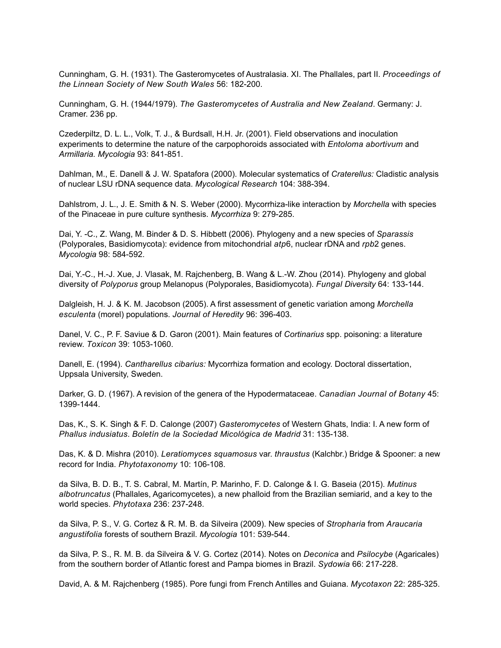Cunningham, G. H. (1931). The Gasteromycetes of Australasia. XI. The Phallales, part II. *Proceedings of the Linnean Society of New South Wales* 56: 182-200.

Cunningham, G. H. (1944/1979). *The Gasteromycetes of Australia and New Zealand*. Germany: J. Cramer. 236 pp.

Czederpiltz, D. L. L., Volk, T. J., & Burdsall, H.H. Jr. (2001). Field observations and inoculation experiments to determine the nature of the carpophoroids associated with *Entoloma abortivum* and *Armillaria. Mycologia* 93: 841-851.

Dahlman, M., E. Danell & J. W. Spatafora (2000). Molecular systematics of *Craterellus:* Cladistic analysis of nuclear LSU rDNA sequence data. *Mycological Research* 104: 388-394.

Dahlstrom, J. L., J. E. Smith & N. S. Weber (2000). Mycorrhiza-like interaction by *Morchella* with species of the Pinaceae in pure culture synthesis. *Mycorrhiza* 9: 279-285.

Dai, Y. -C., Z. Wang, M. Binder & D. S. Hibbett (2006). Phylogeny and a new species of *Sparassis* (Polyporales, Basidiomycota): evidence from mitochondrial *atp*6, nuclear rDNA and *rpb*2 genes. *Mycologia* 98: 584-592.

Dai, Y.-C., H.-J. Xue, J. Vlasak, M. Rajchenberg, B. Wang & L.-W. Zhou (2014). Phylogeny and global diversity of *Polyporus* group Melanopus (Polyporales, Basidiomycota). *Fungal Diversity* 64: 133-144.

Dalgleish, H. J. & K. M. Jacobson (2005). A first assessment of genetic variation among *Morchella esculenta* (morel) populations. *Journal of Heredity* 96: 396-403.

Danel, V. C., P. F. Saviue & D. Garon (2001). Main features of *Cortinarius* spp. poisoning: a literature review. *Toxicon* 39: 1053-1060.

Danell, E. (1994). *Cantharellus cibarius:* Mycorrhiza formation and ecology. Doctoral dissertation, Uppsala University, Sweden.

Darker, G. D. (1967). A revision of the genera of the Hypodermataceae. *Canadian Journal of Botany* 45: 1399-1444.

Das, K., S. K. Singh & F. D. Calonge (2007) *Gasteromycetes* of Western Ghats, India: I. A new form of *Phallus indusiatus*. *Boletín de la Sociedad Micológica de Madrid* 31: 135-138.

Das, K. & D. Mishra (2010). *Leratiomyces squamosus* var. *thraustus* (Kalchbr.) Bridge & Spooner: a new record for India. *Phytotaxonomy* 10: 106-108.

da Silva, B. D. B., T. S. Cabral, M. Martín, P. Marinho, F. D. Calonge & I. G. Baseia (2015). *Mutinus albotruncatus* (Phallales, Agaricomycetes), a new phalloid from the Brazilian semiarid, and a key to the world species. *Phytotaxa* 236: 237-248.

da Silva, P. S., V. G. Cortez & R. M. B. da Silveira (2009). New species of *Stropharia* from *Araucaria angustifolia* forests of southern Brazil. *Mycologia* 101: 539-544.

da Silva, P. S., R. M. B. da Silveira & V. G. Cortez (2014). Notes on *Deconica* and *Psilocybe* (Agaricales) from the southern border of Atlantic forest and Pampa biomes in Brazil. *Sydowia* 66: 217-228.

David, A. & M. Rajchenberg (1985). Pore fungi from French Antilles and Guiana. *Mycotaxon* 22: 285-325.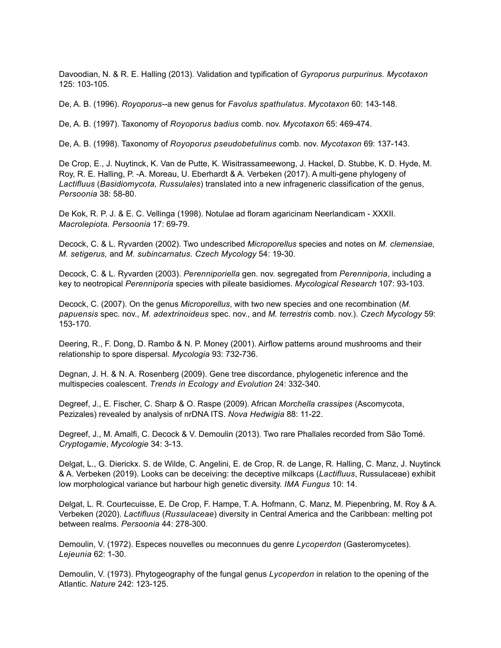Davoodian, N. & R. E. Halling (2013). Validation and typification of *Gyroporus purpurinus. Mycotaxon* 125: 103-105.

De, A. B. (1996). *Royoporus--*a new genus for *Favolus spathulatus*. *Mycotaxon* 60: 143-148.

De, A. B. (1997). Taxonomy of *Royoporus badius* comb. nov. *Mycotaxon* 65: 469-474.

De, A. B. (1998). Taxonomy of *Royoporus pseudobetulinus* comb. nov. *Mycotaxon* 69: 137-143.

De Crop, E., J. Nuytinck, K. Van de Putte, K. Wisitrassameewong, J. Hackel, D. Stubbe, K. D. Hyde, M. Roy, R. E. Halling, P. -A. Moreau, U. Eberhardt & A. Verbeken (2017). A multi-gene phylogeny of *Lactifluus* (*Basidiomycota, Russulales*) translated into a new infrageneric classification of the genus, *Persoonia* 38: 58-80.

De Kok, R. P. J. & E. C. Vellinga (1998). Notulae ad floram agaricinam Neerlandicam - XXXII. *Macrolepiota. Persoonia* 17: 69-79.

Decock, C. & L. Ryvarden (2002). Two undescribed *Microporellus* species and notes on *M. clemensiae, M. setigerus,* and *M. subincarnatus. Czech Mycology* 54: 19-30.

Decock, C. & L. Ryvarden (2003). *Perenniporiella* gen. nov. segregated from *Perenniporia*, including a key to neotropical *Perenniporia* species with pileate basidiomes. *Mycological Research* 107: 93-103.

Decock, C. (2007). On the genus *Microporellus*, with two new species and one recombination (*M. papuensis* spec. nov., *M. adextrinoideus* spec. nov., and *M. terrestris* comb. nov.). *Czech Mycology* 59: 153-170.

Deering, R., F. Dong, D. Rambo & N. P. Money (2001). Airflow patterns around mushrooms and their relationship to spore dispersal. *Mycologia* 93: 732-736.

Degnan, J. H. & N. A. Rosenberg (2009). Gene tree discordance, phylogenetic inference and the multispecies coalescent. *Trends in Ecology and Evolution* 24: 332-340.

Degreef, J., E. Fischer, C. Sharp & O. Raspe (2009). African *Morchella crassipes* (Ascomycota, Pezizales) revealed by analysis of nrDNA ITS. *Nova Hedwigia* 88: 11-22.

Degreef, J., M. Amalfi, C. Decock & V. Demoulin (2013). Two rare Phallales recorded from São Tomé. *Cryptogamie*, *Mycologie* 34: 3-13.

Delgat, L., G. Dierickx. S. de Wilde, C. Angelini, E. de Crop, R. de Lange, R. Halling, C. Manz, J. Nuytinck & A. Verbeken (2019). Looks can be deceiving: the deceptive milkcaps (*Lactifluus*, Russulaceae) exhibit low morphological variance but harbour high genetic diversity. *IMA Fungus* 10: 14.

Delgat, L. R. Courtecuisse, E. De Crop, F. Hampe, T. A. Hofmann, C. Manz, M. Piepenbring, M. Roy & A. Verbeken (2020). *Lactifluus* (*Russulaceae*) diversity in Central America and the Caribbean: melting pot between realms. *Persoonia* 44: 278-300.

Demoulin, V. (1972). Especes nouvelles ou meconnues du genre *Lycoperdon* (Gasteromycetes). *Lejeunia* 62: 1-30.

Demoulin, V. (1973). Phytogeography of the fungal genus *Lycoperdon* in relation to the opening of the Atlantic. *Nature* 242: 123-125.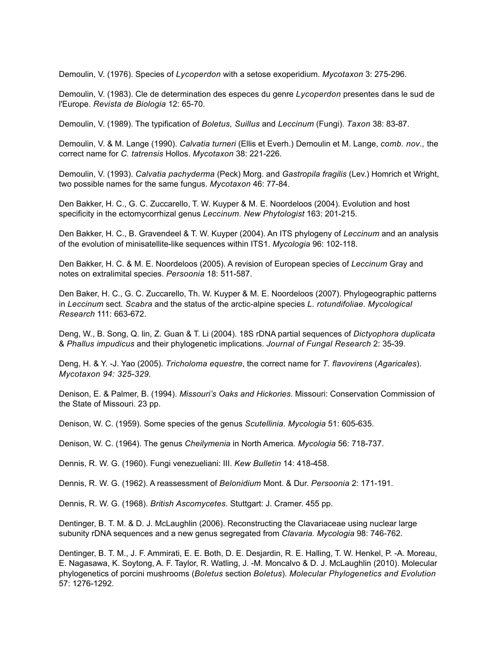Demoulin, V. (1976). Species of *Lycoperdon* with a setose exoperidium. *Mycotaxon* 3: 275-296.

Demoulin, V. (1983). Cle de determination des especes du genre *Lycoperdon* presentes dans le sud de l'Europe. *Revista de Biologia* 12: 65-70.

Demoulin, V. (1989). The typification of *Boletus, Suillus* and *Leccinum* (Fungi). *Taxon* 38: 83-87.

Demoulin, V. & M. Lange (1990). *Calvatia turneri* (Ellis et Everh.) Demoulin et M. Lange, *comb. nov.,* the correct name for *C. tatrensis* Hollos. *Mycotaxon* 38: 221-226.

Demoulin, V. (1993). *Calvatia pachyderma* (Peck) Morg. and *Gastropila fragilis* (Lev.) Homrich et Wright, two possible names for the same fungus. *Mycotaxon* 46: 77-84.

Den Bakker, H. C., G. C. Zuccarello, T. W. Kuyper & M. E. Noordeloos (2004). Evolution and host specificity in the ectomycorrhizal genus *Leccinum. New Phytologist* 163: 201-215.

Den Bakker, H. C., B. Gravendeel & T. W. Kuyper (2004). An ITS phylogeny of *Leccinum* and an analysis of the evolution of minisatellite-like sequences within ITS1. *Mycologia* 96: 102-118.

Den Bakker, H. C. & M. E. Noordeloos (2005). A revision of European species of *Leccinum* Gray and notes on extralimital species. *Persoonia* 18: 511-587.

Den Baker, H. C., G. C. Zuccarello, Th. W. Kuyper & M. E. Noordeloos (2007). Phylogeographic patterns in *Leccinum* sect. *Scabra* and the status of the arctic-alpine species *L. rotundifoliae. Mycological Research* 111: 663-672.

Deng, W., B. Song, Q. lin, Z. Guan & T. Li (2004). 18S rDNA partial sequences of *Dictyophora duplicata* & *Phallus impudicus* and their phylogenetic implications. *Journal of Fungal Research* 2: 35-39.

Deng, H. & Y. -J. Yao (2005). *Tricholoma equestre*, the correct name for *T. flavovirens* (*Agaricales*). *Mycotaxon 94: 325-329.* 

Denison, E. & Palmer, B. (1994). *Missouri's Oaks and Hickories*. Missouri: Conservation Commission of the State of Missouri. 23 pp.

Denison, W. C. (1959). Some species of the genus *Scutellinia. Mycologia* 51: 605-635.

Denison, W. C. (1964). The genus *Cheilymenia* in North America*. Mycologia* 56: 718-737.

Dennis, R. W. G. (1960). Fungi venezueliani: III. *Kew Bulletin* 14: 418-458.

Dennis, R. W. G. (1962). A reassessment of *Belonidium* Mont. & Dur. *Persoonia* 2: 171-191.

Dennis, R. W. G. (1968). *British Ascomycetes.* Stuttgart: J. Cramer. 455 pp.

Dentinger, B. T. M. & D. J. McLaughlin (2006). Reconstructing the Clavariaceae using nuclear large subunity rDNA sequences and a new genus segregated from *Clavaria. Mycologia* 98: 746-762.

Dentinger, B. T. M., J. F. Ammirati, E. E. Both, D. E. Desjardin, R. E. Halling, T. W. Henkel, P. -A. Moreau, E. Nagasawa, K. Soytong, A. F. Taylor, R. Watling, J. -M. Moncalvo & D. J. McLaughlin (2010). Molecular phylogenetics of porcini mushrooms (*Boletus* section *Boletus*). *Molecular Phylogenetics and Evolution* 57: 1276-1292.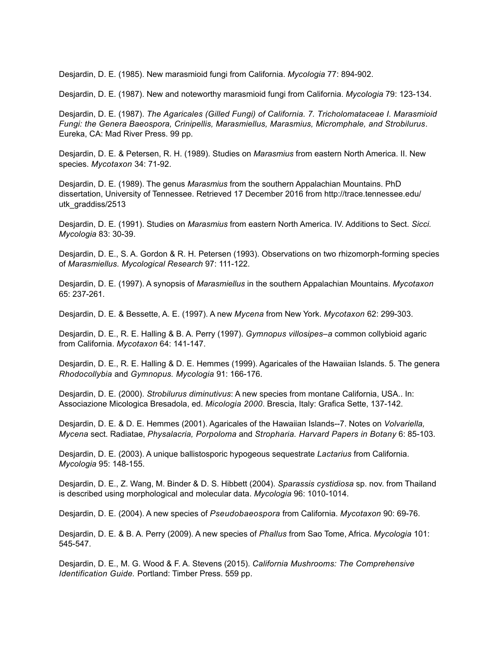Desjardin, D. E. (1985). New marasmioid fungi from California. *Mycologia* 77: 894-902.

Desjardin, D. E. (1987). New and noteworthy marasmioid fungi from California. *Mycologia* 79: 123-134.

Desjardin, D. E. (1987). *The Agaricales (Gilled Fungi) of California. 7. Tricholomataceae I. Marasmioid Fungi: the Genera Baeospora, Crinipellis, Marasmiellus, Marasmius, Micromphale, and Strobilurus*. Eureka, CA: Mad River Press. 99 pp.

Desjardin, D. E. & Petersen, R. H. (1989). Studies on *Marasmius* from eastern North America. II. New species. *Mycotaxon* 34: 71-92.

Desjardin, D. E. (1989). The genus *Marasmius* from the southern Appalachian Mountains. PhD dissertation, University of Tennessee. Retrieved 17 December 2016 from http://trace.tennessee.edu/ utk qraddiss/2513

Desjardin, D. E. (1991). Studies on *Marasmius* from eastern North America. IV. Additions to Sect. *Sicci. Mycologia* 83: 30-39.

Desjardin, D. E., S. A. Gordon & R. H. Petersen (1993). Observations on two rhizomorph-forming species of *Marasmiellus. Mycological Research* 97: 111-122.

Desjardin, D. E. (1997). A synopsis of *Marasmiellus* in the southern Appalachian Mountains. *Mycotaxon* 65: 237-261.

Desjardin, D. E. & Bessette, A. E. (1997). A new *Mycena* from New York. *Mycotaxon* 62: 299-303.

Desjardin, D. E., R. E. Halling & B. A. Perry (1997). *Gymnopus villosipes–a* common collybioid agaric from California. *Mycotaxon* 64: 141-147.

Desjardin, D. E., R. E. Halling & D. E. Hemmes (1999). Agaricales of the Hawaiian Islands. 5. The genera *Rhodocollybia* and *Gymnopus. Mycologia* 91: 166-176.

Desjardin, D. E. (2000). *Strobilurus diminutivus*: A new species from montane California, USA.. In: Associazione Micologica Bresadola, ed. *Micologia 2000*. Brescia, Italy: Grafica Sette, 137-142.

Desjardin, D. E. & D. E. Hemmes (2001). Agaricales of the Hawaiian Islands--7. Notes on *Volvariella, Mycena* sect. Radiatae, *Physalacria, Porpoloma* and *Stropharia. Harvard Papers in Botany* 6: 85-103.

Desjardin, D. E. (2003). A unique ballistosporic hypogeous sequestrate *Lactarius* from California. *Mycologia* 95: 148-155.

Desjardin, D. E., Z. Wang, M. Binder & D. S. Hibbett (2004). *Sparassis cystidiosa* sp. nov. from Thailand is described using morphological and molecular data. *Mycologia* 96: 1010-1014.

Desjardin, D. E. (2004). A new species of *Pseudobaeospora* from California. *Mycotaxon* 90: 69-76.

Desjardin, D. E. & B. A. Perry (2009). A new species of *Phallus* from Sao Tome, Africa. *Mycologia* 101: 545-547.

Desjardin, D. E., M. G. Wood & F. A. Stevens (2015). *California Mushrooms: The Comprehensive Identification Guide.* Portland: Timber Press. 559 pp.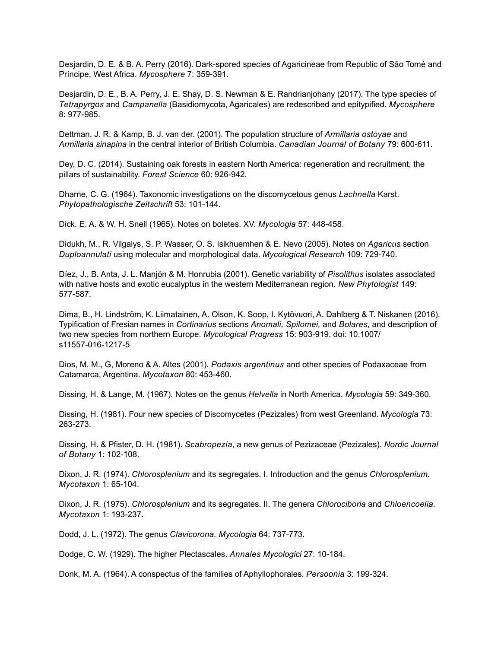Desjardin, D. E. & B. A. Perry (2016). Dark-spored species of Agaricineae from Republic of Sāo Tomé and Príncipe, West Africa. *Mycosphere* 7: 359-391.

Desjardin, D. E., B. A. Perry, J. E. Shay, D. S. Newman & E. Randrianjohany (2017). The type species of *Tetrapyrgos* and *Campanella* (Basidiomycota, Agaricales) are redescribed and epitypified. *Mycosphere* 8: 977-985.

Dettman, J. R. & Kamp, B. J. van der. (2001). The population structure of *Armillaria ostoyae* and *Armillaria sinapina* in the central interior of British Columbia. *Canadian Journal of Botany* 79: 600-611.

Dey, D. C. (2014). Sustaining oak forests in eastern North America: regeneration and recruitment, the pillars of sustainability. *Forest Science* 60: 926-942.

Dharne, C. G. (1964). Taxonomic investigations on the discomycetous genus *Lachnella* Karst. *Phytopathologische Zeitschrift* 53: 101-144.

Dick. E. A. & W. H. Snell (1965). Notes on boletes. XV. *Mycologia* 57: 448-458.

Didukh, M., R. Vilgalys, S. P. Wasser, O. S. Isikhuemhen & E. Nevo (2005). Notes on *Agaricus* section *Duploannulati* using molecular and morphological data. *Mycological Research* 109: 729-740.

Díez, J., B. Anta, J. L. Manjón & M. Honrubia (2001). Genetic variability of *Pisolithus* isolates associated with native hosts and exotic eucalyptus in the western Mediterranean region. *New Phytologist* 149: 577-587.

Dima, B., H. Lindström, K. Liimatainen, A. Olson, K. Soop, I. Kytövuori, A. Dahlberg & T. Niskanen (2016). Typification of Fresian names in *Cortinarius* sections *Anomali, Spilomei,* and *Bolares*, and description of two new species from northern Europe. *Mycological Progress* 15: 903-919. doi: 10.1007/ s11557-016-1217-5

Dios, M. M., G, Moreno & A. Altes (2001). *Podaxis argentinus* and other species of Podaxaceae from Catamarca, Argentina. *Mycotaxon* 80: 453-460.

Dissing, H. & Lange, M. (1967). Notes on the genus *Helvella* in North America. *Mycologia* 59: 349-360.

Dissing, H. (1981). Four new species of Discomycetes (Pezizales) from west Greenland. *Mycologia* 73: 263-273.

Dissing, H. & Pfister, D. H. (1981). *Scabropezia*, a new genus of Pezizaceae (Pezizales). *Nordic Journal of Botany* 1: 102-108.

Dixon, J. R. (1974). *Chlorosplenium* and its segregates. I. Introduction and the genus *Chlorosplenium. Mycotaxon* 1: 65-104.

Dixon, J. R. (1975). *Chlorosplenium* and its segregates. II. The genera *Chlorociboria* and *Chloencoelia. Mycotaxon* 1: 193-237.

Dodd, J. L. (1972). The genus *Clavicorona. Mycologia* 64: 737-773.

Dodge, C. W. (1929). The higher Plectascales. *Annales Mycologici* 27: 10-184.

Donk, M. A. (1964). A conspectus of the families of Aphyllophorales. *Persoonia* 3: 199-324.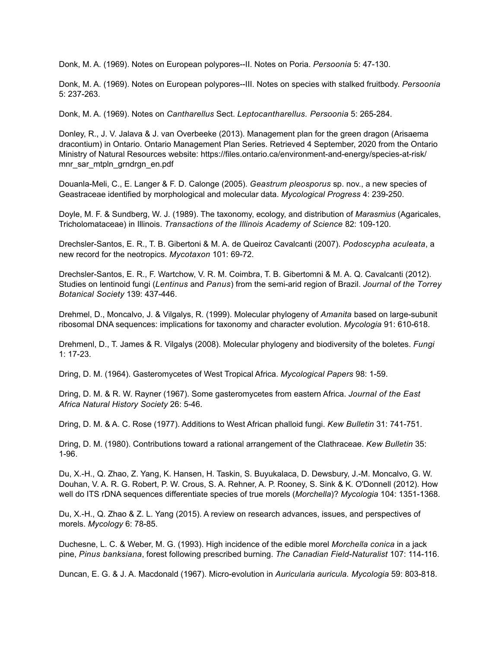Donk, M. A. (1969). Notes on European polypores--II. Notes on Poria. *Persoonia* 5: 47-130.

Donk, M. A. (1969). Notes on European polypores--III. Notes on species with stalked fruitbody. *Persoonia* 5: 237-263.

Donk, M. A. (1969). Notes on *Cantharellus* Sect. *Leptocantharellus. Persoonia* 5: 265-284.

Donley, R., J. V. Jalava & J. van Overbeeke (2013). Management plan for the green dragon (Arisaema dracontium) in Ontario. Ontario Management Plan Series. Retrieved 4 September, 2020 from the Ontario Ministry of Natural Resources website: https://files.ontario.ca/environment-and-energy/species-at-risk/ mnr\_sar\_mtpln\_grndrgn\_en.pdf

Douanla-Meli, C., E. Langer & F. D. Calonge (2005). *Geastrum pleosporus* sp. nov., a new species of Geastraceae identified by morphological and molecular data. *Mycological Progress* 4: 239-250.

Doyle, M. F. & Sundberg, W. J. (1989). The taxonomy, ecology, and distribution of *Marasmius* (Agaricales, Tricholomataceae) in Illinois. *Transactions of the Illinois Academy of Science* 82: 109-120.

Drechsler-Santos, E. R., T. B. Gibertoni & M. A. de Queiroz Cavalcanti (2007). *Podoscypha aculeata*, a new record for the neotropics. *Mycotaxon* 101: 69-72.

Drechsler-Santos, E. R., F. Wartchow, V. R. M. Coimbra, T. B. Gibertomni & M. A. Q. Cavalcanti (2012). Studies on lentinoid fungi (*Lentinus* and *Panus*) from the semi-arid region of Brazil. *Journal of the Torrey Botanical Society* 139: 437-446.

Drehmel, D., Moncalvo, J. & Vilgalys, R. (1999). Molecular phylogeny of *Amanita* based on large-subunit ribosomal DNA sequences: implications for taxonomy and character evolution. *Mycologia* 91: 610-618.

Drehmenl, D., T. James & R. Vilgalys (2008). Molecular phylogeny and biodiversity of the boletes. *Fungi* 1: 17-23.

Dring, D. M. (1964). Gasteromycetes of West Tropical Africa. *Mycological Papers* 98: 1-59.

Dring, D. M. & R. W. Rayner (1967). Some gasteromycetes from eastern Africa. *Journal of the East Africa Natural History Society* 26: 5-46.

Dring, D. M. & A. C. Rose (1977). Additions to West African phalloid fungi. *Kew Bulletin* 31: 741-751.

Dring, D. M. (1980). Contributions toward a rational arrangement of the Clathraceae. *Kew Bulletin* 35: 1-96.

Du, X.-H., Q. Zhao, Z. Yang, K. Hansen, H. Taskin, S. Buyukalaca, D. Dewsbury, J.-M. Moncalvo, G. W. Douhan, V. A. R. G. Robert, P. W. Crous, S. A. Rehner, A. P. Rooney, S. Sink & K. O'Donnell (2012). How well do ITS rDNA sequences differentiate species of true morels (*Morchella*)? *Mycologia* 104: 1351-1368.

Du, X.-H., Q. Zhao & Z. L. Yang (2015). A review on research advances, issues, and perspectives of morels. *Mycology* 6: 78-85.

Duchesne, L. C. & Weber, M. G. (1993). High incidence of the edible morel *Morchella conica* in a jack pine, *Pinus banksiana*, forest following prescribed burning. *The Canadian Field-Naturalist* 107: 114-116.

Duncan, E. G. & J. A. Macdonald (1967). Micro-evolution in *Auricularia auricula. Mycologia* 59: 803-818.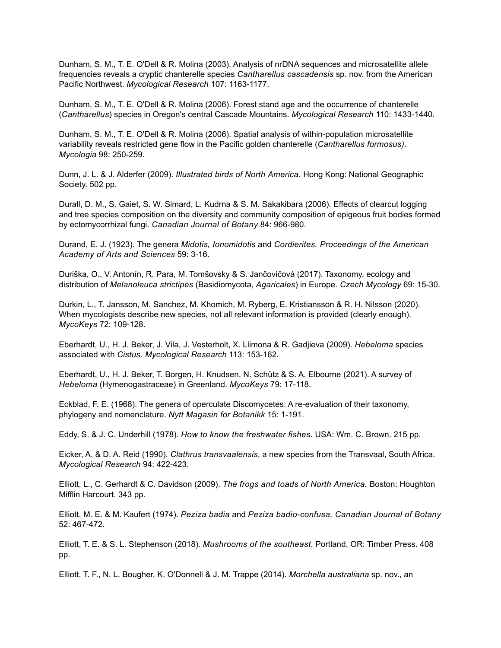Dunham, S. M., T. E. O'Dell & R. Molina (2003). Analysis of nrDNA sequences and microsatellite allele frequencies reveals a cryptic chanterelle species *Cantharellus cascadensis* sp. nov. from the American Pacific Northwest. *Mycological Research* 107: 1163-1177.

Dunham, S. M., T. E. O'Dell & R. Molina (2006). Forest stand age and the occurrence of chanterelle (*Cantharellus*) species in Oregon's central Cascade Mountains. *Mycological Research* 110: 1433-1440.

Dunham, S. M., T. E. O'Dell & R. Molina (2006). Spatial analysis of within-population microsatellite variability reveals restricted gene flow in the Pacific golden chanterelle (*Cantharellus formosus)*. *Mycologia* 98: 250-259.

Dunn, J. L. & J. Alderfer (2009). *Illustrated birds of North America.* Hong Kong: National Geographic Society. 502 pp.

Durall, D. M., S. Gaiet, S. W. Simard, L. Kudrna & S. M. Sakakibara (2006). Effects of clearcut logging and tree species composition on the diversity and community composition of epigeous fruit bodies formed by ectomycorrhizal fungi. *Canadian Journal of Botany* 84: 966-980.

Durand, E. J. (1923). The genera *Midotis, Ionomidotis* and *Cordierites. Proceedings of the American Academy of Arts and Sciences* 59: 3-16.

Duriška, O., V. Antonín, R. Para, M. Tomšovsky & S. Jančovičová (2017). Taxonomy, ecology and distribution of *Melanoleuca strictipes* (Basidiomycota, *Agaricales*) in Europe. *Czech Mycology* 69: 15-30.

Durkin, L., T. Jansson, M. Sanchez, M. Khomich, M. Ryberg, E. Kristiansson & R. H. Nilsson (2020). When mycologists describe new species, not all relevant information is provided (clearly enough). *MycoKeys* 72: 109-128.

Eberhardt, U., H. J. Beker, J. Vila, J. Vesterholt, X. Llimona & R. Gadjieva (2009). *Hebeloma* species associated with *Cistus. Mycological Research* 113: 153-162.

Eberhardt, U., H. J. Beker, T. Borgen, H. Knudsen, N. Schütz & S. A. Elbourne (2021). A survey of *Hebeloma* (Hymenogastraceae) in Greenland. *MycoKeys* 79: 17-118.

Eckblad, F. E. (1968). The genera of operculate Discomycetes: A re-evaluation of their taxonomy, phylogeny and nomenclature. *Nytt Magasin for Botanikk* 15: 1-191.

Eddy, S. & J. C. Underhill (1978). *How to know the freshwater fishes.* USA: Wm. C. Brown. 215 pp.

Eicker, A. & D. A. Reid (1990). *Clathrus transvaalensis*, a new species from the Transvaal, South Africa. *Mycological Research* 94: 422-423.

Elliott, L., C. Gerhardt & C. Davidson (2009). *The frogs and toads of North America.* Boston: Houghton Mifflin Harcourt. 343 pp.

Elliott, M. E. & M. Kaufert (1974). *Peziza badia* and *Peziza badio-confusa. Canadian Journal of Botany* 52: 467-472.

Elliott, T. E. & S. L. Stephenson (2018). *Mushrooms of the southeast*. Portland, OR: Timber Press. 408 pp.

Elliott, T. F., N. L. Bougher, K. O'Donnell & J. M. Trappe (2014). *Morchella australiana* sp. nov., an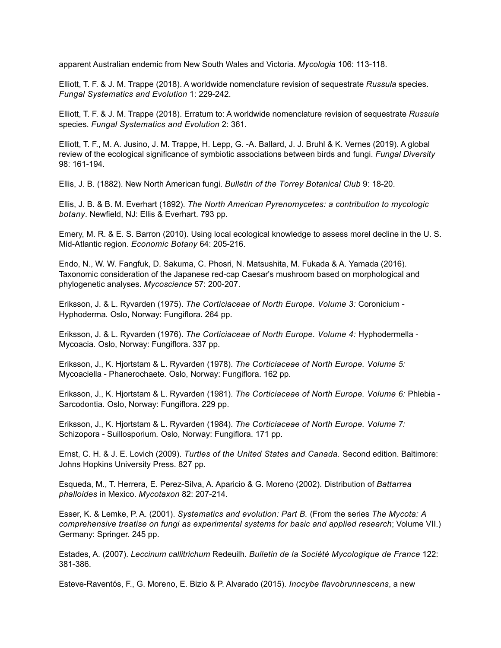apparent Australian endemic from New South Wales and Victoria. *Mycologia* 106: 113-118.

Elliott, T. F. & J. M. Trappe (2018). A worldwide nomenclature revision of sequestrate *Russula* species. *Fungal Systematics and Evolution* 1: 229-242.

Elliott, T. F. & J. M. Trappe (2018). Erratum to: A worldwide nomenclature revision of sequestrate *Russula* species. *Fungal Systematics and Evolution* 2: 361.

Elliott, T. F., M. A. Jusino, J. M. Trappe, H. Lepp, G. -A. Ballard, J. J. Bruhl & K. Vernes (2019). A global review of the ecological significance of symbiotic associations between birds and fungi. *Fungal Diversity* 98: 161-194.

Ellis, J. B. (1882). New North American fungi. *Bulletin of the Torrey Botanical Club* 9: 18-20.

Ellis, J. B. & B. M. Everhart (1892). *The North American Pyrenomycetes: a contribution to mycologic botany*. Newfield, NJ: Ellis & Everhart. 793 pp.

Emery, M. R. & E. S. Barron (2010). Using local ecological knowledge to assess morel decline in the U. S. Mid-Atlantic region. *Economic Botany* 64: 205-216.

Endo, N., W. W. Fangfuk, D. Sakuma, C. Phosri, N. Matsushita, M. Fukada & A. Yamada (2016). Taxonomic consideration of the Japanese red-cap Caesar's mushroom based on morphological and phylogenetic analyses. *Mycoscience* 57: 200-207.

Eriksson, J. & L. Ryvarden (1975). *The Corticiaceae of North Europe. Volume 3:* Coronicium - Hyphoderma*.* Oslo, Norway: Fungiflora. 264 pp.

Eriksson, J. & L. Ryvarden (1976). *The Corticiaceae of North Europe. Volume 4:* Hyphodermella - Mycoacia*.* Oslo, Norway: Fungiflora. 337 pp.

Eriksson, J., K. Hjortstam & L. Ryvarden (1978). *The Corticiaceae of North Europe. Volume 5:*  Mycoaciella - Phanerochaete*.* Oslo, Norway: Fungiflora. 162 pp.

Eriksson, J., K. Hjortstam & L. Ryvarden (1981). *The Corticiaceae of North Europe. Volume 6:* Phlebia - Sarcodontia*.* Oslo, Norway: Fungiflora. 229 pp.

Eriksson, J., K. Hjortstam & L. Ryvarden (1984). *The Corticiaceae of North Europe. Volume 7:*  Schizopora - Suillosporium*.* Oslo, Norway: Fungiflora. 171 pp.

Ernst, C. H. & J. E. Lovich (2009). *Turtles of the United States and Canada.* Second edition. Baltimore: Johns Hopkins University Press. 827 pp.

Esqueda, M., T. Herrera, E. Perez-Silva, A. Aparicio & G. Moreno (2002). Distribution of *Battarrea phalloides* in Mexico. *Mycotaxon* 82: 207-214.

Esser, K. & Lemke, P. A. (2001). *Systematics and evolution: Part B.* (From the series *The Mycota: A comprehensive treatise on fungi as experimental systems for basic and applied research*; Volume VII.) Germany: Springer. 245 pp.

Estades, A. (2007). *Leccinum callitrichum* Redeuilh. *Bulletin de la Société Mycologique de France* 122: 381-386.

Esteve-Raventós, F., G. Moreno, E. Bizio & P. Alvarado (2015). *Inocybe flavobrunnescens*, a new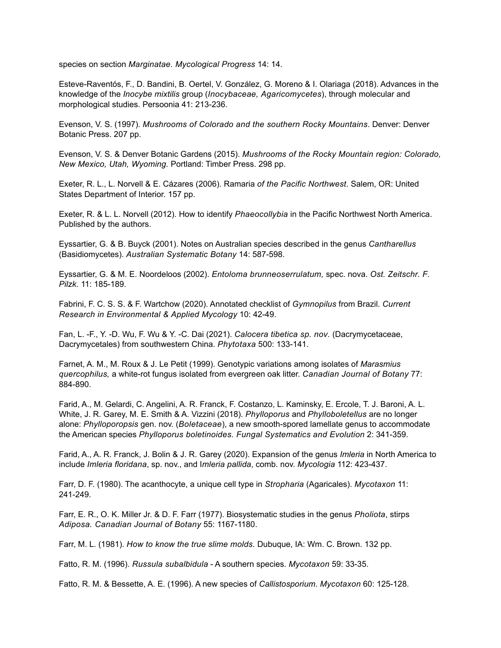species on section *Marginatae. Mycological Progress* 14: 14.

Esteve-Raventós, F., D. Bandini, B. Oertel, V. González, G. Moreno & I. Olariaga (2018). Advances in the knowledge of the *Inocybe mixtilis* group (*Inocybaceae, Agaricomycetes*), through molecular and morphological studies. Persoonia 41: 213-236.

Evenson, V. S. (1997). *Mushrooms of Colorado and the southern Rocky Mountains*. Denver: Denver Botanic Press. 207 pp.

Evenson, V. S. & Denver Botanic Gardens (2015). *Mushrooms of the Rocky Mountain region: Colorado, New Mexico, Utah, Wyoming.* Portland: Timber Press. 298 pp.

Exeter, R. L., L. Norvell & E. Cázares (2006). Ramaria *of the Pacific Northwest*. Salem, OR: United States Department of Interior. 157 pp.

Exeter, R. & L. L. Norvell (2012). How to identify *Phaeocollybia* in the Pacific Northwest North America. Published by the authors.

Eyssartier, G. & B. Buyck (2001). Notes on Australian species described in the genus *Cantharellus* (Basidiomycetes). *Australian Systematic Botany* 14: 587-598.

Eyssartier, G. & M. E. Noordeloos (2002). *Entoloma brunneoserrulatum,* spec. nova. *Ost. Zeitschr. F. Pilzk.* 11: 185-189.

Fabrini, F. C. S. S. & F. Wartchow (2020). Annotated checklist of *Gymnopilus* from Brazil. *Current Research in Environmental & Applied Mycology* 10: 42-49.

Fan, L. -F., Y. -D. Wu, F. Wu & Y. -C. Dai (2021). *Calocera tibetica sp. nov.* (Dacrymycetaceae, Dacrymycetales) from southwestern China. *Phytotaxa* 500: 133-141.

Farnet, A. M., M. Roux & J. Le Petit (1999). Genotypic variations among isolates of *Marasmius quercophilus,* a white-rot fungus isolated from evergreen oak litter. *Canadian Journal of Botany* 77: 884-890.

Farid, A., M. Gelardi, C. Angelini, A. R. Franck, F. Costanzo, L. Kaminsky, E. Ercole, T. J. Baroni, A. L. White, J. R. Garey, M. E. Smith & A. Vizzini (2018). *Phylloporus* and *Phylloboletellus* are no longer alone: *Phylloporopsis* gen. nov. (*Boletaceae*), a new smooth-spored lamellate genus to accommodate the American species *Phylloporus boletinoides. Fungal Systematics and Evolution* 2: 341-359.

Farid, A., A. R. Franck, J. Bolin & J. R. Garey (2020). Expansion of the genus *Imleria* in North America to include *Imleria floridana*, sp. nov., and I*mleria pallida*, comb. nov. *Mycologia* 112: 423-437.

Farr, D. F. (1980). The acanthocyte, a unique cell type in *Stropharia* (Agaricales). *Mycotaxon* 11: 241-249.

Farr, E. R., O. K. Miller Jr. & D. F. Farr (1977). Biosystematic studies in the genus *Pholiota*, stirps *Adiposa. Canadian Journal of Botany* 55: 1167-1180.

Farr, M. L. (1981). *How to know the true slime molds.* Dubuque, IA: Wm. C. Brown. 132 pp.

Fatto, R. M. (1996). *Russula subalbidula* - A southern species. *Mycotaxon* 59: 33-35.

Fatto, R. M. & Bessette, A. E. (1996). A new species of *Callistosporium*. *Mycotaxon* 60: 125-128.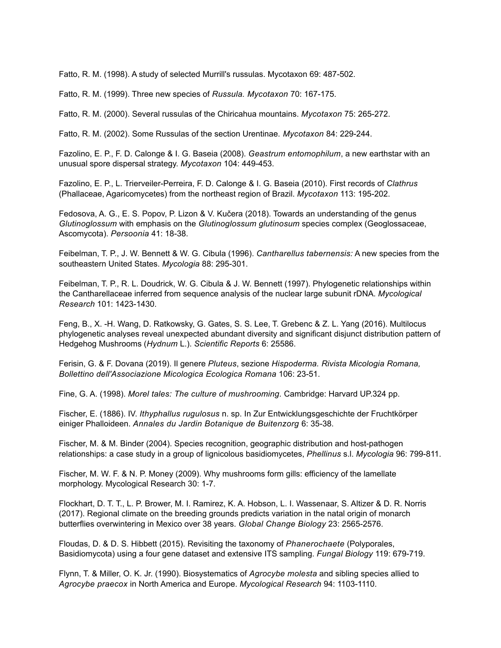Fatto, R. M. (1998). A study of selected Murrill's russulas. Mycotaxon 69: 487-502.

Fatto, R. M. (1999). Three new species of *Russula. Mycotaxon* 70: 167-175.

Fatto, R. M. (2000). Several russulas of the Chiricahua mountains. *Mycotaxon* 75: 265-272.

Fatto, R. M. (2002). Some Russulas of the section Urentinae*. Mycotaxon* 84: 229-244.

Fazolino, E. P., F. D. Calonge & I. G. Baseia (2008). *Geastrum entomophilum*, a new earthstar with an unusual spore dispersal strategy. *Mycotaxon* 104: 449-453.

Fazolino, E. P., L. Trierveiler-Perreira, F. D. Calonge & I. G. Baseia (2010). First records of *Clathrus* (Phallaceae, Agaricomycetes) from the northeast region of Brazil. *Mycotaxon* 113: 195-202.

Fedosova, A. G., E. S. Popov, P. Lizon & V. Kučera (2018). Towards an understanding of the genus *Glutinoglossum* with emphasis on the *Glutinoglossum glutinosum* species complex (Geoglossaceae, Ascomycota). *Persoonia* 41: 18-38.

Feibelman, T. P., J. W. Bennett & W. G. Cibula (1996). *Cantharellus tabernensis:* A new species from the southeastern United States. *Mycologia* 88: 295-301.

Feibelman, T. P., R. L. Doudrick, W. G. Cibula & J. W. Bennett (1997). Phylogenetic relationships within the Cantharellaceae inferred from sequence analysis of the nuclear large subunit rDNA. *Mycological Research* 101: 1423-1430.

Feng, B., X. -H. Wang, D. Ratkowsky, G. Gates, S. S. Lee, T. Grebenc & Z. L. Yang (2016). Multilocus phylogenetic analyses reveal unexpected abundant diversity and significant disjunct distribution pattern of Hedgehog Mushrooms (*Hydnum* L.). *Scientific Reports* 6: 25586.

Ferisin, G. & F. Dovana (2019). Il genere *Pluteus*, sezione *Hispoderma. Rivista Micologia Romana, Bollettino dell'Associazione Micologica Ecologica Romana* 106: 23-51.

Fine, G. A. (1998). *Morel tales: The culture of mushrooming.* Cambridge: Harvard UP.324 pp.

Fischer, E. (1886). IV. *Ithyphallus rugulosus* n. sp. In Zur Entwicklungsgeschichte der Fruchtkörper einiger Phalloideen. *Annales du Jardin Botanique de Buitenzorg* 6: 35-38.

Fischer, M. & M. Binder (2004). Species recognition, geographic distribution and host-pathogen relationships: a case study in a group of lignicolous basidiomycetes, *Phellinus* s.l. *Mycologia* 96: 799-811.

Fischer, M. W. F. & N. P. Money (2009). Why mushrooms form gills: efficiency of the lamellate morphology. Mycological Research 30: 1-7.

Flockhart, D. T. T., L. P. Brower, M. I. Ramirez, K. A. Hobson, L. I. Wassenaar, S. Altizer & D. R. Norris (2017). Regional climate on the breeding grounds predicts variation in the natal origin of monarch butterflies overwintering in Mexico over 38 years. *Global Change Biology* 23: 2565-2576.

Floudas, D. & D. S. Hibbett (2015). Revisiting the taxonomy of *Phanerochaete* (Polyporales, Basidiomycota) using a four gene dataset and extensive ITS sampling. *Fungal Biology* 119: 679-719.

Flynn, T. & Miller, O. K. Jr. (1990). Biosystematics of *Agrocybe molesta* and sibling species allied to *Agrocybe praecox* in North America and Europe. *Mycological Research* 94: 1103-1110.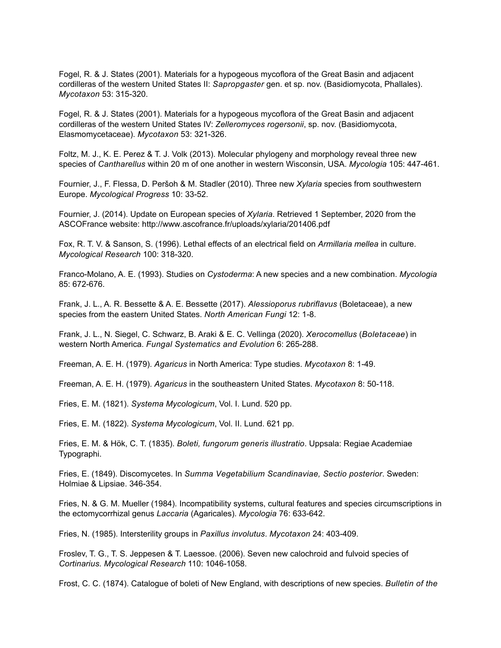Fogel, R. & J. States (2001). Materials for a hypogeous mycoflora of the Great Basin and adjacent cordilleras of the western United States II: *Sapropgaster* gen. et sp. nov. (Basidiomycota, Phallales). *Mycotaxon* 53: 315-320.

Fogel, R. & J. States (2001). Materials for a hypogeous mycoflora of the Great Basin and adjacent cordilleras of the western United States IV: *Zelleromyces rogersonii*, sp. nov. (Basidiomycota, Elasmomycetaceae). *Mycotaxon* 53: 321-326.

Foltz, M. J., K. E. Perez & T. J. Volk (2013). Molecular phylogeny and morphology reveal three new species of *Cantharellus* within 20 m of one another in western Wisconsin, USA. *Mycologia* 105: 447-461.

Fournier, J., F. Flessa, D. Peršoh & M. Stadler (2010). Three new *Xylaria* species from southwestern Europe. *Mycological Progress* 10: 33-52.

Fournier, J. (2014). Update on European species of *Xylaria*. Retrieved 1 September, 2020 from the ASCOFrance website: http://www.ascofrance.fr/uploads/xylaria/201406.pdf

Fox, R. T. V. & Sanson, S. (1996). Lethal effects of an electrical field on *Armillaria mellea* in culture. *Mycological Research* 100: 318-320.

Franco-Molano, A. E. (1993). Studies on *Cystoderma*: A new species and a new combination. *Mycologia* 85: 672-676.

Frank, J. L., A. R. Bessette & A. E. Bessette (2017). *Alessioporus rubriflavus* (Boletaceae), a new species from the eastern United States. *North American Fungi* 12: 1-8.

Frank, J. L., N. Siegel, C. Schwarz, B. Araki & E. C. Vellinga (2020). *Xerocomellus* (*Boletaceae*) in western North America. *Fungal Systematics and Evolution* 6: 265-288.

Freeman, A. E. H. (1979). *Agaricus* in North America: Type studies. *Mycotaxon* 8: 1-49.

Freeman, A. E. H. (1979). *Agaricus* in the southeastern United States. *Mycotaxon* 8: 50-118.

Fries, E. M. (1821). *Systema Mycologicum*, Vol. I. Lund. 520 pp.

Fries, E. M. (1822). *Systema Mycologicum*, Vol. II. Lund. 621 pp.

Fries, E. M. & Hök, C. T. (1835). *Boleti, fungorum generis illustratio*. Uppsala: Regiae Academiae Typographi.

Fries, E. (1849). Discomycetes. In *Summa Vegetabilium Scandinaviae, Sectio posterior*. Sweden: Holmiae & Lipsiae. 346-354.

Fries, N. & G. M. Mueller (1984). Incompatibility systems, cultural features and species circumscriptions in the ectomycorrhizal genus *Laccaria* (Agaricales). *Mycologia* 76: 633-642.

Fries, N. (1985). Intersterility groups in *Paxillus involutus*. *Mycotaxon* 24: 403-409.

Froslev, T. G., T. S. Jeppesen & T. Laessoe. (2006). Seven new calochroid and fulvoid species of *Cortinarius. Mycological Research* 110: 1046-1058.

Frost, C. C. (1874). Catalogue of boleti of New England, with descriptions of new species. *Bulletin of the*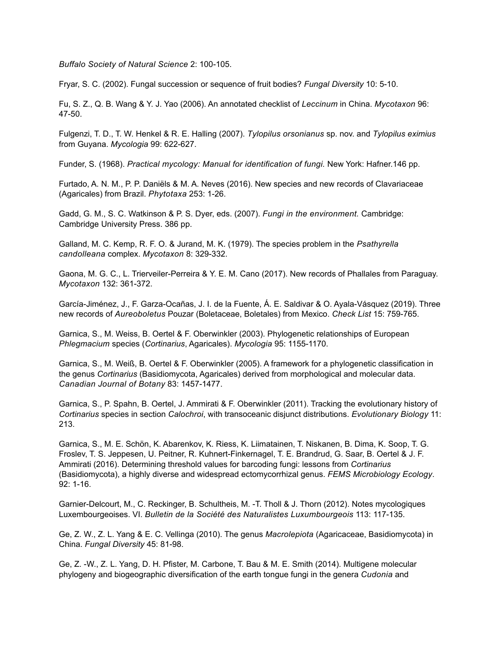*Buffalo Society of Natural Science* 2: 100-105.

Fryar, S. C. (2002). Fungal succession or sequence of fruit bodies? *Fungal Diversity* 10: 5-10.

Fu, S. Z., Q. B. Wang & Y. J. Yao (2006). An annotated checklist of *Leccinum* in China. *Mycotaxon* 96: 47-50.

Fulgenzi, T. D., T. W. Henkel & R. E. Halling (2007). *Tylopilus orsonianus* sp. nov. and *Tylopilus eximius* from Guyana. *Mycologia* 99: 622-627.

Funder, S. (1968). *Practical mycology: Manual for identification of fungi.* New York: Hafner.146 pp.

Furtado, A. N. M., P. P. Daniëls & M. A. Neves (2016). New species and new records of Clavariaceae (Agaricales) from Brazil. *Phytotaxa* 253: 1-26.

Gadd, G. M., S. C. Watkinson & P. S. Dyer, eds. (2007). *Fungi in the environment.* Cambridge: Cambridge University Press. 386 pp.

Galland, M. C. Kemp, R. F. O. & Jurand, M. K. (1979). The species problem in the *Psathyrella candolleana* complex. *Mycotaxon* 8: 329-332.

Gaona, M. G. C., L. Trierveiler-Perreira & Y. E. M. Cano (2017). New records of Phallales from Paraguay. *Mycotaxon* 132: 361-372.

García-Jiménez, J., F. Garza-Ocañas, J. I. de la Fuente, Á. E. Saldivar & O. Ayala-Vásquez (2019). Three new records of *Aureoboletus* Pouzar (Boletaceae, Boletales) from Mexico. *Check List* 15: 759-765.

Garnica, S., M. Weiss, B. Oertel & F. Oberwinkler (2003). Phylogenetic relationships of European *Phlegmacium* species (*Cortinarius*, Agaricales). *Mycologia* 95: 1155-1170.

Garnica, S., M. Weiß, B. Oertel & F. Oberwinkler (2005). A framework for a phylogenetic classification in the genus *Cortinarius* (Basidiomycota, Agaricales) derived from morphological and molecular data. *Canadian Journal of Botany* 83: 1457-1477.

Garnica, S., P. Spahn, B. Oertel, J. Ammirati & F. Oberwinkler (2011). Tracking the evolutionary history of *Cortinarius* species in section *Calochroi*, with transoceanic disjunct distributions. *Evolutionary Biology* 11: 213.

Garnica, S., M. E. Schön, K. Abarenkov, K. Riess, K. Liimatainen, T. Niskanen, B. Dima, K. Soop, T. G. Froslev, T. S. Jeppesen, U. Peitner, R. Kuhnert-Finkernagel, T. E. Brandrud, G. Saar, B. Oertel & J. F. Ammirati (2016). Determining threshold values for barcoding fungi: lessons from *Cortinarius* (Basidiomycota), a highly diverse and widespread ectomycorrhizal genus. *FEMS Microbiology Ecology*. 92: 1-16.

Garnier-Delcourt, M., C. Reckinger, B. Schultheis, M. -T. Tholl & J. Thorn (2012). Notes mycologiques Luxembourgeoises. VI. *Bulletin de la Société des Naturalistes Luxumbourgeois* 113: 117-135.

Ge, Z. W., Z. L. Yang & E. C. Vellinga (2010). The genus *Macrolepiota* (Agaricaceae, Basidiomycota) in China. *Fungal Diversity* 45: 81-98.

Ge, Z. -W., Z. L. Yang, D. H. Pfister, M. Carbone, T. Bau & M. E. Smith (2014). Multigene molecular phylogeny and biogeographic diversification of the earth tongue fungi in the genera *Cudonia* and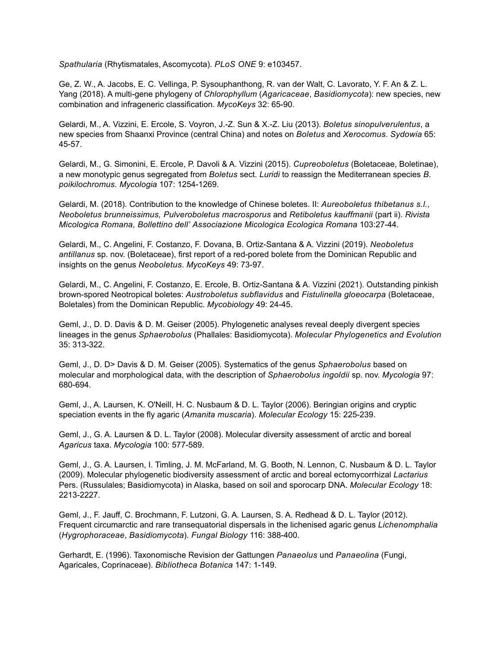*Spathularia* (Rhytismatales, Ascomycota). *PLoS ONE* 9: e103457.

Ge, Z. W., A. Jacobs, E. C. Vellinga, P. Sysouphanthong, R. van der Walt, C. Lavorato, Y. F. An & Z. L. Yang (2018). A multi-gene phylogeny of *Chlorophyllum* (*Agaricaceae*, *Basidiomycota*): new species, new combination and infrageneric classification. *MycoKeys* 32: 65-90.

Gelardi, M., A. Vizzini, E. Ercole, S. Voyron, J.-Z. Sun & X.-Z. Liu (2013). *Boletus sinopulverulentus*, a new species from Shaanxi Province (central China) and notes on *Boletus* and *Xerocomus*. *Sydowia* 65: 45-57.

Gelardi, M., G. Simonini, E. Ercole, P. Davoli & A. Vizzini (2015). *Cupreoboletus* (Boletaceae, Boletinae), a new monotypic genus segregated from *Boletus* sect. *Luridi* to reassign the Mediterranean species *B. poikilochromus. Mycologia* 107: 1254-1269.

Gelardi, M. (2018). Contribution to the knowledge of Chinese boletes. II: *Aureoboletus thibetanus s.l., Neoboletus brunneissimus, Pulveroboletus macrosporus* and *Retiboletus kauffmanii* (part ii). *Rivista Micologica Romana, Bollettino dell' Associazione Micologica Ecologica Romana* 103:27-44.

Gelardi, M., C. Angelini, F. Costanzo, F. Dovana, B. Ortiz-Santana & A. Vizzini (2019). *Neoboletus antillanus* sp. nov. (Boletaceae), first report of a red-pored bolete from the Dominican Republic and insights on the genus *Neoboletus*. *MycoKeys* 49: 73-97.

Gelardi, M., C. Angelini, F. Costanzo, E. Ercole, B. Ortiz-Santana & A. Vizzini (2021). Outstanding pinkish brown-spored Neotropical boletes: *Austroboletus subflavidus* and *Fistulinella gloeocarpa* (Boletaceae, Boletales) from the Dominican Republic. *Mycobiology* 49: 24-45.

Geml, J., D. D. Davis & D. M. Geiser (2005). Phylogenetic analyses reveal deeply divergent species lineages in the genus *Sphaerobolus* (Phallales: Basidiomycota). *Molecular Phylogenetics and Evolution* 35: 313-322.

Geml, J., D. D> Davis & D. M. Geiser (2005). Systematics of the genus *Sphaerobolus* based on molecular and morphological data, with the description of *Sphaerobolus ingoldii* sp. nov. *Mycologia* 97: 680-694.

Geml, J., A. Laursen, K. O'Neill, H. C. Nusbaum & D. L. Taylor (2006). Beringian origins and cryptic speciation events in the fly agaric (*Amanita muscaria*). *Molecular Ecology* 15: 225-239.

Geml, J., G. A. Laursen & D. L. Taylor (2008). Molecular diversity assessment of arctic and boreal *Agaricus* taxa. *Mycologia* 100: 577-589.

Geml, J., G. A. Laursen, I. Timling, J. M. McFarland, M. G. Booth, N. Lennon, C. Nusbaum & D. L. Taylor (2009). Molecular phylogenetic biodiversity assessment of arctic and boreal ectomycorrhizal *Lactarius* Pers. (Russulales; Basidiomycota) in Alaska, based on soil and sporocarp DNA. *Molecular Ecology* 18: 2213-2227.

Geml, J., F. Jauff, C. Brochmann, F. Lutzoni, G. A. Laursen, S. A. Redhead & D. L. Taylor (2012). Frequent circumarctic and rare transequatorial dispersals in the lichenised agaric genus *Lichenomphalia* (*Hygrophoraceae*, *Basidiomycota*). *Fungal Biology* 116: 388-400.

Gerhardt, E. (1996). Taxonomische Revision der Gattungen *Panaeolus* und *Panaeolina* (Fungi, Agaricales, Coprinaceae). *Bibliotheca Botanica* 147: 1-149.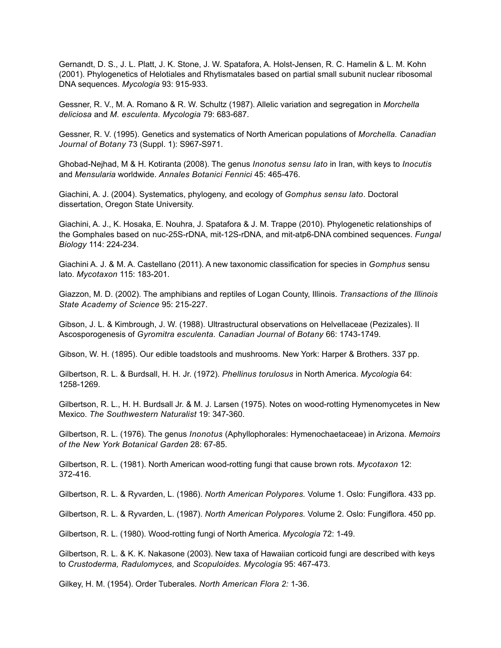Gernandt, D. S., J. L. Platt, J. K. Stone, J. W. Spatafora, A. Holst-Jensen, R. C. Hamelin & L. M. Kohn (2001). Phylogenetics of Helotiales and Rhytismatales based on partial small subunit nuclear ribosomal DNA sequences. *Mycologia* 93: 915-933.

Gessner, R. V., M. A. Romano & R. W. Schultz (1987). Allelic variation and segregation in *Morchella deliciosa* and *M. esculenta. Mycologia* 79: 683-687.

Gessner, R. V. (1995). Genetics and systematics of North American populations of *Morchella. Canadian Journal of Botany* 73 (Suppl. 1): S967-S971.

Ghobad-Nejhad, M & H. Kotiranta (2008). The genus *Inonotus sensu lato* in Iran, with keys to *Inocutis* and *Mensularia* worldwide. *Annales Botanici Fennici* 45: 465-476.

Giachini, A. J. (2004). Systematics, phylogeny, and ecology of *Gomphus sensu lato*. Doctoral dissertation, Oregon State University.

Giachini, A. J., K. Hosaka, E. Nouhra, J. Spatafora & J. M. Trappe (2010). Phylogenetic relationships of the Gomphales based on nuc-25S-rDNA, mit-12S-rDNA, and mit-atp6-DNA combined sequences. *Fungal Biology* 114: 224-234.

Giachini A. J. & M. A. Castellano (2011). A new taxonomic classification for species in *Gomphus* sensu lato. *Mycotaxon* 115: 183-201.

Giazzon, M. D. (2002). The amphibians and reptiles of Logan County, Illinois. *Transactions of the Illinois State Academy of Science* 95: 215-227.

Gibson, J. L. & Kimbrough, J. W. (1988). Ultrastructural observations on Helvellaceae (Pezizales). II Ascosporogenesis of *Gyromitra esculenta. Canadian Journal of Botany* 66: 1743-1749.

Gibson, W. H. (1895). Our edible toadstools and mushrooms. New York: Harper & Brothers. 337 pp.

Gilbertson, R. L. & Burdsall, H. H. Jr. (1972). *Phellinus torulosus* in North America. *Mycologia* 64: 1258-1269.

Gilbertson, R. L., H. H. Burdsall Jr. & M. J. Larsen (1975). Notes on wood-rotting Hymenomycetes in New Mexico. *The Southwestern Naturalist* 19: 347-360.

Gilbertson, R. L. (1976). The genus *Inonotus* (Aphyllophorales: Hymenochaetaceae) in Arizona. *Memoirs of the New York Botanical Garden* 28: 67-85.

Gilbertson, R. L. (1981). North American wood-rotting fungi that cause brown rots. *Mycotaxon* 12: 372-416.

Gilbertson, R. L. & Ryvarden, L. (1986). *North American Polypores.* Volume 1. Oslo: Fungiflora. 433 pp.

Gilbertson, R. L. & Ryvarden, L. (1987). *North American Polypores.* Volume 2. Oslo: Fungiflora. 450 pp.

Gilbertson, R. L. (1980). Wood-rotting fungi of North America. *Mycologia* 72: 1-49.

Gilbertson, R. L. & K. K. Nakasone (2003). New taxa of Hawaiian corticoid fungi are described with keys to *Crustoderma, Radulomyces,* and *Scopuloides. Mycologia* 95: 467-473.

Gilkey, H. M. (1954). Order Tuberales. *North American Flora 2:* 1-36.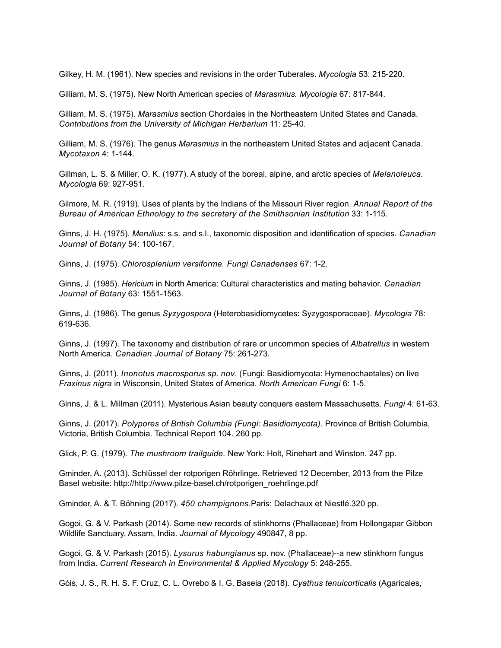Gilkey, H. M. (1961). New species and revisions in the order Tuberales. *Mycologia* 53: 215-220.

Gilliam, M. S. (1975). New North American species of *Marasmius. Mycologia* 67: 817-844.

Gilliam, M. S. (1975). *Marasmius* section Chordales in the Northeastern United States and Canada. *Contributions from the University of Michigan Herbarium* 11: 25-40.

Gilliam, M. S. (1976). The genus *Marasmius* in the northeastern United States and adjacent Canada. *Mycotaxon* 4: 1-144.

Gillman, L. S. & Miller, O. K. (1977). A study of the boreal, alpine, and arctic species of *Melanoleuca. Mycologia* 69: 927-951.

Gilmore, M. R. (1919). Uses of plants by the Indians of the Missouri River region. *Annual Report of the Bureau of American Ethnology to the secretary of the Smithsonian Institution* 33: 1-115.

Ginns, J. H. (1975). *Merulius*: s.s. and s.l., taxonomic disposition and identification of species. *Canadian Journal of Botany* 54: 100-167.

Ginns, J. (1975). *Chlorosplenium versiforme. Fungi Canadenses* 67: 1-2.

Ginns, J. (1985). *Hericium* in North America: Cultural characteristics and mating behavior. *Canadian Journal of Botany* 63: 1551-1563.

Ginns, J. (1986). The genus *Syzygospora* (Heterobasidiomycetes: Syzygosporaceae). *Mycologia* 78: 619-636.

Ginns, J. (1997). The taxonomy and distribution of rare or uncommon species of *Albatrellus* in western North America. *Canadian Journal of Botany* 75: 261-273.

Ginns, J. (2011). *Inonotus macrosporus sp*. *nov*. (Fungi: Basidiomycota: Hymenochaetales) on live *Fraxinus nigra* in Wisconsin, United States of America. *North American Fungi* 6: 1-5.

Ginns, J. & L. Millman (2011). Mysterious Asian beauty conquers eastern Massachusetts. *Fungi* 4: 61-63.

Ginns, J. (2017). *Polypores of British Columbia (Fungi: Basidiomycota).* Province of British Columbia, Victoria, British Columbia. Technical Report 104. 260 pp.

Glick, P. G. (1979). *The mushroom trailguide.* New York: Holt, Rinehart and Winston. 247 pp.

Gminder, A. (2013). Schlüssel der rotporigen Röhrlinge. Retrieved 12 December, 2013 from the Pilze Basel website: http://http://www.pilze-basel.ch/rotporigen\_roehrlinge.pdf

Gminder, A. & T. Böhning (2017). *450 champignons.*Paris: Delachaux et Niestlé.320 pp.

Gogoi, G. & V. Parkash (2014). Some new records of stinkhorns (Phallaceae) from Hollongapar Gibbon Wildlife Sanctuary, Assam, India. *Journal of Mycology* 490847, 8 pp.

Gogoi, G. & V. Parkash (2015). *Lysurus habungianus* sp. nov. (Phallaceae)--a new stinkhorn fungus from India. *Current Research in Environmental & Applied Mycology* 5: 248-255.

Góis, J. S., R. H. S. F. Cruz, C. L. Ovrebo & I. G. Baseia (2018). *Cyathus tenuicorticalis* (Agaricales,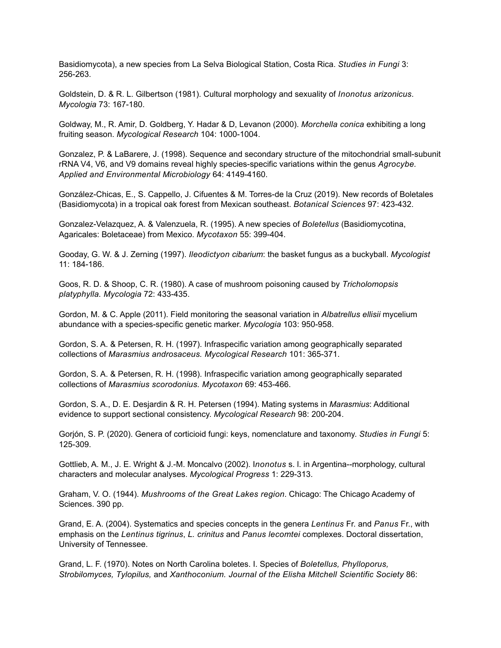Basidiomycota), a new species from La Selva Biological Station, Costa Rica. *Studies in Fungi* 3: 256-263.

Goldstein, D. & R. L. Gilbertson (1981). Cultural morphology and sexuality of *Inonotus arizonicus*. *Mycologia* 73: 167-180.

Goldway, M., R. Amir, D. Goldberg, Y. Hadar & D, Levanon (2000). *Morchella conica* exhibiting a long fruiting season. *Mycological Research* 104: 1000-1004.

Gonzalez, P. & LaBarere, J. (1998). Sequence and secondary structure of the mitochondrial small-subunit rRNA V4, V6, and V9 domains reveal highly species-specific variations within the genus *Agrocybe. Applied and Environmental Microbiology* 64: 4149-4160.

González-Chicas, E., S. Cappello, J. Cifuentes & M. Torres-de la Cruz (2019). New records of Boletales (Basidiomycota) in a tropical oak forest from Mexican southeast. *Botanical Sciences* 97: 423-432.

Gonzalez-Velazquez, A. & Valenzuela, R. (1995). A new species of *Boletellus* (Basidiomycotina, Agaricales: Boletaceae) from Mexico. *Mycotaxon* 55: 399-404.

Gooday, G. W. & J. Zerning (1997). *Ileodictyon cibarium*: the basket fungus as a buckyball. *Mycologist* 11: 184-186.

Goos, R. D. & Shoop, C. R. (1980). A case of mushroom poisoning caused by *Tricholomopsis platyphylla. Mycologia* 72: 433-435.

Gordon, M. & C. Apple (2011). Field monitoring the seasonal variation in *Albatrellus ellisii* mycelium abundance with a species-specific genetic marker. *Mycologia* 103: 950-958.

Gordon, S. A. & Petersen, R. H. (1997). Infraspecific variation among geographically separated collections of *Marasmius androsaceus. Mycological Research* 101: 365-371.

Gordon, S. A. & Petersen, R. H. (1998). Infraspecific variation among geographically separated collections of *Marasmius scorodonius. Mycotaxon* 69: 453-466.

Gordon, S. A., D. E. Desjardin & R. H. Petersen (1994). Mating systems in *Marasmius*: Additional evidence to support sectional consistency. *Mycological Research* 98: 200-204.

Gorjón, S. P. (2020). Genera of corticioid fungi: keys, nomenclature and taxonomy. *Studies in Fungi* 5: 125-309.

Gottlieb, A. M., J. E. Wright & J.-M. Moncalvo (2002). I*nonotus* s. l. in Argentina--morphology, cultural characters and molecular analyses. *Mycological Progress* 1: 229-313.

Graham, V. O. (1944). *Mushrooms of the Great Lakes region*. Chicago: The Chicago Academy of Sciences. 390 pp.

Grand, E. A. (2004). Systematics and species concepts in the genera *Lentinus* Fr. and *Panus* Fr., with emphasis on the *Lentinus tigrinus*, *L. crinitus* and *Panus lecomtei* complexes. Doctoral dissertation, University of Tennessee.

Grand, L. F. (1970). Notes on North Carolina boletes. I. Species of *Boletellus, Phylloporus, Strobilomyces, Tylopilus,* and *Xanthoconium. Journal of the Elisha Mitchell Scientific Society* 86: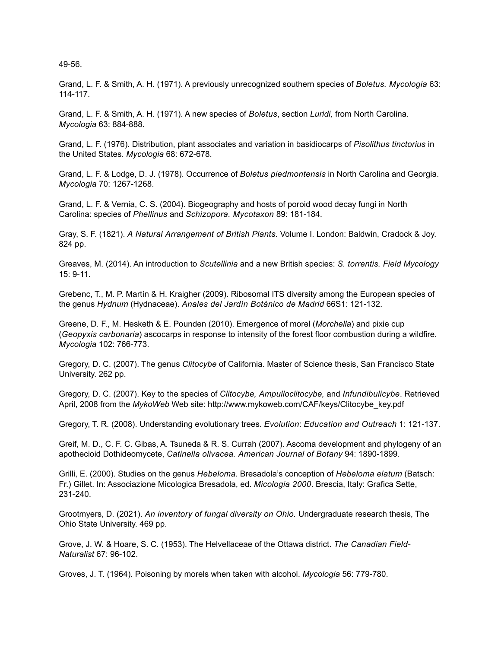49-56.

Grand, L. F. & Smith, A. H. (1971). A previously unrecognized southern species of *Boletus. Mycologia* 63: 114-117.

Grand, L. F. & Smith, A. H. (1971). A new species of *Boletus*, section *Luridi,* from North Carolina*. Mycologia* 63: 884-888.

Grand, L. F. (1976). Distribution, plant associates and variation in basidiocarps of *Pisolithus tinctorius* in the United States. *Mycologia* 68: 672-678.

Grand, L. F. & Lodge, D. J. (1978). Occurrence of *Boletus piedmontensis* in North Carolina and Georgia. *Mycologia* 70: 1267-1268.

Grand, L. F. & Vernia, C. S. (2004). Biogeography and hosts of poroid wood decay fungi in North Carolina: species of *Phellinus* and *Schizopora. Mycotaxon* 89: 181-184.

Gray, S. F. (1821). *A Natural Arrangement of British Plants.* Volume I. London: Baldwin, Cradock & Joy. 824 pp.

Greaves, M. (2014). An introduction to *Scutellinia* and a new British species: *S. torrentis. Field Mycology* 15: 9-11.

Grebenc, T., M. P. Martín & H. Kraigher (2009). Ribosomal ITS diversity among the European species of the genus *Hydnum* (Hydnaceae). *Anales del Jardín Botánico de Madrid* 66S1: 121-132.

Greene, D. F., M. Hesketh & E. Pounden (2010). Emergence of morel (*Morchella*) and pixie cup (*Geopyxis carbonaria*) ascocarps in response to intensity of the forest floor combustion during a wildfire. *Mycologia* 102: 766-773.

Gregory, D. C. (2007). The genus *Clitocybe* of California. Master of Science thesis, San Francisco State University. 262 pp.

Gregory, D. C. (2007). Key to the species of *Clitocybe, Ampulloclitocybe,* and *Infundibulicybe*. Retrieved April, 2008 from the *MykoWeb* Web site: http://www.mykoweb.com/CAF/keys/Clitocybe\_key.pdf

Gregory, T. R. (2008). Understanding evolutionary trees. *Evolution*: *Education and Outreach* 1: 121-137.

Greif, M. D., C. F. C. Gibas, A. Tsuneda & R. S. Currah (2007). Ascoma development and phylogeny of an apothecioid Dothideomycete, *Catinella olivacea. American Journal of Botany* 94: 1890-1899.

Grilli, E. (2000). Studies on the genus *Hebeloma*. Bresadola's conception of *Hebeloma elatum* (Batsch: Fr.) Gillet. In: Associazione Micologica Bresadola, ed. *Micologia 2000*. Brescia, Italy: Grafica Sette, 231-240.

Grootmyers, D. (2021). *An inventory of fungal diversity on Ohio.* Undergraduate research thesis, The Ohio State University. 469 pp.

Grove, J. W. & Hoare, S. C. (1953). The Helvellaceae of the Ottawa district. *The Canadian Field-Naturalist* 67: 96-102.

Groves, J. T. (1964). Poisoning by morels when taken with alcohol. *Mycologia* 56: 779-780.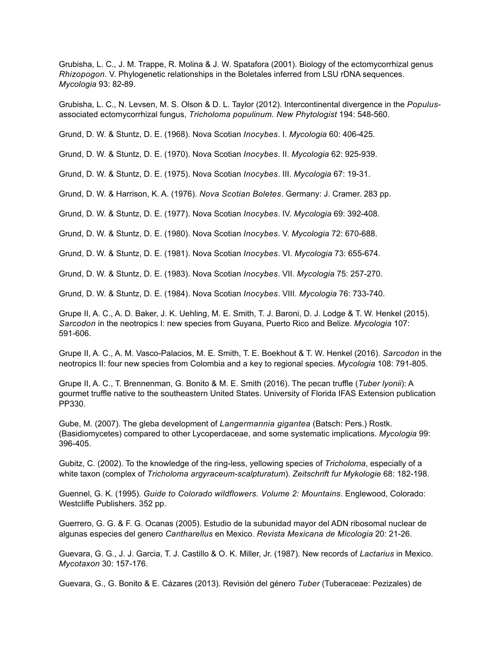Grubisha, L. C., J. M. Trappe, R. Molina & J. W. Spatafora (2001). Biology of the ectomycorrhizal genus *Rhizopogon*. V. Phylogenetic relationships in the Boletales inferred from LSU rDNA sequences. *Mycologia* 93: 82-89.

Grubisha, L. C., N. Levsen, M. S. Olson & D. L. Taylor (2012). Intercontinental divergence in the *Populus*associated ectomycorrhizal fungus, *Tricholoma populinum. New Phytologist* 194: 548-560.

Grund, D. W. & Stuntz, D. E. (1968). Nova Scotian *Inocybes*. I. *Mycologia* 60: 406-425.

Grund, D. W. & Stuntz, D. E. (1970). Nova Scotian *Inocybes*. II. *Mycologia* 62: 925-939.

Grund, D. W. & Stuntz, D. E. (1975). Nova Scotian *Inocybes*. III. *Mycologia* 67: 19-31.

Grund, D. W. & Harrison, K. A. (1976). *Nova Scotian Boletes*. Germany: J. Cramer. 283 pp.

Grund, D. W. & Stuntz, D. E. (1977). Nova Scotian *Inocybes*. IV. *Mycologia* 69: 392-408.

Grund, D. W. & Stuntz, D. E. (1980). Nova Scotian *Inocybes*. V. *Mycologia* 72: 670-688.

Grund, D. W. & Stuntz, D. E. (1981). Nova Scotian *Inocybes*. VI. *Mycologia* 73: 655-674.

Grund, D. W. & Stuntz, D. E. (1983). Nova Scotian *Inocybes*. VII. *Mycologia* 75: 257-270.

Grund, D. W. & Stuntz, D. E. (1984). Nova Scotian *Inocybes*. VIII. *Mycologia* 76: 733-740.

Grupe II, A. C., A. D. Baker, J. K. Uehling, M. E. Smith, T. J. Baroni, D. J. Lodge & T. W. Henkel (2015). *Sarcodon* in the neotropics I: new species from Guyana, Puerto Rico and Belize. *Mycologia* 107: 591-606.

Grupe II, A. C., A. M. Vasco-Palacios, M. E. Smith, T. E. Boekhout & T. W. Henkel (2016). *Sarcodon* in the neotropics II: four new species from Colombia and a key to regional species. *Mycologia* 108: 791-805.

Grupe II, A. C., T. Brennenman, G. Bonito & M. E. Smith (2016). The pecan truffle (*Tuber lyonii*): A gourmet truffle native to the southeastern United States. University of Florida IFAS Extension publication PP330.

Gube, M. (2007). The gleba development of *Langermannia gigantea* (Batsch: Pers.) Rostk. (Basidiomycetes) compared to other Lycoperdaceae, and some systematic implications. *Mycologia* 99: 396-405.

Gubitz, C. (2002). To the knowledge of the ring-less, yellowing species of *Tricholoma*, especially of a white taxon (complex of *Tricholoma argyraceum-scalpturatum*). *Zeitschrift fur Mykologie* 68: 182-198.

Guennel, G. K. (1995). *Guide to Colorado wildflowers. Volume 2: Mountains*. Englewood, Colorado: Westcliffe Publishers. 352 pp.

Guerrero, G. G. & F. G. Ocanas (2005). Estudio de la subunidad mayor del ADN ribosomal nuclear de algunas especies del genero *Cantharellus* en Mexico. *Revista Mexicana de Micologia* 20: 21-26.

Guevara, G. G., J. J. Garcia, T. J. Castillo & O. K. Miller, Jr. (1987). New records of *Lactarius* in Mexico. *Mycotaxon* 30: 157-176.

Guevara, G., G. Bonito & E. Cázares (2013). Revisión del género *Tuber* (Tuberaceae: Pezizales) de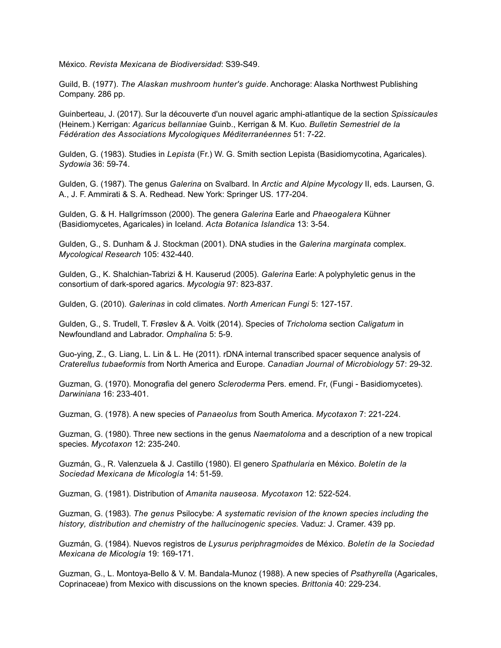México. *Revista Mexicana de Biodiversidad*: S39-S49.

Guild, B. (1977). *The Alaskan mushroom hunter's guide*. Anchorage: Alaska Northwest Publishing Company. 286 pp.

Guinberteau, J. (2017). Sur la découverte d'un nouvel agaric amphi-atlantique de la section *Spissicaules* (Heinem.) Kerrigan: *Agaricus bellanniae* Guinb., Kerrigan & M. Kuo. *Bulletin Semestriel de la Fédération des Associations Mycologiques Méditerranéennes* 51: 7-22.

Gulden, G. (1983). Studies in *Lepista* (Fr.) W. G. Smith section Lepista (Basidiomycotina, Agaricales). *Sydowia* 36: 59-74.

Gulden, G. (1987). The genus *Galerina* on Svalbard. In *Arctic and Alpine Mycology* II, eds. Laursen, G. A., J. F. Ammirati & S. A. Redhead. New York: Springer US. 177-204.

Gulden, G. & H. Hallgrímsson (2000). The genera *Galerina* Earle and *Phaeogalera* Kühner (Basidiomycetes, Agaricales) in Iceland. *Acta Botanica Islandica* 13: 3-54.

Gulden, G., S. Dunham & J. Stockman (2001). DNA studies in the *Galerina marginata* complex. *Mycological Research* 105: 432-440.

Gulden, G., K. Shalchian-Tabrizi & H. Kauserud (2005). *Galerina* Earle: A polyphyletic genus in the consortium of dark-spored agarics. *Mycologia* 97: 823-837.

Gulden, G. (2010). *Galerinas* in cold climates. *North American Fungi* 5: 127-157.

Gulden, G., S. Trudell, T. Frøslev & A. Voitk (2014). Species of *Tricholoma* section *Caligatum* in Newfoundland and Labrador. *Omphalina* 5: 5-9.

Guo-ying, Z., G. Liang, L. Lin & L. He (2011). rDNA internal transcribed spacer sequence analysis of *Craterellus tubaeformis* from North America and Europe. *Canadian Journal of Microbiology* 57: 29-32.

Guzman, G. (1970). Monografia del genero *Scleroderma* Pers. emend. Fr, (Fungi - Basidiomycetes). *Darwiniana* 16: 233-401.

Guzman, G. (1978). A new species of *Panaeolus* from South America. *Mycotaxon* 7: 221-224.

Guzman, G. (1980). Three new sections in the genus *Naematoloma* and a description of a new tropical species. *Mycotaxon* 12: 235-240.

Guzmán, G., R. Valenzuela & J. Castillo (1980). El genero *Spathularia* en México. *Boletín de la Sociedad Mexicana de Micología* 14: 51-59.

Guzman, G. (1981). Distribution of *Amanita nauseosa. Mycotaxon* 12: 522-524.

Guzman, G. (1983). *The genus* Psilocybe*: A systematic revision of the known species including the history, distribution and chemistry of the hallucinogenic species.* Vaduz: J. Cramer. 439 pp.

Guzmán, G. (1984). Nuevos registros de *Lysurus periphragmoides* de México. *Boletín de la Sociedad Mexicana de Micología* 19: 169-171.

Guzman, G., L. Montoya-Bello & V. M. Bandala-Munoz (1988). A new species of *Psathyrella* (Agaricales, Coprinaceae) from Mexico with discussions on the known species. *Brittonia* 40: 229-234.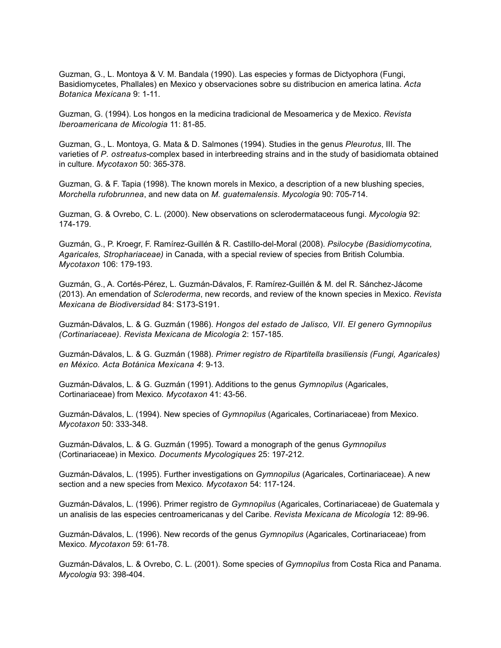Guzman, G., L. Montoya & V. M. Bandala (1990). Las especies y formas de Dictyophora (Fungi, Basidiomycetes, Phallales) en Mexico y observaciones sobre su distribucion en america latina. *Acta Botanica Mexicana* 9: 1-11.

Guzman, G. (1994). Los hongos en la medicina tradicional de Mesoamerica y de Mexico. *Revista Iberoamericana de Micologia* 11: 81-85.

Guzman, G., L. Montoya, G. Mata & D. Salmones (1994). Studies in the genus *Pleurotus*, III. The varieties of *P. ostreatus*-complex based in interbreeding strains and in the study of basidiomata obtained in culture. *Mycotaxon* 50: 365-378.

Guzman, G. & F. Tapia (1998). The known morels in Mexico, a description of a new blushing species, *Morchella rufobrunnea*, and new data on *M. guatemalensis*. *Mycologia* 90: 705-714.

Guzman, G. & Ovrebo, C. L. (2000). New observations on sclerodermataceous fungi. *Mycologia* 92: 174-179.

Guzmán, G., P. Kroegr, F. Ramírez-Guillén & R. Castillo-del-Moral (2008). *Psilocybe (Basidiomycotina, Agaricales, Strophariaceae)* in Canada, with a special review of species from British Columbia. *Mycotaxon* 106: 179-193.

Guzmán, G., A. Cortés-Pérez, L. Guzmán-Dávalos, F. Ramírez-Guillén & M. del R. Sánchez-Jácome (2013). An emendation of *Scleroderma*, new records, and review of the known species in Mexico. *Revista Mexicana de Biodiversidad* 84: S173-S191.

Guzmán-Dávalos, L. & G. Guzmán (1986). *Hongos del estado de Jalisco, VII. El genero Gymnopilus (Cortinariaceae). Revista Mexicana de Micologia* 2: 157-185.

Guzmán-Dávalos, L. & G. Guzmán (1988). *Primer registro de Ripartitella brasiliensis (Fungi, Agaricales) en México. Acta Botánica Mexicana 4*: 9-13.

Guzmán-Dávalos, L. & G. Guzmán (1991). Additions to the genus *Gymnopilus* (Agaricales, Cortinariaceae) from Mexico*. Mycotaxon* 41: 43-56.

Guzmán-Dávalos, L. (1994). New species of *Gymnopilus* (Agaricales, Cortinariaceae) from Mexico. *Mycotaxon* 50: 333-348.

Guzmán-Dávalos, L. & G. Guzmán (1995). Toward a monograph of the genus *Gymnopilus* (Cortinariaceae) in Mexico*. Documents Mycologiques* 25: 197-212.

Guzmán-Dávalos, L. (1995). Further investigations on *Gymnopilus* (Agaricales, Cortinariaceae). A new section and a new species from Mexico*. Mycotaxon* 54: 117-124.

Guzmán-Dávalos, L. (1996). Primer registro de *Gymnopilus* (Agaricales, Cortinariaceae) de Guatemala y un analisis de las especies centroamericanas y del Caribe. *Revista Mexicana de Micologia* 12: 89-96.

Guzmán-Dávalos, L. (1996). New records of the genus *Gymnopilus* (Agaricales, Cortinariaceae) from Mexico. *Mycotaxon* 59: 61-78.

Guzmán-Dávalos, L. & Ovrebo, C. L. (2001). Some species of *Gymnopilus* from Costa Rica and Panama. *Mycologia* 93: 398-404.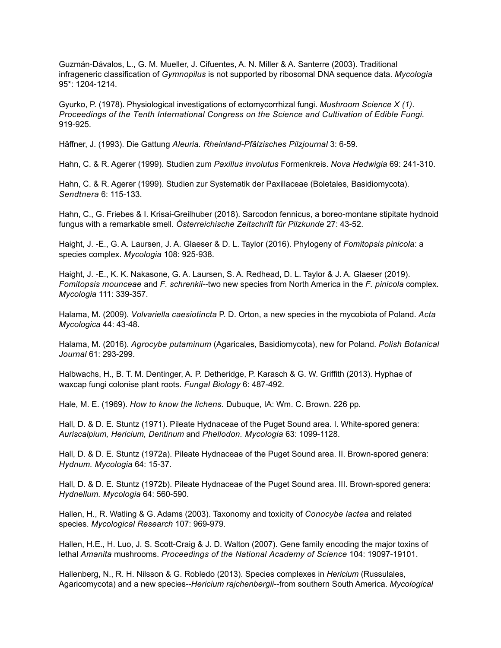Guzmán-Dávalos, L., G. M. Mueller, J. Cifuentes, A. N. Miller & A. Santerre (2003). Traditional infrageneric classification of *Gymnopilus* is not supported by ribosomal DNA sequence data. *Mycologia*  95\*: 1204-1214.

Gyurko, P. (1978). Physiological investigations of ectomycorrhizal fungi. *Mushroom Science X (1). Proceedings of the Tenth International Congress on the Science and Cultivation of Edible Fungi.* 919-925.

Häffner, J. (1993). Die Gattung *Aleuria. Rheinland-Pfälzisches Pilzjournal* 3: 6-59.

Hahn, C. & R. Agerer (1999). Studien zum *Paxillus involutus* Formenkreis. *Nova Hedwigia* 69: 241-310.

Hahn, C. & R. Agerer (1999). Studien zur Systematik der Paxillaceae (Boletales, Basidiomycota). *Sendtnera* 6: 115-133.

Hahn, C., G. Friebes & I. Krisai-Greilhuber (2018). Sarcodon fennicus, a boreo-montane stipitate hydnoid fungus with a remarkable smell. *Österreichische Zeitschrift für Pilzkunde* 27: 43-52.

Haight, J. -E., G. A. Laursen, J. A. Glaeser & D. L. Taylor (2016). Phylogeny of *Fomitopsis pinicola*: a species complex. *Mycologia* 108: 925-938.

Haight, J. -E., K. K. Nakasone, G. A. Laursen, S. A. Redhead, D. L. Taylor & J. A. Glaeser (2019). *Fomitopsis mounceae* and *F. schrenkii*--two new species from North America in the *F. pinicola* complex. *Mycologia* 111: 339-357.

Halama, M. (2009). *Volvariella caesiotincta* P. D. Orton, a new species in the mycobiota of Poland. *Acta Mycologica* 44: 43-48.

Halama, M. (2016). *Agrocybe putaminum* (Agaricales, Basidiomycota), new for Poland. *Polish Botanical Journal* 61: 293-299.

Halbwachs, H., B. T. M. Dentinger, A. P. Detheridge, P. Karasch & G. W. Griffith (2013). Hyphae of waxcap fungi colonise plant roots. *Fungal Biology* 6: 487-492.

Hale, M. E. (1969). *How to know the lichens.* Dubuque, IA: Wm. C. Brown. 226 pp.

Hall, D. & D. E. Stuntz (1971). Pileate Hydnaceae of the Puget Sound area. I. White-spored genera: *Auriscalpium, Hericium, Dentinum* and *Phellodon. Mycologia* 63: 1099-1128.

Hall, D. & D. E. Stuntz (1972a). Pileate Hydnaceae of the Puget Sound area. II. Brown-spored genera: *Hydnum. Mycologia* 64: 15-37.

Hall, D. & D. E. Stuntz (1972b). Pileate Hydnaceae of the Puget Sound area. III. Brown-spored genera: *Hydnellum. Mycologia* 64: 560-590.

Hallen, H., R. Watling & G. Adams (2003). Taxonomy and toxicity of *Conocybe lactea* and related species. *Mycological Research* 107: 969-979.

Hallen, H.E., H. Luo, J. S. Scott-Craig & J. D. Walton (2007). Gene family encoding the major toxins of lethal *Amanita* mushrooms. *Proceedings of the National Academy of Science* 104: 19097-19101.

Hallenberg, N., R. H. Nilsson & G. Robledo (2013). Species complexes in *Hericium* (Russulales, Agaricomycota) and a new species--*Hericium rajchenbergii*--from southern South America. *Mycological*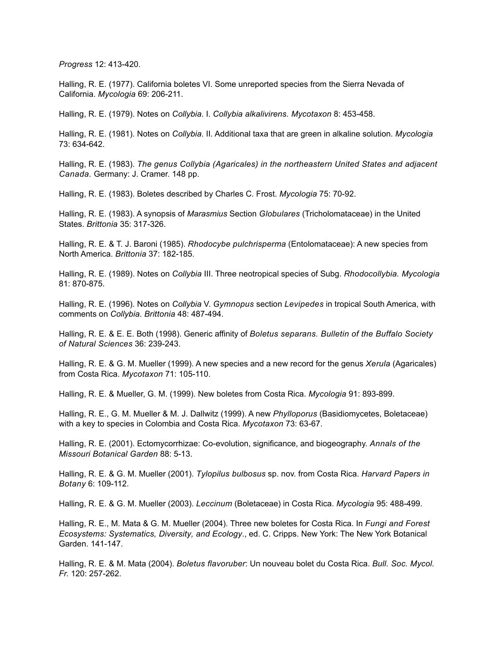*Progress* 12: 413-420.

Halling, R. E. (1977). California boletes VI. Some unreported species from the Sierra Nevada of California. *Mycologia* 69: 206-211.

Halling, R. E. (1979). Notes on *Collybia*. I. *Collybia alkalivirens. Mycotaxon* 8: 453-458.

Halling, R. E. (1981). Notes on *Collybia*. II. Additional taxa that are green in alkaline solution. *Mycologia* 73: 634-642.

Halling, R. E. (1983). *The genus Collybia (Agaricales) in the northeastern United States and adjacent Canada.* Germany: J. Cramer. 148 pp.

Halling, R. E. (1983). Boletes described by Charles C. Frost. *Mycologia* 75: 70-92.

Halling, R. E. (1983). A synopsis of *Marasmius* Section *Globulares* (Tricholomataceae) in the United States. *Brittonia* 35: 317-326.

Halling, R. E. & T. J. Baroni (1985). *Rhodocybe pulchrisperma* (Entolomataceae): A new species from North America. *Brittonia* 37: 182-185.

Halling, R. E. (1989). Notes on *Collybia* III. Three neotropical species of Subg. *Rhodocollybia. Mycologia* 81: 870-875.

Halling, R. E. (1996). Notes on *Collybia* V. *Gymnopus* section *Levipedes* in tropical South America, with comments on *Collybia*. *Brittonia* 48: 487-494.

Halling, R. E. & E. E. Both (1998). Generic affinity of *Boletus separans. Bulletin of the Buffalo Society of Natural Sciences* 36: 239-243.

Halling, R. E. & G. M. Mueller (1999). A new species and a new record for the genus *Xerula* (Agaricales) from Costa Rica. *Mycotaxon* 71: 105-110.

Halling, R. E. & Mueller, G. M. (1999). New boletes from Costa Rica. *Mycologia* 91: 893-899.

Halling, R. E., G. M. Mueller & M. J. Dallwitz (1999). A new *Phylloporus* (Basidiomycetes, Boletaceae) with a key to species in Colombia and Costa Rica. *Mycotaxon* 73: 63-67.

Halling, R. E. (2001). Ectomycorrhizae: Co-evolution, significance, and biogeography. *Annals of the Missouri Botanical Garden* 88: 5-13.

Halling, R. E. & G. M. Mueller (2001). *Tylopilus bulbosus* sp. nov. from Costa Rica. *Harvard Papers in Botany* 6: 109-112.

Halling, R. E. & G. M. Mueller (2003). *Leccinum* (Boletaceae) in Costa Rica. *Mycologia* 95: 488-499.

Halling, R. E., M. Mata & G. M. Mueller (2004). Three new boletes for Costa Rica. In *Fungi and Forest Ecosystems: Systematics, Diversity, and Ecology*., ed. C. Cripps. New York: The New York Botanical Garden. 141-147.

Halling, R. E. & M. Mata (2004). *Boletus flavoruber*: Un nouveau bolet du Costa Rica. *Bull. Soc. Mycol. Fr.* 120: 257-262.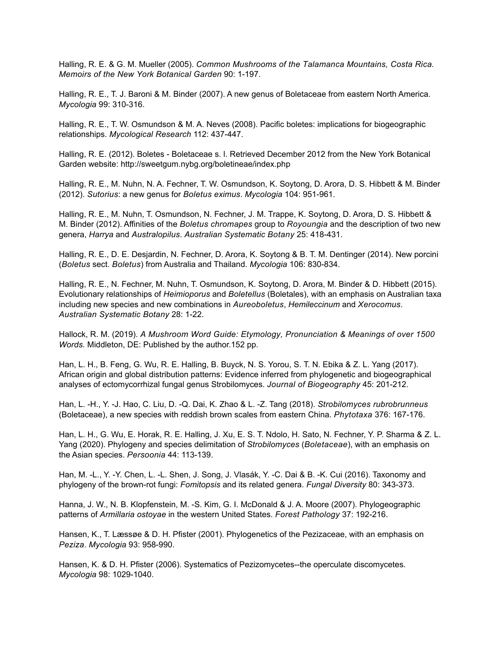Halling, R. E. & G. M. Mueller (2005). *Common Mushrooms of the Talamanca Mountains, Costa Rica. Memoirs of the New York Botanical Garden* 90: 1-197.

Halling, R. E., T. J. Baroni & M. Binder (2007). A new genus of Boletaceae from eastern North America. *Mycologia* 99: 310-316.

Halling, R. E., T. W. Osmundson & M. A. Neves (2008). Pacific boletes: implications for biogeographic relationships. *Mycological Research* 112: 437-447.

Halling, R. E. (2012). Boletes - Boletaceae s. l. Retrieved December 2012 from the New York Botanical Garden website: http://sweetgum.nybg.org/boletineae/index.php

Halling, R. E., M. Nuhn, N. A. Fechner, T. W. Osmundson, K. Soytong, D. Arora, D. S. Hibbett & M. Binder (2012). *Sutorius*: a new genus for *Boletus eximus*. *Mycologia* 104: 951-961.

Halling, R. E., M. Nuhn, T. Osmundson, N. Fechner, J. M. Trappe, K. Soytong, D. Arora, D. S. Hibbett & M. Binder (2012). Affinities of the *Boletus chromapes* group to *Royoungia* and the description of two new genera, *Harrya* and *Australopilus*. *Australian Systematic Botany* 25: 418-431.

Halling, R. E., D. E. Desjardin, N. Fechner, D. Arora, K. Soytong & B. T. M. Dentinger (2014). New porcini (*Boletus* sect. *Boletus*) from Australia and Thailand. *Mycologia* 106: 830-834.

Halling, R. E., N. Fechner, M. Nuhn, T. Osmundson, K. Soytong, D. Arora, M. Binder & D. Hibbett (2015). Evolutionary relationships of *Heimioporus* and *Boletellus* (Boletales), with an emphasis on Australian taxa including new species and new combinations in *Aureoboletus*, *Hemileccinum* and *Xerocomus*. *Australian Systematic Botany* 28: 1-22.

Hallock, R. M. (2019). *A Mushroom Word Guide: Etymology, Pronunciation & Meanings of over 1500 Words.* Middleton, DE: Published by the author.152 pp.

Han, L. H., B. Feng, G. Wu, R. E. Halling, B. Buyck, N. S. Yorou, S. T. N. Ebika & Z. L. Yang (2017). African origin and global distribution patterns: Evidence inferred from phylogenetic and biogeographical analyses of ectomycorrhizal fungal genus Strobilomyces. *Journal of Biogeography* 45: 201-212.

Han, L. -H., Y. -J. Hao, C. Liu, D. -Q. Dai, K. Zhao & L. -Z. Tang (2018). *Strobilomyces rubrobrunneus* (Boletaceae), a new species with reddish brown scales from eastern China. *Phytotaxa* 376: 167-176.

Han, L. H., G. Wu, E. Horak, R. E. Halling, J. Xu, E. S. T. Ndolo, H. Sato, N. Fechner, Y. P. Sharma & Z. L. Yang (2020). Phylogeny and species delimitation of *Strobilomyces* (*Boletaceae*), with an emphasis on the Asian species. *Persoonia* 44: 113-139.

Han, M. -L., Y. -Y. Chen, L. -L. Shen, J. Song, J. Vlasák, Y. -C. Dai & B. -K. Cui (2016). Taxonomy and phylogeny of the brown-rot fungi: *Fomitopsis* and its related genera. *Fungal Diversity* 80: 343-373.

Hanna, J. W., N. B. Klopfenstein, M. -S. Kim, G. I. McDonald & J. A. Moore (2007). Phylogeographic patterns of *Armillaria ostoyae* in the western United States. *Forest Pathology* 37: 192-216.

Hansen, K., T. Læssøe & D. H. Pfister (2001). Phylogenetics of the Pezizaceae, with an emphasis on *Peziza*. *Mycologia* 93: 958-990.

Hansen, K. & D. H. Pfister (2006). Systematics of Pezizomycetes--the operculate discomycetes. *Mycologia* 98: 1029-1040.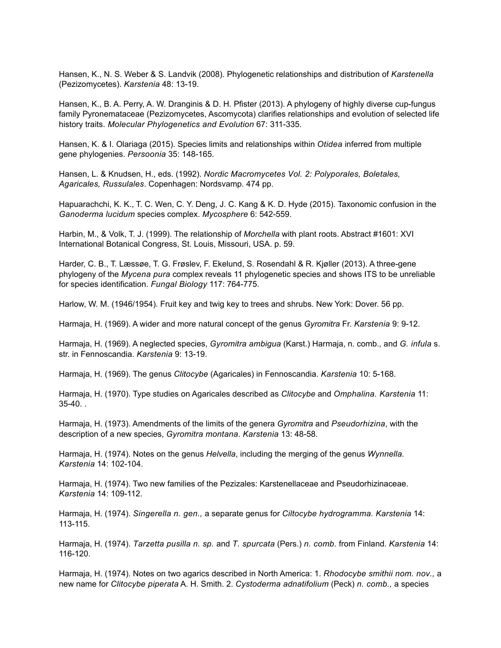Hansen, K., N. S. Weber & S. Landvik (2008). Phylogenetic relationships and distribution of *Karstenella* (Pezizomycetes). *Karstenia* 48: 13-19.

Hansen, K., B. A. Perry, A. W. Dranginis & D. H. Pfister (2013). A phylogeny of highly diverse cup-fungus family Pyronemataceae (Pezizomycetes, Ascomycota) clarifies relationships and evolution of selected life history traits. *Molecular Phylogenetics and Evolution* 67: 311-335.

Hansen, K. & I. Olariaga (2015). Species limits and relationships within *Otidea* inferred from multiple gene phylogenies. *Persoonia* 35: 148-165.

Hansen, L. & Knudsen, H., eds. (1992). *Nordic Macromycetes Vol. 2: Polyporales, Boletales, Agaricales, Russulales*. Copenhagen: Nordsvamp. 474 pp.

Hapuarachchi, K. K., T. C. Wen, C. Y. Deng, J. C. Kang & K. D. Hyde (2015). Taxonomic confusion in the *Ganoderma lucidum* species complex. *Mycosphere* 6: 542-559.

Harbin, M., & Volk, T. J. (1999). The relationship of *Morchella* with plant roots. Abstract #1601: XVI International Botanical Congress, St. Louis, Missouri, USA. p. 59.

Harder, C. B., T. Læssøe, T. G. Frøslev, F. Ekelund, S. Rosendahl & R. Kjøller (2013). A three-gene phylogeny of the *Mycena pura* complex reveals 11 phylogenetic species and shows ITS to be unreliable for species identification. *Fungal Biology* 117: 764-775.

Harlow, W. M. (1946/1954). Fruit key and twig key to trees and shrubs. New York: Dover. 56 pp.

Harmaja, H. (1969). A wider and more natural concept of the genus *Gyromitra* Fr. *Karstenia* 9: 9-12.

Harmaja, H. (1969). A neglected species, *Gyromitra ambigua* (Karst.) Harmaja, n. comb., and *G. infula* s. str. in Fennoscandia. *Karstenia* 9: 13-19.

Harmaja, H. (1969). The genus *Clitocybe* (Agaricales) in Fennoscandia. *Karstenia* 10: 5-168.

Harmaja, H. (1970). Type studies on Agaricales described as *Clitocybe* and *Omphalina. Karstenia* 11: 35-40. .

Harmaja, H. (1973). Amendments of the limits of the genera *Gyromitra* and *Pseudorhizina*, with the description of a new species, *Gyromitra montana*. *Karstenia* 13: 48-58.

Harmaja, H. (1974). Notes on the genus *Helvella*, including the merging of the genus *Wynnella. Karstenia* 14: 102-104.

Harmaja, H. (1974). Two new families of the Pezizales: Karstenellaceae and Pseudorhizinaceae. *Karstenia* 14: 109-112.

Harmaja, H. (1974). *Singerella n. gen.,* a separate genus for *Ciltocybe hydrogramma. Karstenia* 14: 113-115.

Harmaja, H. (1974). *Tarzetta pusilla n. sp.* and *T. spurcata* (Pers.) *n. comb.* from Finland. *Karstenia* 14: 116-120.

Harmaja, H. (1974). Notes on two agarics described in North America: 1. *Rhodocybe smithii nom. nov.,* a new name for *Clitocybe piperata* A. H. Smith. 2. *Cystoderma adnatifolium* (Peck) *n. comb.,* a species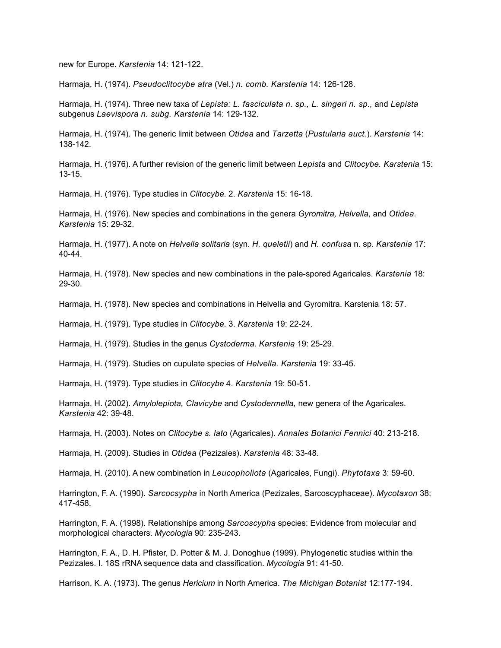new for Europe. *Karstenia* 14: 121-122.

Harmaja, H. (1974). *Pseudoclitocybe atra* (Vel.) *n. comb. Karstenia* 14: 126-128.

Harmaja, H. (1974). Three new taxa of *Lepista: L. fasciculata n. sp., L. singeri n. sp.,* and *Lepista* subgenus *Laevispora n. subg. Karstenia* 14: 129-132.

Harmaja, H. (1974). The generic limit between *Otidea* and *Tarzetta* (*Pustularia auct.*). *Karstenia* 14: 138-142.

Harmaja, H. (1976). A further revision of the generic limit between *Lepista* and *Clitocybe. Karstenia* 15: 13-15.

Harmaja, H. (1976). Type studies in *Clitocybe*. 2. *Karstenia* 15: 16-18.

Harmaja, H. (1976). New species and combinations in the genera *Gyromitra, Helvella*, and *Otidea. Karstenia* 15: 29-32.

Harmaja, H. (1977). A note on *Helvella solitaria* (syn. *H. queletii*) and *H. confusa* n. sp. *Karstenia* 17: 40-44.

Harmaja, H. (1978). New species and new combinations in the pale-spored Agaricales. *Karstenia* 18: 29-30.

Harmaja, H. (1978). New species and combinations in Helvella and Gyromitra. Karstenia 18: 57.

Harmaja, H. (1979). Type studies in *Clitocybe*. 3. *Karstenia* 19: 22-24.

Harmaja, H. (1979). Studies in the genus *Cystoderma*. *Karstenia* 19: 25-29.

Harmaja, H. (1979). Studies on cupulate species of *Helvella. Karstenia* 19: 33-45.

Harmaja, H. (1979). Type studies in *Clitocybe* 4. *Karstenia* 19: 50-51.

Harmaja, H. (2002). *Amylolepiota, Clavicybe* and *Cystodermella,* new genera of the Agaricales. *Karstenia* 42: 39-48.

Harmaja, H. (2003). Notes on *Clitocybe s. lato* (Agaricales). *Annales Botanici Fennici* 40: 213-218.

Harmaja, H. (2009). Studies in *Otidea* (Pezizales). *Karstenia* 48: 33-48.

Harmaja, H. (2010). A new combination in *Leucopholiota* (Agaricales, Fungi). *Phytotaxa* 3: 59-60.

Harrington, F. A. (1990). *Sarcocsypha* in North America (Pezizales, Sarcoscyphaceae). *Mycotaxon* 38: 417-458.

Harrington, F. A. (1998). Relationships among *Sarcoscypha* species: Evidence from molecular and morphological characters. *Mycologia* 90: 235-243.

Harrington, F. A., D. H. Pfister, D. Potter & M. J. Donoghue (1999). Phylogenetic studies within the Pezizales. I. 18S rRNA sequence data and classification. *Mycologia* 91: 41-50.

Harrison, K. A. (1973). The genus *Hericium* in North America. *The Michigan Botanist* 12:177-194.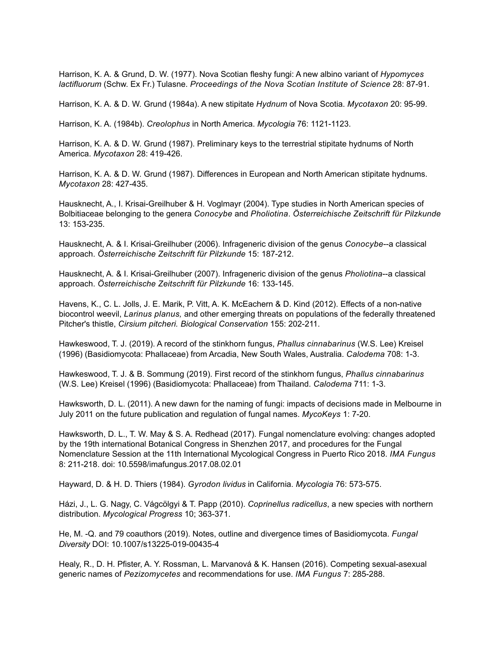Harrison, K. A. & Grund, D. W. (1977). Nova Scotian fleshy fungi: A new albino variant of *Hypomyces lactifluorum* (Schw. Ex Fr.) Tulasne. *Proceedings of the Nova Scotian Institute of Science* 28: 87-91.

Harrison, K. A. & D. W. Grund (1984a). A new stipitate *Hydnum* of Nova Scotia. *Mycotaxon* 20: 95-99.

Harrison, K. A. (1984b). *Creolophus* in North America. *Mycologia* 76: 1121-1123.

Harrison, K. A. & D. W. Grund (1987). Preliminary keys to the terrestrial stipitate hydnums of North America. *Mycotaxon* 28: 419-426.

Harrison, K. A. & D. W. Grund (1987). Differences in European and North American stipitate hydnums. *Mycotaxon* 28: 427-435.

Hausknecht, A., I. Krisai-Greilhuber & H. Voglmayr (2004). Type studies in North American species of Bolbitiaceae belonging to the genera *Conocybe* and *Pholiotina*. *Österreichische Zeitschrift für Pilzkunde* 13: 153-235.

Hausknecht, A. & I. Krisai-Greilhuber (2006). Infrageneric division of the genus *Conocybe*--a classical approach. *Österreichische Zeitschrift für Pilzkunde* 15: 187-212.

Hausknecht, A. & I. Krisai-Greilhuber (2007). Infrageneric division of the genus *Pholiotina*--a classical approach. *Österreichische Zeitschrift für Pilzkunde* 16: 133-145.

Havens, K., C. L. Jolls, J. E. Marik, P. Vitt, A. K. McEachern & D. Kind (2012). Effects of a non-native biocontrol weevil, *Larinus planus,* and other emerging threats on populations of the federally threatened Pitcher's thistle, *Cirsium pitcheri. Biological Conservation* 155: 202-211.

Hawkeswood, T. J. (2019). A record of the stinkhorn fungus, *Phallus cinnabarinus* (W.S. Lee) Kreisel (1996) (Basidiomycota: Phallaceae) from Arcadia, New South Wales, Australia. *Calodema* 708: 1-3.

Hawkeswood, T. J. & B. Sommung (2019). First record of the stinkhorn fungus, *Phallus cinnabarinus* (W.S. Lee) Kreisel (1996) (Basidiomycota: Phallaceae) from Thailand. *Calodema* 711: 1-3.

Hawksworth, D. L. (2011). A new dawn for the naming of fungi: impacts of decisions made in Melbourne in July 2011 on the future publication and regulation of fungal names. *MycoKeys* 1: 7-20.

Hawksworth, D. L., T. W. May & S. A. Redhead (2017). Fungal nomenclature evolving: changes adopted by the 19th international Botanical Congress in Shenzhen 2017, and procedures for the Fungal Nomenclature Session at the 11th International Mycological Congress in Puerto Rico 2018. *IMA Fungus*  8: 211-218. doi: 10.5598/imafungus.2017.08.02.01

Hayward, D. & H. D. Thiers (1984). *Gyrodon lividus* in California. *Mycologia* 76: 573-575.

Házi, J., L. G. Nagy, C. Vágcölgyi & T. Papp (2010). *Coprinellus radicellus*, a new species with northern distribution. *Mycological Progress* 10; 363-371.

He, M. -Q. and 79 coauthors (2019). Notes, outline and divergence times of Basidiomycota. *Fungal Diversity* DOI: 10.1007/s13225-019-00435-4

Healy, R., D. H. Pfister, A. Y. Rossman, L. Marvanová & K. Hansen (2016). Competing sexual-asexual generic names of *Pezizomycetes* and recommendations for use. *IMA Fungus* 7: 285-288.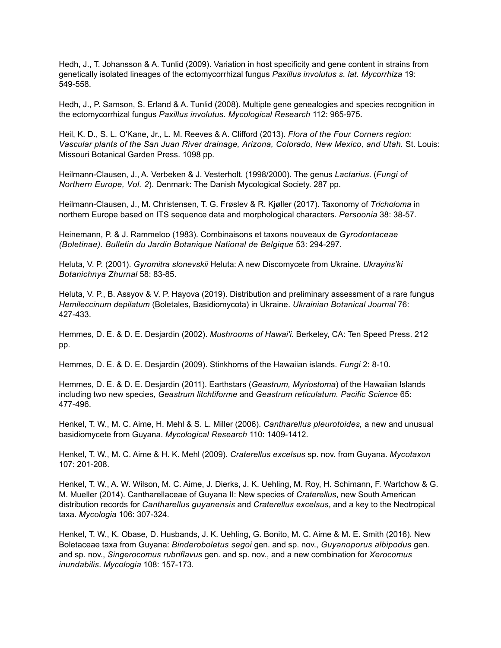Hedh, J., T. Johansson & A. Tunlid (2009). Variation in host specificity and gene content in strains from genetically isolated lineages of the ectomycorrhizal fungus *Paxillus involutus s. lat. Mycorrhiza* 19: 549-558.

Hedh, J., P. Samson, S. Erland & A. Tunlid (2008). Multiple gene genealogies and species recognition in the ectomycorrhizal fungus *Paxillus involutus. Mycological Research* 112: 965-975.

Heil, K. D., S. L. O'Kane, Jr., L. M. Reeves & A. Clifford (2013). *Flora of the Four Corners region: Vascular plants of the San Juan River drainage, Arizona, Colorado, New Mexico, and Utah.* St. Louis: Missouri Botanical Garden Press. 1098 pp.

Heilmann-Clausen, J., A. Verbeken & J. Vesterholt. (1998/2000). The genus *Lactarius*. (*Fungi of Northern Europe, Vol. 2*). Denmark: The Danish Mycological Society. 287 pp.

Heilmann-Clausen, J., M. Christensen, T. G. Frøslev & R. Kjøller (2017). Taxonomy of *Tricholoma* in northern Europe based on ITS sequence data and morphological characters. *Persoonia* 38: 38-57.

Heinemann, P. & J. Rammeloo (1983). Combinaisons et taxons nouveaux de *Gyrodontaceae (Boletinae). Bulletin du Jardin Botanique National de Belgique* 53: 294-297.

Heluta, V. P. (2001). *Gyromitra slonevskii* Heluta: A new Discomycete from Ukraine. *Ukrayins'ki Botanichnya Zhurnal* 58: 83-85.

Heluta, V. P., B. Assyov & V. P. Hayova (2019). Distribution and preliminary assessment of a rare fungus *Hemileccinum depilatum* (Boletales, Basidiomycota) in Ukraine. *Ukrainian Botanical Journal* 76: 427-433.

Hemmes, D. E. & D. E. Desjardin (2002). *Mushrooms of Hawai'i*. Berkeley, CA: Ten Speed Press. 212 pp.

Hemmes, D. E. & D. E. Desjardin (2009). Stinkhorns of the Hawaiian islands. *Fungi* 2: 8-10.

Hemmes, D. E. & D. E. Desjardin (2011). Earthstars (*Geastrum, Myriostoma*) of the Hawaiian Islands including two new species, *Geastrum litchtiforme* and *Geastrum reticulatum. Pacific Science* 65: 477-496.

Henkel, T. W., M. C. Aime, H. Mehl & S. L. Miller (2006). *Cantharellus pleurotoides,* a new and unusual basidiomycete from Guyana. *Mycological Research* 110: 1409-1412.

Henkel, T. W., M. C. Aime & H. K. Mehl (2009). *Craterellus excelsus* sp. nov. from Guyana. *Mycotaxon* 107: 201-208.

Henkel, T. W., A. W. Wilson, M. C. Aime, J. Dierks, J. K. Uehling, M. Roy, H. Schimann, F. Wartchow & G. M. Mueller (2014). Cantharellaceae of Guyana II: New species of *Craterellus*, new South American distribution records for *Cantharellus guyanensis* and *Craterellus excelsus*, and a key to the Neotropical taxa. *Mycologia* 106: 307-324.

Henkel, T. W., K. Obase, D. Husbands, J. K. Uehling, G. Bonito, M. C. Aime & M. E. Smith (2016). New Boletaceae taxa from Guyana: *Binderoboletus segoi* gen. and sp. nov., *Guyanoporus albipodus* gen. and sp. nov., *Singerocomus rubriflavus* gen. and sp. nov., and a new combination for *Xerocomus inundabilis*. *Mycologia* 108: 157-173.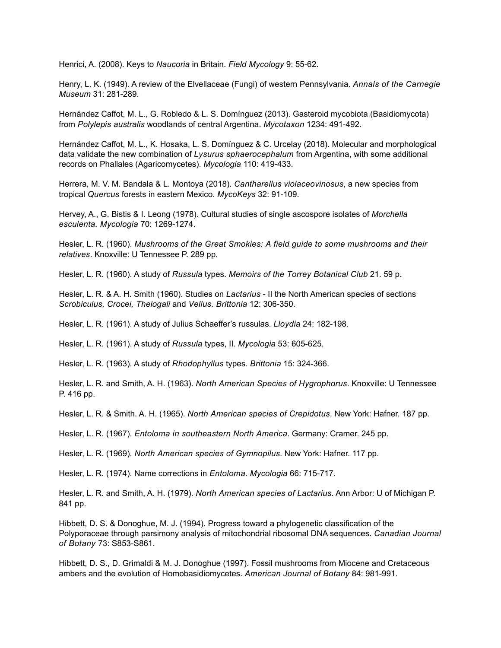Henrici, A. (2008). Keys to *Naucoria* in Britain. *Field Mycology* 9: 55-62.

Henry, L. K. (1949). A review of the Elvellaceae (Fungi) of western Pennsylvania. *Annals of the Carnegie Museum* 31: 281-289.

Hernández Caffot, M. L., G. Robledo & L. S. Domínguez (2013). Gasteroid mycobiota (Basidiomycota) from *Polylepis australis* woodlands of central Argentina. *Mycotaxon* 1234: 491-492.

Hernández Caffot, M. L., K. Hosaka, L. S. Domínguez & C. Urcelay (2018). Molecular and morphological data validate the new combination of *Lysurus sphaerocephalum* from Argentina, with some additional records on Phallales (Agaricomycetes). *Mycologia* 110: 419-433.

Herrera, M. V. M. Bandala & L. Montoya (2018). *Cantharellus violaceovinosus*, a new species from tropical *Quercus* forests in eastern Mexico. *MycoKeys* 32: 91-109.

Hervey, A., G. Bistis & I. Leong (1978). Cultural studies of single ascospore isolates of *Morchella esculenta. Mycologia* 70: 1269-1274.

Hesler, L. R. (1960). *Mushrooms of the Great Smokies: A field guide to some mushrooms and their relatives*. Knoxville: U Tennessee P. 289 pp.

Hesler, L. R. (1960). A study of *Russula* types. *Memoirs of the Torrey Botanical Club* 21. 59 p.

Hesler, L. R. & A. H. Smith (1960). Studies on *Lactarius* - II the North American species of sections *Scrobiculus, Crocei, Theiogali* and *Vellus. Brittonia* 12: 306-350.

Hesler, L. R. (1961). A study of Julius Schaeffer's russulas. *Lloydia* 24: 182-198.

Hesler, L. R. (1961). A study of *Russula* types, II. *Mycologia* 53: 605-625.

Hesler, L. R. (1963). A study of *Rhodophyllus* types. *Brittonia* 15: 324-366.

Hesler, L. R. and Smith, A. H. (1963). *North American Species of Hygrophorus*. Knoxville: U Tennessee P. 416 pp.

Hesler, L. R. & Smith. A. H. (1965). *North American species of Crepidotus*. New York: Hafner. 187 pp.

Hesler, L. R. (1967). *Entoloma in southeastern North America*. Germany: Cramer. 245 pp.

Hesler, L. R. (1969). *North American species of Gymnopilus*. New York: Hafner. 117 pp.

Hesler, L. R. (1974). Name corrections in *Entoloma*. *Mycologia* 66: 715-717.

Hesler, L. R. and Smith, A. H. (1979). *North American species of Lactarius*. Ann Arbor: U of Michigan P. 841 pp.

Hibbett, D. S. & Donoghue, M. J. (1994). Progress toward a phylogenetic classification of the Polyporaceae through parsimony analysis of mitochondrial ribosomal DNA sequences. *Canadian Journal of Botany* 73: S853-S861.

Hibbett, D. S., D. Grimaldi & M. J. Donoghue (1997). Fossil mushrooms from Miocene and Cretaceous ambers and the evolution of Homobasidiomycetes. *American Journal of Botany* 84: 981-991.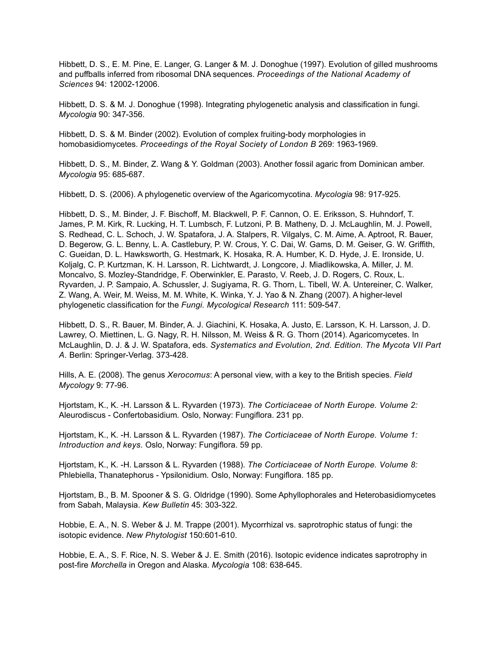Hibbett, D. S., E. M. Pine, E. Langer, G. Langer & M. J. Donoghue (1997). Evolution of gilled mushrooms and puffballs inferred from ribosomal DNA sequences. *Proceedings of the National Academy of Sciences* 94: 12002-12006.

Hibbett, D. S. & M. J. Donoghue (1998). Integrating phylogenetic analysis and classification in fungi. *Mycologia* 90: 347-356.

Hibbett, D. S. & M. Binder (2002). Evolution of complex fruiting-body morphologies in homobasidiomycetes. *Proceedings of the Royal Society of London B* 269: 1963-1969.

Hibbett, D. S., M. Binder, Z. Wang & Y. Goldman (2003). Another fossil agaric from Dominican amber. *Mycologia* 95: 685-687.

Hibbett, D. S. (2006). A phylogenetic overview of the Agaricomycotina. *Mycologia* 98: 917-925.

Hibbett, D. S., M. Binder, J. F. Bischoff, M. Blackwell, P. F. Cannon, O. E. Eriksson, S. Huhndorf, T. James, P. M. Kirk, R. Lucking, H. T. Lumbsch, F. Lutzoni, P. B. Matheny, D. J. McLaughlin, M. J. Powell, S. Redhead, C. L. Schoch, J. W. Spatafora, J. A. Stalpers, R. Vilgalys, C. M. Aime, A. Aptroot, R. Bauer, D. Begerow, G. L. Benny, L. A. Castlebury, P. W. Crous, Y. C. Dai, W. Gams, D. M. Geiser, G. W. Griffith, C. Gueidan, D. L. Hawksworth, G. Hestmark, K. Hosaka, R. A. Humber, K. D. Hyde, J. E. Ironside, U. Koljalg, C. P. Kurtzman, K. H. Larsson, R. Lichtwardt, J. Longcore, J. Miadlikowska, A. Miller, J. M. Moncalvo, S. Mozley-Standridge, F. Oberwinkler, E. Parasto, V. Reeb, J. D. Rogers, C. Roux, L. Ryvarden, J. P. Sampaio, A. Schussler, J. Sugiyama, R. G. Thorn, L. Tibell, W. A. Untereiner, C. Walker, Z. Wang, A. Weir, M. Weiss, M. M. White, K. Winka, Y. J. Yao & N. Zhang (2007). A higher-level phylogenetic classification for the *Fungi. Mycological Research* 111: 509-547.

Hibbett, D. S., R. Bauer, M. Binder, A. J. Giachini, K. Hosaka, A. Justo, E. Larsson, K. H. Larsson, J. D. Lawrey, O. Miettinen, L. G. Nagy, R. H. Nilsson, M. Weiss & R. G. Thorn (2014). Agaricomycetes. In McLaughlin, D. J. & J. W. Spatafora, eds. *Systematics and Evolution, 2nd. Edition. The Mycota VII Part A.* Berlin: Springer-Verlag. 373-428.

Hills, A. E. (2008). The genus *Xerocomus*: A personal view, with a key to the British species. *Field Mycology* 9: 77-96.

Hjortstam, K., K. -H. Larsson & L. Ryvarden (1973). *The Corticiaceae of North Europe. Volume 2:*  Aleurodiscus - Confertobasidium*.* Oslo, Norway: Fungiflora. 231 pp.

Hjortstam, K., K. -H. Larsson & L. Ryvarden (1987). *The Corticiaceae of North Europe. Volume 1: Introduction and keys.* Oslo, Norway: Fungiflora. 59 pp.

Hjortstam, K., K. -H. Larsson & L. Ryvarden (1988). *The Corticiaceae of North Europe. Volume 8:*  Phlebiella, Thanatephorus - Ypsilonidium*.* Oslo, Norway: Fungiflora. 185 pp.

Hjortstam, B., B. M. Spooner & S. G. Oldridge (1990). Some Aphyllophorales and Heterobasidiomycetes from Sabah, Malaysia. *Kew Bulletin* 45: 303-322.

Hobbie, E. A., N. S. Weber & J. M. Trappe (2001). Mycorrhizal vs. saprotrophic status of fungi: the isotopic evidence. *New Phytologist* 150:601-610.

Hobbie, E. A., S. F. Rice, N. S. Weber & J. E. Smith (2016). Isotopic evidence indicates saprotrophy in post-fire *Morchella* in Oregon and Alaska. *Mycologia* 108: 638-645.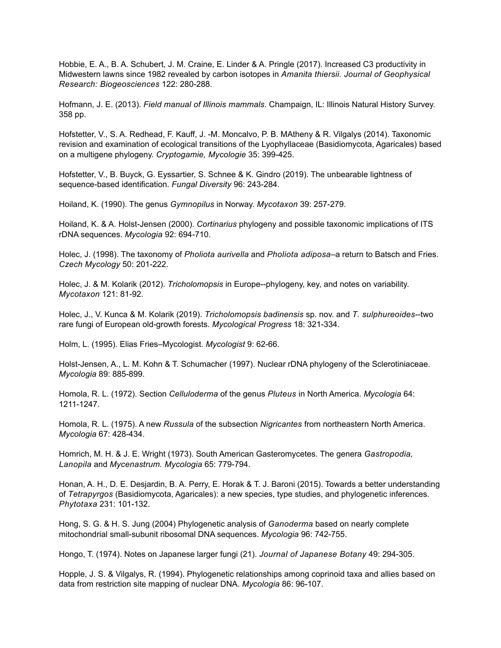Hobbie, E. A., B. A. Schubert, J. M. Craine, E. Linder & A. Pringle (2017). Increased C3 productivity in Midwestern lawns since 1982 revealed by carbon isotopes in *Amanita thiersii. Journal of Geophysical Research: Biogeosciences* 122: 280-288.

Hofmann, J. E. (2013). *Field manual of Illinois mammals*. Champaign, IL: Illinois Natural History Survey. 358 pp.

Hofstetter, V., S. A. Redhead, F. Kauff, J. -M. Moncalvo, P. B. MAtheny & R. Vilgalys (2014). Taxonomic revision and examination of ecological transitions of the Lyophyllaceae (Basidiomycota, Agaricales) based on a multigene phylogeny. *Cryptogamie, Mycologie* 35: 399-425.

Hofstetter, V., B. Buyck, G. Eyssartier, S. Schnee & K. Gindro (2019). The unbearable lightness of sequence-based identification. *Fungal Diversity* 96: 243-284.

Hoiland, K. (1990). The genus *Gymnopilus* in Norway. *Mycotaxon* 39: 257-279.

Hoiland, K. & A. Holst-Jensen (2000). *Cortinarius* phylogeny and possible taxonomic implications of ITS rDNA sequences. *Mycologia* 92: 694-710.

Holec, J. (1998). The taxonomy of *Pholiota aurivella* and *Pholiota adiposa*–a return to Batsch and Fries. *Czech Mycology* 50: 201-222.

Holec, J. & M. Kolarik (2012). *Tricholomopsis* in Europe--phylogeny, key, and notes on variability. *Mycotaxon* 121: 81-92.

Holec, J., V. Kunca & M. Kolarik (2019). *Tricholomopsis badinensis* sp. nov. and *T. sulphureoides*--two rare fungi of European old-growth forests. *Mycological Progress* 18: 321-334.

Holm, L. (1995). Elias Fries–Mycologist. *Mycologist* 9: 62-66.

Holst-Jensen, A., L. M. Kohn & T. Schumacher (1997). Nuclear rDNA phylogeny of the Sclerotiniaceae. *Mycologia* 89: 885-899.

Homola, R. L. (1972). Section *Celluloderma* of the genus *Pluteus* in North America. *Mycologia* 64: 1211-1247.

Homola, R. L. (1975). A new *Russula* of the subsection *Nigricantes* from northeastern North America. *Mycologia* 67: 428-434.

Homrich, M. H. & J. E. Wright (1973). South American Gasteromycetes. The genera *Gastropodia, Lanopila* and *Mycenastrum. Mycologia* 65: 779-794.

Honan, A. H., D. E. Desjardin, B. A. Perry, E. Horak & T. J. Baroni (2015). Towards a better understanding of *Tetrapyrgos* (Basidiomycota, Agaricales): a new species, type studies, and phylogenetic inferences. *Phytotaxa* 231: 101-132.

Hong, S. G. & H. S. Jung (2004) Phylogenetic analysis of *Ganoderma* based on nearly complete mitochondrial small-subunit ribosomal DNA sequences. *Mycologia* 96: 742-755.

Hongo, T. (1974). Notes on Japanese larger fungi (21). *Journal of Japanese Botany* 49: 294-305.

Hopple, J. S. & Vilgalys, R. (1994). Phylogenetic relationships among coprinoid taxa and allies based on data from restriction site mapping of nuclear DNA. *Mycologia* 86: 96-107.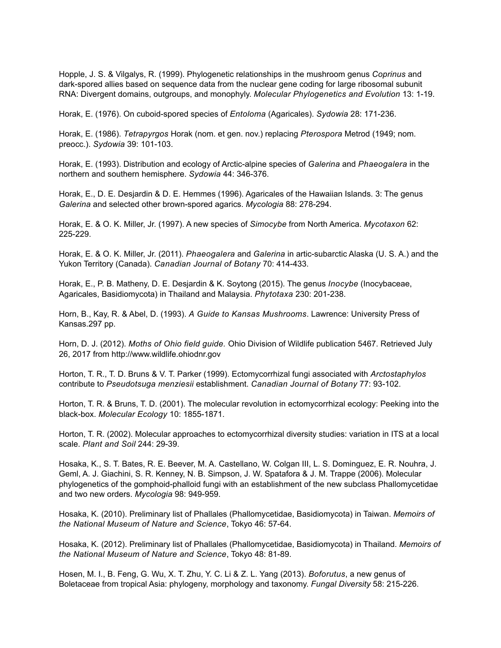Hopple, J. S. & Vilgalys, R. (1999). Phylogenetic relationships in the mushroom genus *Coprinus* and dark-spored allies based on sequence data from the nuclear gene coding for large ribosomal subunit RNA: Divergent domains, outgroups, and monophyly. *Molecular Phylogenetics and Evolution* 13: 1-19.

Horak, E. (1976). On cuboid-spored species of *Entoloma* (Agaricales). *Sydowia* 28: 171-236.

Horak, E. (1986). *Tetrapyrgos* Horak (nom. et gen. nov.) replacing *Pterospora* Metrod (1949; nom. preocc.). *Sydowia* 39: 101-103.

Horak, E. (1993). Distribution and ecology of Arctic-alpine species of *Galerina* and *Phaeogalera* in the northern and southern hemisphere. *Sydowia* 44: 346-376.

Horak, E., D. E. Desjardin & D. E. Hemmes (1996). Agaricales of the Hawaiian Islands. 3: The genus *Galerina* and selected other brown-spored agarics. *Mycologia* 88: 278-294.

Horak, E. & O. K. Miller, Jr. (1997). A new species of *Simocybe* from North America. *Mycotaxon* 62: 225-229.

Horak, E. & O. K. Miller, Jr. (2011). *Phaeogalera* and *Galerina* in artic-subarctic Alaska (U. S. A.) and the Yukon Territory (Canada). *Canadian Journal of Botany* 70: 414-433.

Horak, E., P. B. Matheny, D. E. Desjardin & K. Soytong (2015). The genus *Inocybe* (Inocybaceae, Agaricales, Basidiomycota) in Thailand and Malaysia. *Phytotaxa* 230: 201-238.

Horn, B., Kay, R. & Abel, D. (1993). *A Guide to Kansas Mushrooms*. Lawrence: University Press of Kansas.297 pp.

Horn, D. J. (2012). *Moths of Ohio field guide.* Ohio Division of Wildlife publication 5467. Retrieved July 26, 2017 from http://www.wildlife.ohiodnr.gov

Horton, T. R., T. D. Bruns & V. T. Parker (1999). Ectomycorrhizal fungi associated with *Arctostaphylos* contribute to *Pseudotsuga menziesii* establishment. *Canadian Journal of Botany* 77: 93-102.

Horton, T. R. & Bruns, T. D. (2001). The molecular revolution in ectomycorrhizal ecology: Peeking into the black-box. *Molecular Ecology* 10: 1855-1871.

Horton, T. R. (2002). Molecular approaches to ectomycorrhizal diversity studies: variation in ITS at a local scale. *Plant and Soil* 244: 29-39.

Hosaka, K., S. T. Bates, R. E. Beever, M. A. Castellano, W. Colgan III, L. S. Dominguez, E. R. Nouhra, J. Geml, A. J. Giachini, S. R. Kenney, N. B. Simpson, J. W. Spatafora & J. M. Trappe (2006). Molecular phylogenetics of the gomphoid-phalloid fungi with an establishment of the new subclass Phallomycetidae and two new orders. *Mycologia* 98: 949-959.

Hosaka, K. (2010). Preliminary list of Phallales (Phallomycetidae, Basidiomycota) in Taiwan. *Memoirs of the National Museum of Nature and Science*, Tokyo 46: 57-64.

Hosaka, K. (2012). Preliminary list of Phallales (Phallomycetidae, Basidiomycota) in Thailand. *Memoirs of the National Museum of Nature and Science*, Tokyo 48: 81-89.

Hosen, M. I., B. Feng, G. Wu, X. T. Zhu, Y. C. Li & Z. L. Yang (2013). *Boforutus*, a new genus of Boletaceae from tropical Asia: phylogeny, morphology and taxonomy. *Fungal Diversity* 58: 215-226.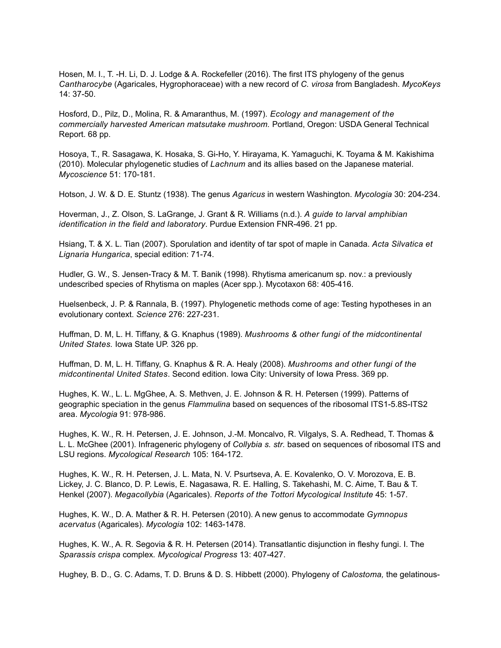Hosen, M. I., T. -H. Li, D. J. Lodge & A. Rockefeller (2016). The first ITS phylogeny of the genus *Cantharocybe* (Agaricales, Hygrophoraceae) with a new record of *C. virosa* from Bangladesh. *MycoKeys* 14: 37-50.

Hosford, D., Pilz, D., Molina, R. & Amaranthus, M. (1997). *Ecology and management of the commercially harvested American matsutake mushroom.* Portland, Oregon: USDA General Technical Report. 68 pp.

Hosoya, T., R. Sasagawa, K. Hosaka, S. Gi-Ho, Y. Hirayama, K. Yamaguchi, K. Toyama & M. Kakishima (2010). Molecular phylogenetic studies of *Lachnum* and its allies based on the Japanese material. *Mycoscience* 51: 170-181.

Hotson, J. W. & D. E. Stuntz (1938). The genus *Agaricus* in western Washington. *Mycologia* 30: 204-234.

Hoverman, J., Z. Olson, S. LaGrange, J. Grant & R. Williams (n.d.). *A guide to larval amphibian identification in the field and laboratory*. Purdue Extension FNR-496. 21 pp.

Hsiang, T. & X. L. Tian (2007). Sporulation and identity of tar spot of maple in Canada. *Acta Silvatica et Lignaria Hungarica*, special edition: 71-74.

Hudler, G. W., S. Jensen-Tracy & M. T. Banik (1998). Rhytisma americanum sp. nov.: a previously undescribed species of Rhytisma on maples (Acer spp.). Mycotaxon 68: 405-416.

Huelsenbeck, J. P. & Rannala, B. (1997). Phylogenetic methods come of age: Testing hypotheses in an evolutionary context. *Science* 276: 227-231.

Huffman, D. M, L. H. Tiffany, & G. Knaphus (1989). *Mushrooms & other fungi of the midcontinental United States.* Iowa State UP. 326 pp.

Huffman, D. M, L. H. Tiffany, G. Knaphus & R. A. Healy (2008). *Mushrooms and other fungi of the midcontinental United States*. Second edition. Iowa City: University of Iowa Press. 369 pp.

Hughes, K. W., L. L. MgGhee, A. S. Methven, J. E. Johnson & R. H. Petersen (1999). Patterns of geographic speciation in the genus *Flammulina* based on sequences of the ribosomal ITS1-5.8S-ITS2 area. *Mycologia* 91: 978-986.

Hughes, K. W., R. H. Petersen, J. E. Johnson, J.-M. Moncalvo, R. Vilgalys, S. A. Redhead, T. Thomas & L. L. McGhee (2001). Infrageneric phylogeny of *Collybia s. str.* based on sequences of ribosomal ITS and LSU regions. *Mycological Research* 105: 164-172.

Hughes, K. W., R. H. Petersen, J. L. Mata, N. V. Psurtseva, A. E. Kovalenko, O. V. Morozova, E. B. Lickey, J. C. Blanco, D. P. Lewis, E. Nagasawa, R. E. Halling, S. Takehashi, M. C. Aime, T. Bau & T. Henkel (2007). *Megacollybia* (Agaricales). *Reports of the Tottori Mycological Institute* 45: 1-57.

Hughes, K. W., D. A. Mather & R. H. Petersen (2010). A new genus to accommodate *Gymnopus acervatus* (Agaricales). *Mycologia* 102: 1463-1478.

Hughes, K. W., A. R. Segovia & R. H. Petersen (2014). Transatlantic disjunction in fleshy fungi. I. The *Sparassis crispa* complex*. Mycological Progress* 13: 407-427.

Hughey, B. D., G. C. Adams, T. D. Bruns & D. S. Hibbett (2000). Phylogeny of *Calostoma,* the gelatinous-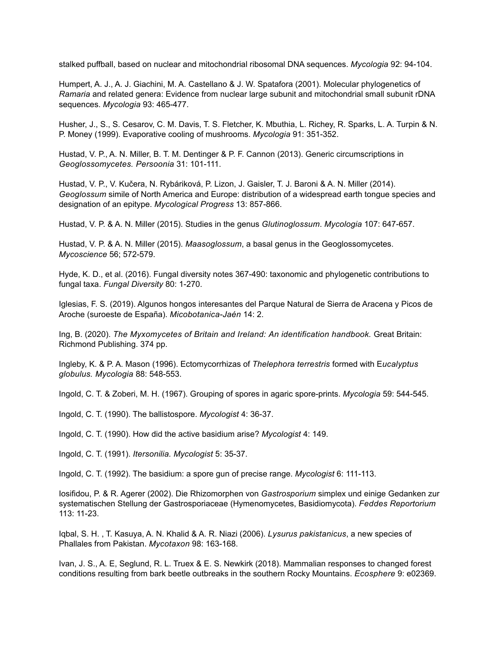stalked puffball, based on nuclear and mitochondrial ribosomal DNA sequences. *Mycologia* 92: 94-104.

Humpert, A. J., A. J. Giachini, M. A. Castellano & J. W. Spatafora (2001). Molecular phylogenetics of *Ramaria* and related genera: Evidence from nuclear large subunit and mitochondrial small subunit rDNA sequences. *Mycologia* 93: 465-477.

Husher, J., S., S. Cesarov, C. M. Davis, T. S. Fletcher, K. Mbuthia, L. Richey, R. Sparks, L. A. Turpin & N. P. Money (1999). Evaporative cooling of mushrooms. *Mycologia* 91: 351-352.

Hustad, V. P., A. N. Miller, B. T. M. Dentinger & P. F. Cannon (2013). Generic circumscriptions in *Geoglossomycetes. Persoonia* 31: 101-111.

Hustad, V. P., V. Kučera, N. Rybáriková, P. Lizon, J. Gaisler, T. J. Baroni & A. N. Miller (2014). *Geoglossum* simile of North America and Europe: distribution of a widespread earth tongue species and designation of an epitype. *Mycological Progress* 13: 857-866.

Hustad, V. P. & A. N. Miller (2015). Studies in the genus *Glutinoglossum*. *Mycologia* 107: 647-657.

Hustad, V. P. & A. N. Miller (2015). *Maasoglossum*, a basal genus in the Geoglossomycetes. *Mycoscience* 56; 572-579.

Hyde, K. D., et al. (2016). Fungal diversity notes 367-490: taxonomic and phylogenetic contributions to fungal taxa. *Fungal Diversity* 80: 1-270.

Iglesias, F. S. (2019). Algunos hongos interesantes del Parque Natural de Sierra de Aracena y Picos de Aroche (suroeste de España). *Micobotanica-Jaén* 14: 2.

Ing, B. (2020). *The Myxomycetes of Britain and Ireland: An identification handbook.* Great Britain: Richmond Publishing. 374 pp.

Ingleby, K. & P. A. Mason (1996). Ectomycorrhizas of *Thelephora terrestris* formed with E*ucalyptus globulus. Mycologia* 88: 548-553.

Ingold, C. T. & Zoberi, M. H. (1967). Grouping of spores in agaric spore-prints. *Mycologia* 59: 544-545.

Ingold, C. T. (1990). The ballistospore. *Mycologist* 4: 36-37.

Ingold, C. T. (1990). How did the active basidium arise? *Mycologist* 4: 149.

Ingold, C. T. (1991). *Itersonilia. Mycologist* 5: 35-37.

Ingold, C. T. (1992). The basidium: a spore gun of precise range. *Mycologist* 6: 111-113.

Iosifidou, P. & R. Agerer (2002). Die Rhizomorphen von *Gastrosporium* simplex und einige Gedanken zur systematischen Stellung der Gastrosporiaceae (Hymenomycetes, Basidiomycota). *Feddes Reportorium* 113: 11-23.

Iqbal, S. H. , T. Kasuya, A. N. Khalid & A. R. Niazi (2006). *Lysurus pakistanicus*, a new species of Phallales from Pakistan. *Mycotaxon* 98: 163-168.

Ivan, J. S., A. E, Seglund, R. L. Truex & E. S. Newkirk (2018). Mammalian responses to changed forest conditions resulting from bark beetle outbreaks in the southern Rocky Mountains. *Ecosphere* 9: e02369.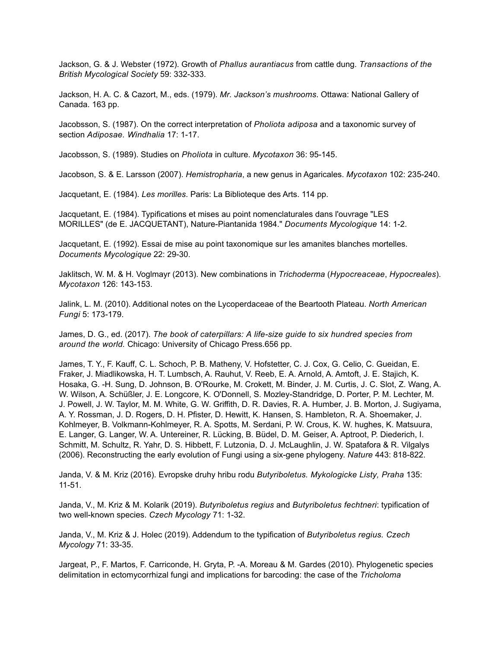Jackson, G. & J. Webster (1972). Growth of *Phallus aurantiacus* from cattle dung. *Transactions of the British Mycological Society* 59: 332-333.

Jackson, H. A. C. & Cazort, M., eds. (1979). *Mr. Jackson's mushrooms*. Ottawa: National Gallery of Canada. 163 pp.

Jacobsson, S. (1987). On the correct interpretation of *Pholiota adiposa* and a taxonomic survey of section *Adiposae. Windhalia* 17: 1-17.

Jacobsson, S. (1989). Studies on *Pholiota* in culture. *Mycotaxon* 36: 95-145.

Jacobson, S. & E. Larsson (2007). *Hemistropharia*, a new genus in Agaricales. *Mycotaxon* 102: 235-240.

Jacquetant, E. (1984). *Les morilles*. Paris: La Biblioteque des Arts. 114 pp.

Jacquetant, E. (1984). Typifications et mises au point nomenclaturales dans l'ouvrage "LES MORILLES" (de E. JACQUETANT), Nature-Piantanida 1984." *Documents Mycologique* 14: 1-2.

Jacquetant, E. (1992). Essai de mise au point taxonomique sur les amanites blanches mortelles. *Documents Mycologique* 22: 29-30.

Jaklitsch, W. M. & H. Voglmayr (2013). New combinations in *Trichoderma* (*Hypocreaceae*, *Hypocreales*). *Mycotaxon* 126: 143-153.

Jalink, L. M. (2010). Additional notes on the Lycoperdaceae of the Beartooth Plateau. *North American Fungi* 5: 173-179.

James, D. G., ed. (2017). *The book of caterpillars: A life-size guide to six hundred species from around the world.* Chicago: University of Chicago Press.656 pp.

James, T. Y., F. Kauff, C. L. Schoch, P. B. Matheny, V. Hofstetter, C. J. Cox, G. Celio, C. Gueidan, E. Fraker, J. Miadlikowska, H. T. Lumbsch, A. Rauhut, V. Reeb, E. A. Arnold, A. Amtoft, J. E. Stajich, K. Hosaka, G. -H. Sung, D. Johnson, B. O'Rourke, M. Crokett, M. Binder, J. M. Curtis, J. C. Slot, Z. Wang, A. W. Wilson, A. Schüßler, J. E. Longcore, K. O'Donnell, S. Mozley-Standridge, D. Porter, P. M. Lechter, M. J. Powell, J. W. Taylor, M. M. White, G. W. Griffith, D. R. Davies, R. A. Humber, J. B. Morton, J. Sugiyama, A. Y. Rossman, J. D. Rogers, D. H. Pfister, D. Hewitt, K. Hansen, S. Hambleton, R. A. Shoemaker, J. Kohlmeyer, B. Volkmann-Kohlmeyer, R. A. Spotts, M. Serdani, P. W. Crous, K. W. hughes, K. Matsuura, E. Langer, G. Langer, W. A. Untereiner, R. Lücking, B. Büdel, D. M. Geiser, A. Aptroot, P. Diederich, I. Schmitt, M. Schultz, R. Yahr, D. S. Hibbett, F. Lutzonia, D. J. McLaughlin, J. W. Spatafora & R. Vilgalys (2006). Reconstructing the early evolution of Fungi using a six-gene phylogeny. *Nature* 443: 818-822.

Janda, V. & M. Kriz (2016). Evropske druhy hribu rodu *Butyriboletus. Mykologicke Listy, Praha* 135: 11-51.

Janda, V., M. Kriz & M. Kolarik (2019). *Butyriboletus regius* and *Butyriboletus fechtneri*: typification of two well-known species. *Czech Mycology* 71: 1-32.

Janda, V., M. Kriz & J. Holec (2019). Addendum to the typification of *Butyriboletus regius. Czech Mycology* 71: 33-35.

Jargeat, P., F. Martos, F. Carriconde, H. Gryta, P. -A. Moreau & M. Gardes (2010). Phylogenetic species delimitation in ectomycorrhizal fungi and implications for barcoding: the case of the *Tricholoma*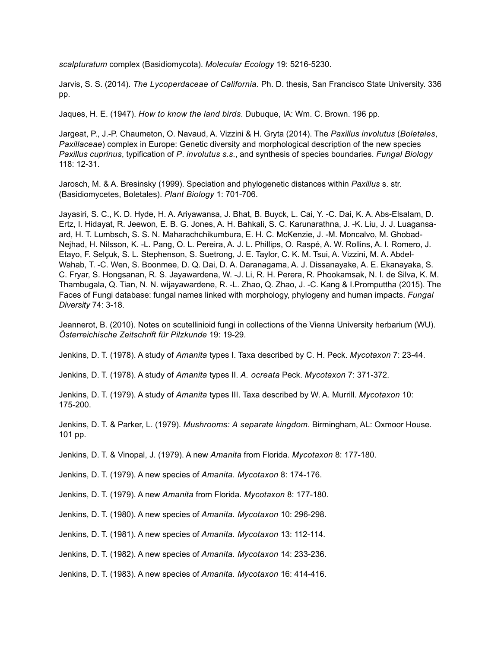*scalpturatum* complex (Basidiomycota). *Molecular Ecology* 19: 5216-5230.

Jarvis, S. S. (2014). *The Lycoperdaceae of California.* Ph. D. thesis, San Francisco State University. 336 pp.

Jaques, H. E. (1947). *How to know the land birds*. Dubuque, IA: Wm. C. Brown. 196 pp.

Jargeat, P., J.-P. Chaumeton, O. Navaud, A. Vizzini & H. Gryta (2014). The *Paxillus involutus* (*Boletales*, *Paxillaceae*) complex in Europe: Genetic diversity and morphological description of the new species *Paxillus cuprinus*, typification of *P*. *involutus s.s*., and synthesis of species boundaries. *Fungal Biology* 118: 12-31.

Jarosch, M. & A. Bresinsky (1999). Speciation and phylogenetic distances within *Paxillus* s. str. (Basidiomycetes, Boletales). *Plant Biology* 1: 701-706.

Jayasiri, S. C., K. D. Hyde, H. A. Ariyawansa, J. Bhat, B. Buyck, L. Cai, Y. -C. Dai, K. A. Abs-Elsalam, D. Ertz, I. Hidayat, R. Jeewon, E. B. G. Jones, A. H. Bahkali, S. C. Karunarathna, J. -K. Liu, J. J. Luagansaard, H. T. Lumbsch, S. S. N. Maharachchikumbura, E. H. C. McKenzie, J. -M. Moncalvo, M. Ghobad-Nejhad, H. Nilsson, K. -L. Pang, O. L. Pereira, A. J. L. Phillips, O. Raspé, A. W. Rollins, A. I. Romero, J. Etayo, F. Selçuk, S. L. Stephenson, S. Suetrong, J. E. Taylor, C. K. M. Tsui, A. Vizzini, M. A. Abdel-Wahab, T. -C. Wen, S. Boonmee, D. Q. Dai, D. A. Daranagama, A. J. Dissanayake, A. E. Ekanayaka, S. C. Fryar, S. Hongsanan, R. S. Jayawardena, W. -J. Li, R. H. Perera, R. Phookamsak, N. I. de Silva, K. M. Thambugala, Q. Tian, N. N. wijayawardene, R. -L. Zhao, Q. Zhao, J. -C. Kang & I.Promputtha (2015). The Faces of Fungi database: fungal names linked with morphology, phylogeny and human impacts. *Fungal Diversity* 74: 3-18.

Jeannerot, B. (2010). Notes on scutellinioid fungi in collections of the Vienna University herbarium (WU). *Österreichische Zeitschrift für Pilzkunde* 19: 19-29.

Jenkins, D. T. (1978). A study of *Amanita* types I. Taxa described by C. H. Peck. *Mycotaxon* 7: 23-44.

Jenkins, D. T. (1978). A study of *Amanita* types II. *A. ocreata* Peck. *Mycotaxon* 7: 371-372.

Jenkins, D. T. (1979). A study of *Amanita* types III. Taxa described by W. A. Murrill. *Mycotaxon* 10: 175-200.

Jenkins, D. T. & Parker, L. (1979). *Mushrooms: A separate kingdom*. Birmingham, AL: Oxmoor House. 101 pp.

Jenkins, D. T. & Vinopal, J. (1979). A new *Amanita* from Florida. *Mycotaxon* 8: 177-180.

Jenkins, D. T. (1979). A new species of *Amanita. Mycotaxon* 8: 174-176.

Jenkins, D. T. (1979). A new *Amanita* from Florida. *Mycotaxon* 8: 177-180.

Jenkins, D. T. (1980). A new species of *Amanita. Mycotaxon* 10: 296-298.

Jenkins, D. T. (1981). A new species of *Amanita. Mycotaxon* 13: 112-114.

Jenkins, D. T. (1982). A new species of *Amanita. Mycotaxon* 14: 233-236.

Jenkins, D. T. (1983). A new species of *Amanita. Mycotaxon* 16: 414-416.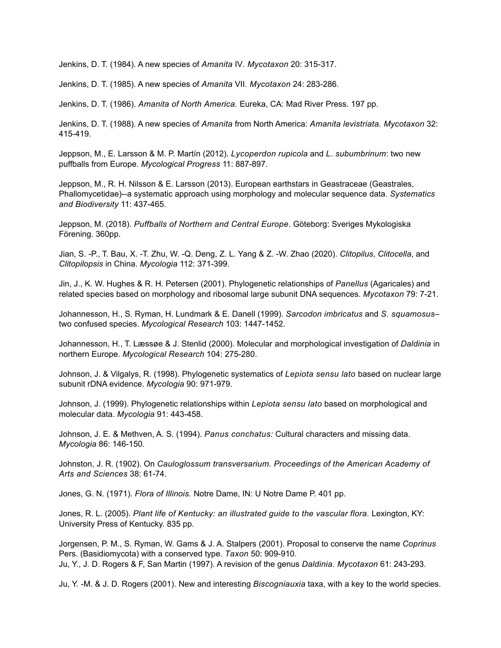Jenkins, D. T. (1984). A new species of *Amanita* IV*. Mycotaxon* 20: 315-317.

Jenkins, D. T. (1985). A new species of *Amanita* VII*. Mycotaxon* 24: 283-286.

Jenkins, D. T. (1986). *Amanita of North America.* Eureka, CA: Mad River Press. 197 pp.

Jenkins, D. T. (1988). A new species of *Amanita* from North America: *Amanita levistriata. Mycotaxon* 32: 415-419.

Jeppson, M., E. Larsson & M. P. Martín (2012). *Lycoperdon rupicola* and *L*. *subumbrinum*: two new puffballs from Europe. *Mycological Progress* 11: 887-897.

Jeppson, M., R. H. Nilsson & E. Larsson (2013). European earthstars in Geastraceae (Geastrales, Phallomycetidae)--a systematic approach using morphology and molecular sequence data. *Systematics and Biodiversity* 11: 437-465.

Jeppson, M. (2018). *Puffballs of Northern and Central Europe*. Göteborg: Sveriges Mykologiska Förening. 360pp.

Jian, S. -P., T. Bau, X. -T. Zhu, W. -Q. Deng, Z. L. Yang & Z. -W. Zhao (2020). *Clitopilus*, *Clitocella*, and *Clitopilopsis* in China. *Mycologia* 112: 371-399.

Jin, J., K. W. Hughes & R. H. Petersen (2001). Phylogenetic relationships of *Panellus* (Agaricales) and related species based on morphology and ribosomal large subunit DNA sequences. *Mycotaxon* 79: 7-21.

Johannesson, H., S. Ryman, H. Lundmark & E. Danell (1999). *Sarcodon imbricatus* and *S. squamosus*– two confused species. *Mycological Research* 103: 1447-1452.

Johannesson, H., T. Læssøe & J. Stenlid (2000). Molecular and morphological investigation of *Daldinia* in northern Europe. *Mycological Research* 104: 275-280.

Johnson, J. & Vilgalys, R. (1998). Phylogenetic systematics of *Lepiota sensu lato* based on nuclear large subunit rDNA evidence. *Mycologia* 90: 971-979.

Johnson, J. (1999). Phylogenetic relationships within *Lepiota sensu lato* based on morphological and molecular data. *Mycologia* 91: 443-458.

Johnson, J. E. & Methven, A. S. (1994). *Panus conchatus:* Cultural characters and missing data. *Mycologia* 86: 146-150.

Johnston, J. R. (1902). On *Cauloglossum transversarium. Proceedings of the American Academy of Arts and Sciences* 38: 61-74.

Jones, G. N. (1971). *Flora of Illinois.* Notre Dame, IN: U Notre Dame P. 401 pp.

Jones, R. L. (2005). *Plant life of Kentucky: an illustrated guide to the vascular flora.* Lexington, KY: University Press of Kentucky. 835 pp.

Jorgensen, P. M., S. Ryman, W. Gams & J. A. Stalpers (2001). Proposal to conserve the name *Coprinus* Pers. (Basidiomycota) with a conserved type. *Taxon* 50: 909-910. Ju, Y., J. D. Rogers & F, San Martin (1997). A revision of the genus *Daldinia. Mycotaxon* 61: 243-293.

Ju, Y. -M. & J. D. Rogers (2001). New and interesting *Biscogniauxia* taxa, with a key to the world species.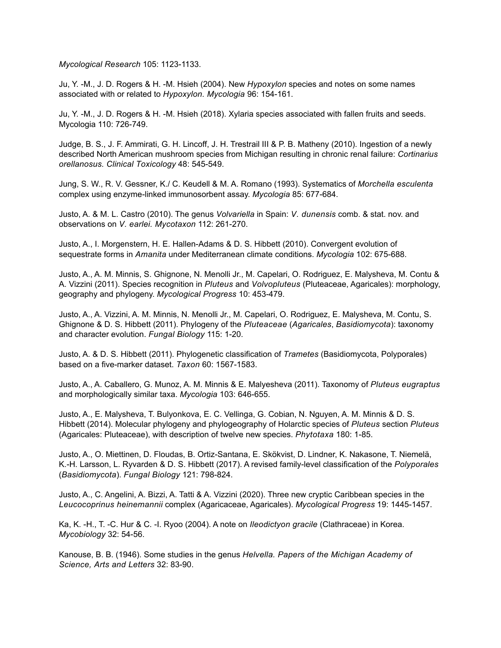*Mycological Research* 105: 1123-1133.

Ju, Y. -M., J. D. Rogers & H. -M. Hsieh (2004). New *Hypoxylon* species and notes on some names associated with or related to *Hypoxylon. Mycologia* 96: 154-161.

Ju, Y. -M., J. D. Rogers & H. -M. Hsieh (2018). Xylaria species associated with fallen fruits and seeds. Mycologia 110: 726-749.

Judge, B. S., J. F. Ammirati, G. H. Lincoff, J. H. Trestrail III & P. B. Matheny (2010). Ingestion of a newly described North American mushroom species from Michigan resulting in chronic renal failure: *Cortinarius orellanosus. Clinical Toxicology* 48: 545-549.

Jung, S. W., R. V. Gessner, K./ C. Keudell & M. A. Romano (1993). Systematics of *Morchella esculenta*  complex using enzyme-linked immunosorbent assay. *Mycologia* 85: 677-684.

Justo, A. & M. L. Castro (2010). The genus *Volvariella* in Spain: *V. dunensis* comb. & stat. nov. and observations on *V. earlei. Mycotaxon* 112: 261-270.

Justo, A., I. Morgenstern, H. E. Hallen-Adams & D. S. Hibbett (2010). Convergent evolution of sequestrate forms in *Amanita* under Mediterranean climate conditions. *Mycologia* 102: 675-688.

Justo, A., A. M. Minnis, S. Ghignone, N. Menolli Jr., M. Capelari, O. Rodriguez, E. Malysheva, M. Contu & A. Vizzini (2011). Species recognition in *Pluteus* and *Volvopluteus* (Pluteaceae, Agaricales): morphology, geography and phylogeny. *Mycological Progress* 10: 453-479.

Justo, A., A. Vizzini, A. M. Minnis, N. Menolli Jr., M. Capelari, O. Rodriguez, E. Malysheva, M. Contu, S. Ghignone & D. S. Hibbett (2011). Phylogeny of the *Pluteaceae* (*Agaricales*, *Basidiomycota*): taxonomy and character evolution. *Fungal Biology* 115: 1-20.

Justo, A. & D. S. Hibbett (2011). Phylogenetic classification of *Trametes* (Basidiomycota, Polyporales) based on a five-marker dataset. *Taxon* 60: 1567-1583.

Justo, A., A. Caballero, G. Munoz, A. M. Minnis & E. Malyesheva (2011). Taxonomy of *Pluteus eugraptus* and morphologically similar taxa. *Mycologia* 103: 646-655.

Justo, A., E. Malysheva, T. Bulyonkova, E. C. Vellinga, G. Cobian, N. Nguyen, A. M. Minnis & D. S. Hibbett (2014). Molecular phylogeny and phylogeography of Holarctic species of *Pluteus* section *Pluteus* (Agaricales: Pluteaceae), with description of twelve new species. *Phytotaxa* 180: 1-85.

Justo, A., O. Miettinen, D. Floudas, B. Ortiz-Santana, E. Skökvist, D. Lindner, K. Nakasone, T. Niemelä, K.-H. Larsson, L. Ryvarden & D. S. Hibbett (2017). A revised family-level classification of the *Polyporales* (*Basidiomycota*). *Fungal Biology* 121: 798-824.

Justo, A., C. Angelini, A. Bizzi, A. Tatti & A. Vizzini (2020). Three new cryptic Caribbean species in the *Leucocoprinus heinemannii* complex (Agaricaceae, Agaricales). *Mycological Progress* 19: 1445-1457.

Ka, K. -H., T. -C. Hur & C. -I. Ryoo (2004). A note on *Ileodictyon gracile* (Clathraceae) in Korea. *Mycobiology* 32: 54-56.

Kanouse, B. B. (1946). Some studies in the genus *Helvella. Papers of the Michigan Academy of Science, Arts and Letters* 32: 83-90.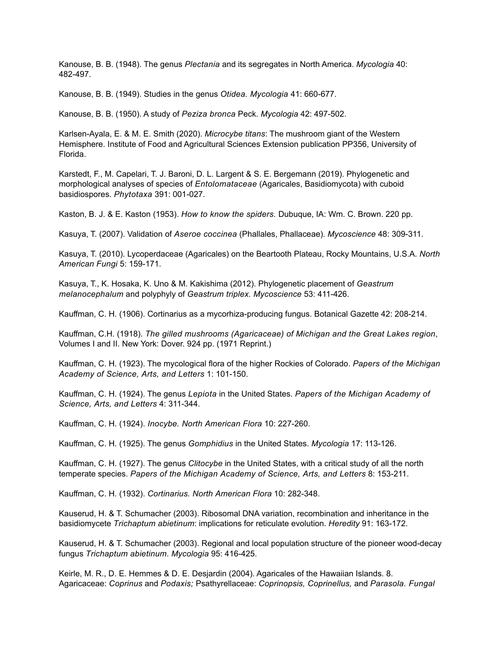Kanouse, B. B. (1948). The genus *Plectania* and its segregates in North America. *Mycologia* 40: 482-497.

Kanouse, B. B. (1949). Studies in the genus *Otidea. Mycologia* 41: 660-677.

Kanouse, B. B. (1950). A study of *Peziza bronca* Peck. *Mycologia* 42: 497-502.

Karlsen-Ayala, E. & M. E. Smith (2020). *Microcybe titans*: The mushroom giant of the Western Hemisphere. Institute of Food and Agricultural Sciences Extension publication PP356, University of Florida.

Karstedt, F., M. Capelari, T. J. Baroni, D. L. Largent & S. E. Bergemann (2019). Phylogenetic and morphological analyses of species of *Entolomataceae* (Agaricales, Basidiomycota) with cuboid basidiospores. *Phytotaxa* 391: 001-027.

Kaston, B. J. & E. Kaston (1953). *How to know the spiders.* Dubuque, IA: Wm. C. Brown. 220 pp.

Kasuya, T. (2007). Validation of *Aseroe coccinea* (Phallales, Phallaceae). *Mycoscience* 48: 309-311.

Kasuya, T. (2010). Lycoperdaceae (Agaricales) on the Beartooth Plateau, Rocky Mountains, U.S.A. *North American Fungi* 5: 159-171.

Kasuya, T., K. Hosaka, K. Uno & M. Kakishima (2012). Phylogenetic placement of *Geastrum melanocephalum* and polyphyly of *Geastrum triplex. Mycoscience* 53: 411-426.

Kauffman, C. H. (1906). Cortinarius as a mycorhiza-producing fungus. Botanical Gazette 42: 208-214.

Kauffman, C.H. (1918). *The gilled mushrooms (Agaricaceae) of Michigan and the Great Lakes region*, Volumes I and II. New York: Dover. 924 pp. (1971 Reprint.)

Kauffman, C. H. (1923). The mycological flora of the higher Rockies of Colorado. *Papers of the Michigan Academy of Science, Arts, and Letters* 1: 101-150.

Kauffman, C. H. (1924). The genus *Lepiota* in the United States. *Papers of the Michigan Academy of Science, Arts, and Letters* 4: 311-344.

Kauffman, C. H. (1924). *Inocybe. North American Flora* 10: 227-260.

Kauffman, C. H. (1925). The genus *Gomphidius* in the United States. *Mycologia* 17: 113-126.

Kauffman, C. H. (1927). The genus *Clitocybe* in the United States, with a critical study of all the north temperate species. *Papers of the Michigan Academy of Science, Arts, and Letters* 8: 153-211.

Kauffman, C. H. (1932). *Cortinarius. North American Flora* 10: 282-348.

Kauserud, H. & T. Schumacher (2003). Ribosomal DNA variation, recombination and inheritance in the basidiomycete *Trichaptum abietinum*: implications for reticulate evolution. *Heredity* 91: 163-172.

Kauserud, H. & T. Schumacher (2003). Regional and local population structure of the pioneer wood-decay fungus *Trichaptum abietinum*. *Mycologia* 95: 416-425.

Keirle, M. R., D. E. Hemmes & D. E. Desjardin (2004). Agaricales of the Hawaiian Islands. 8. Agaricaceae: *Coprinus* and *Podaxis;* Psathyrellaceae: *Coprinopsis, Coprinellus,* and *Parasola. Fungal*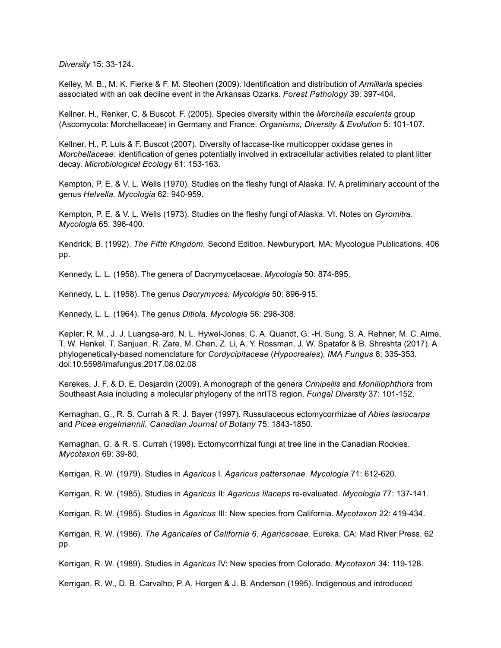*Diversity* 15: 33-124.

Kelley, M. B., M. K. Fierke & F. M. Steohen (2009). Identification and distribution of *Armillaria* species associated with an oak decline event in the Arkansas Ozarks. *Forest Pathology* 39: 397-404.

Kellner, H., Renker, C. & Buscot, F. (2005). Species diversity within the *Morchella esculenta* group (Ascomycota: Morchellaceae) in Germany and France. *Organisms, Diversity & Evolution* 5: 101-107.

Kellner, H., P. Luis & F. Buscot (2007). Diversity of laccase-like multicopper oxidase genes in *Morchellaceae*: identification of genes potentially involved in extracellular activities related to plant litter decay. *Microbiological Ecology* 61: 153-163.

Kempton, P. E. & V. L. Wells (1970). Studies on the fleshy fungi of Alaska. IV. A preliminary account of the genus *Helvella. Mycologia* 62: 940-959.

Kempton, P. E. & V. L. Wells (1973). Studies on the fleshy fungi of Alaska. VI. Notes on *Gyromitra*. *Mycologia* 65: 396-400.

Kendrick, B. (1992). *The Fifth Kingdom.* Second Edition. Newburyport, MA: Mycologue Publications. 406 pp.

Kennedy, L. L. (1958). The genera of Dacrymycetaceae. *Mycologia* 50: 874-895.

Kennedy, L. L. (1958). The genus *Dacrymyces. Mycologia* 50: 896-915.

Kennedy, L. L. (1964). The genus *Ditiola. Mycologia* 56: 298-308.

Kepler, R. M., J. J. Luangsa-ard, N. L. Hywel-Jones, C. A. Quandt, G. -H. Sung, S. A. Rehner, M. C. Aime, T. W. Henkel, T. Sanjuan, R. Zare, M. Chen, Z. Li, A. Y. Rossman, J. W. Spatafor & B. Shreshta (2017). A phylogenetically-based nomenclature for *Cordycipitaceae* (*Hypocreales*). *IMA Fungus* 8: 335-353. doi:10.5598/imafungus.2017.08.02.08

Kerekes, J. F. & D. E. Desjardin (2009). A monograph of the genera *Crinipellis* and *Moniliophthora* from Southeast Asia including a molecular phylogeny of the nrITS region. *Fungal Diversity* 37: 101-152.

Kernaghan, G., R. S. Currah & R. J. Bayer (1997). Russulaceous ectomycorrhizae of *Abies lasiocarpa* and *Picea engelmannii. Canadian Journal of Botany* 75: 1843-1850.

Kernaghan, G. & R. S. Currah (1998). Ectomycorrhizal fungi at tree line in the Canadian Rockies. *Mycotaxon* 69: 39-80.

Kerrigan, R. W. (1979). Studies in *Agaricus* I. *Agaricus pattersonae. Mycologia* 71: 612-620.

Kerrigan, R. W. (1985). Studies in *Agaricus* II: *Agaricus lilaceps* re-evaluated. *Mycologia* 77: 137-141.

Kerrigan, R. W. (1985). Studies in *Agaricus* III: New species from California. *Mycotaxon* 22: 419-434.

Kerrigan, R. W. (1986). *The Agaricales of California 6. Agaricaceae*. Eureka, CA: Mad River Press. 62 pp.

Kerrigan, R. W. (1989). Studies in *Agaricus* IV: New species from Colorado. *Mycotaxon* 34: 119-128.

Kerrigan, R. W., D. B. Carvalho, P. A. Horgen & J. B. Anderson (1995). Indigenous and introduced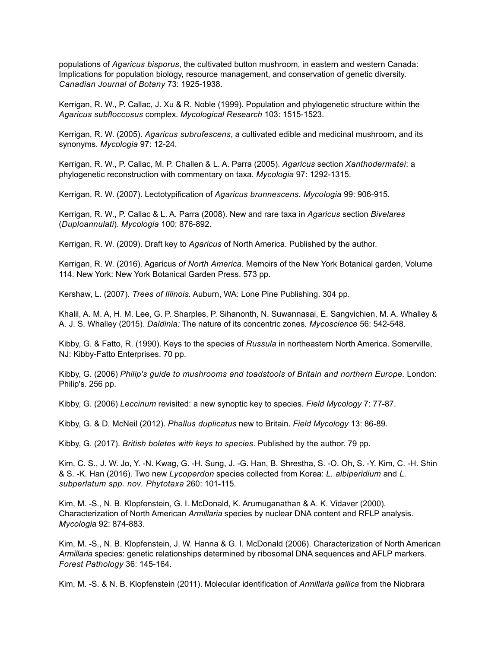populations of *Agaricus bisporus*, the cultivated button mushroom, in eastern and western Canada: Implications for population biology, resource management, and conservation of genetic diversity. *Canadian Journal of Botany* 73: 1925-1938.

Kerrigan, R. W., P. Callac, J. Xu & R. Noble (1999). Population and phylogenetic structure within the *Agaricus subfloccosus* complex. *Mycological Research* 103: 1515-1523.

Kerrigan, R. W. (2005). *Agaricus subrufescens*, a cultivated edible and medicinal mushroom, and its synonyms. *Mycologia* 97: 12-24.

Kerrigan, R. W., P. Callac, M. P. Challen & L. A. Parra (2005). *Agaricus* section *Xanthodermatei*: a phylogenetic reconstruction with commentary on taxa. *Mycologia* 97: 1292-1315.

Kerrigan, R. W. (2007). Lectotypification of *Agaricus brunnescens. Mycologia* 99: 906-915.

Kerrigan, R. W., P. Callac & L. A. Parra (2008). New and rare taxa in *Agaricus* section *Bivelares*  (*Duploannulati*). *Mycologia* 100: 876-892.

Kerrigan, R. W. (2009). Draft key to *Agaricus* of North America. Published by the author.

Kerrigan, R. W. (2016). Agaricus *of North America*. Memoirs of the New York Botanical garden, Volume 114. New York: New York Botanical Garden Press. 573 pp.

Kershaw, L. (2007). *Trees of Illinois.* Auburn, WA: Lone Pine Publishing. 304 pp.

Khalil, A. M. A, H. M. Lee, G. P. Sharples, P. Sihanonth, N. Suwannasai, E. Sangvichien, M. A. Whalley & A. J. S. Whalley (2015). *Daldinia:* The nature of its concentric zones. *Mycoscience* 56: 542-548.

Kibby, G. & Fatto, R. (1990). Keys to the species of *Russula* in northeastern North America. Somerville, NJ: Kibby-Fatto Enterprises. 70 pp.

Kibby, G. (2006) *Philip's guide to mushrooms and toadstools of Britain and northern Europe.* London: Philip's. 256 pp.

Kibby, G. (2006) *Leccinum* revisited: a new synoptic key to species. *Field Mycology* 7: 77-87.

Kibby, G. & D. McNeil (2012). *Phallus duplicatus* new to Britain. *Field Mycology* 13: 86-89.

Kibby, G. (2017). *British boletes with keys to species*. Published by the author. 79 pp.

Kim, C. S., J. W. Jo, Y. -N. Kwag, G. -H. Sung, J. -G. Han, B. Shrestha, S. -O. Oh, S. -Y. Kim, C. -H. Shin & S. -K. Han (2016). Two new *Lycoperdon* species collected from Korea: *L. albiperidium* and *L. subperlatum spp. nov. Phytotaxa* 260: 101-115.

Kim, M. -S., N. B. Klopfenstein, G. I. McDonald, K. Arumuganathan & A. K. Vidaver (2000). Characterization of North American *Armillaria* species by nuclear DNA content and RFLP analysis. *Mycologia* 92: 874-883.

Kim, M. -S., N. B. Klopfenstein, J. W. Hanna & G. I. McDonald (2006). Characterization of North American *Armillaria* species: genetic relationships determined by ribosomal DNA sequences and AFLP markers. *Forest Pathology* 36: 145-164.

Kim, M. -S. & N. B. Klopfenstein (2011). Molecular identification of *Armillaria gallica* from the Niobrara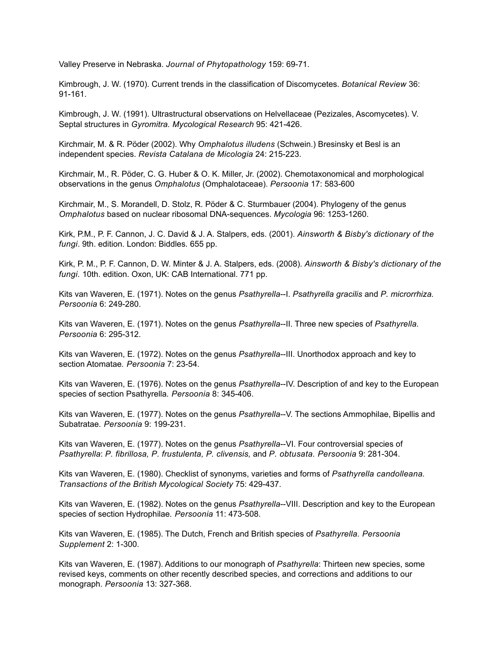Valley Preserve in Nebraska. *Journal of Phytopathology* 159: 69-71.

Kimbrough, J. W. (1970). Current trends in the classification of Discomycetes. *Botanical Review* 36: 91-161.

Kimbrough, J. W. (1991). Ultrastructural observations on Helvellaceae (Pezizales, Ascomycetes). V. Septal structures in *Gyromitra. Mycological Research* 95: 421-426.

Kirchmair, M. & R. Pöder (2002). Why *Omphalotus illudens* (Schwein.) Bresinsky et Besl is an independent species. *Revista Catalana de Micologia* 24: 215-223.

Kirchmair, M., R. Pöder, C. G. Huber & O. K. Miller, Jr. (2002). Chemotaxonomical and morphological observations in the genus *Omphalotus* (Omphalotaceae). *Persoonia* 17: 583-600

Kirchmair, M., S. Morandell, D. Stolz, R. Pöder & C. Sturmbauer (2004). Phylogeny of the genus *Omphalotus* based on nuclear ribosomal DNA-sequences. *Mycologia* 96: 1253-1260.

Kirk, P.M., P. F. Cannon, J. C. David & J. A. Stalpers, eds. (2001). *Ainsworth & Bisby's dictionary of the fungi*. 9th. edition. London: Biddles. 655 pp.

Kirk, P. M., P. F. Cannon, D. W. Minter & J. A. Stalpers, eds. (2008). *Ainsworth & Bisby's dictionary of the fungi.* 10th. edition. Oxon, UK: CAB International. 771 pp.

Kits van Waveren, E. (1971). Notes on the genus *Psathyrella*--I. *Psathyrella gracilis* and *P. microrrhiza. Persoonia* 6: 249-280.

Kits van Waveren, E. (1971). Notes on the genus *Psathyrella*--II. Three new species of *Psathyrella. Persoonia* 6: 295-312.

Kits van Waveren, E. (1972). Notes on the genus *Psathyrella*--III. Unorthodox approach and key to section Atomatae*. Persoonia* 7: 23-54.

Kits van Waveren, E. (1976). Notes on the genus *Psathyrella*--IV. Description of and key to the European species of section Psathyrella*. Persoonia* 8: 345-406.

Kits van Waveren, E. (1977). Notes on the genus *Psathyrella*--V. The sections Ammophilae, Bipellis and Subatratae*. Persoonia* 9: 199-231.

Kits van Waveren, E. (1977). Notes on the genus *Psathyrella*--VI. Four controversial species of *Psathyrella*: *P. fibrillosa, P. frustulenta, P. clivensis,* and *P. obtusata. Persoonia* 9: 281-304.

Kits van Waveren, E. (1980). Checklist of synonyms, varieties and forms of *Psathyrella candolleana. Transactions of the British Mycological Society* 75: 429-437.

Kits van Waveren, E. (1982). Notes on the genus *Psathyrella*--VIII. Description and key to the European species of section Hydrophilae*. Persoonia* 11: 473-508.

Kits van Waveren, E. (1985). The Dutch, French and British species of *Psathyrella. Persoonia Supplement* 2: 1-300.

Kits van Waveren, E. (1987). Additions to our monograph of *Psathyrella*: Thirteen new species, some revised keys, comments on other recently described species, and corrections and additions to our monograph. *Persoonia* 13: 327-368.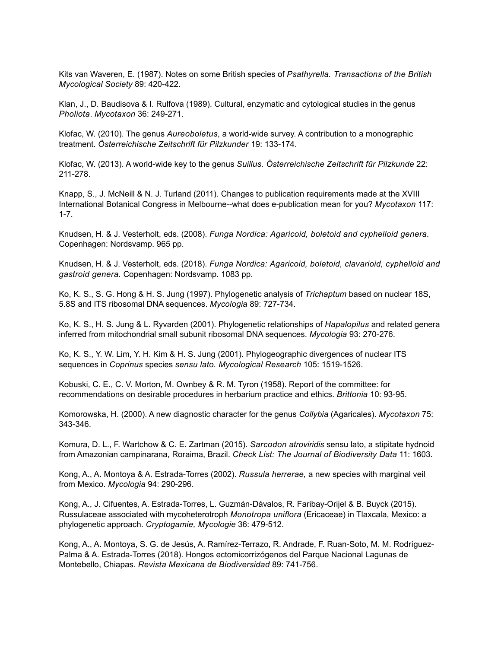Kits van Waveren, E. (1987). Notes on some British species of *Psathyrella. Transactions of the British Mycological Society* 89: 420-422.

Klan, J., D. Baudisova & I. Rulfova (1989). Cultural, enzymatic and cytological studies in the genus *Pholiota*. *Mycotaxon* 36: 249-271.

Klofac, W. (2010). The genus *Aureoboletus*, a world-wide survey. A contribution to a monographic treatment. *Österreichische Zeitschrift für Pilzkunder* 19: 133-174.

Klofac, W. (2013). A world-wide key to the genus *Suillus. Österreichische Zeitschrift für Pilzkunde* 22: 211-278.

Knapp, S., J. McNeill & N. J. Turland (2011). Changes to publication requirements made at the XVIII International Botanical Congress in Melbourne--what does e-publication mean for you? *Mycotaxon* 117: 1-7.

Knudsen, H. & J. Vesterholt, eds. (2008). *Funga Nordica: Agaricoid, boletoid and cyphelloid genera.* Copenhagen: Nordsvamp. 965 pp.

Knudsen, H. & J. Vesterholt, eds. (2018). *Funga Nordica: Agaricoid, boletoid, clavarioid, cyphelloid and gastroid genera.* Copenhagen: Nordsvamp. 1083 pp.

Ko, K. S., S. G. Hong & H. S. Jung (1997). Phylogenetic analysis of *Trichaptum* based on nuclear 18S, 5.8S and ITS ribosomal DNA sequences. *Mycologia* 89: 727-734.

Ko, K. S., H. S. Jung & L. Ryvarden (2001). Phylogenetic relationships of *Hapalopilus* and related genera inferred from mitochondrial small subunit ribosomal DNA sequences. *Mycologia* 93: 270-276.

Ko, K. S., Y. W. Lim, Y. H. Kim & H. S. Jung (2001). Phylogeographic divergences of nuclear ITS sequences in *Coprinus* species *sensu lato. Mycological Research* 105: 1519-1526.

Kobuski, C. E., C. V. Morton, M. Ownbey & R. M. Tyron (1958). Report of the committee: for recommendations on desirable procedures in herbarium practice and ethics. *Brittonia* 10: 93-95.

Komorowska, H. (2000). A new diagnostic character for the genus *Collybia* (Agaricales). *Mycotaxon* 75: 343-346.

Komura, D. L., F. Wartchow & C. E. Zartman (2015). *Sarcodon atroviridis* sensu lato, a stipitate hydnoid from Amazonian campinarana, Roraima, Brazil. *Check List: The Journal of Biodiversity Data* 11: 1603.

Kong, A., A. Montoya & A. Estrada-Torres (2002). *Russula herrerae,* a new species with marginal veil from Mexico. *Mycologia* 94: 290-296.

Kong, A., J. Cifuentes, A. Estrada-Torres, L. Guzmán-Dávalos, R. Faribay-Orijel & B. Buyck (2015). Russulaceae associated with mycoheterotroph *Monotropa uniflora* (Ericaceae) in Tlaxcala, Mexico: a phylogenetic approach. *Cryptogamie, Mycologie* 36: 479-512.

Kong, A., A. Montoya, S. G. de Jesús, A. Ramírez-Terrazo, R. Andrade, F. Ruan-Soto, M. M. Rodríguez-Palma & A. Estrada-Torres (2018). Hongos ectomicorrizógenos del Parque Nacional Lagunas de Montebello, Chiapas. *Revista Mexicana de Biodiversidad* 89: 741-756.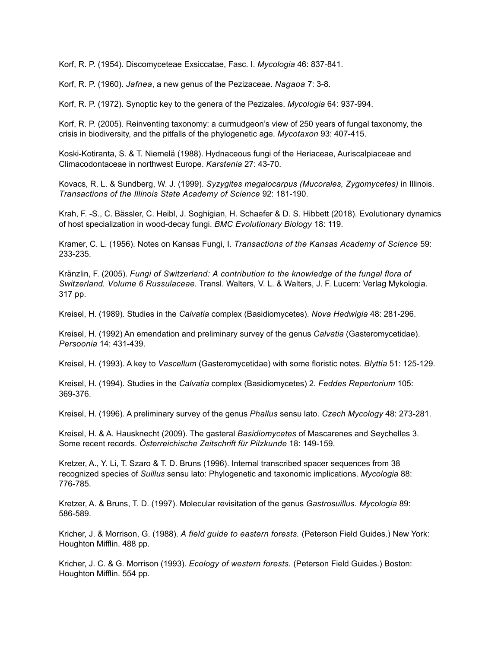Korf, R. P. (1954). Discomyceteae Exsiccatae, Fasc. I. *Mycologia* 46: 837-841.

Korf, R. P. (1960). *Jafnea*, a new genus of the Pezizaceae. *Nagaoa* 7: 3-8.

Korf, R. P. (1972). Synoptic key to the genera of the Pezizales. *Mycologia* 64: 937-994.

Korf, R. P. (2005). Reinventing taxonomy: a curmudgeon's view of 250 years of fungal taxonomy, the crisis in biodiversity, and the pitfalls of the phylogenetic age. *Mycotaxon* 93: 407-415.

Koski-Kotiranta, S. & T. Niemelä (1988). Hydnaceous fungi of the Heriaceae, Auriscalpiaceae and Climacodontaceae in northwest Europe. *Karstenia* 27: 43-70.

Kovacs, R. L. & Sundberg, W. J. (1999). *Syzygites megalocarpus (Mucorales, Zygomycetes)* in Illinois. *Transactions of the Illinois State Academy of Science* 92: 181-190.

Krah, F. -S., C. Bässler, C. Heibl, J. Soghigian, H. Schaefer & D. S. Hibbett (2018). Evolutionary dynamics of host specialization in wood-decay fungi. *BMC Evolutionary Biology* 18: 119.

Kramer, C. L. (1956). Notes on Kansas Fungi, I. *Transactions of the Kansas Academy of Science* 59: 233-235.

Kränzlin, F. (2005). *Fungi of Switzerland: A contribution to the knowledge of the fungal flora of Switzerland. Volume 6 Russulaceae.* Transl. Walters, V. L. & Walters, J. F. Lucern: Verlag Mykologia. 317 pp.

Kreisel, H. (1989). Studies in the *Calvatia* complex (Basidiomycetes). *Nova Hedwigia* 48: 281-296.

Kreisel, H. (1992) An emendation and preliminary survey of the genus *Calvatia* (Gasteromycetidae). *Persoonia* 14: 431-439.

Kreisel, H. (1993). A key to *Vascellum* (Gasteromycetidae) with some floristic notes. *Blyttia* 51: 125-129.

Kreisel, H. (1994). Studies in the *Calvatia* complex (Basidiomycetes) 2. *Feddes Repertorium* 105: 369-376.

Kreisel, H. (1996). A preliminary survey of the genus *Phallus* sensu lato. *Czech Mycology* 48: 273-281.

Kreisel, H. & A. Hausknecht (2009). The gasteral *Basidiomycetes* of Mascarenes and Seychelles 3. Some recent records. *Österreichische Zeitschrift für Pilzkunde* 18: 149-159.

Kretzer, A., Y. Li, T. Szaro & T. D. Bruns (1996). Internal transcribed spacer sequences from 38 recognized species of *Suillus* sensu lato: Phylogenetic and taxonomic implications. *Mycologia* 88: 776-785.

Kretzer, A. & Bruns, T. D. (1997). Molecular revisitation of the genus *Gastrosuillus. Mycologia* 89: 586-589.

Kricher, J. & Morrison, G. (1988). *A field guide to eastern forests.* (Peterson Field Guides.) New York: Houghton Mifflin. 488 pp.

Kricher, J. C. & G. Morrison (1993). *Ecology of western forests.* (Peterson Field Guides.) Boston: Houghton Mifflin. 554 pp.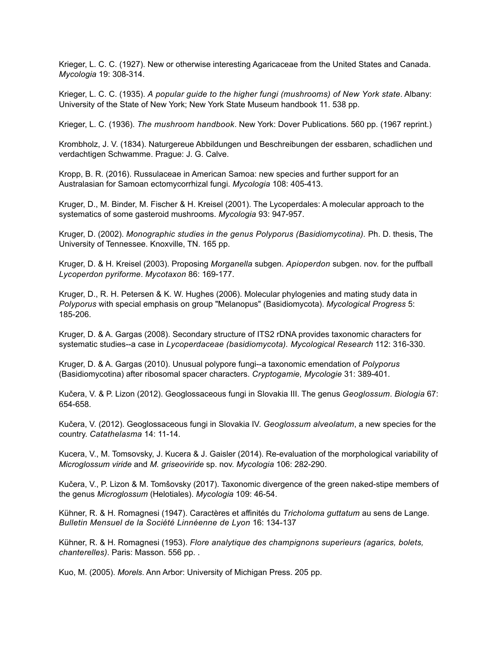Krieger, L. C. C. (1927). New or otherwise interesting Agaricaceae from the United States and Canada. *Mycologia* 19: 308-314.

Krieger, L. C. C. (1935). *A popular guide to the higher fungi (mushrooms) of New York state*. Albany: University of the State of New York; New York State Museum handbook 11. 538 pp.

Krieger, L. C. (1936). *The mushroom handbook*. New York: Dover Publications. 560 pp. (1967 reprint.)

Krombholz, J. V. (1834). Naturgereue Abbildungen und Beschreibungen der essbaren, schadlichen und verdachtigen Schwamme. Prague: J. G. Calve.

Kropp, B. R. (2016). Russulaceae in American Samoa: new species and further support for an Australasian for Samoan ectomycorrhizal fungi. *Mycologia* 108: 405-413.

Kruger, D., M. Binder, M. Fischer & H. Kreisel (2001). The Lycoperdales: A molecular approach to the systematics of some gasteroid mushrooms. *Mycologia* 93: 947-957.

Kruger, D. (2002). *Monographic studies in the genus Polyporus (Basidiomycotina).* Ph. D. thesis, The University of Tennessee. Knoxville, TN. 165 pp.

Kruger, D. & H. Kreisel (2003). Proposing *Morganella* subgen. *Apioperdon* subgen. nov. for the puffball *Lycoperdon pyriforme*. *Mycotaxon* 86: 169-177.

Kruger, D., R. H. Petersen & K. W. Hughes (2006). Molecular phylogenies and mating study data in *Polyporus* with special emphasis on group "Melanopus" (Basidiomycota). *Mycological Progress* 5: 185-206.

Kruger, D. & A. Gargas (2008). Secondary structure of ITS2 rDNA provides taxonomic characters for systematic studies--a case in *Lycoperdaceae (basidiomycota). Mycological Research* 112: 316-330.

Kruger, D. & A. Gargas (2010). Unusual polypore fungi--a taxonomic emendation of *Polyporus* (Basidiomycotina) after ribosomal spacer characters. *Cryptogamie, Mycologie* 31: 389-401.

Kučera, V. & P. Lizon (2012). Geoglossaceous fungi in Slovakia III. The genus *Geoglossum*. *Biologia* 67: 654-658.

Kučera, V. (2012). Geoglossaceous fungi in Slovakia IV. *Geoglossum alveolatum*, a new species for the country. *Catathelasma* 14: 11-14.

Kucera, V., M. Tomsovsky, J. Kucera & J. Gaisler (2014). Re-evaluation of the morphological variability of *Microglossum viride* and *M. griseoviride* sp. nov. *Mycologia* 106: 282-290.

Kučera, V., P. Lizon & M. Tomšovsky (2017). Taxonomic divergence of the green naked-stipe members of the genus *Microglossum* (Helotiales). *Mycologia* 109: 46-54.

Kühner, R. & H. Romagnesi (1947). Caractères et affinités du *Tricholoma guttatum* au sens de Lange. *Bulletin Mensuel de la Société Linnéenne de Lyon* 16: 134-137

Kühner, R. & H. Romagnesi (1953). *Flore analytique des champignons superieurs (agarics, bolets, chanterelles)*. Paris: Masson. 556 pp. .

Kuo, M. (2005). *Morels*. Ann Arbor: University of Michigan Press. 205 pp.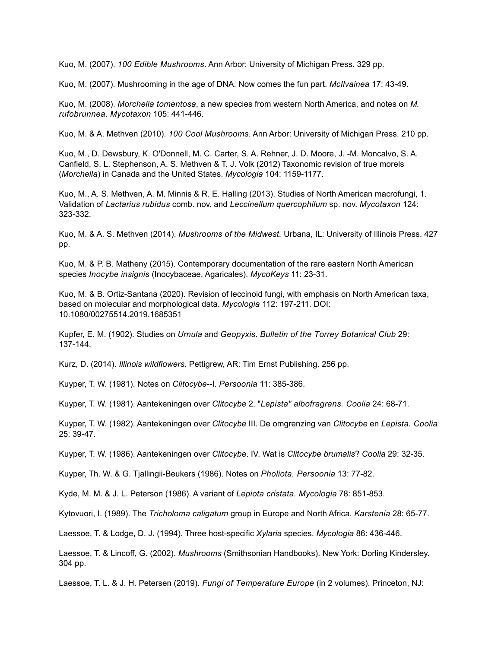Kuo, M. (2007). *100 Edible Mushrooms*. Ann Arbor: University of Michigan Press. 329 pp.

Kuo, M. (2007). Mushrooming in the age of DNA: Now comes the fun part. *McIlvainea* 17: 43-49.

Kuo, M. (2008). *Morchella tomentosa*, a new species from western North America, and notes on *M*. *rufobrunnea*. *Mycotaxon* 105: 441-446.

Kuo, M. & A. Methven (2010). *100 Cool Mushrooms*. Ann Arbor: University of Michigan Press. 210 pp.

Kuo, M., D. Dewsbury, K. O'Donnell, M. C. Carter, S. A. Rehner, J. D. Moore, J. -M. Moncalvo, S. A. Canfield, S. L. Stephenson, A. S. Methven & T. J. Volk (2012) Taxonomic revision of true morels (*Morchella*) in Canada and the United States. *Mycologia* 104: 1159-1177.

Kuo, M., A. S. Methven, A. M. Minnis & R. E. Halling (2013). Studies of North American macrofungi, 1. Validation of *Lactarius rubidus* comb. nov. and *Leccinellum quercophilum* sp. nov. *Mycotaxon* 124: 323-332.

Kuo, M. & A. S. Methven (2014). *Mushrooms of the Midwest.* Urbana, IL: University of Illinois Press. 427 pp.

Kuo, M. & P. B. Matheny (2015). Contemporary documentation of the rare eastern North American species *Inocybe insignis* (Inocybaceae, Agaricales). *MycoKeys* 11: 23-31.

Kuo, M. & B. Ortiz-Santana (2020). Revision of leccinoid fungi, with emphasis on North American taxa, based on molecular and morphological data. *Mycologia* 112: 197-211. DOI: 10.1080/00275514.2019.1685351

Kupfer, E. M. (1902). Studies on *Urnula* and *Geopyxis*. *Bulletin of the Torrey Botanical Club* 29: 137-144.

Kurz, D. (2014). *Illinois wildflowers.* Pettigrew, AR: Tim Ernst Publishing. 256 pp.

Kuyper, T. W. (1981). Notes on *Clitocybe*--I. *Persoonia* 11: 385-386.

Kuyper, T. W. (1981). Aantekeningen over *Clitocybe* 2. "*Lepista" albofragrans. Coolia* 24: 68-71.

Kuyper, T. W. (1982). Aantekeningen over *Clitocybe* III. De omgrenzing van *Clitocybe* en *Lepista. Coolia* 25: 39-47.

Kuyper, T. W. (1986). Aantekeningen over *Clitocybe*. IV. Wat is *Clitocybe brumalis*? *Coolia* 29: 32-35.

Kuyper, Th. W. & G. Tjallingii-Beukers (1986). Notes on *Pholiota. Persoonia* 13: 77-82.

Kyde, M. M. & J. L. Peterson (1986). A variant of *Lepiota cristata. Mycologia* 78: 851-853.

Kytovuori, I. (1989). The *Tricholoma caligatum* group in Europe and North Africa. *Karstenia* 28: 65-77.

Laessoe, T. & Lodge, D. J. (1994). Three host-specific *Xylaria* species. *Mycologia* 86: 436-446.

Laessoe, T. & Lincoff, G. (2002). *Mushrooms* (Smithsonian Handbooks). New York: Dorling Kindersley. 304 pp.

Laessoe, T. L. & J. H. Petersen (2019). *Fungi of Temperature Europe* (in 2 volumes). Princeton, NJ: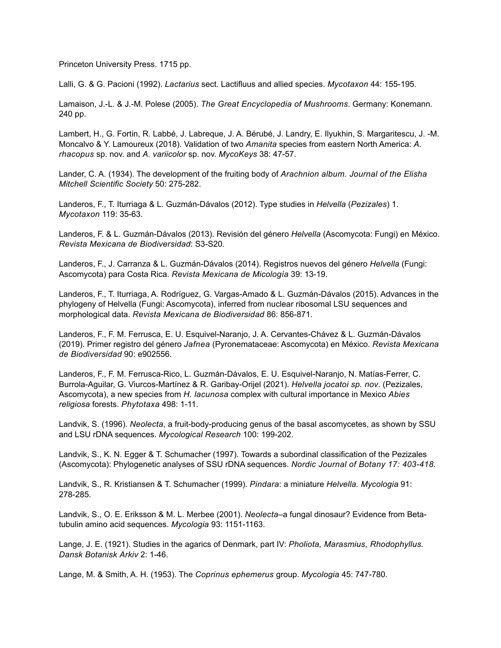Princeton University Press. 1715 pp.

Lalli, G. & G. Pacioni (1992). *Lactarius* sect. Lactifluus and allied species. *Mycotaxon* 44: 155-195.

Lamaison, J.-L. & J.-M. Polese (2005). *The Great Encyclopedia of Mushrooms*. Germany: Konemann. 240 pp.

Lambert, H., G. Fortin, R. Labbé, J. Labreque, J. A. Bérubé, J. Landry, E. Ilyukhin, S. Margaritescu, J. -M. Moncalvo & Y. Lamoureux (2018). Validation of two *Amanita* species from eastern North America: *A. rhacopus* sp. nov. and *A. variicolor* sp. nov. *MycoKeys* 38: 47-57.

Lander, C. A. (1934). The development of the fruiting body of *Arachnion album. Journal of the Elisha Mitchell Scientific Society* 50: 275-282.

Landeros, F., T. Iturriaga & L. Guzmán-Dávalos (2012). Type studies in *Helvella* (*Pezizales*) 1. *Mycotaxon* 119: 35-63.

Landeros, F. & L. Guzmán-Dávalos (2013). Revisión del género *Helvella* (Ascomycota: Fungi) en México. *Revista Mexicana de Biodiversidad*: S3-S20.

Landeros, F., J. Carranza & L. Guzmán-Dávalos (2014). Registros nuevos del género *Helvella* (Fungi: Ascomycota) para Costa Rica. *Revista Mexicana de Micología* 39: 13-19.

Landeros, F., T. Iturriaga, A. Rodríguez, G. Vargas-Amado & L. Guzmán-Dávalos (2015). Advances in the phylogeny of Helvella (Fungi: Ascomycota), inferred from nuclear ribosomal LSU sequences and morphological data. *Revista Mexicana de Biodiversidad* 86: 856-871.

Landeros, F., F. M. Ferrusca, E. U. Esquivel-Naranjo, J. A. Cervantes-Chávez & L. Guzmán-Dávalos (2019). Primer registro del género *Jafnea* (Pyronemataceae: Ascomycota) en México. *Revista Mexicana de Biodiversidad* 90: e902556.

Landeros, F., F. M. Ferrusca-Rico, L. Guzmán-Dávalos, E. U. Esquivel-Naranjo, N. Matías-Ferrer, C. Burrola-Aguilar, G. Viurcos-Martínez & R. Garibay-Orijel (2021). *Helvella jocatoi sp. nov*. (Pezizales, Ascomycota), a new species from *H. lacunosa* complex with cultural importance in Mexico *Abies religiosa* forests. *Phytotaxa* 498: 1-11.

Landvik, S. (1996). *Neolecta*, a fruit-body-producing genus of the basal ascomycetes, as shown by SSU and LSU rDNA sequences. *Mycological Research* 100: 199-202.

Landvik, S., K. N. Egger & T. Schumacher (1997). Towards a subordinal classification of the Pezizales (Ascomycota): Phylogenetic analyses of SSU rDNA sequences. *Nordic Journal of Botany 17: 403-418.* 

Landvik, S., R. Kristiansen & T. Schumacher (1999). *Pindara*: a miniature *Helvella. Mycologia* 91: 278-285.

Landvik, S., O. E. Eriksson & M. L. Merbee (2001). *Neolecta*–a fungal dinosaur? Evidence from Betatubulin amino acid sequences. *Mycologia* 93: 1151-1163.

Lange, J. E. (1921). Studies in the agarics of Denmark, part IV: *Pholiota, Marasmius, Rhodophyllus. Dansk Botanisk Arkiv* 2: 1-46.

Lange, M. & Smith, A. H. (1953). The *Coprinus ephemerus* group. *Mycologia* 45: 747-780.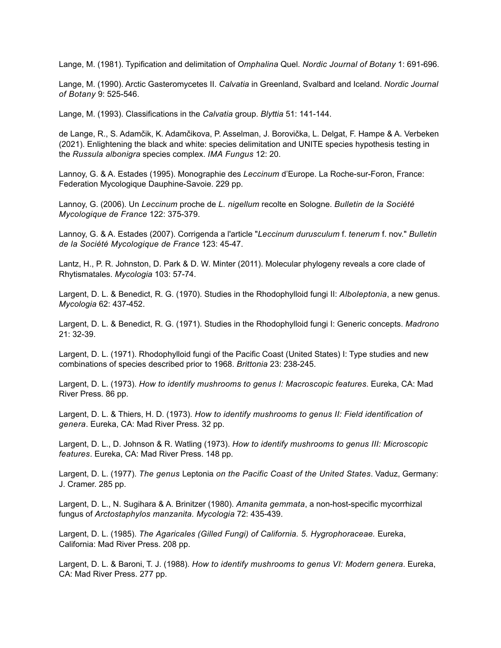Lange, M. (1981). Typification and delimitation of *Omphalina* Quel. *Nordic Journal of Botany* 1: 691-696.

Lange, M. (1990). Arctic Gasteromycetes II. *Calvatia* in Greenland, Svalbard and Iceland. *Nordic Journal of Botany* 9: 525-546.

Lange, M. (1993). Classifications in the *Calvatia* group. *Blyttia* 51: 141-144.

de Lange, R., S. Adamčik, K. Adamčikova, P. Asselman, J. Borovička, L. Delgat, F. Hampe & A. Verbeken (2021). Enlightening the black and white: species delimitation and UNITE species hypothesis testing in the *Russula albonigra* species complex. *IMA Fungus* 12: 20.

Lannoy, G. & A. Estades (1995). Monographie des *Leccinum* d'Europe. La Roche-sur-Foron, France: Federation Mycologique Dauphine-Savoie. 229 pp.

Lannoy, G. (2006). Un *Leccinum* proche de *L. nigellum* recolte en Sologne. *Bulletin de la Société Mycologique de France* 122: 375-379.

Lannoy, G. & A. Estades (2007). Corrigenda a l'article "*Leccinum durusculum* f. *tenerum* f. nov." *Bulletin de la Société Mycologique de France* 123: 45-47.

Lantz, H., P. R. Johnston, D. Park & D. W. Minter (2011). Molecular phylogeny reveals a core clade of Rhytismatales. *Mycologia* 103: 57-74.

Largent, D. L. & Benedict, R. G. (1970). Studies in the Rhodophylloid fungi II: *Alboleptonia*, a new genus. *Mycologia* 62: 437-452.

Largent, D. L. & Benedict, R. G. (1971). Studies in the Rhodophylloid fungi I: Generic concepts. *Madrono*  21: 32-39.

Largent, D. L. (1971). Rhodophylloid fungi of the Pacific Coast (United States) I: Type studies and new combinations of species described prior to 1968. *Brittonia* 23: 238-245.

Largent, D. L. (1973). *How to identify mushrooms to genus I: Macroscopic features*. Eureka, CA: Mad River Press. 86 pp.

Largent, D. L. & Thiers, H. D. (1973). *How to identify mushrooms to genus II: Field identification of genera*. Eureka, CA: Mad River Press. 32 pp.

Largent, D. L., D. Johnson & R. Watling (1973). *How to identify mushrooms to genus III: Microscopic features*. Eureka, CA: Mad River Press. 148 pp.

Largent, D. L. (1977). *The genus* Leptonia *on the Pacific Coast of the United States*. Vaduz, Germany: J. Cramer. 285 pp.

Largent, D. L., N. Sugihara & A. Brinitzer (1980). *Amanita gemmata*, a non-host-specific mycorrhizal fungus of *Arctostaphylos manzanita. Mycologia* 72: 435-439.

Largent, D. L. (1985). *The Agaricales (Gilled Fungi) of California. 5. Hygrophoraceae.* Eureka, California: Mad River Press. 208 pp.

Largent, D. L. & Baroni, T. J. (1988). *How to identify mushrooms to genus VI: Modern genera*. Eureka, CA: Mad River Press. 277 pp.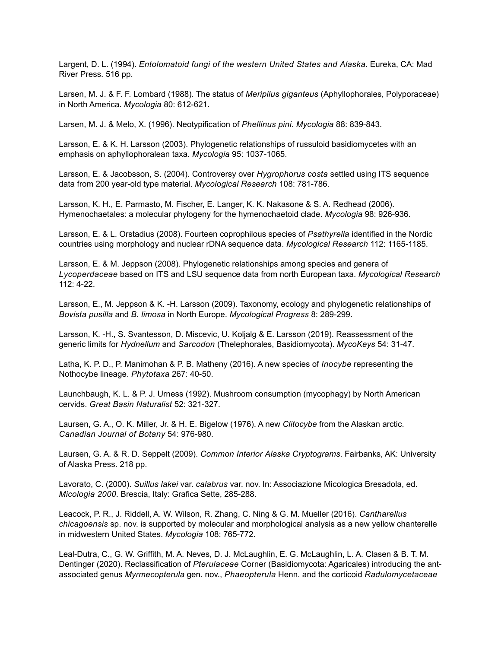Largent, D. L. (1994). *Entolomatoid fungi of the western United States and Alaska*. Eureka, CA: Mad River Press. 516 pp.

Larsen, M. J. & F. F. Lombard (1988). The status of *Meripilus giganteus* (Aphyllophorales, Polyporaceae) in North America. *Mycologia* 80: 612-621.

Larsen, M. J. & Melo, X. (1996). Neotypification of *Phellinus pini*. *Mycologia* 88: 839-843.

Larsson, E. & K. H. Larsson (2003). Phylogenetic relationships of russuloid basidiomycetes with an emphasis on aphyllophoralean taxa. *Mycologia* 95: 1037-1065.

Larsson, E. & Jacobsson, S. (2004). Controversy over *Hygrophorus costa* settled using ITS sequence data from 200 year-old type material. *Mycological Research* 108: 781-786.

Larsson, K. H., E. Parmasto, M. Fischer, E. Langer, K. K. Nakasone & S. A. Redhead (2006). Hymenochaetales: a molecular phylogeny for the hymenochaetoid clade. *Mycologia* 98: 926-936.

Larsson, E. & L. Orstadius (2008). Fourteen coprophilous species of *Psathyrella* identified in the Nordic countries using morphology and nuclear rDNA sequence data. *Mycological Research* 112: 1165-1185.

Larsson, E. & M. Jeppson (2008). Phylogenetic relationships among species and genera of *Lycoperdaceae* based on ITS and LSU sequence data from north European taxa. *Mycological Research* 112: 4-22.

Larsson, E., M. Jeppson & K. -H. Larsson (2009). Taxonomy, ecology and phylogenetic relationships of *Bovista pusilla* and *B. limosa* in North Europe. *Mycological Progress* 8: 289-299.

Larsson, K. -H., S. Svantesson, D. Miscevic, U. Koljalg & E. Larsson (2019). Reassessment of the generic limits for *Hydnellum* and *Sarcodon* (Thelephorales, Basidiomycota). *MycoKeys* 54: 31-47.

Latha, K. P. D., P. Manimohan & P. B. Matheny (2016). A new species of *Inocybe* representing the Nothocybe lineage. *Phytotaxa* 267: 40-50.

Launchbaugh, K. L. & P. J. Urness (1992). Mushroom consumption (mycophagy) by North American cervids. *Great Basin Naturalist* 52: 321-327.

Laursen, G. A., O. K. Miller, Jr. & H. E. Bigelow (1976). A new *Clitocybe* from the Alaskan arctic. *Canadian Journal of Botany* 54: 976-980.

Laursen, G. A. & R. D. Seppelt (2009). *Common Interior Alaska Cryptograms*. Fairbanks, AK: University of Alaska Press. 218 pp.

Lavorato, C. (2000). *Suillus lakei* var. *calabrus* var. nov. In: Associazione Micologica Bresadola, ed. *Micologia 2000*. Brescia, Italy: Grafica Sette, 285-288.

Leacock, P. R., J. Riddell, A. W. Wilson, R. Zhang, C. Ning & G. M. Mueller (2016). *Cantharellus chicagoensis* sp. nov. is supported by molecular and morphological analysis as a new yellow chanterelle in midwestern United States. *Mycologia* 108: 765-772.

Leal-Dutra, C., G. W. Griffith, M. A. Neves, D. J. McLaughlin, E. G. McLaughlin, L. A. Clasen & B. T. M. Dentinger (2020). Reclassification of *Pterulaceae* Corner (Basidiomycota: Agaricales) introducing the antassociated genus *Myrmecopterula* gen. nov., *Phaeopterula* Henn. and the corticoid *Radulomycetaceae*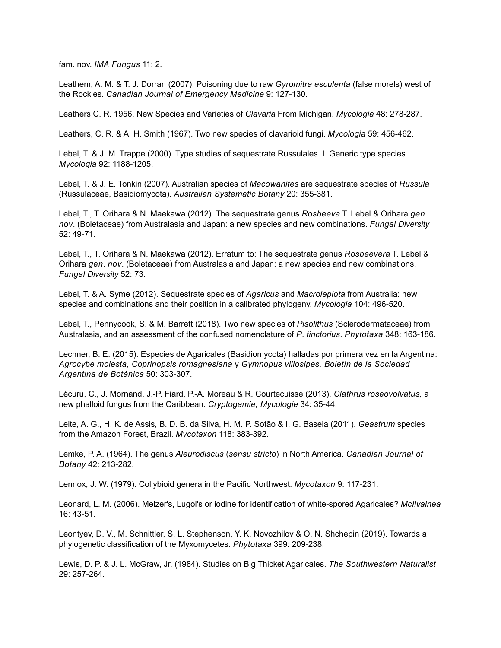fam. nov. *IMA Fungus* 11: 2.

Leathem, A. M. & T. J. Dorran (2007). Poisoning due to raw *Gyromitra esculenta* (false morels) west of the Rockies. *Canadian Journal of Emergency Medicine* 9: 127-130.

Leathers C. R. 1956. New Species and Varieties of *Clavaria* From Michigan. *Mycologia* 48: 278-287.

Leathers, C. R. & A. H. Smith (1967). Two new species of clavarioid fungi. *Mycologia* 59: 456-462.

Lebel, T. & J. M. Trappe (2000). Type studies of sequestrate Russulales. I. Generic type species. *Mycologia* 92: 1188-1205.

Lebel, T. & J. E. Tonkin (2007). Australian species of *Macowanites* are sequestrate species of *Russula* (Russulaceae, Basidiomycota). *Australian Systematic Botany* 20: 355-381.

Lebel, T., T. Orihara & N. Maekawa (2012). The sequestrate genus *Rosbeeva* T. Lebel & Orihara *gen*. *nov*. (Boletaceae) from Australasia and Japan: a new species and new combinations. *Fungal Diversity* 52: 49-71.

Lebel, T., T. Orihara & N. Maekawa (2012). Erratum to: The sequestrate genus *Rosbeevera* T. Lebel & Orihara *gen*. *nov*. (Boletaceae) from Australasia and Japan: a new species and new combinations. *Fungal Diversity* 52: 73.

Lebel, T. & A. Syme (2012). Sequestrate species of *Agaricus* and *Macrolepiota* from Australia: new species and combinations and their position in a calibrated phylogeny. *Mycologia* 104: 496-520.

Lebel, T., Pennycook, S. & M. Barrett (2018). Two new species of *Pisolithus* (Sclerodermataceae) from Australasia, and an assessment of the confused nomenclature of *P*. *tinctorius*. *Phytotaxa* 348: 163-186.

Lechner, B. E. (2015). Especies de Agaricales (Basidiomycota) halladas por primera vez en la Argentina: *Agrocybe molesta, Coprinopsis romagnesiana* y *Gymnopus villosipes. Boletín de la Sociedad Argentina de Botánica* 50: 303-307.

Lécuru, C., J. Mornand, J.-P. Fiard, P.-A. Moreau & R. Courtecuisse (2013). *Clathrus roseovolvatus,* a new phalloid fungus from the Caribbean. *Cryptogamie, Mycologie* 34: 35-44.

Leite, A. G., H. K. de Assis, B. D. B. da Silva, H. M. P. Sotão & I. G. Baseia (2011). *Geastrum* species from the Amazon Forest, Brazil. *Mycotaxon* 118: 383-392.

Lemke, P. A. (1964). The genus *Aleurodiscus* (*sensu stricto*) in North America. *Canadian Journal of Botany* 42: 213-282.

Lennox, J. W. (1979). Collybioid genera in the Pacific Northwest. *Mycotaxon* 9: 117-231.

Leonard, L. M. (2006). Melzer's, Lugol's or iodine for identification of white-spored Agaricales? *McIlvainea* 16: 43-51.

Leontyev, D. V., M. Schnittler, S. L. Stephenson, Y. K. Novozhilov & O. N. Shchepin (2019). Towards a phylogenetic classification of the Myxomycetes. *Phytotaxa* 399: 209-238.

Lewis, D. P. & J. L. McGraw, Jr. (1984). Studies on Big Thicket Agaricales. *The Southwestern Naturalist* 29: 257-264.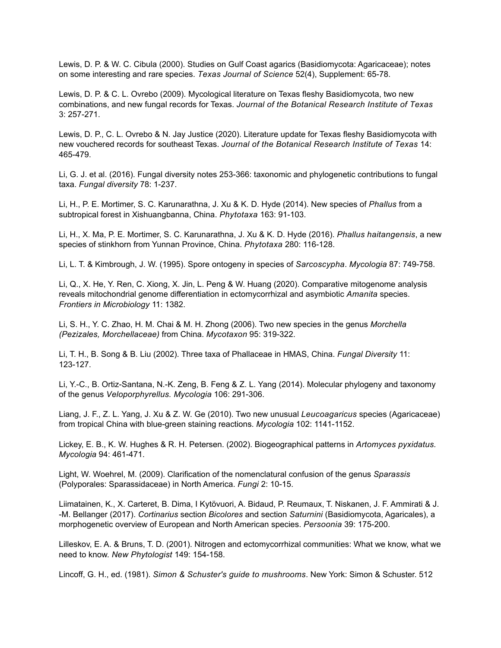Lewis, D. P. & W. C. Cibula (2000). Studies on Gulf Coast agarics (Basidiomycota: Agaricaceae); notes on some interesting and rare species. *Texas Journal of Science* 52(4), Supplement: 65-78.

Lewis, D. P. & C. L. Ovrebo (2009). Mycological literature on Texas fleshy Basidiomycota, two new combinations, and new fungal records for Texas. *Journal of the Botanical Research Institute of Texas*  3: 257-271.

Lewis, D. P., C. L. Ovrebo & N. Jay Justice (2020). Literature update for Texas fleshy Basidiomycota with new vouchered records for southeast Texas. *Journal of the Botanical Research Institute of Texas* 14: 465-479.

Li, G. J. et al. (2016). Fungal diversity notes 253-366: taxonomic and phylogenetic contributions to fungal taxa. *Fungal diversity* 78: 1-237.

Li, H., P. E. Mortimer, S. C. Karunarathna, J. Xu & K. D. Hyde (2014). New species of *Phallus* from a subtropical forest in Xishuangbanna, China. *Phytotaxa* 163: 91-103.

Li, H., X. Ma, P. E. Mortimer, S. C. Karunarathna, J. Xu & K. D. Hyde (2016). *Phallus haitangensis*, a new species of stinkhorn from Yunnan Province, China. *Phytotaxa* 280: 116-128.

Li, L. T. & Kimbrough, J. W. (1995). Spore ontogeny in species of *Sarcoscypha*. *Mycologia* 87: 749-758.

Li, Q., X. He, Y. Ren, C. Xiong, X. Jin, L. Peng & W. Huang (2020). Comparative mitogenome analysis reveals mitochondrial genome differentiation in ectomycorrhizal and asymbiotic *Amanita* species. *Frontiers in Microbiology* 11: 1382.

Li, S. H., Y. C. Zhao, H. M. Chai & M. H. Zhong (2006). Two new species in the genus *Morchella (Pezizales, Morchellaceae)* from China. *Mycotaxon* 95: 319-322.

Li, T. H., B. Song & B. Liu (2002). Three taxa of Phallaceae in HMAS, China. *Fungal Diversity* 11: 123-127.

Li, Y.-C., B. Ortiz-Santana, N.-K. Zeng, B. Feng & Z. L. Yang (2014). Molecular phylogeny and taxonomy of the genus *Veloporphyrellus. Mycologia* 106: 291-306.

Liang, J. F., Z. L. Yang, J. Xu & Z. W. Ge (2010). Two new unusual *Leucoagaricus* species (Agaricaceae) from tropical China with blue-green staining reactions. *Mycologia* 102: 1141-1152.

Lickey, E. B., K. W. Hughes & R. H. Petersen. (2002). Biogeographical patterns in *Artomyces pyxidatus. Mycologia* 94: 461-471.

Light, W. Woehrel, M. (2009). Clarification of the nomenclatural confusion of the genus *Sparassis* (Polyporales: Sparassidaceae) in North America. *Fungi* 2: 10-15.

Liimatainen, K., X. Carteret, B. Dima, I Kytövuori, A. Bidaud, P. Reumaux, T. Niskanen, J. F. Ammirati & J. -M. Bellanger (2017). *Cortinarius* section *Bicolores* and section *Saturnini* (Basidiomycota, Agaricales), a morphogenetic overview of European and North American species. *Persoonia* 39: 175-200.

Lilleskov, E. A. & Bruns, T. D. (2001). Nitrogen and ectomycorrhizal communities: What we know, what we need to know. *New Phytologist* 149: 154-158.

Lincoff, G. H., ed. (1981). *Simon & Schuster's guide to mushrooms*. New York: Simon & Schuster. 512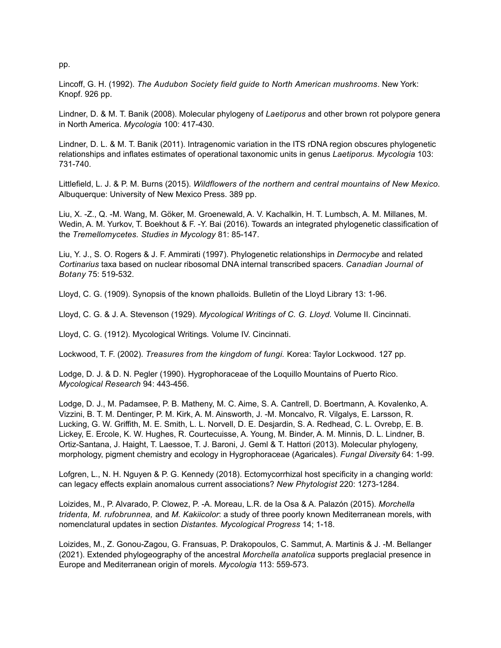Lincoff, G. H. (1992). *The Audubon Society field guide to North American mushrooms*. New York: Knopf. 926 pp.

Lindner, D. & M. T. Banik (2008). Molecular phylogeny of *Laetiporus* and other brown rot polypore genera in North America. *Mycologia* 100: 417-430.

Lindner, D. L. & M. T. Banik (2011). Intragenomic variation in the ITS rDNA region obscures phylogenetic relationships and inflates estimates of operational taxonomic units in genus *Laetiporus. Mycologia* 103: 731-740.

Littlefield, L. J. & P. M. Burns (2015). *Wildflowers of the northern and central mountains of New Mexico.* Albuquerque: University of New Mexico Press. 389 pp.

Liu, X. -Z., Q. -M. Wang, M. Göker, M. Groenewald, A. V. Kachalkin, H. T. Lumbsch, A. M. Millanes, M. Wedin, A. M. Yurkov, T. Boekhout & F. -Y. Bai (2016). Towards an integrated phylogenetic classification of the *Tremellomycetes. Studies in Mycology* 81: 85-147.

Liu, Y. J., S. O. Rogers & J. F. Ammirati (1997). Phylogenetic relationships in *Dermocybe* and related *Cortinarius* taxa based on nuclear ribosomal DNA internal transcribed spacers. *Canadian Journal of Botany* 75: 519-532.

Lloyd, C. G. (1909). Synopsis of the known phalloids. Bulletin of the Lloyd Library 13: 1-96.

Lloyd, C. G. & J. A. Stevenson (1929). *Mycological Writings of C. G. Lloyd.* Volume II. Cincinnati.

Lloyd, C. G. (1912). Mycological Writings*.* Volume IV. Cincinnati.

Lockwood, T. F. (2002). *Treasures from the kingdom of fungi.* Korea: Taylor Lockwood. 127 pp.

Lodge, D. J. & D. N. Pegler (1990). Hygrophoraceae of the Loquillo Mountains of Puerto Rico. *Mycological Research* 94: 443-456.

Lodge, D. J., M. Padamsee, P. B. Matheny, M. C. Aime, S. A. Cantrell, D. Boertmann, A. Kovalenko, A. Vizzini, B. T. M. Dentinger, P. M. Kirk, A. M. Ainsworth, J. -M. Moncalvo, R. Vilgalys, E. Larsson, R. Lucking, G. W. Griffith, M. E. Smith, L. L. Norvell, D. E. Desjardin, S. A. Redhead, C. L. Ovrebp, E. B. Lickey, E. Ercole, K. W. Hughes, R. Courtecuisse, A. Young, M. Binder, A. M. Minnis, D. L. Lindner, B. Ortiz-Santana, J. Haight, T. Laessoe, T. J. Baroni, J. Geml & T. Hattori (2013). Molecular phylogeny, morphology, pigment chemistry and ecology in Hygrophoraceae (Agaricales). *Fungal Diversity* 64: 1-99.

Lofgren, L., N. H. Nguyen & P. G. Kennedy (2018). Ectomycorrhizal host specificity in a changing world: can legacy effects explain anomalous current associations? *New Phytologist* 220: 1273-1284.

Loizides, M., P. Alvarado, P. Clowez, P. -A. Moreau, L.R. de la Osa & A. Palazón (2015). *Morchella tridenta, M. rufobrunnea,* and *M. Kakiicolor*: a study of three poorly known Mediterranean morels, with nomenclatural updates in section *Distantes. Mycological Progress* 14; 1-18.

Loizides, M., Z. Gonou-Zagou, G. Fransuas, P. Drakopoulos, C. Sammut, A. Martinis & J. -M. Bellanger (2021). Extended phylogeography of the ancestral *Morchella anatolica* supports preglacial presence in Europe and Mediterranean origin of morels. *Mycologia* 113: 559-573.

pp.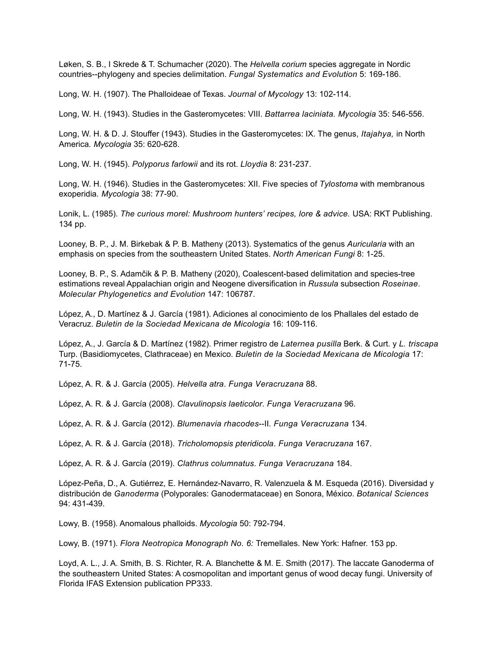Løken, S. B., I Skrede & T. Schumacher (2020). The *Helvella corium* species aggregate in Nordic countries--phylogeny and species delimitation. *Fungal Systematics and Evolution* 5: 169-186.

Long, W. H. (1907). The Phalloideae of Texas. *Journal of Mycology* 13: 102-114.

Long, W. H. (1943). Studies in the Gasteromycetes: VIII. *Battarrea laciniata. Mycologia* 35: 546-556.

Long, W. H. & D. J. Stouffer (1943). Studies in the Gasteromycetes: IX. The genus, *Itajahya,* in North America*. Mycologia* 35: 620-628.

Long, W. H. (1945). *Polyporus farlowii* and its rot. *Lloydia* 8: 231-237.

Long, W. H. (1946). Studies in the Gasteromycetes: XII. Five species of *Tylostoma* with membranous exoperidia*. Mycologia* 38: 77-90.

Lonik, L. (1985). *The curious morel: Mushroom hunters' recipes, lore & advice.* USA: RKT Publishing. 134 pp.

Looney, B. P., J. M. Birkebak & P. B. Matheny (2013). Systematics of the genus *Auricularia* with an emphasis on species from the southeastern United States. *North American Fungi* 8: 1-25.

Looney, B. P., S. Adamčik & P. B. Matheny (2020), Coalescent-based delimitation and species-tree estimations reveal Appalachian origin and Neogene diversification in *Russula* subsection *Roseinae*. *Molecular Phylogenetics and Evolution* 147: 106787.

López, A., D. Martínez & J. García (1981). Adiciones al conocimiento de los Phallales del estado de Veracruz. *Buletin de la Sociedad Mexicana de Micologia* 16: 109-116.

López, A., J. García & D. Martínez (1982). Primer registro de *Laternea pusilla* Berk. & Curt. y *L. triscapa* Turp. (Basidiomycetes, Clathraceae) en Mexico. *Buletin de la Sociedad Mexicana de Micologia* 17: 71-75.

López, A. R. & J. García (2005). *Helvella atra*. *Funga Veracruzana* 88.

López, A. R. & J. García (2008). *Clavulinopsis laeticolor*. *Funga Veracruzana* 96.

López, A. R. & J. García (2012). *Blumenavia rhacodes*--II. *Funga Veracruzana* 134.

López, A. R. & J. García (2018). *Tricholomopsis pteridicola*. *Funga Veracruzana* 167.

López, A. R. & J. García (2019). *Clathrus columnatus*. *Funga Veracruzana* 184.

López-Peña, D., A. Gutiérrez, E. Hernández-Navarro, R. Valenzuela & M. Esqueda (2016). Diversidad y distribución de *Ganoderma* (Polyporales: Ganodermataceae) en Sonora, México. *Botanical Sciences* 94: 431-439.

Lowy, B. (1958). Anomalous phalloids. *Mycologia* 50: 792-794.

Lowy, B. (1971). *Flora Neotropica Monograph No. 6:* Tremellales. New York: Hafner. 153 pp.

Loyd, A. L., J. A. Smith, B. S. Richter, R. A. Blanchette & M. E. Smith (2017). The laccate Ganoderma of the southeastern United States: A cosmopolitan and important genus of wood decay fungi. University of Florida IFAS Extension publication PP333.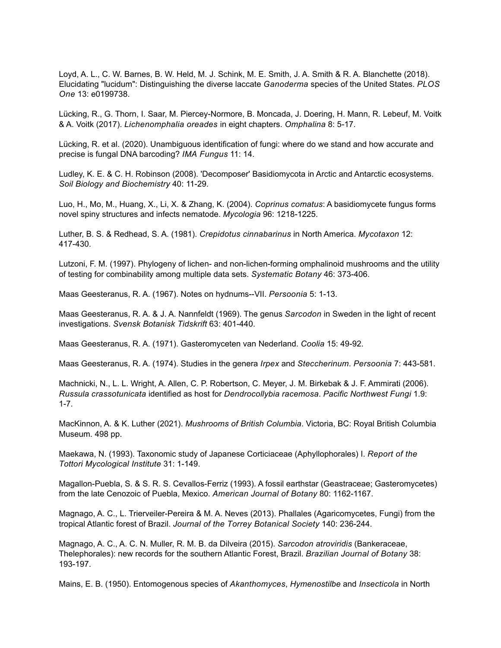Loyd, A. L., C. W. Barnes, B. W. Held, M. J. Schink, M. E. Smith, J. A. Smith & R. A. Blanchette (2018). Elucidating "lucidum": Distinguishing the diverse laccate *Ganoderma* species of the United States. *PLOS One* 13: e0199738.

Lücking, R., G. Thorn, I. Saar, M. Piercey-Normore, B. Moncada, J. Doering, H. Mann, R. Lebeuf, M. Voitk & A. Voitk (2017). *Lichenomphalia oreades* in eight chapters. *Omphalina* 8: 5-17.

Lücking, R. et al. (2020). Unambiguous identification of fungi: where do we stand and how accurate and precise is fungal DNA barcoding? *IMA Fungus* 11: 14.

Ludley, K. E. & C. H. Robinson (2008). 'Decomposer' Basidiomycota in Arctic and Antarctic ecosystems. *Soil Biology and Biochemistry* 40: 11-29.

Luo, H., Mo, M., Huang, X., Li, X. & Zhang, K. (2004). *Coprinus comatus*: A basidiomycete fungus forms novel spiny structures and infects nematode. *Mycologia* 96: 1218-1225.

Luther, B. S. & Redhead, S. A. (1981). *Crepidotus cinnabarinus* in North America. *Mycotaxon* 12: 417-430.

Lutzoni, F. M. (1997). Phylogeny of lichen- and non-lichen-forming omphalinoid mushrooms and the utility of testing for combinability among multiple data sets. *Systematic Botany* 46: 373-406.

Maas Geesteranus, R. A. (1967). Notes on hydnums--VII. *Persoonia* 5: 1-13.

Maas Geesteranus, R. A. & J. A. Nannfeldt (1969). The genus *Sarcodon* in Sweden in the light of recent investigations. *Svensk Botanisk Tidskrift* 63: 401-440.

Maas Geesteranus, R. A. (1971). Gasteromyceten van Nederland. *Coolia* 15: 49-92.

Maas Geesteranus, R. A. (1974). Studies in the genera *Irpex* and *Steccherinum*. *Persoonia* 7: 443-581.

Machnicki, N., L. L. Wright, A. Allen, C. P. Robertson, C. Meyer, J. M. Birkebak & J. F. Ammirati (2006). *Russula crassotunicata* identified as host for *Dendrocollybia racemosa*. *Pacific Northwest Fungi* 1.9: 1-7.

MacKinnon, A. & K. Luther (2021). *Mushrooms of British Columbia*. Victoria, BC: Royal British Columbia Museum. 498 pp.

Maekawa, N. (1993). Taxonomic study of Japanese Corticiaceae (Aphyllophorales) I. *Report of the Tottori Mycological Institute* 31: 1-149.

Magallon-Puebla, S. & S. R. S. Cevallos-Ferriz (1993). A fossil earthstar (Geastraceae; Gasteromycetes) from the late Cenozoic of Puebla, Mexico. *American Journal of Botany* 80: 1162-1167.

Magnago, A. C., L. Trierveiler-Pereira & M. A. Neves (2013). Phallales (Agaricomycetes, Fungi) from the tropical Atlantic forest of Brazil. *Journal of the Torrey Botanical Society* 140: 236-244.

Magnago, A. C., A. C. N. Muller, R. M. B. da Dilveira (2015). *Sarcodon atroviridis* (Bankeraceae, Thelephorales): new records for the southern Atlantic Forest, Brazil. *Brazilian Journal of Botany* 38: 193-197.

Mains, E. B. (1950). Entomogenous species of *Akanthomyces*, *Hymenostilbe* and *Insecticola* in North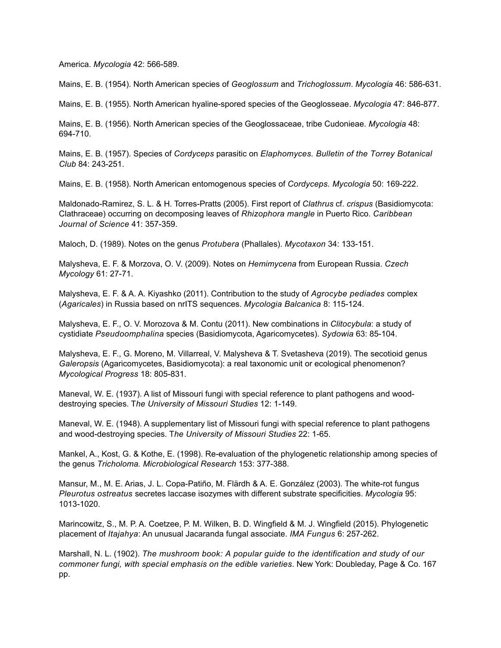America. *Mycologia* 42: 566-589.

Mains, E. B. (1954). North American species of *Geoglossum* and *Trichoglossum*. *Mycologia* 46: 586-631.

Mains, E. B. (1955). North American hyaline-spored species of the Geoglosseae. *Mycologia* 47: 846-877.

Mains, E. B. (1956). North American species of the Geoglossaceae, tribe Cudonieae. *Mycologia* 48: 694-710.

Mains, E. B. (1957). Species of *Cordyceps* parasitic on *Elaphomyces. Bulletin of the Torrey Botanical Club* 84: 243-251.

Mains, E. B. (1958). North American entomogenous species of *Cordyceps. Mycologia* 50: 169-222.

Maldonado-Ramirez, S. L. & H. Torres-Pratts (2005). First report of *Clathrus* cf. *crispus* (Basidiomycota: Clathraceae) occurring on decomposing leaves of *Rhizophora mangle* in Puerto Rico. *Caribbean Journal of Science* 41: 357-359.

Maloch, D. (1989). Notes on the genus *Protubera* (Phallales). *Mycotaxon* 34: 133-151.

Malysheva, E. F. & Morzova, O. V. (2009). Notes on *Hemimycena* from European Russia. *Czech Mycology* 61: 27-71.

Malysheva, E. F. & A. A. Kiyashko (2011). Contribution to the study of *Agrocybe pediades* complex (*Agaricales*) in Russia based on nrITS sequences. *Mycologia Balcanica* 8: 115-124.

Malysheva, E. F., O. V. Morozova & M. Contu (2011). New combinations in *Clitocybula*: a study of cystidiate *Pseudoomphalina* species (Basidiomycota, Agaricomycetes). *Sydowia* 63: 85-104.

Malysheva, E. F., G. Moreno, M. Villarreal, V. Malysheva & T. Svetasheva (2019). The secotioid genus *Galeropsis* (Agaricomycetes, Basidiomycota): a real taxonomic unit or ecological phenomenon? *Mycological Progress* 18: 805-831.

Maneval, W. E. (1937). A list of Missouri fungi with special reference to plant pathogens and wooddestroying species. T*he University of Missouri Studies* 12: 1-149.

Maneval, W. E. (1948). A supplementary list of Missouri fungi with special reference to plant pathogens and wood-destroying species. T*he University of Missouri Studies* 22: 1-65.

Mankel, A., Kost, G. & Kothe, E. (1998). Re-evaluation of the phylogenetic relationship among species of the genus *Tricholoma. Microbiological Research* 153: 377-388.

Mansur, M., M. E. Arias, J. L. Copa-Patiño, M. Flärdh & A. E. González (2003). The white-rot fungus *Pleurotus ostreatus* secretes laccase isozymes with different substrate specificities. *Mycologia* 95: 1013-1020.

Marincowitz, S., M. P. A. Coetzee, P. M. Wilken, B. D. Wingfield & M. J. Wingfield (2015). Phylogenetic placement of *Itajahya*: An unusual Jacaranda fungal associate. *IMA Fungus* 6: 257-262.

Marshall, N. L. (1902). *The mushroom book: A popular guide to the identification and study of our commoner fungi, with special emphasis on the edible varieties*. New York: Doubleday, Page & Co. 167 pp.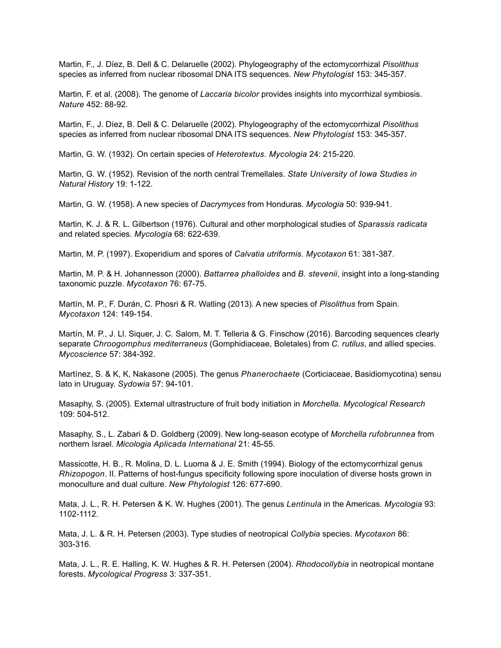Martin, F., J. Díez, B. Dell & C. Delaruelle (2002). Phylogeography of the ectomycorrhizal *Pisolithus* species as inferred from nuclear ribosomal DNA ITS sequences. *New Phytologist* 153: 345-357.

Martin, F. et al. (2008). The genome of *Laccaria bicolor* provides insights into mycorrhizal symbiosis. *Nature* 452: 88-92.

Martin, F., J. Díez, B. Dell & C. Delaruelle (2002). Phylogeography of the ectomycorrhizal *Pisolithus* species as inferred from nuclear ribosomal DNA ITS sequences. *New Phytologist* 153: 345-357.

Martin, G. W. (1932). On certain species of *Heterotextus. Mycologia* 24: 215-220.

Martin, G. W. (1952). Revision of the north central Tremellales. *State University of Iowa Studies in Natural History* 19: 1-122.

Martin, G. W. (1958). A new species of *Dacrymyces* from Honduras. *Mycologia* 50: 939-941.

Martin, K. J. & R. L. Gilbertson (1976). Cultural and other morphological studies of *Sparassis radicata* and related species. *Mycologia* 68: 622-639.

Martin, M. P. (1997). Exoperidium and spores of *Calvatia utriformis. Mycotaxon* 61: 381-387.

Martin, M. P. & H. Johannesson (2000). *Battarrea phalloides* and *B. stevenii*, insight into a long-standing taxonomic puzzle. *Mycotaxon* 76: 67-75.

Martín, M. P., F. Durán, C. Phosri & R. Watling (2013). A new species of *Pisolithus* from Spain. *Mycotaxon* 124: 149-154.

Martín, M. P., J. Ll. Siquer, J. C. Salom, M. T. Telleria & G. Finschow (2016). Barcoding sequences clearly separate *Chroogomphus mediterraneus* (Gomphidiaceae, Boletales) from *C. rutilus*, and allied species. *Mycoscience* 57: 384-392.

Martínez, S. & K, K, Nakasone (2005). The genus *Phanerochaete* (Corticiaceae, Basidiomycotina) sensu lato in Uruguay. *Sydowia* 57: 94-101.

Masaphy, S. (2005). External ultrastructure of fruit body initiation in *Morchella. Mycological Research* 109: 504-512.

Masaphy, S., L. Zabari & D. Goldberg (2009). New long-season ecotype of *Morchella rufobrunnea* from northern Israel. *Micologia Aplicada International* 21: 45-55.

Massicotte, H. B., R. Molina, D. L. Luoma & J. E. Smith (1994). Biology of the ectomycorrhizal genus *Rhizopogon*. II. Patterns of host-fungus specificity following spore inoculation of diverse hosts grown in monoculture and dual culture. *New Phytologist* 126: 677-690.

Mata, J. L., R. H. Petersen & K. W. Hughes (2001). The genus *Lentinula* in the Americas. *Mycologia* 93: 1102-1112.

Mata, J. L. & R. H. Petersen (2003). Type studies of neotropical *Collybia* species. *Mycotaxon* 86: 303-316.

Mata, J. L., R. E. Halling, K. W. Hughes & R. H. Petersen (2004). *Rhodocollybia* in neotropical montane forests. *Mycological Progress* 3: 337-351.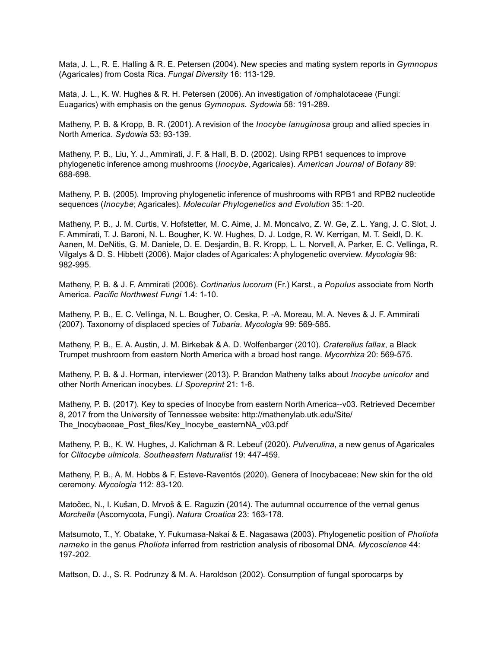Mata, J. L., R. E. Halling & R. E. Petersen (2004). New species and mating system reports in *Gymnopus*  (Agaricales) from Costa Rica. *Fungal Diversity* 16: 113-129.

Mata, J. L., K. W. Hughes & R. H. Petersen (2006). An investigation of /omphalotaceae (Fungi: Euagarics) with emphasis on the genus *Gymnopus. Sydowia* 58: 191-289.

Matheny, P. B. & Kropp, B. R. (2001). A revision of the *Inocybe lanuginosa* group and allied species in North America. *Sydowia* 53: 93-139.

Matheny, P. B., Liu, Y. J., Ammirati, J. F. & Hall, B. D. (2002). Using RPB1 sequences to improve phylogenetic inference among mushrooms (*Inocybe*, Agaricales). *American Journal of Botany* 89: 688-698.

Matheny, P. B. (2005). Improving phylogenetic inference of mushrooms with RPB1 and RPB2 nucleotide sequences (*Inocybe*; Agaricales). *Molecular Phylogenetics and Evolution* 35: 1-20.

Matheny, P. B., J. M. Curtis, V. Hofstetter, M. C. Aime, J. M. Moncalvo, Z. W. Ge, Z. L. Yang, J. C. Slot, J. F. Ammirati, T. J. Baroni, N. L. Bougher, K. W. Hughes, D. J. Lodge, R. W. Kerrigan, M. T. Seidl, D. K. Aanen, M. DeNitis, G. M. Daniele, D. E. Desjardin, B. R. Kropp, L. L. Norvell, A. Parker, E. C. Vellinga, R. Vilgalys & D. S. Hibbett (2006). Major clades of Agaricales: A phylogenetic overview. *Mycologia* 98: 982-995.

Matheny, P. B. & J. F. Ammirati (2006). *Cortinarius lucorum* (Fr.) Karst., a *Populus* associate from North America. *Pacific Northwest Fungi* 1.4: 1-10.

Matheny, P. B., E. C. Vellinga, N. L. Bougher, O. Ceska, P. -A. Moreau, M. A. Neves & J. F. Ammirati (2007). Taxonomy of displaced species of *Tubaria. Mycologia* 99: 569-585.

Matheny, P. B., E. A. Austin, J. M. Birkebak & A. D. Wolfenbarger (2010). *Craterellus fallax*, a Black Trumpet mushroom from eastern North America with a broad host range. *Mycorrhiza* 20: 569-575.

Matheny, P. B. & J. Horman, interviewer (2013). P. Brandon Matheny talks about *Inocybe unicolor* and other North American inocybes. *LI Sporeprint* 21: 1-6.

Matheny, P. B. (2017). Key to species of Inocybe from eastern North America--v03. Retrieved December 8, 2017 from the University of Tennessee website: http://mathenylab.utk.edu/Site/ The Inocybaceae Post files/Key Inocybe easternNA\_v03.pdf

Matheny, P. B., K. W. Hughes, J. Kalichman & R. Lebeuf (2020). *Pulverulina*, a new genus of Agaricales for *Clitocybe ulmicola. Southeastern Naturalist* 19: 447-459.

Matheny, P. B., A. M. Hobbs & F. Esteve-Raventós (2020). Genera of Inocybaceae: New skin for the old ceremony. *Mycologia* 112: 83-120.

Matočec, N., I. Kušan, D. Mrvoš & E. Raguzin (2014). The autumnal occurrence of the vernal genus *Morchella* (Ascomycota, Fungi). *Natura Croatica* 23: 163-178.

Matsumoto, T., Y. Obatake, Y. Fukumasa-Nakai & E. Nagasawa (2003). Phylogenetic position of *Pholiota nameko* in the genus *Pholiota* inferred from restriction analysis of ribosomal DNA. *Mycoscience* 44: 197-202.

Mattson, D. J., S. R. Podrunzy & M. A. Haroldson (2002). Consumption of fungal sporocarps by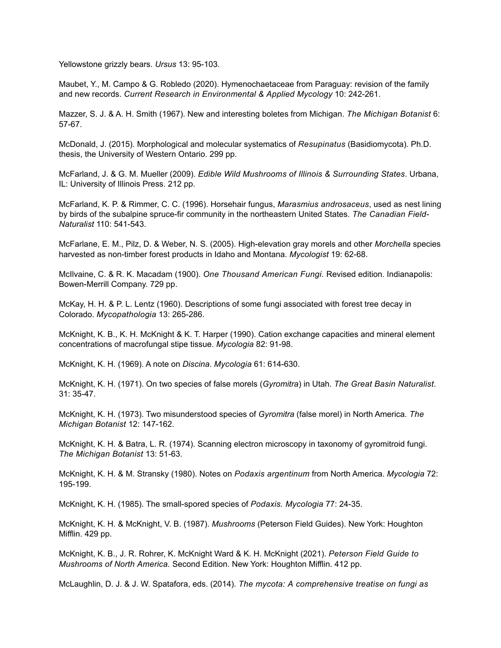Yellowstone grizzly bears. *Ursus* 13: 95-103.

Maubet, Y., M. Campo & G. Robledo (2020). Hymenochaetaceae from Paraguay: revision of the family and new records. *Current Research in Environmental & Applied Mycology* 10: 242-261.

Mazzer, S. J. & A. H. Smith (1967). New and interesting boletes from Michigan. *The Michigan Botanist* 6: 57-67.

McDonald, J. (2015). Morphological and molecular systematics of *Resupinatus* (Basidiomycota). Ph.D. thesis, the University of Western Ontario. 299 pp.

McFarland, J. & G. M. Mueller (2009). *Edible Wild Mushrooms of Illinois & Surrounding States*. Urbana, IL: University of Illinois Press. 212 pp.

McFarland, K. P. & Rimmer, C. C. (1996). Horsehair fungus, *Marasmius androsaceus*, used as nest lining by birds of the subalpine spruce-fir community in the northeastern United States. *The Canadian Field-Naturalist* 110: 541-543.

McFarlane, E. M., Pilz, D. & Weber, N. S. (2005). High-elevation gray morels and other *Morchella* species harvested as non-timber forest products in Idaho and Montana. *Mycologist* 19: 62-68.

McIlvaine, C. & R. K. Macadam (1900). *One Thousand American Fungi.* Revised edition. Indianapolis: Bowen-Merrill Company. 729 pp.

McKay, H. H. & P. L. Lentz (1960). Descriptions of some fungi associated with forest tree decay in Colorado. *Mycopathologia* 13: 265-286.

McKnight, K. B., K. H. McKnight & K. T. Harper (1990). Cation exchange capacities and mineral element concentrations of macrofungal stipe tissue. *Mycologia* 82: 91-98.

McKnight, K. H. (1969). A note on *Discina*. *Mycologia* 61: 614-630.

McKnight, K. H. (1971). On two species of false morels (*Gyromitra*) in Utah. *The Great Basin Naturalist*. 31: 35-47.

McKnight, K. H. (1973). Two misunderstood species of *Gyromitra* (false morel) in North America. *The Michigan Botanist* 12: 147-162.

McKnight, K. H. & Batra, L. R. (1974). Scanning electron microscopy in taxonomy of gyromitroid fungi. *The Michigan Botanist* 13: 51-63.

McKnight, K. H. & M. Stransky (1980). Notes on *Podaxis argentinum* from North America. *Mycologia* 72: 195-199.

McKnight, K. H. (1985). The small-spored species of *Podaxis. Mycologia* 77: 24-35.

McKnight, K. H. & McKnight, V. B. (1987). *Mushrooms* (Peterson Field Guides). New York: Houghton Mifflin. 429 pp.

McKnight, K. B., J. R. Rohrer, K. McKnight Ward & K. H. McKnight (2021). *Peterson Field Guide to Mushrooms of North America.* Second Edition. New York: Houghton Mifflin. 412 pp.

McLaughlin, D. J. & J. W. Spatafora, eds. (2014). *The mycota: A comprehensive treatise on fungi as*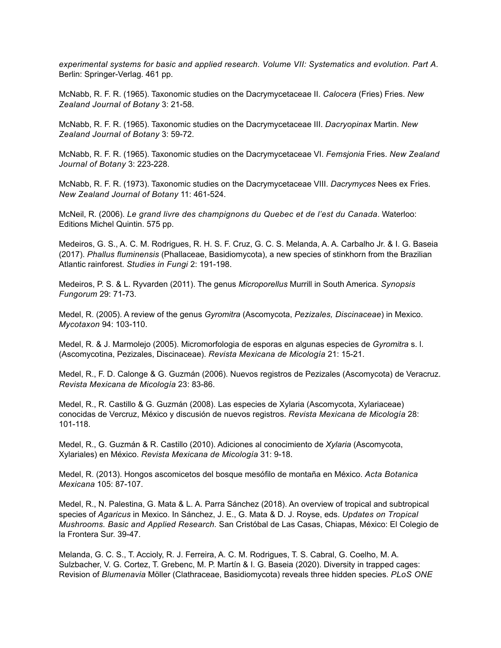*experimental systems for basic and applied research. Volume VII: Systematics and evolution. Part A*. Berlin: Springer-Verlag. 461 pp.

McNabb, R. F. R. (1965). Taxonomic studies on the Dacrymycetaceae II. *Calocera* (Fries) Fries. *New Zealand Journal of Botany* 3: 21-58.

McNabb, R. F. R. (1965). Taxonomic studies on the Dacrymycetaceae III. *Dacryopinax* Martin. *New Zealand Journal of Botany* 3: 59-72.

McNabb, R. F. R. (1965). Taxonomic studies on the Dacrymycetaceae VI. *Femsjonia* Fries. *New Zealand Journal of Botany* 3: 223-228.

McNabb, R. F. R. (1973). Taxonomic studies on the Dacrymycetaceae VIII. *Dacrymyces* Nees ex Fries. *New Zealand Journal of Botany* 11: 461-524.

McNeil, R. (2006). *Le grand livre des champignons du Quebec et de l'est du Canada*. Waterloo: Editions Michel Quintin. 575 pp.

Medeiros, G. S., A. C. M. Rodrigues, R. H. S. F. Cruz, G. C. S. Melanda, A. A. Carbalho Jr. & I. G. Baseia (2017). *Phallus fluminensis* (Phallaceae, Basidiomycota), a new species of stinkhorn from the Brazilian Atlantic rainforest. *Studies in Fungi* 2: 191-198.

Medeiros, P. S. & L. Ryvarden (2011). The genus *Microporellus* Murrill in South America. *Synopsis Fungorum* 29: 71-73.

Medel, R. (2005). A review of the genus *Gyromitra* (Ascomycota, *Pezizales, Discinaceae*) in Mexico. *Mycotaxon* 94: 103-110.

Medel, R. & J. Marmolejo (2005). Micromorfologia de esporas en algunas especies de *Gyromitra* s. l. (Ascomycotina, Pezizales, Discinaceae). *Revista Mexicana de Micología* 21: 15-21.

Medel, R., F. D. Calonge & G. Guzmán (2006). Nuevos registros de Pezizales (Ascomycota) de Veracruz. *Revista Mexicana de Micología* 23: 83-86.

Medel, R., R. Castillo & G. Guzmán (2008). Las especies de Xylaria (Ascomycota, Xylariaceae) conocidas de Vercruz, México y discusión de nuevos registros. *Revista Mexicana de Micología* 28: 101-118.

Medel, R., G. Guzmán & R. Castillo (2010). Adiciones al conocimiento de *Xylaria* (Ascomycota, Xylariales) en México. *Revista Mexicana de Micología* 31: 9-18.

Medel, R. (2013). Hongos ascomicetos del bosque mesófilo de montaña en México. *Acta Botanica Mexicana* 105: 87-107.

Medel, R., N. Palestina, G. Mata & L. A. Parra Sánchez (2018). An overview of tropical and subtropical species of *Agaricus* in Mexico. In Sánchez, J. E., G. Mata & D. J. Royse, eds. *Updates on Tropical Mushrooms. Basic and Applied Research.* San Cristóbal de Las Casas, Chiapas, México: El Colegio de la Frontera Sur. 39-47.

Melanda, G. C. S., T. Accioly, R. J. Ferreira, A. C. M. Rodrigues, T. S. Cabral, G. Coelho, M. A. Sulzbacher, V. G. Cortez, T. Grebenc, M. P. Martín & I. G. Baseia (2020). Diversity in trapped cages: Revision of *Blumenavia* Möller (Clathraceae, Basidiomycota) reveals three hidden species. *PLoS ONE*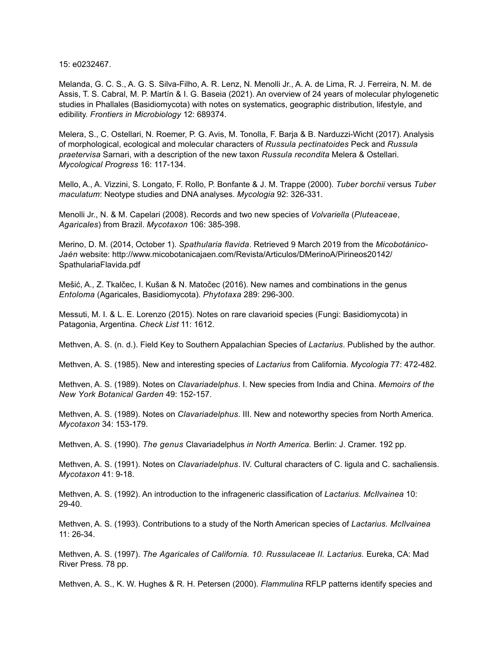15: e0232467.

Melanda, G. C. S., A. G. S. Silva-Filho, A. R. Lenz, N. Menolli Jr., A. A. de Lima, R. J. Ferreira, N. M. de Assis, T. S. Cabral, M. P. Martín & I. G. Baseia (2021). An overview of 24 years of molecular phylogenetic studies in Phallales (Basidiomycota) with notes on systematics, geographic distribution, lifestyle, and edibility. *Frontiers in Microbiology* 12: 689374.

Melera, S., C. Ostellari, N. Roemer, P. G. Avis, M. Tonolla, F. Barja & B. Narduzzi-Wicht (2017). Analysis of morphological, ecological and molecular characters of *Russula pectinatoides* Peck and *Russula praetervisa* Sarnari, with a description of the new taxon *Russula recondita* Melera & Ostellari. *Mycological Progress* 16: 117-134.

Mello, A., A. Vizzini, S. Longato, F. Rollo, P. Bonfante & J. M. Trappe (2000). *Tuber borchii* versus *Tuber maculatum*: Neotype studies and DNA analyses. *Mycologia* 92: 326-331.

Menolli Jr., N. & M. Capelari (2008). Records and two new species of *Volvariella* (*Pluteaceae*, *Agaricales*) from Brazil. *Mycotaxon* 106: 385-398.

Merino, D. M. (2014, October 1). *Spathularia flavida*. Retrieved 9 March 2019 from the *Micobotánico-Jaén* website: http://www.micobotanicajaen.com/Revista/Articulos/DMerinoA/Pirineos20142/ SpathulariaFlavida.pdf

Mešić, A., Z. Tkalčec, I. Kušan & N. Matočec (2016). New names and combinations in the genus *Entoloma* (Agaricales, Basidiomycota). *Phytotaxa* 289: 296-300.

Messuti, M. I. & L. E. Lorenzo (2015). Notes on rare clavarioid species (Fungi: Basidiomycota) in Patagonia, Argentina. *Check List* 11: 1612.

Methven, A. S. (n. d.). Field Key to Southern Appalachian Species of *Lactarius*. Published by the author.

Methven, A. S. (1985). New and interesting species of *Lactarius* from California. *Mycologia* 77: 472-482.

Methven, A. S. (1989). Notes on *Clavariadelphus*. I. New species from India and China. *Memoirs of the New York Botanical Garden* 49: 152-157.

Methven, A. S. (1989). Notes on *Clavariadelphus*. III. New and noteworthy species from North America. *Mycotaxon* 34: 153-179.

Methven, A. S. (1990). *The genus* Clavariadelphus *in North America.* Berlin: J. Cramer. 192 pp.

Methven, A. S. (1991). Notes on *Clavariadelphus*. IV. Cultural characters of C. ligula and C. sachaliensis. *Mycotaxon* 41: 9-18.

Methven, A. S. (1992). An introduction to the infrageneric classification of *Lactarius. McIlvainea* 10: 29-40.

Methven, A. S. (1993). Contributions to a study of the North American species of *Lactarius. McIlvainea*  $11: 26-34$ 

Methven, A. S. (1997). *The Agaricales of California. 10. Russulaceae II. Lactarius.* Eureka, CA: Mad River Press. 78 pp.

Methven, A. S., K. W. Hughes & R. H. Petersen (2000). *Flammulina* RFLP patterns identify species and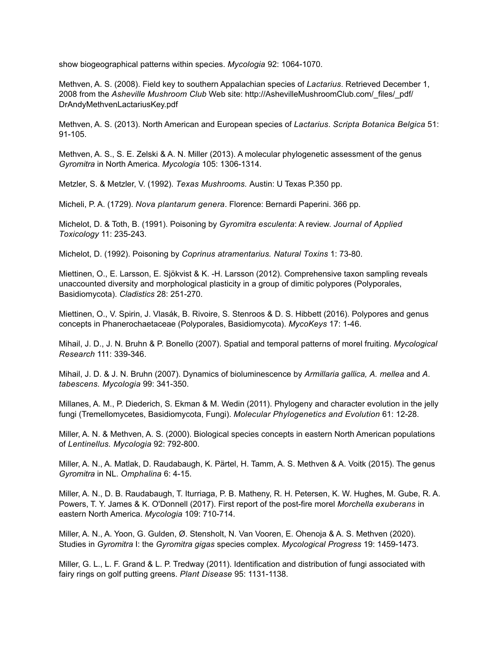show biogeographical patterns within species. *Mycologia* 92: 1064-1070.

Methven, A. S. (2008). Field key to southern Appalachian species of *Lactarius*. Retrieved December 1, 2008 from the *Asheville Mushroom Club* Web site: http://AshevilleMushroomClub.com/\_files/\_pdf/ DrAndyMethvenLactariusKey.pdf

Methven, A. S. (2013). North American and European species of *Lactarius*. *Scripta Botanica Belgica* 51: 91-105.

Methven, A. S., S. E. Zelski & A. N. Miller (2013). A molecular phylogenetic assessment of the genus *Gyromitra* in North America. *Mycologia* 105: 1306-1314.

Metzler, S. & Metzler, V. (1992). *Texas Mushrooms.* Austin: U Texas P.350 pp.

Micheli, P. A. (1729). *Nova plantarum genera*. Florence: Bernardi Paperini. 366 pp.

Michelot, D. & Toth, B. (1991). Poisoning by *Gyromitra esculenta*: A review. *Journal of Applied Toxicology* 11: 235-243.

Michelot, D. (1992). Poisoning by *Coprinus atramentarius. Natural Toxins* 1: 73-80.

Miettinen, O., E. Larsson, E. Sjökvist & K. -H. Larsson (2012). Comprehensive taxon sampling reveals unaccounted diversity and morphological plasticity in a group of dimitic polypores (Polyporales, Basidiomycota). *Cladistics* 28: 251-270.

Miettinen, O., V. Spirin, J. Vlasák, B. Rivoire, S. Stenroos & D. S. Hibbett (2016). Polypores and genus concepts in Phanerochaetaceae (Polyporales, Basidiomycota). *MycoKeys* 17: 1-46.

Mihail, J. D., J. N. Bruhn & P. Bonello (2007). Spatial and temporal patterns of morel fruiting. *Mycological Research* 111: 339-346.

Mihail, J. D. & J. N. Bruhn (2007). Dynamics of bioluminescence by *Armillaria gallica, A. mellea* and *A. tabescens. Mycologia* 99: 341-350.

Millanes, A. M., P. Diederich, S. Ekman & M. Wedin (2011). Phylogeny and character evolution in the jelly fungi (Tremellomycetes, Basidiomycota, Fungi). *Molecular Phylogenetics and Evolution* 61: 12-28.

Miller, A. N. & Methven, A. S. (2000). Biological species concepts in eastern North American populations of *Lentinellus. Mycologia* 92: 792-800.

Miller, A. N., A. Matlak, D. Raudabaugh, K. Pärtel, H. Tamm, A. S. Methven & A. Voitk (2015). The genus *Gyromitra* in NL. *Omphalina* 6: 4-15.

Miller, A. N., D. B. Raudabaugh, T. Iturriaga, P. B. Matheny, R. H. Petersen, K. W. Hughes, M. Gube, R. A. Powers, T. Y. James & K. O'Donnell (2017). First report of the post-fire morel *Morchella exuberans* in eastern North America. *Mycologia* 109: 710-714.

Miller, A. N., A. Yoon, G. Gulden, Ø. Stensholt, N. Van Vooren, E. Ohenoja & A. S. Methven (2020). Studies in *Gyromitra* I: the *Gyromitra gigas* species complex. *Mycological Progress* 19: 1459-1473.

Miller, G. L., L. F. Grand & L. P. Tredway (2011). Identification and distribution of fungi associated with fairy rings on golf putting greens. *Plant Disease* 95: 1131-1138.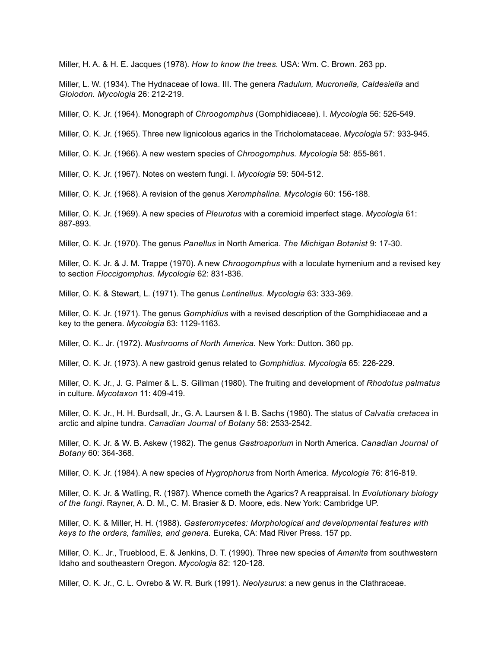Miller, H. A. & H. E. Jacques (1978). *How to know the trees.* USA: Wm. C. Brown. 263 pp.

Miller, L. W. (1934). The Hydnaceae of Iowa. III. The genera *Radulum, Mucronella, Caldesiella* and *Gloiodon. Mycologia* 26: 212-219.

Miller, O. K. Jr. (1964). Monograph of *Chroogomphus* (Gomphidiaceae). I. *Mycologia* 56: 526-549.

Miller, O. K. Jr. (1965). Three new lignicolous agarics in the Tricholomataceae. *Mycologia* 57: 933-945.

Miller, O. K. Jr. (1966). A new western species of *Chroogomphus. Mycologia* 58: 855-861.

Miller, O. K. Jr. (1967). Notes on western fungi. I. *Mycologia* 59: 504-512.

Miller, O. K. Jr. (1968). A revision of the genus *Xeromphalina. Mycologia* 60: 156-188.

Miller, O. K. Jr. (1969). A new species of *Pleurotus* with a coremioid imperfect stage. *Mycologia* 61: 887-893.

Miller, O. K. Jr. (1970). The genus *Panellus* in North America. *The Michigan Botanist* 9: 17-30.

Miller, O. K. Jr. & J. M. Trappe (1970). A new *Chroogomphus* with a loculate hymenium and a revised key to section *Floccigomphus. Mycologia* 62: 831-836.

Miller, O. K. & Stewart, L. (1971). The genus *Lentinellus. Mycologia* 63: 333-369.

Miller, O. K. Jr. (1971). The genus *Gomphidius* with a revised description of the Gomphidiaceae and a key to the genera. *Mycologia* 63: 1129-1163.

Miller, O. K.. Jr. (1972). *Mushrooms of North America.* New York: Dutton. 360 pp.

Miller, O. K. Jr. (1973). A new gastroid genus related to *Gomphidius. Mycologia* 65: 226-229.

Miller, O. K. Jr., J. G. Palmer & L. S. Gillman (1980). The fruiting and development of *Rhodotus palmatus*  in culture. *Mycotaxon* 11: 409-419.

Miller, O. K. Jr., H. H. Burdsall, Jr., G. A. Laursen & I. B. Sachs (1980). The status of *Calvatia cretacea* in arctic and alpine tundra. *Canadian Journal of Botany* 58: 2533-2542.

Miller, O. K. Jr. & W. B. Askew (1982). The genus *Gastrosporium* in North America. *Canadian Journal of Botany* 60: 364-368.

Miller, O. K. Jr. (1984). A new species of *Hygrophorus* from North America. *Mycologia* 76: 816-819.

Miller, O. K. Jr. & Watling, R. (1987). Whence cometh the Agarics? A reappraisal. In *Evolutionary biology of the fungi*. Rayner, A. D. M., C. M. Brasier & D. Moore, eds. New York: Cambridge UP.

Miller, O. K. & Miller, H. H. (1988). *Gasteromycetes: Morphological and developmental features with keys to the orders, families, and genera.* Eureka, CA: Mad River Press. 157 pp.

Miller, O. K.. Jr., Trueblood, E. & Jenkins, D. T. (1990). Three new species of *Amanita* from southwestern Idaho and southeastern Oregon. *Mycologia* 82: 120-128.

Miller, O. K. Jr., C. L. Ovrebo & W. R. Burk (1991). *Neolysurus*: a new genus in the Clathraceae.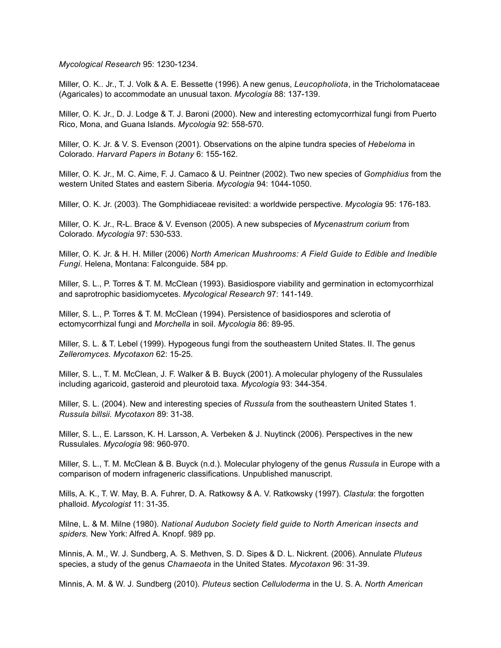*Mycological Research* 95: 1230-1234.

Miller, O. K.. Jr., T. J. Volk & A. E. Bessette (1996). A new genus, *Leucopholiota*, in the Tricholomataceae (Agaricales) to accommodate an unusual taxon. *Mycologia* 88: 137-139.

Miller, O. K. Jr., D. J. Lodge & T. J. Baroni (2000). New and interesting ectomycorrhizal fungi from Puerto Rico, Mona, and Guana Islands. *Mycologia* 92: 558-570.

Miller, O. K. Jr. & V. S. Evenson (2001). Observations on the alpine tundra species of *Hebeloma* in Colorado. *Harvard Papers in Botany* 6: 155-162.

Miller, O. K. Jr., M. C. Aime, F. J. Camaco & U. Peintner (2002). Two new species of *Gomphidius* from the western United States and eastern Siberia. *Mycologia* 94: 1044-1050.

Miller, O. K. Jr. (2003). The Gomphidiaceae revisited: a worldwide perspective. *Mycologia* 95: 176-183.

Miller, O. K. Jr., R-L. Brace & V. Evenson (2005). A new subspecies of *Mycenastrum corium* from Colorado. *Mycologia* 97: 530-533.

Miller, O. K. Jr. & H. H. Miller (2006) *North American Mushrooms: A Field Guide to Edible and Inedible Fungi*. Helena, Montana: Falconguide. 584 pp.

Miller, S. L., P. Torres & T. M. McClean (1993). Basidiospore viability and germination in ectomycorrhizal and saprotrophic basidiomycetes. *Mycological Research* 97: 141-149.

Miller, S. L., P. Torres & T. M. McClean (1994). Persistence of basidiospores and sclerotia of ectomycorrhizal fungi and *Morchella* in soil. *Mycologia* 86: 89-95.

Miller, S. L. & T. Lebel (1999). Hypogeous fungi from the southeastern United States. II. The genus *Zelleromyces. Mycotaxon* 62: 15-25.

Miller, S. L., T. M. McClean, J. F. Walker & B. Buyck (2001). A molecular phylogeny of the Russulales including agaricoid, gasteroid and pleurotoid taxa. *Mycologia* 93: 344-354.

Miller, S. L. (2004). New and interesting species of *Russula* from the southeastern United States 1. *Russula billsii. Mycotaxon* 89: 31-38.

Miller, S. L., E. Larsson, K. H. Larsson, A. Verbeken & J. Nuytinck (2006). Perspectives in the new Russulales. *Mycologia* 98: 960-970.

Miller, S. L., T. M. McClean & B. Buyck (n.d.). Molecular phylogeny of the genus *Russula* in Europe with a comparison of modern infrageneric classifications. Unpublished manuscript.

Mills, A. K., T. W. May, B. A. Fuhrer, D. A. Ratkowsy & A. V. Ratkowsky (1997). *Clastula*: the forgotten phalloid. *Mycologist* 11: 31-35.

Milne, L. & M. Milne (1980). *National Audubon Society field guide to North American insects and spiders.* New York: Alfred A. Knopf. 989 pp.

Minnis, A. M., W. J. Sundberg, A. S. Methven, S. D. Sipes & D. L. Nickrent. (2006). Annulate *Pluteus* species, a study of the genus *Chamaeota* in the United States. *Mycotaxon* 96: 31-39.

Minnis, A. M. & W. J. Sundberg (2010). *Pluteus* section *Celluloderma* in the U. S. A. *North American*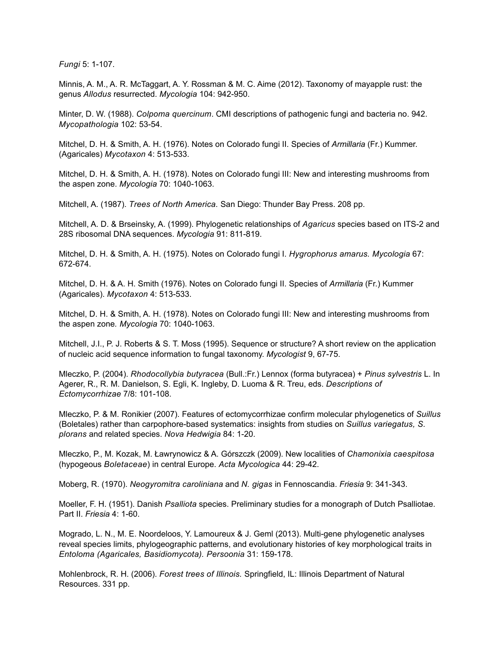*Fungi* 5: 1-107.

Minnis, A. M., A. R. McTaggart, A. Y. Rossman & M. C. Aime (2012). Taxonomy of mayapple rust: the genus *Allodus* resurrected. *Mycologia* 104: 942-950.

Minter, D. W. (1988). *Colpoma quercinum*. CMI descriptions of pathogenic fungi and bacteria no. 942. *Mycopathologia* 102: 53-54.

Mitchel, D. H. & Smith, A. H. (1976). Notes on Colorado fungi II. Species of *Armillaria* (Fr.) Kummer. (Agaricales) *Mycotaxon* 4: 513-533.

Mitchel, D. H. & Smith, A. H. (1978). Notes on Colorado fungi III: New and interesting mushrooms from the aspen zone. *Mycologia* 70: 1040-1063.

Mitchell, A. (1987). *Trees of North America.* San Diego: Thunder Bay Press. 208 pp.

Mitchell, A. D. & Brseinsky, A. (1999). Phylogenetic relationships of *Agaricus* species based on ITS-2 and 28S ribosomal DNA sequences. *Mycologia* 91: 811-819.

Mitchel, D. H. & Smith, A. H. (1975). Notes on Colorado fungi I. *Hygrophorus amarus. Mycologia* 67: 672-674.

Mitchel, D. H. & A. H. Smith (1976). Notes on Colorado fungi II. Species of *Armillaria* (Fr.) Kummer (Agaricales). *Mycotaxon* 4: 513-533.

Mitchel, D. H. & Smith, A. H. (1978). Notes on Colorado fungi III: New and interesting mushrooms from the aspen zone*. Mycologia* 70: 1040-1063.

Mitchell, J.I., P. J. Roberts & S. T. Moss (1995). Sequence or structure? A short review on the application of nucleic acid sequence information to fungal taxonomy. *Mycologist* 9, 67-75.

Mleczko, P. (2004). *Rhodocollybia butyracea* (Bull.:Fr.) Lennox (forma butyracea) + *Pinus sylvestris* L. In Agerer, R., R. M. Danielson, S. Egli, K. Ingleby, D. Luoma & R. Treu, eds. *Descriptions of Ectomycorrhizae* 7/8: 101-108.

Mleczko, P. & M. Ronikier (2007). Features of ectomycorrhizae confirm molecular phylogenetics of *Suillus* (Boletales) rather than carpophore-based systematics: insights from studies on *Suillus variegatus, S. plorans* and related species. *Nova Hedwigia* 84: 1-20.

Mleczko, P., M. Kozak, M. Ławrynowicz & A. Górszczk (2009). New localities of *Chamonixia caespitosa* (hypogeous *Boletaceae*) in central Europe. *Acta Mycologica* 44: 29-42.

Moberg, R. (1970). *Neogyromitra caroliniana* and *N. gigas* in Fennoscandia. *Friesia* 9: 341-343.

Moeller, F. H. (1951). Danish *Psalliota* species. Preliminary studies for a monograph of Dutch Psalliotae. Part II. *Friesia* 4: 1-60.

Mogrado, L. N., M. E. Noordeloos, Y. Lamoureux & J. Geml (2013). Multi-gene phylogenetic analyses reveal species limits, phylogeographic patterns, and evolutionary histories of key morphological traits in *Entoloma (Agaricales, Basidiomycota). Persoonia* 31: 159-178.

Mohlenbrock, R. H. (2006). *Forest trees of Illinois.* Springfield, IL: Illinois Department of Natural Resources. 331 pp.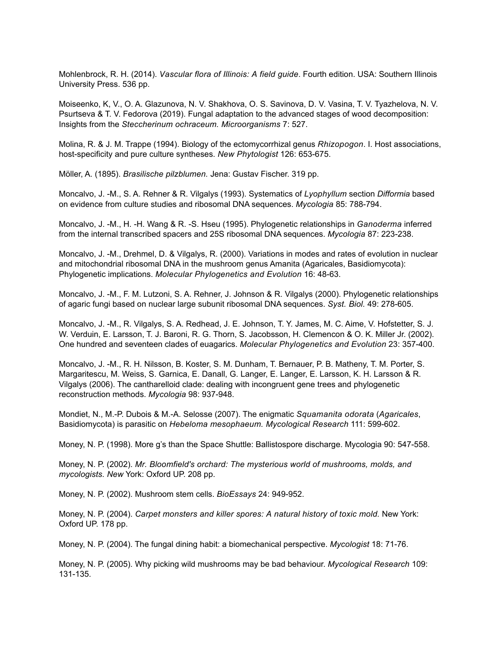Mohlenbrock, R. H. (2014). *Vascular flora of Illinois: A field guide*. Fourth edition. USA: Southern Illinois University Press. 536 pp.

Moiseenko, K, V., O. A. Glazunova, N. V. Shakhova, O. S. Savinova, D. V. Vasina, T. V. Tyazhelova, N. V. Psurtseva & T. V. Fedorova (2019). Fungal adaptation to the advanced stages of wood decomposition: Insights from the *Steccherinum ochraceum. Microorganisms* 7: 527.

Molina, R. & J. M. Trappe (1994). Biology of the ectomycorrhizal genus *Rhizopogon*. I. Host associations, host-specificity and pure culture syntheses. *New Phytologist* 126: 653-675.

Möller, A. (1895). *Brasilische pilzblumen.* Jena: Gustav Fischer. 319 pp.

Moncalvo, J. -M., S. A. Rehner & R. Vilgalys (1993). Systematics of *Lyophyllum* section *Difformia* based on evidence from culture studies and ribosomal DNA sequences. *Mycologia* 85: 788-794.

Moncalvo, J. -M., H. -H. Wang & R. -S. Hseu (1995). Phylogenetic relationships in *Ganoderma* inferred from the internal transcribed spacers and 25S ribosomal DNA sequences. *Mycologia* 87: 223-238.

Moncalvo, J. -M., Drehmel, D. & Vilgalys, R. (2000). Variations in modes and rates of evolution in nuclear and mitochondrial ribosomal DNA in the mushroom genus Amanita (Agaricales, Basidiomycota): Phylogenetic implications. *Molecular Phylogenetics and Evolution* 16: 48-63.

Moncalvo, J. -M., F. M. Lutzoni, S. A. Rehner, J. Johnson & R. Vilgalys (2000). Phylogenetic relationships of agaric fungi based on nuclear large subunit ribosomal DNA sequences. *Syst. Biol.* 49: 278-605.

Moncalvo, J. -M., R. Vilgalys, S. A. Redhead, J. E. Johnson, T. Y. James, M. C. Aime, V. Hofstetter, S. J. W. Verduin, E. Larsson, T. J. Baroni, R. G. Thorn, S. Jacobsson, H. Clemencon & O. K. Miller Jr. (2002). One hundred and seventeen clades of euagarics. *Molecular Phylogenetics and Evolution* 23: 357-400.

Moncalvo, J. -M., R. H. Nilsson, B. Koster, S. M. Dunham, T. Bernauer, P. B. Matheny, T. M. Porter, S. Margaritescu, M. Weiss, S. Garnica, E. Danall, G. Langer, E. Langer, E. Larsson, K. H. Larsson & R. Vilgalys (2006). The cantharelloid clade: dealing with incongruent gene trees and phylogenetic reconstruction methods. *Mycologia* 98: 937-948.

Mondiet, N., M.-P. Dubois & M.-A. Selosse (2007). The enigmatic *Squamanita odorata* (*Agaricales*, Basidiomycota) is parasitic on *Hebeloma mesophaeum. Mycological Research* 111: 599-602.

Money, N. P. (1998). More g's than the Space Shuttle: Ballistospore discharge. Mycologia 90: 547-558.

Money, N. P. (2002). *Mr. Bloomfield's orchard: The mysterious world of mushrooms, molds, and mycologists. New* York: Oxford UP. 208 pp.

Money, N. P. (2002). Mushroom stem cells. *BioEssays* 24: 949-952.

Money, N. P. (2004). *Carpet monsters and killer spores: A natural history of toxic mold.* New York: Oxford UP. 178 pp.

Money, N. P. (2004). The fungal dining habit: a biomechanical perspective. *Mycologist* 18: 71-76.

Money, N. P. (2005). Why picking wild mushrooms may be bad behaviour. *Mycological Research* 109: 131-135.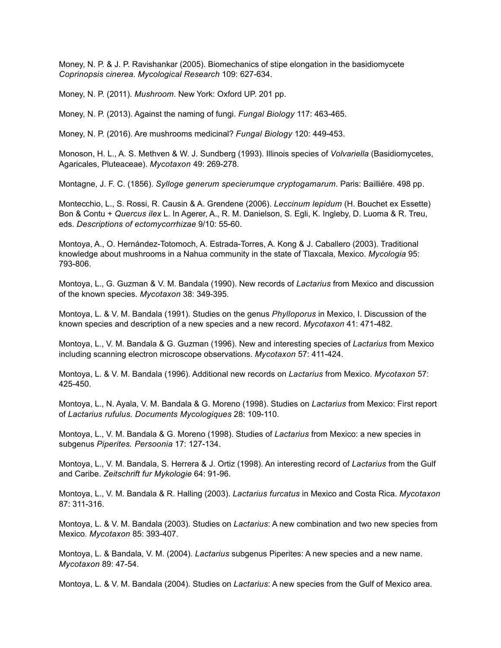Money, N. P. & J. P. Ravishankar (2005). Biomechanics of stipe elongation in the basidiomycete *Coprinopsis cinerea*. *Mycological Research* 109: 627-634.

Money, N. P. (2011). *Mushroom*. New York: Oxford UP. 201 pp.

Money, N. P. (2013). Against the naming of fungi. *Fungal Biology* 117: 463-465.

Money, N. P. (2016). Are mushrooms medicinal? *Fungal Biology* 120: 449-453.

Monoson, H. L., A. S. Methven & W. J. Sundberg (1993). Illinois species of *Volvariella* (Basidiomycetes, Agaricales, Pluteaceae). *Mycotaxon* 49: 269-278.

Montagne, J. F. C. (1856). *Sylloge generum specierumque cryptogamarum*. Paris: Bailliére. 498 pp.

Montecchio, L., S. Rossi, R. Causin & A. Grendene (2006). *Leccinum lepidum* (H. Bouchet ex Essette) Bon & Contu + *Quercus ilex* L. In Agerer, A., R. M. Danielson, S. Egli, K. Ingleby, D. Luoma & R. Treu, eds. *Descriptions of ectomycorrhizae* 9/10: 55-60.

Montoya, A., O. Hernández-Totomoch, A. Estrada-Torres, A. Kong & J. Caballero (2003). Traditional knowledge about mushrooms in a Nahua community in the state of Tlaxcala, Mexico. *Mycologia* 95: 793-806.

Montoya, L., G. Guzman & V. M. Bandala (1990). New records of *Lactarius* from Mexico and discussion of the known species. *Mycotaxon* 38: 349-395.

Montoya, L. & V. M. Bandala (1991). Studies on the genus *Phylloporus* in Mexico, I. Discussion of the known species and description of a new species and a new record. *Mycotaxon* 41: 471-482.

Montoya, L., V. M. Bandala & G. Guzman (1996). New and interesting species of *Lactarius* from Mexico including scanning electron microscope observations. *Mycotaxon* 57: 411-424.

Montoya, L. & V. M. Bandala (1996). Additional new records on *Lactarius* from Mexico. *Mycotaxon* 57: 425-450.

Montoya, L., N. Ayala, V. M. Bandala & G. Moreno (1998). Studies on *Lactarius* from Mexico: First report of *Lactarius rufulus. Documents Mycologiques* 28: 109-110.

Montoya, L., V. M. Bandala & G. Moreno (1998). Studies of *Lactarius* from Mexico: a new species in subgenus *Piperites. Persoonia* 17: 127-134.

Montoya, L., V. M. Bandala, S. Herrera & J. Ortiz (1998). An interesting record of *Lactarius* from the Gulf and Caribe. *Zeitschrift fur Mykologie* 64: 91-96.

Montoya, L., V. M. Bandala & R. Halling (2003). *Lactarius furcatus* in Mexico and Costa Rica. *Mycotaxon* 87: 311-316.

Montoya, L. & V. M. Bandala (2003). Studies on *Lactarius*: A new combination and two new species from Mexico. *Mycotaxon* 85: 393-407.

Montoya, L. & Bandala, V. M. (2004). *Lactarius* subgenus Piperites: A new species and a new name. *Mycotaxon* 89: 47-54.

Montoya, L. & V. M. Bandala (2004). Studies on *Lactarius*: A new species from the Gulf of Mexico area.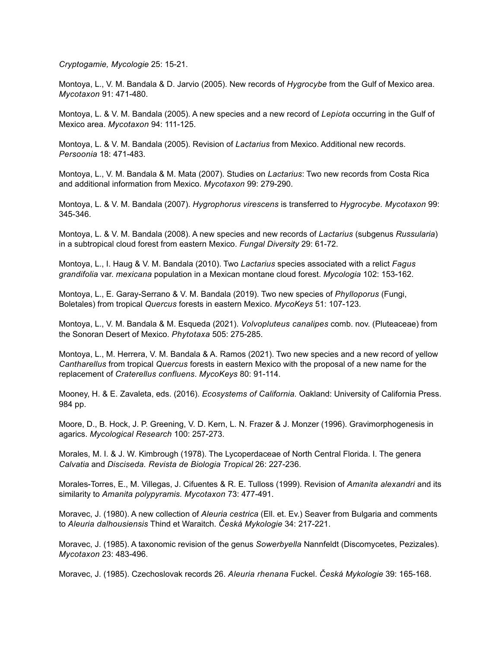*Cryptogamie, Mycologie* 25: 15-21.

Montoya, L., V. M. Bandala & D. Jarvio (2005). New records of *Hygrocybe* from the Gulf of Mexico area. *Mycotaxon* 91: 471-480.

Montoya, L. & V. M. Bandala (2005). A new species and a new record of *Lepiota* occurring in the Gulf of Mexico area. *Mycotaxon* 94: 111-125.

Montoya, L. & V. M. Bandala (2005). Revision of *Lactarius* from Mexico. Additional new records. *Persoonia* 18: 471-483.

Montoya, L., V. M. Bandala & M. Mata (2007). Studies on *Lactarius*: Two new records from Costa Rica and additional information from Mexico. *Mycotaxon* 99: 279-290.

Montoya, L. & V. M. Bandala (2007). *Hygrophorus virescens* is transferred to *Hygrocybe. Mycotaxon* 99: 345-346.

Montoya, L. & V. M. Bandala (2008). A new species and new records of *Lactarius* (subgenus *Russularia*) in a subtropical cloud forest from eastern Mexico. *Fungal Diversity* 29: 61-72.

Montoya, L., I. Haug & V. M. Bandala (2010). Two *Lactarius* species associated with a relict *Fagus grandifolia* var. *mexicana* population in a Mexican montane cloud forest. *Mycologia* 102: 153-162.

Montoya, L., E. Garay-Serrano & V. M. Bandala (2019). Two new species of *Phylloporus* (Fungi, Boletales) from tropical *Quercus* forests in eastern Mexico. *MycoKeys* 51: 107-123.

Montoya, L., V. M. Bandala & M. Esqueda (2021). *Volvopluteus canalipes* comb. nov. (Pluteaceae) from the Sonoran Desert of Mexico. *Phytotaxa* 505: 275-285.

Montoya, L., M. Herrera, V. M. Bandala & A. Ramos (2021). Two new species and a new record of yellow *Cantharellus* from tropical *Quercus* forests in eastern Mexico with the proposal of a new name for the replacement of *Craterellus confluens*. *MycoKeys* 80: 91-114.

Mooney, H. & E. Zavaleta, eds. (2016). *Ecosystems of California.* Oakland: University of California Press. 984 pp.

Moore, D., B. Hock, J. P. Greening, V. D. Kern, L. N. Frazer & J. Monzer (1996). Gravimorphogenesis in agarics. *Mycological Research* 100: 257-273.

Morales, M. I. & J. W. Kimbrough (1978). The Lycoperdaceae of North Central Florida. I. The genera *Calvatia* and *Disciseda. Revista de Biologia Tropical* 26: 227-236.

Morales-Torres, E., M. Villegas, J. Cifuentes & R. E. Tulloss (1999). Revision of *Amanita alexandri* and its similarity to *Amanita polypyramis. Mycotaxon* 73: 477-491.

Moravec, J. (1980). A new collection of *Aleuria cestrica* (Ell. et. Ev.) Seaver from Bulgaria and comments to *Aleuria dalhousiensis* Thind et Waraitch. *Česká Mykologie* 34: 217-221.

Moravec, J. (1985). A taxonomic revision of the genus *Sowerbyella* Nannfeldt (Discomycetes, Pezizales). *Mycotaxon* 23: 483-496.

Moravec, J. (1985). Czechoslovak records 26. *Aleuria rhenana* Fuckel. *Česká Mykologie* 39: 165-168.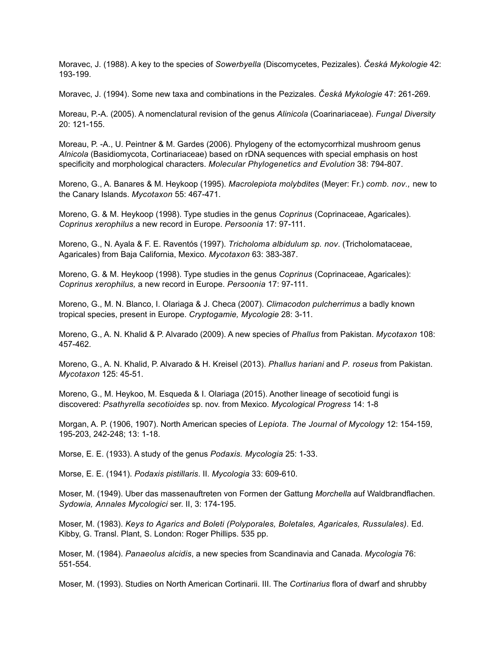Moravec, J. (1988). A key to the species of *Sowerbyella* (Discomycetes, Pezizales). *Česká Mykologie* 42: 193-199.

Moravec, J. (1994). Some new taxa and combinations in the Pezizales. *Česká Mykologie* 47: 261-269.

Moreau, P.-A. (2005). A nomenclatural revision of the genus *Alinicola* (Coarinariaceae). *Fungal Diversity* 20: 121-155.

Moreau, P. -A., U. Peintner & M. Gardes (2006). Phylogeny of the ectomycorrhizal mushroom genus *Alnicola* (Basidiomycota, Cortinariaceae) based on rDNA sequences with special emphasis on host specificity and morphological characters. *Molecular Phylogenetics and Evolution* 38: 794-807.

Moreno, G., A. Banares & M. Heykoop (1995). *Macrolepiota molybdites* (Meyer: Fr.) *comb. nov.,* new to the Canary Islands. *Mycotaxon* 55: 467-471.

Moreno, G. & M. Heykoop (1998). Type studies in the genus *Coprinus* (Coprinaceae, Agaricales). *Coprinus xerophilus* a new record in Europe. *Persoonia* 17: 97-111.

Moreno, G., N. Ayala & F. E. Raventós (1997). *Tricholoma albidulum sp. nov*. (Tricholomataceae, Agaricales) from Baja California, Mexico. *Mycotaxon* 63: 383-387.

Moreno, G. & M. Heykoop (1998). Type studies in the genus *Coprinus* (Coprinaceae, Agaricales): *Coprinus xerophilus,* a new record in Europe. *Persoonia* 17: 97-111.

Moreno, G., M. N. Blanco, I. Olariaga & J. Checa (2007). *Climacodon pulcherrimus* a badly known tropical species, present in Europe. *Cryptogamie, Mycologie* 28: 3-11.

Moreno, G., A. N. Khalid & P. Alvarado (2009). A new species of *Phallus* from Pakistan. *Mycotaxon* 108: 457-462.

Moreno, G., A. N. Khalid, P. Alvarado & H. Kreisel (2013). *Phallus hariani* and *P. roseus* from Pakistan. *Mycotaxon* 125: 45-51.

Moreno, G., M. Heykoo, M. Esqueda & I. Olariaga (2015). Another lineage of secotioid fungi is discovered: *Psathyrella secotioides* sp. nov. from Mexico. *Mycological Progress* 14: 1-8

Morgan, A. P. (1906, 1907). North American species of *Lepiota. The Journal of Mycology* 12: 154-159, 195-203, 242-248; 13: 1-18.

Morse, E. E. (1933). A study of the genus *Podaxis. Mycologia* 25: 1-33.

Morse, E. E. (1941). *Podaxis pistillaris*. II. *Mycologia* 33: 609-610.

Moser, M. (1949). Uber das massenauftreten von Formen der Gattung *Morchella* auf Waldbrandflachen. *Sydowia, Annales Mycologici* ser. II, 3: 174-195.

Moser, M. (1983). *Keys to Agarics and Boleti (Polyporales, Boletales, Agaricales, Russulales).* Ed. Kibby, G. Transl. Plant, S. London: Roger Phillips. 535 pp.

Moser, M. (1984). *Panaeolus alcidis*, a new species from Scandinavia and Canada. *Mycologia* 76: 551-554.

Moser, M. (1993). Studies on North American Cortinarii. III. The *Cortinarius* flora of dwarf and shrubby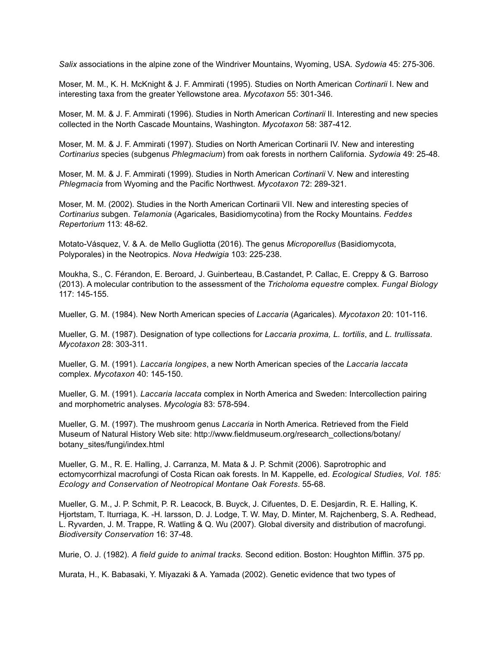*Salix* associations in the alpine zone of the Windriver Mountains, Wyoming, USA. *Sydowia* 45: 275-306.

Moser, M. M., K. H. McKnight & J. F. Ammirati (1995). Studies on North American *Cortinarii* I. New and interesting taxa from the greater Yellowstone area. *Mycotaxon* 55: 301-346.

Moser, M. M. & J. F. Ammirati (1996). Studies in North American *Cortinarii* II. Interesting and new species collected in the North Cascade Mountains, Washington. *Mycotaxon* 58: 387-412.

Moser, M. M. & J. F. Ammirati (1997). Studies on North American Cortinarii IV. New and interesting *Cortinarius* species (subgenus *Phlegmacium*) from oak forests in northern California. *Sydowia* 49: 25-48.

Moser, M. M. & J. F. Ammirati (1999). Studies in North American *Cortinarii* V. New and interesting *Phlegmacia* from Wyoming and the Pacific Northwest. *Mycotaxon* 72: 289-321.

Moser, M. M. (2002). Studies in the North American Cortinarii VII. New and interesting species of *Cortinarius* subgen. *Telamonia* (Agaricales, Basidiomycotina) from the Rocky Mountains. *Feddes Repertorium* 113: 48-62.

Motato-Vásquez, V. & A. de Mello Gugliotta (2016). The genus *Microporellus* (Basidiomycota, Polyporales) in the Neotropics. *Nova Hedwigia* 103: 225-238.

Moukha, S., C. Férandon, E. Beroard, J. Guinberteau, B.Castandet, P. Callac, E. Creppy & G. Barroso (2013). A molecular contribution to the assessment of the *Tricholoma equestre* complex. *Fungal Biology* 117: 145-155.

Mueller, G. M. (1984). New North American species of *Laccaria* (Agaricales). *Mycotaxon* 20: 101-116.

Mueller, G. M. (1987). Designation of type collections for *Laccaria proxima, L. tortilis*, and *L. trullissata*. *Mycotaxon* 28: 303-311.

Mueller, G. M. (1991). *Laccaria longipes*, a new North American species of the *Laccaria laccata* complex. *Mycotaxon* 40: 145-150.

Mueller, G. M. (1991). *Laccaria laccata* complex in North America and Sweden: Intercollection pairing and morphometric analyses. *Mycologia* 83: 578-594.

Mueller, G. M. (1997). The mushroom genus *Laccaria* in North America. Retrieved from the Field Museum of Natural History Web site: http://www.fieldmuseum.org/research\_collections/botany/ botany\_sites/fungi/index.html

Mueller, G. M., R. E. Halling, J. Carranza, M. Mata & J. P. Schmit (2006). Saprotrophic and ectomycorrhizal macrofungi of Costa Rican oak forests. In M. Kappelle, ed. *Ecological Studies, Vol. 185: Ecology and Conservation of Neotropical Montane Oak Forests*. 55-68.

Mueller, G. M., J. P. Schmit, P. R. Leacock, B. Buyck, J. Cifuentes, D. E. Desjardin, R. E. Halling, K. Hjortstam, T. Iturriaga, K. -H. larsson, D. J. Lodge, T. W. May, D. Minter, M. Rajchenberg, S. A. Redhead, L. Ryvarden, J. M. Trappe, R. Watling & Q. Wu (2007). Global diversity and distribution of macrofungi. *Biodiversity Conservation* 16: 37-48.

Murie, O. J. (1982). *A field guide to animal tracks.* Second edition. Boston: Houghton Mifflin. 375 pp.

Murata, H., K. Babasaki, Y. Miyazaki & A. Yamada (2002). Genetic evidence that two types of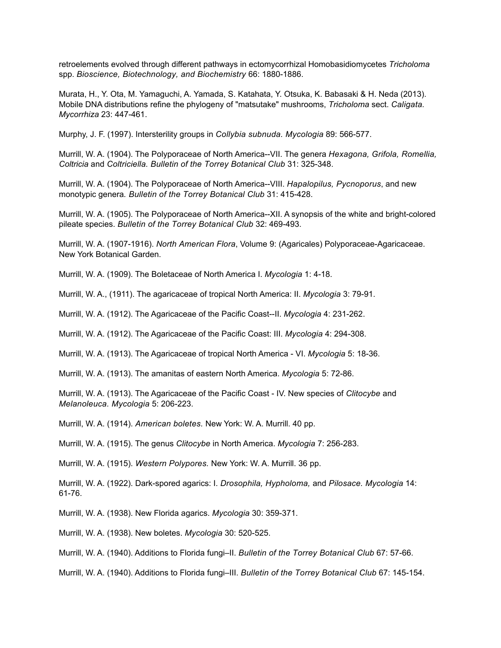retroelements evolved through different pathways in ectomycorrhizal Homobasidiomycetes *Tricholoma* spp. *Bioscience, Biotechnology, and Biochemistry* 66: 1880-1886.

Murata, H., Y. Ota, M. Yamaguchi, A. Yamada, S. Katahata, Y. Otsuka, K. Babasaki & H. Neda (2013). Mobile DNA distributions refine the phylogeny of "matsutake" mushrooms, *Tricholoma* sect. *Caligata. Mycorrhiza* 23: 447-461.

Murphy, J. F. (1997). Intersterility groups in *Collybia subnuda. Mycologia* 89: 566-577.

Murrill, W. A. (1904). The Polyporaceae of North America--VII. The genera *Hexagona, Grifola, Romellia, Coltricia* and *Coltriciella. Bulletin of the Torrey Botanical Club* 31: 325-348.

Murrill, W. A. (1904). The Polyporaceae of North America--VIII. *Hapalopilus, Pycnoporus*, and new monotypic genera*. Bulletin of the Torrey Botanical Club* 31: 415-428.

Murrill, W. A. (1905). The Polyporaceae of North America--XII. A synopsis of the white and bright-colored pileate species. *Bulletin of the Torrey Botanical Club* 32: 469-493.

Murrill, W. A. (1907-1916). *North American Flora*, Volume 9: (Agaricales) Polyporaceae-Agaricaceae. New York Botanical Garden.

Murrill, W. A. (1909). The Boletaceae of North America I. *Mycologia* 1: 4-18.

Murrill, W. A., (1911). The agaricaceae of tropical North America: II. *Mycologia* 3: 79-91.

Murrill, W. A. (1912). The Agaricaceae of the Pacific Coast--II. *Mycologia* 4: 231-262.

Murrill, W. A. (1912). The Agaricaceae of the Pacific Coast: III. *Mycologia* 4: 294-308.

Murrill, W. A. (1913). The Agaricaceae of tropical North America - VI. *Mycologia* 5: 18-36.

Murrill, W. A. (1913). The amanitas of eastern North America. *Mycologia* 5: 72-86.

Murrill, W. A. (1913). The Agaricaceae of the Pacific Coast - IV. New species of *Clitocybe* and *Melanoleuca. Mycologia* 5: 206-223.

Murrill, W. A. (1914). *American boletes.* New York: W. A. Murrill. 40 pp.

Murrill, W. A. (1915). The genus *Clitocybe* in North America. *Mycologia* 7: 256-283.

Murrill, W. A. (1915). *Western Polypores.* New York: W. A. Murrill. 36 pp.

Murrill, W. A. (1922). Dark-spored agarics: I. *Drosophila, Hypholoma,* and *Pilosace. Mycologia* 14: 61-76.

Murrill, W. A. (1938). New Florida agarics. *Mycologia* 30: 359-371.

Murrill, W. A. (1938). New boletes. *Mycologia* 30: 520-525.

Murrill, W. A. (1940). Additions to Florida fungi–II. *Bulletin of the Torrey Botanical Club* 67: 57-66.

Murrill, W. A. (1940). Additions to Florida fungi–III. *Bulletin of the Torrey Botanical Club* 67: 145-154.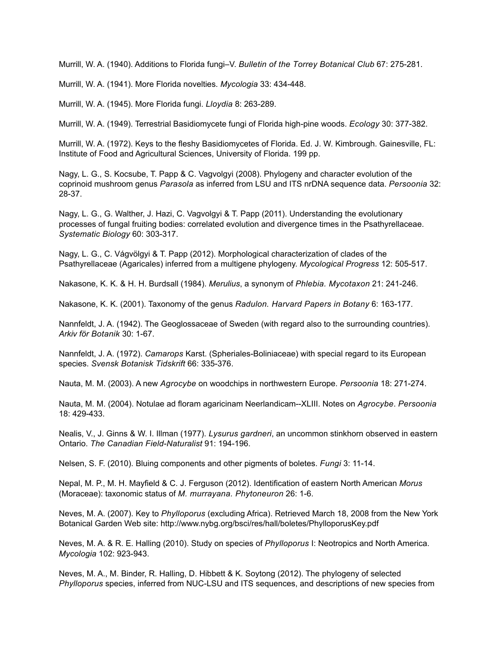Murrill, W. A. (1940). Additions to Florida fungi–V. *Bulletin of the Torrey Botanical Club* 67: 275-281.

Murrill, W. A. (1941). More Florida novelties. *Mycologia* 33: 434-448.

Murrill, W. A. (1945). More Florida fungi. *Lloydia* 8: 263-289.

Murrill, W. A. (1949). Terrestrial Basidiomycete fungi of Florida high-pine woods. *Ecology* 30: 377-382.

Murrill, W. A. (1972). Keys to the fleshy Basidiomycetes of Florida. Ed. J. W. Kimbrough. Gainesville, FL: Institute of Food and Agricultural Sciences, University of Florida. 199 pp.

Nagy, L. G., S. Kocsube, T. Papp & C. Vagvolgyi (2008). Phylogeny and character evolution of the coprinoid mushroom genus *Parasola* as inferred from LSU and ITS nrDNA sequence data. *Persoonia* 32: 28-37.

Nagy, L. G., G. Walther, J. Hazi, C. Vagvolgyi & T. Papp (2011). Understanding the evolutionary processes of fungal fruiting bodies: correlated evolution and divergence times in the Psathyrellaceae. *Systematic Biology* 60: 303-317.

Nagy, L. G., C. Vágvölgyi & T. Papp (2012). Morphological characterization of clades of the Psathyrellaceae (Agaricales) inferred from a multigene phylogeny. *Mycological Progress* 12: 505-517.

Nakasone, K. K. & H. H. Burdsall (1984). *Merulius*, a synonym of *Phlebia. Mycotaxon* 21: 241-246.

Nakasone, K. K. (2001). Taxonomy of the genus *Radulon. Harvard Papers in Botany* 6: 163-177.

Nannfeldt, J. A. (1942). The Geoglossaceae of Sweden (with regard also to the surrounding countries). *Arkiv för Botanik* 30: 1-67.

Nannfeldt, J. A. (1972). *Camarops* Karst. (Spheriales-Boliniaceae) with special regard to its European species. *Svensk Botanisk Tidskrift* 66: 335-376.

Nauta, M. M. (2003). A new *Agrocybe* on woodchips in northwestern Europe. *Persoonia* 18: 271-274.

Nauta, M. M. (2004). Notulae ad floram agaricinam Neerlandicam--XLIII. Notes on *Agrocybe*. *Persoonia* 18: 429-433.

Nealis, V., J. Ginns & W. I. Illman (1977). *Lysurus gardneri*, an uncommon stinkhorn observed in eastern Ontario. *The Canadian Field-Naturalist* 91: 194-196.

Nelsen, S. F. (2010). Bluing components and other pigments of boletes. *Fungi* 3: 11-14.

Nepal, M. P., M. H. Mayfield & C. J. Ferguson (2012). Identification of eastern North American *Morus*  (Moraceae): taxonomic status of *M. murrayana. Phytoneuron* 26: 1-6.

Neves, M. A. (2007). Key to *Phylloporus* (excluding Africa). Retrieved March 18, 2008 from the New York Botanical Garden Web site: http://www.nybg.org/bsci/res/hall/boletes/PhylloporusKey.pdf

Neves, M. A. & R. E. Halling (2010). Study on species of *Phylloporus* I: Neotropics and North America. *Mycologia* 102: 923-943.

Neves, M. A., M. Binder, R. Halling, D. Hibbett & K. Soytong (2012). The phylogeny of selected *Phylloporus* species, inferred from NUC-LSU and ITS sequences, and descriptions of new species from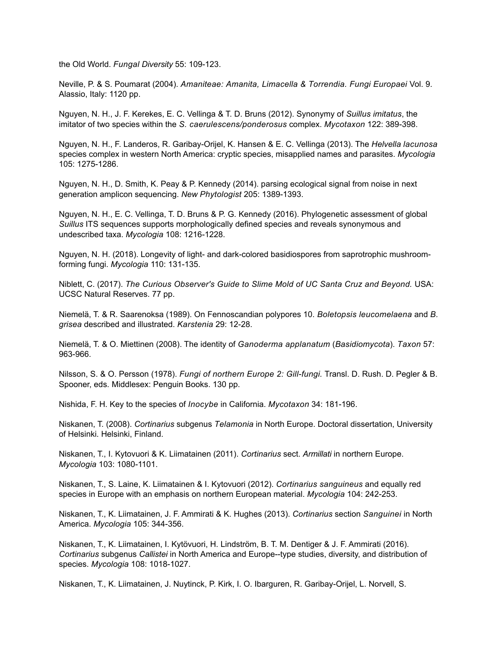the Old World. *Fungal Diversity* 55: 109-123.

Neville, P. & S. Poumarat (2004). *Amaniteae: Amanita, Limacella & Torrendia. Fungi Europaei* Vol. 9. Alassio, Italy: 1120 pp.

Nguyen, N. H., J. F. Kerekes, E. C. Vellinga & T. D. Bruns (2012). Synonymy of *Suillus imitatus*, the imitator of two species within the *S. caerulescens/ponderosus* complex. *Mycotaxon* 122: 389-398.

Nguyen, N. H., F. Landeros, R. Garibay-Orijel, K. Hansen & E. C. Vellinga (2013). The *Helvella lacunosa* species complex in western North America: cryptic species, misapplied names and parasites. *Mycologia* 105: 1275-1286.

Nguyen, N. H., D. Smith, K. Peay & P. Kennedy (2014). parsing ecological signal from noise in next generation amplicon sequencing. *New Phytologist* 205: 1389-1393.

Nguyen, N. H., E. C. Vellinga, T. D. Bruns & P. G. Kennedy (2016). Phylogenetic assessment of global *Suillus* ITS sequences supports morphologically defined species and reveals synonymous and undescribed taxa. *Mycologia* 108: 1216-1228.

Nguyen, N. H. (2018). Longevity of light- and dark-colored basidiospores from saprotrophic mushroomforming fungi. *Mycologia* 110: 131-135.

Niblett, C. (2017). *The Curious Observer's Guide to Slime Mold of UC Santa Cruz and Beyond.* USA: UCSC Natural Reserves. 77 pp.

Niemelä, T. & R. Saarenoksa (1989). On Fennoscandian polypores 10. *Boletopsis leucomelaena* and *B. grisea* described and illustrated. *Karstenia* 29: 12-28.

Niemelä, T. & O. Miettinen (2008). The identity of *Ganoderma applanatum* (*Basidiomycota*). *Taxon* 57: 963-966.

Nilsson, S. & O. Persson (1978). *Fungi of northern Europe 2: Gill-fungi.* Transl. D. Rush. D. Pegler & B. Spooner, eds. Middlesex: Penguin Books. 130 pp.

Nishida, F. H. Key to the species of *Inocybe* in California. *Mycotaxon* 34: 181-196.

Niskanen, T. (2008). *Cortinarius* subgenus *Telamonia* in North Europe. Doctoral dissertation, University of Helsinki. Helsinki, Finland.

Niskanen, T., I. Kytovuori & K. Liimatainen (2011). *Cortinarius* sect. *Armillati* in northern Europe. *Mycologia* 103: 1080-1101.

Niskanen, T., S. Laine, K. Liimatainen & I. Kytovuori (2012). *Cortinarius sanguineus* and equally red species in Europe with an emphasis on northern European material. *Mycologia* 104: 242-253.

Niskanen, T., K. Liimatainen, J. F. Ammirati & K. Hughes (2013). *Cortinarius* section *Sanguinei* in North America. *Mycologia* 105: 344-356.

Niskanen, T., K. Liimatainen, I. Kytövuori, H. Lindström, B. T. M. Dentiger & J. F. Ammirati (2016). *Cortinarius* subgenus *Callistei* in North America and Europe--type studies, diversity, and distribution of species. *Mycologia* 108: 1018-1027.

Niskanen, T., K. Liimatainen, J. Nuytinck, P. Kirk, I. O. Ibarguren, R. Garibay-Orijel, L. Norvell, S.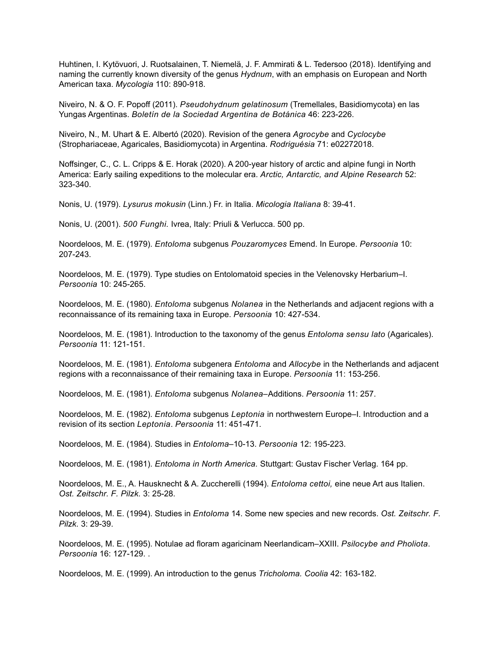Huhtinen, I. Kytövuori, J. Ruotsalainen, T. Niemelä, J. F. Ammirati & L. Tedersoo (2018). Identifying and naming the currently known diversity of the genus *Hydnum*, with an emphasis on European and North American taxa. *Mycologia* 110: 890-918.

Niveiro, N. & O. F. Popoff (2011). *Pseudohydnum gelatinosum* (Tremellales, Basidiomycota) en las Yungas Argentinas. *Boletín de la Sociedad Argentina de Botánica* 46: 223-226.

Niveiro, N., M. Uhart & E. Albertó (2020). Revision of the genera *Agrocybe* and *Cyclocybe* (Strophariaceae, Agaricales, Basidiomycota) in Argentina. *Rodriguésia* 71: e02272018.

Noffsinger, C., C. L. Cripps & E. Horak (2020). A 200-year history of arctic and alpine fungi in North America: Early sailing expeditions to the molecular era. *Arctic, Antarctic, and Alpine Research* 52: 323-340.

Nonis, U. (1979). *Lysurus mokusin* (Linn.) Fr. in Italia. *Micologia Italiana* 8: 39-41.

Nonis, U. (2001). *500 Funghi.* Ivrea, Italy: Priuli & Verlucca. 500 pp.

Noordeloos, M. E. (1979). *Entoloma* subgenus *Pouzaromyces* Emend. In Europe. *Persoonia* 10: 207-243.

Noordeloos, M. E. (1979). Type studies on Entolomatoid species in the Velenovsky Herbarium–I. *Persoonia* 10: 245-265.

Noordeloos, M. E. (1980). *Entoloma* subgenus *Nolanea* in the Netherlands and adjacent regions with a reconnaissance of its remaining taxa in Europe. *Persoonia* 10: 427-534.

Noordeloos, M. E. (1981). Introduction to the taxonomy of the genus *Entoloma sensu lato* (Agaricales). *Persoonia* 11: 121-151.

Noordeloos, M. E. (1981). *Entoloma* subgenera *Entoloma* and *Allocybe* in the Netherlands and adjacent regions with a reconnaissance of their remaining taxa in Europe. *Persoonia* 11: 153-256.

Noordeloos, M. E. (1981). *Entoloma* subgenus *Nolanea–*Additions. *Persoonia* 11: 257.

Noordeloos, M. E. (1982). *Entoloma* subgenus *Leptonia* in northwestern Europe–I. Introduction and a revision of its section *Leptonia*. *Persoonia* 11: 451-471.

Noordeloos, M. E. (1984). Studies in *Entoloma*–10-13. *Persoonia* 12: 195-223.

Noordeloos, M. E. (1981). *Entoloma in North America.* Stuttgart: Gustav Fischer Verlag. 164 pp.

Noordeloos, M. E., A. Hausknecht & A. Zuccherelli (1994). *Entoloma cettoi,* eine neue Art aus Italien. *Ost. Zeitschr. F. Pilzk.* 3: 25-28.

Noordeloos, M. E. (1994). Studies in *Entoloma* 14. Some new species and new records. *Ost. Zeitschr. F. Pilzk.* 3: 29-39.

Noordeloos, M. E. (1995). Notulae ad floram agaricinam Neerlandicam–XXIII. *Psilocybe and Pholiota*. *Persoonia* 16: 127-129. .

Noordeloos, M. E. (1999). An introduction to the genus *Tricholoma. Coolia* 42: 163-182.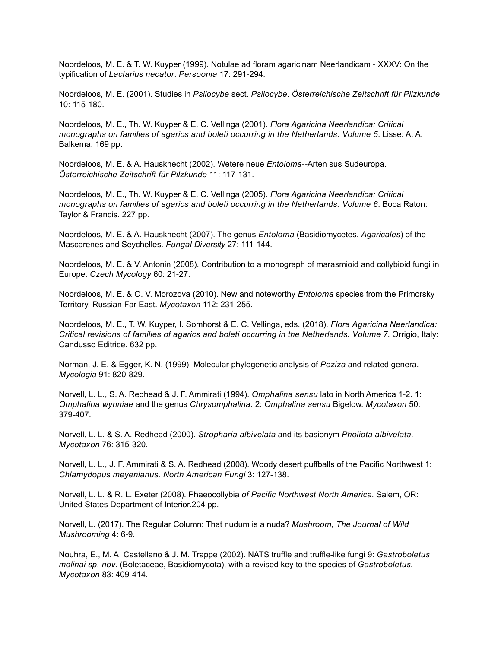Noordeloos, M. E. & T. W. Kuyper (1999). Notulae ad floram agaricinam Neerlandicam - XXXV: On the typification of *Lactarius necator*. *Persoonia* 17: 291-294.

Noordeloos, M. E. (2001). Studies in *Psilocybe* sect. *Psilocybe*. *Österreichische Zeitschrift für Pilzkunde*  10: 115-180.

Noordeloos, M. E., Th. W. Kuyper & E. C. Vellinga (2001). *Flora Agaricina Neerlandica: Critical monographs on families of agarics and boleti occurring in the Netherlands. Volume 5*. Lisse: A. A. Balkema. 169 pp.

Noordeloos, M. E. & A. Hausknecht (2002). Wetere neue *Entoloma--*Arten sus Sudeuropa. *Österreichische Zeitschrift für Pilzkunde* 11: 117-131.

Noordeloos, M. E., Th. W. Kuyper & E. C. Vellinga (2005). *Flora Agaricina Neerlandica: Critical monographs on families of agarics and boleti occurring in the Netherlands. Volume 6*. Boca Raton: Taylor & Francis. 227 pp.

Noordeloos, M. E. & A. Hausknecht (2007). The genus *Entoloma* (Basidiomycetes, *Agaricales*) of the Mascarenes and Seychelles. *Fungal Diversity* 27: 111-144.

Noordeloos, M. E. & V. Antonin (2008). Contribution to a monograph of marasmioid and collybioid fungi in Europe. *Czech Mycology* 60: 21-27.

Noordeloos, M. E. & O. V. Morozova (2010). New and noteworthy *Entoloma* species from the Primorsky Territory, Russian Far East. *Mycotaxon* 112: 231-255.

Noordeloos, M. E., T. W. Kuyper, I. Somhorst & E. C. Vellinga, eds. (2018). *Flora Agaricina Neerlandica: Critical revisions of families of agarics and boleti occurring in the Netherlands. Volume 7*. Orrigio, Italy: Candusso Editrice. 632 pp.

Norman, J. E. & Egger, K. N. (1999). Molecular phylogenetic analysis of *Peziza* and related genera. *Mycologia* 91: 820-829.

Norvell, L. L., S. A. Redhead & J. F. Ammirati (1994). *Omphalina sensu* lato in North America 1-2. 1: *Omphalina wynniae* and the genus *Chrysomphalina.* 2: *Omphalina sensu* Bigelow. *Mycotaxon* 50: 379-407.

Norvell, L. L. & S. A. Redhead (2000). *Stropharia albivelata* and its basionym *Pholiota albivelata. Mycotaxon* 76: 315-320.

Norvell, L. L., J. F. Ammirati & S. A. Redhead (2008). Woody desert puffballs of the Pacific Northwest 1: *Chlamydopus meyenianus. North American Fungi* 3: 127-138.

Norvell, L. L. & R. L. Exeter (2008). Phaeocollybia *of Pacific Northwest North America*. Salem, OR: United States Department of Interior.204 pp.

Norvell, L. (2017). The Regular Column: That nudum is a nuda? *Mushroom, The Journal of Wild Mushrooming* 4: 6-9.

Nouhra, E., M. A. Castellano & J. M. Trappe (2002). NATS truffle and truffle-like fungi 9: *Gastroboletus molinai sp. nov*. (Boletaceae, Basidiomycota), with a revised key to the species of *Gastroboletus. Mycotaxon* 83: 409-414.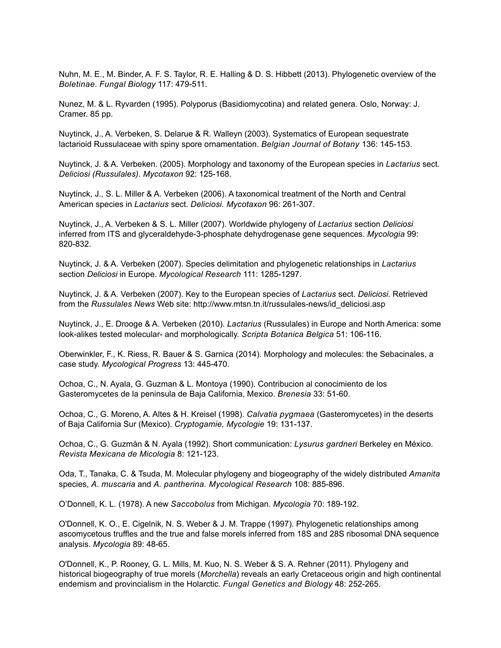Nuhn, M. E., M. Binder, A. F. S. Taylor, R. E. Halling & D. S. Hibbett (2013). Phylogenetic overview of the *Boletinae*. *Fungal Biology* 117: 479-511.

Nunez, M. & L. Ryvarden (1995). Polyporus (Basidiomycotina) and related genera. Oslo, Norway: J. Cramer. 85 pp.

Nuytinck, J., A. Verbeken, S. Delarue & R. Walleyn (2003). Systematics of European sequestrate lactarioid Russulaceae with spiny spore ornamentation. *Belgian Journal of Botany* 136: 145-153.

Nuytinck, J. & A. Verbeken. (2005). Morphology and taxonomy of the European species in *Lactarius* sect. *Deliciosi (Russulales). Mycotaxon* 92: 125-168.

Nuytinck, J., S. L. Miller & A. Verbeken (2006). A taxonomical treatment of the North and Central American species in *Lactarius* sect. *Deliciosi. Mycotaxon* 96: 261-307.

Nuytinck, J., A. Verbeken & S. L. Miller (2007). Worldwide phylogeny of *Lactarius* section *Deliciosi* inferred from ITS and glyceraldehyde-3-phosphate dehydrogenase gene sequences. *Mycologia* 99: 820-832.

Nuytinck, J. & A. Verbeken (2007). Species delimitation and phylogenetic relationships in *Lactarius* section *Deliciosi* in Europe. *Mycological Research* 111: 1285-1297.

Nuytinck, J. & A. Verbeken (2007). Key to the European species of *Lactarius* sect. *Deliciosi*. Retrieved from the *Russulales News* Web site: http://www.mtsn.tn.it/russulales-news/id\_deliciosi.asp

Nuytinck, J., E. Drooge & A. Verbeken (2010). *Lactarius* (Russulales) in Europe and North America: some look-alikes tested molecular- and morphologically. *Scripta Botanica Belgica* 51: 106-116.

Oberwinkler, F., K. Riess, R. Bauer & S. Garnica (2014). Morphology and molecules: the Sebacinales, a case study. *Mycological Progress* 13: 445-470.

Ochoa, C., N. Ayala, G. Guzman & L. Montoya (1990). Contribucion al conocimiento de los Gasteromycetes de la peninsula de Baja California, Mexico. *Brenesia* 33: 51-60.

Ochoa, C., G. Moreno, A. Altes & H. Kreisel (1998). *Calvatia pygmaea* (Gasteromycetes) in the deserts of Baja California Sur (Mexico). *Cryptogamie, Mycologie* 19: 131-137.

Ochoa, C., G. Guzmán & N. Ayala (1992). Short communication: *Lysurus gardneri* Berkeley en México. *Revista Mexicana de Micologia* 8: 121-123.

Oda, T., Tanaka, C. & Tsuda, M. Molecular phylogeny and biogeography of the widely distributed *Amanita* species, *A. muscaria* and *A. pantherina. Mycological Research* 108: 885-896.

O'Donnell, K. L. (1978). A new *Saccobolus* from Michigan. *Mycologia* 70: 189-192.

O'Donnell, K. O., E. Cigelnik, N. S. Weber & J. M. Trappe (1997). Phylogenetic relationships among ascomycetous truffles and the true and false morels inferred from 18S and 28S ribosomal DNA sequence analysis. *Mycologia* 89: 48-65.

O'Donnell, K., P. Rooney, G. L. Mills, M. Kuo, N. S. Weber & S. A. Rehner (2011). Phylogeny and historical biogeography of true morels (*Morchella*) reveals an early Cretaceous origin and high continental endemism and provincialism in the Holarctic. *Fungal Genetics and Biology* 48: 252-265.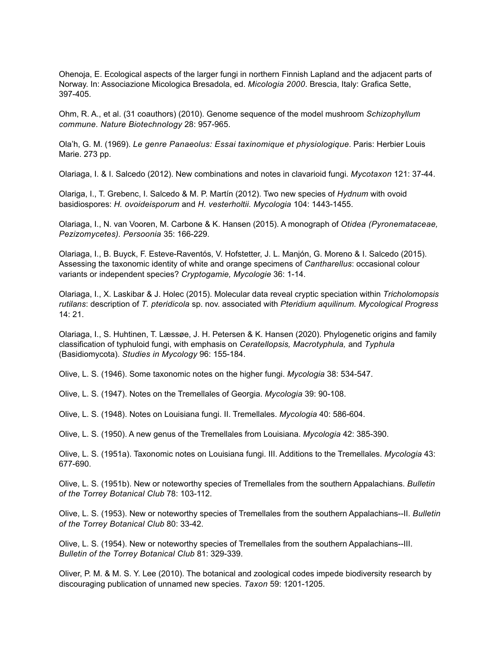Ohenoja, E. Ecological aspects of the larger fungi in northern Finnish Lapland and the adjacent parts of Norway. In: Associazione Micologica Bresadola, ed. *Micologia 2000*. Brescia, Italy: Grafica Sette, 397-405.

Ohm, R. A., et al. (31 coauthors) (2010). Genome sequence of the model mushroom *Schizophyllum commune*. *Nature Biotechnology* 28: 957-965.

Ola'h, G. M. (1969). *Le genre Panaeolus: Essai taxinomique et physiologique*. Paris: Herbier Louis Marie. 273 pp.

Olariaga, I. & I. Salcedo (2012). New combinations and notes in clavarioid fungi. *Mycotaxon* 121: 37-44.

Olariga, I., T. Grebenc, I. Salcedo & M. P. Martín (2012). Two new species of *Hydnum* with ovoid basidiospores: *H. ovoideisporum* and *H. vesterholtii. Mycologia* 104: 1443-1455.

Olariaga, I., N. van Vooren, M. Carbone & K. Hansen (2015). A monograph of *Otidea (Pyronemataceae, Pezizomycetes). Persoonia* 35: 166-229.

Olariaga, I., B. Buyck, F. Esteve-Raventós, V. Hofstetter, J. L. Manjón, G. Moreno & I. Salcedo (2015). Assessing the taxonomic identity of white and orange specimens of *Cantharellus*: occasional colour variants or independent species? *Cryptogamie, Mycologie* 36: 1-14.

Olariaga, I., X. Laskibar & J. Holec (2015). Molecular data reveal cryptic speciation within *Tricholomopsis rutilans*: description of *T. pteridicola* sp. nov. associated with *Pteridium aquilinum. Mycological Progress* 14: 21.

Olariaga, I., S. Huhtinen, T. Læssøe, J. H. Petersen & K. Hansen (2020). Phylogenetic origins and family classification of typhuloid fungi, with emphasis on *Ceratellopsis, Macrotyphula,* and *Typhula* (Basidiomycota). *Studies in Mycology* 96: 155-184.

Olive, L. S. (1946). Some taxonomic notes on the higher fungi. *Mycologia* 38: 534-547.

Olive, L. S. (1947). Notes on the Tremellales of Georgia. *Mycologia* 39: 90-108.

Olive, L. S. (1948). Notes on Louisiana fungi. II. Tremellales. *Mycologia* 40: 586-604.

Olive, L. S. (1950). A new genus of the Tremellales from Louisiana. *Mycologia* 42: 385-390.

Olive, L. S. (1951a). Taxonomic notes on Louisiana fungi. III. Additions to the Tremellales. *Mycologia* 43: 677-690.

Olive, L. S. (1951b). New or noteworthy species of Tremellales from the southern Appalachians. *Bulletin of the Torrey Botanical Club* 78: 103-112.

Olive, L. S. (1953). New or noteworthy species of Tremellales from the southern Appalachians--II. *Bulletin of the Torrey Botanical Club* 80: 33-42.

Olive, L. S. (1954). New or noteworthy species of Tremellales from the southern Appalachians--III. *Bulletin of the Torrey Botanical Club* 81: 329-339.

Oliver, P. M. & M. S. Y. Lee (2010). The botanical and zoological codes impede biodiversity research by discouraging publication of unnamed new species. *Taxon* 59: 1201-1205.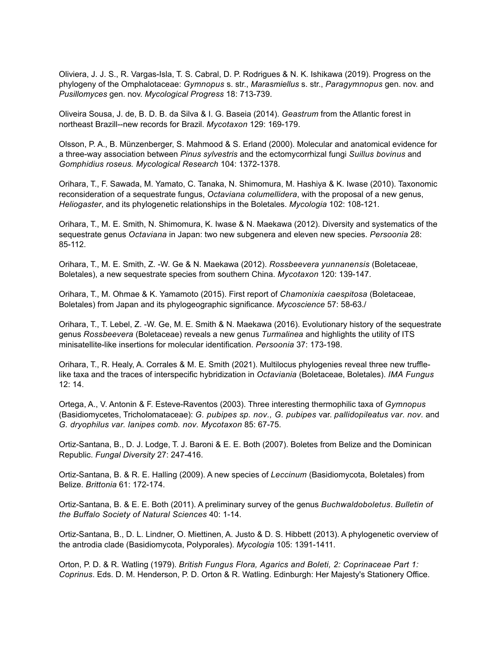Oliviera, J. J. S., R. Vargas-Isla, T. S. Cabral, D. P. Rodrigues & N. K. Ishikawa (2019). Progress on the phylogeny of the Omphalotaceae: *Gymnopus* s. str., *Marasmiellus* s. str., *Paragymnopus* gen. nov. and *Pusillomyces* gen. nov. *Mycological Progress* 18: 713-739.

Oliveira Sousa, J. de, B. D. B. da Silva & I. G. Baseia (2014). *Geastrum* from the Atlantic forest in northeast Brazill--new records for Brazil. *Mycotaxon* 129: 169-179.

Olsson, P. A., B. Münzenberger, S. Mahmood & S. Erland (2000). Molecular and anatomical evidence for a three-way association between *Pinus sylvestris* and the ectomycorrhizal fungi *Suillus bovinus* and *Gomphidius roseus. Mycological Research* 104: 1372-1378.

Orihara, T., F. Sawada, M. Yamato, C. Tanaka, N. Shimomura, M. Hashiya & K. Iwase (2010). Taxonomic reconsideration of a sequestrate fungus, *Octaviana columellidera*, with the proposal of a new genus, *Heliogaster*, and its phylogenetic relationships in the Boletales. *Mycologia* 102: 108-121.

Orihara, T., M. E. Smith, N. Shimomura, K. Iwase & N. Maekawa (2012). Diversity and systematics of the sequestrate genus *Octaviana* in Japan: two new subgenera and eleven new species. *Persoonia* 28: 85-112.

Orihara, T., M. E. Smith, Z. -W. Ge & N. Maekawa (2012). *Rossbeevera yunnanensis* (Boletaceae, Boletales), a new sequestrate species from southern China. *Mycotaxon* 120: 139-147.

Orihara, T., M. Ohmae & K. Yamamoto (2015). First report of *Chamonixia caespitosa* (Boletaceae, Boletales) from Japan and its phylogeographic significance. *Mycoscience* 57: 58-63./

Orihara, T., T. Lebel, Z. -W. Ge, M. E. Smith & N. Maekawa (2016). Evolutionary history of the sequestrate genus *Rossbeevera* (Boletaceae) reveals a new genus *Turmalinea* and highlights the utility of ITS minisatellite-like insertions for molecular identification. *Persoonia* 37: 173-198.

Orihara, T., R. Healy, A. Corrales & M. E. Smith (2021). Multilocus phylogenies reveal three new trufflelike taxa and the traces of interspecific hybridization in *Octaviania* (Boletaceae, Boletales). *IMA Fungus* 12: 14.

Ortega, A., V. Antonin & F. Esteve-Raventos (2003). Three interesting thermophilic taxa of *Gymnopus* (Basidiomycetes, Tricholomataceae): *G. pubipes sp. nov., G. pubipes* var. *pallidopileatus var. nov.* and *G. dryophilus var. lanipes comb. nov. Mycotaxon* 85: 67-75.

Ortiz-Santana, B., D. J. Lodge, T. J. Baroni & E. E. Both (2007). Boletes from Belize and the Dominican Republic. *Fungal Diversity* 27: 247-416.

Ortiz-Santana, B. & R. E. Halling (2009). A new species of *Leccinum* (Basidiomycota, Boletales) from Belize. *Brittonia* 61: 172-174.

Ortiz-Santana, B. & E. E. Both (2011). A preliminary survey of the genus *Buchwaldoboletus*. *Bulletin of the Buffalo Society of Natural Sciences* 40: 1-14.

Ortiz-Santana, B., D. L. Lindner, O. Miettinen, A. Justo & D. S. Hibbett (2013). A phylogenetic overview of the antrodia clade (Basidiomycota, Polyporales). *Mycologia* 105: 1391-1411.

Orton, P. D. & R. Watling (1979). *British Fungus Flora, Agarics and Boleti, 2: Coprinaceae Part 1: Coprinus*. Eds. D. M. Henderson, P. D. Orton & R. Watling. Edinburgh: Her Majesty's Stationery Office.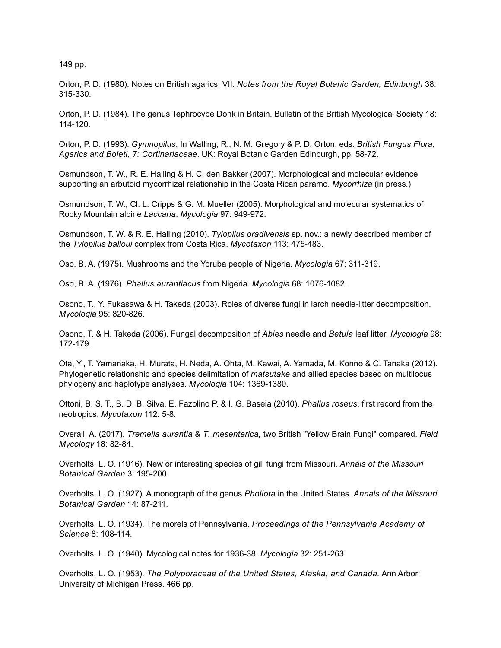149 pp.

Orton, P. D. (1980). Notes on British agarics: VII. *Notes from the Royal Botanic Garden, Edinburgh* 38: 315-330.

Orton, P. D. (1984). The genus Tephrocybe Donk in Britain. Bulletin of the British Mycological Society 18: 114-120.

Orton, P. D. (1993). *Gymnopilus*. In Watling, R., N. M. Gregory & P. D. Orton, eds. *British Fungus Flora, Agarics and Boleti, 7: Cortinariaceae*. UK: Royal Botanic Garden Edinburgh, pp. 58-72.

Osmundson, T. W., R. E. Halling & H. C. den Bakker (2007). Morphological and molecular evidence supporting an arbutoid mycorrhizal relationship in the Costa Rican paramo. *Mycorrhiza* (in press.)

Osmundson, T. W., Cl. L. Cripps & G. M. Mueller (2005). Morphological and molecular systematics of Rocky Mountain alpine *Laccaria*. *Mycologia* 97: 949-972.

Osmundson, T. W. & R. E. Halling (2010). *Tylopilus oradivensis* sp. nov.: a newly described member of the *Tylopilus balloui* complex from Costa Rica. *Mycotaxon* 113: 475-483.

Oso, B. A. (1975). Mushrooms and the Yoruba people of Nigeria. *Mycologia* 67: 311-319.

Oso, B. A. (1976). *Phallus aurantiacus* from Nigeria. *Mycologia* 68: 1076-1082.

Osono, T., Y. Fukasawa & H. Takeda (2003). Roles of diverse fungi in larch needle-litter decomposition. *Mycologia* 95: 820-826.

Osono, T. & H. Takeda (2006). Fungal decomposition of *Abies* needle and *Betula* leaf litter. *Mycologia* 98: 172-179.

Ota, Y., T. Yamanaka, H. Murata, H. Neda, A. Ohta, M. Kawai, A. Yamada, M. Konno & C. Tanaka (2012). Phylogenetic relationship and species delimitation of *matsutake* and allied species based on multilocus phylogeny and haplotype analyses. *Mycologia* 104: 1369-1380.

Ottoni, B. S. T., B. D. B. Silva, E. Fazolino P. & I. G. Baseia (2010). *Phallus roseus*, first record from the neotropics. *Mycotaxon* 112: 5-8.

Overall, A. (2017). *Tremella aurantia* & *T. mesenterica,* two British "Yellow Brain Fungi" compared. *Field Mycology* 18: 82-84.

Overholts, L. O. (1916). New or interesting species of gill fungi from Missouri. *Annals of the Missouri Botanical Garden* 3: 195-200.

Overholts, L. O. (1927). A monograph of the genus *Pholiota* in the United States. *Annals of the Missouri Botanical Garden* 14: 87-211.

Overholts, L. O. (1934). The morels of Pennsylvania. *Proceedings of the Pennsylvania Academy of Science* 8: 108-114.

Overholts, L. O. (1940). Mycological notes for 1936-38. *Mycologia* 32: 251-263.

Overholts, L. O. (1953). *The Polyporaceae of the United States, Alaska, and Canada.* Ann Arbor: University of Michigan Press. 466 pp.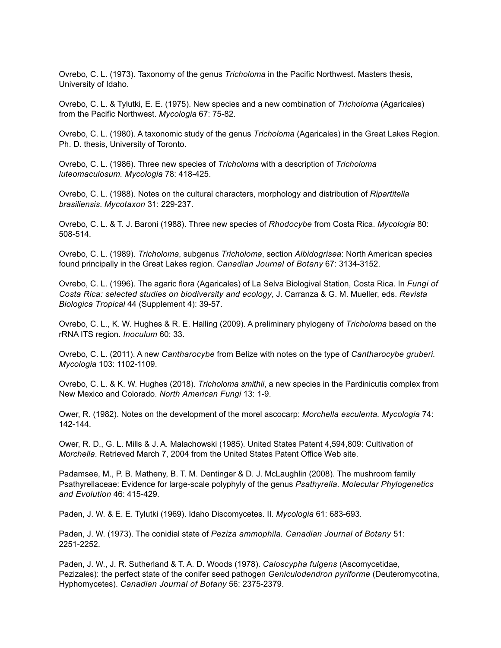Ovrebo, C. L. (1973). Taxonomy of the genus *Tricholoma* in the Pacific Northwest. Masters thesis, University of Idaho.

Ovrebo, C. L. & Tylutki, E. E. (1975). New species and a new combination of *Tricholoma* (Agaricales) from the Pacific Northwest. *Mycologia* 67: 75-82.

Ovrebo, C. L. (1980). A taxonomic study of the genus *Tricholoma* (Agaricales) in the Great Lakes Region. Ph. D. thesis, University of Toronto.

Ovrebo, C. L. (1986). Three new species of *Tricholoma* with a description of *Tricholoma luteomaculosum. Mycologia* 78: 418-425.

Ovrebo, C. L. (1988). Notes on the cultural characters, morphology and distribution of *Ripartitella brasiliensis*. *Mycotaxon* 31: 229-237.

Ovrebo, C. L. & T. J. Baroni (1988). Three new species of *Rhodocybe* from Costa Rica. *Mycologia* 80: 508-514.

Ovrebo, C. L. (1989). *Tricholoma*, subgenus *Tricholoma*, section *Albidogrisea*: North American species found principally in the Great Lakes region. *Canadian Journal of Botany* 67: 3134-3152.

Ovrebo, C. L. (1996). The agaric flora (Agaricales) of La Selva Biologival Station, Costa Rica. In *Fungi of Costa Rica: selected studies on biodiversity and ecology*, J. Carranza & G. M. Mueller, eds. *Revista Biologica Tropical* 44 (Supplement 4): 39-57.

Ovrebo, C. L., K. W. Hughes & R. E. Halling (2009). A preliminary phylogeny of *Tricholoma* based on the rRNA ITS region. *Inoculum* 60: 33.

Ovrebo, C. L. (2011). A new *Cantharocybe* from Belize with notes on the type of *Cantharocybe gruberi. Mycologia* 103: 1102-1109.

Ovrebo, C. L. & K. W. Hughes (2018). *Tricholoma smithii*, a new species in the Pardinicutis complex from New Mexico and Colorado. *North American Fungi* 13: 1-9.

Ower, R. (1982). Notes on the development of the morel ascocarp: *Morchella esculenta. Mycologia* 74: 142-144.

Ower, R. D., G. L. Mills & J. A. Malachowski (1985). United States Patent 4,594,809: Cultivation of *Morchella*. Retrieved March 7, 2004 from the United States Patent Office Web site.

Padamsee, M., P. B. Matheny, B. T. M. Dentinger & D. J. McLaughlin (2008). The mushroom family Psathyrellaceae: Evidence for large-scale polyphyly of the genus *Psathyrella. Molecular Phylogenetics and Evolution* 46: 415-429.

Paden, J. W. & E. E. Tylutki (1969). Idaho Discomycetes. II. *Mycologia* 61: 683-693.

Paden, J. W. (1973). The conidial state of *Peziza ammophila. Canadian Journal of Botany* 51: 2251-2252.

Paden, J. W., J. R. Sutherland & T. A. D. Woods (1978). *Caloscypha fulgens* (Ascomycetidae, Pezizales): the perfect state of the conifer seed pathogen *Geniculodendron pyriforme* (Deuteromycotina, Hyphomycetes). *Canadian Journal of Botany* 56: 2375-2379.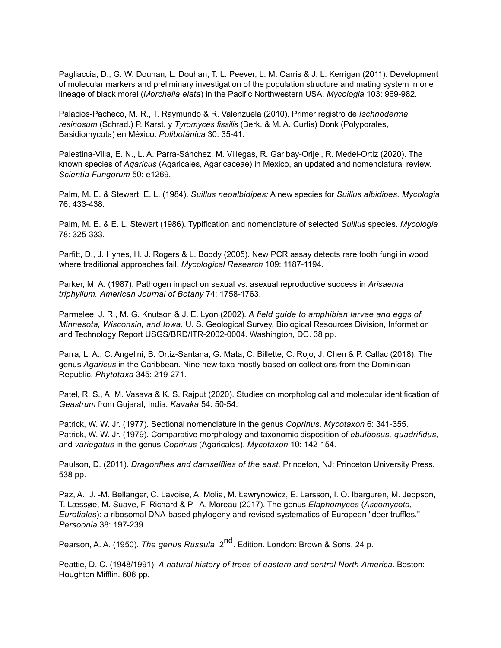Pagliaccia, D., G. W. Douhan, L. Douhan, T. L. Peever, L. M. Carris & J. L. Kerrigan (2011). Development of molecular markers and preliminary investigation of the population structure and mating system in one lineage of black morel (*Morchella elata*) in the Pacific Northwestern USA. *Mycologia* 103: 969-982.

Palacios-Pacheco, M. R., T. Raymundo & R. Valenzuela (2010). Primer registro de *Ischnoderma resinosum* (Schrad.) P. Karst. y *Tyromyces fissilis* (Berk. & M. A. Curtis) Donk (Polyporales, Basidiomycota) en México. *Polibotánica* 30: 35-41.

Palestina-Villa, E. N., L. A. Parra-Sánchez, M. Villegas, R. Garibay-Orijel, R. Medel-Ortiz (2020). The known species of *Agaricus* (Agaricales, Agaricaceae) in Mexico, an updated and nomenclatural review. *Scientia Fungorum* 50: e1269.

Palm, M. E. & Stewart, E. L. (1984). *Suillus neoalbidipes:* A new species for *Suillus albidipes. Mycologia* 76: 433-438.

Palm, M. E. & E. L. Stewart (1986). Typification and nomenclature of selected *Suillus* species. *Mycologia* 78: 325-333.

Parfitt, D., J. Hynes, H. J. Rogers & L. Boddy (2005). New PCR assay detects rare tooth fungi in wood where traditional approaches fail. *Mycological Research* 109: 1187-1194.

Parker, M. A. (1987). Pathogen impact on sexual vs. asexual reproductive success in *Arisaema triphyllum. American Journal of Botany* 74: 1758-1763.

Parmelee, J. R., M. G. Knutson & J. E. Lyon (2002). *A field guide to amphibian larvae and eggs of Minnesota, Wisconsin, and Iowa.* U. S. Geological Survey, Biological Resources Division, Information and Technology Report USGS/BRD/ITR-2002-0004. Washington, DC. 38 pp.

Parra, L. A., C. Angelini, B. Ortiz-Santana, G. Mata, C. Billette, C. Rojo, J. Chen & P. Callac (2018). The genus *Agaricus* in the Caribbean. Nine new taxa mostly based on collections from the Dominican Republic. *Phytotaxa* 345: 219-271.

Patel, R. S., A. M. Vasava & K. S. Rajput (2020). Studies on morphological and molecular identification of *Geastrum* from Gujarat, India. *Kavaka* 54: 50-54.

Patrick, W. W. Jr. (1977). Sectional nomenclature in the genus *Coprinus*. *Mycotaxon* 6: 341-355. Patrick, W. W. Jr. (1979). Comparative morphology and taxonomic disposition of *ebulbosus, quadrifidus,*  and *variegatus* in the genus *Coprinus* (Agaricales). *Mycotaxon* 10: 142-154.

Paulson, D. (2011). *Dragonflies and damselflies of the east.* Princeton, NJ: Princeton University Press. 538 pp.

Paz, A., J. -M. Bellanger, C. Lavoise, A. Molia, M. Ławrynowicz, E. Larsson, I. O. Ibarguren, M. Jeppson, T. Læssøe, M. Suave, F. Richard & P. -A. Moreau (2017). The genus *Elaphomyces* (*Ascomycota, Eurotiales*): a ribosomal DNA-based phylogeny and revised systematics of European "deer truffles." *Persoonia* 38: 197-239.

Pearson, A. A. (1950). *The genus Russula*. 2<sup>nd</sup>. Edition. London: Brown & Sons. 24 p.

Peattie, D. C. (1948/1991). *A natural history of trees of eastern and central North America*. Boston: Houghton Mifflin. 606 pp.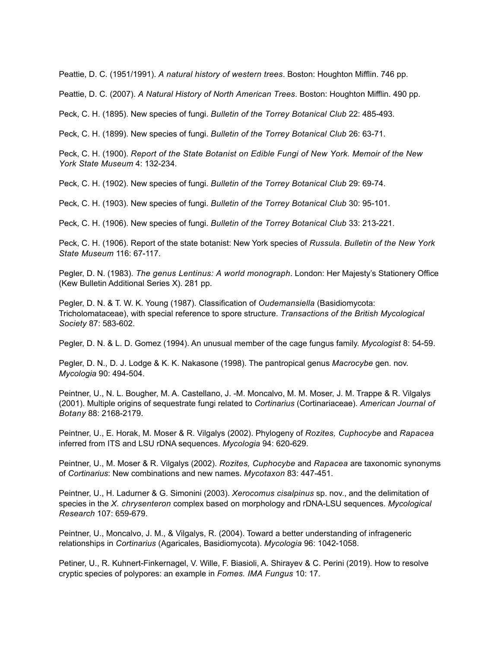Peattie, D. C. (1951/1991). *A natural history of western trees*. Boston: Houghton Mifflin. 746 pp.

Peattie, D. C. (2007). *A Natural History of North American Trees*. Boston: Houghton Mifflin. 490 pp.

Peck, C. H. (1895). New species of fungi. *Bulletin of the Torrey Botanical Club* 22: 485-493.

Peck, C. H. (1899). New species of fungi. *Bulletin of the Torrey Botanical Club* 26: 63-71.

Peck, C. H. (1900). *Report of the State Botanist on Edible Fungi of New York. Memoir of the New York State Museum* 4: 132-234.

Peck, C. H. (1902). New species of fungi. *Bulletin of the Torrey Botanical Club* 29: 69-74.

Peck, C. H. (1903). New species of fungi. *Bulletin of the Torrey Botanical Club* 30: 95-101.

Peck, C. H. (1906). New species of fungi. *Bulletin of the Torrey Botanical Club* 33: 213-221.

Peck, C. H. (1906). Report of the state botanist: New York species of *Russula*. *Bulletin of the New York State Museum* 116: 67-117.

Pegler, D. N. (1983). *The genus Lentinus: A world monograph*. London: Her Majesty's Stationery Office (Kew Bulletin Additional Series X). 281 pp.

Pegler, D. N. & T. W. K. Young (1987). Classification of *Oudemansiella* (Basidiomycota: Tricholomataceae), with special reference to spore structure. *Transactions of the British Mycological Society* 87: 583-602.

Pegler, D. N. & L. D. Gomez (1994). An unusual member of the cage fungus family. *Mycologist* 8: 54-59.

Pegler, D. N., D. J. Lodge & K. K. Nakasone (1998). The pantropical genus *Macrocybe* gen. nov. *Mycologia* 90: 494-504.

Peintner, U., N. L. Bougher, M. A. Castellano, J. -M. Moncalvo, M. M. Moser, J. M. Trappe & R. Vilgalys (2001). Multiple origins of sequestrate fungi related to *Cortinarius* (Cortinariaceae). *American Journal of Botany* 88: 2168-2179.

Peintner, U., E. Horak, M. Moser & R. Vilgalys (2002). Phylogeny of *Rozites, Cuphocybe* and *Rapacea* inferred from ITS and LSU rDNA sequences. *Mycologia* 94: 620-629.

Peintner, U., M. Moser & R. Vilgalys (2002). *Rozites, Cuphocybe* and *Rapacea* are taxonomic synonyms of *Cortinarius*: New combinations and new names. *Mycotaxon* 83: 447-451.

Peintner, U., H. Ladurner & G. Simonini (2003). *Xerocomus cisalpinus* sp. nov., and the delimitation of species in the *X. chrysenteron* complex based on morphology and rDNA-LSU sequences. *Mycological Research* 107: 659-679.

Peintner, U., Moncalvo, J. M., & Vilgalys, R. (2004). Toward a better understanding of infrageneric relationships in *Cortinarius* (Agaricales, Basidiomycota). *Mycologia* 96: 1042-1058.

Petiner, U., R. Kuhnert-Finkernagel, V. Wille, F. Biasioli, A. Shirayev & C. Perini (2019). How to resolve cryptic species of polypores: an example in *Fomes. IMA Fungus* 10: 17.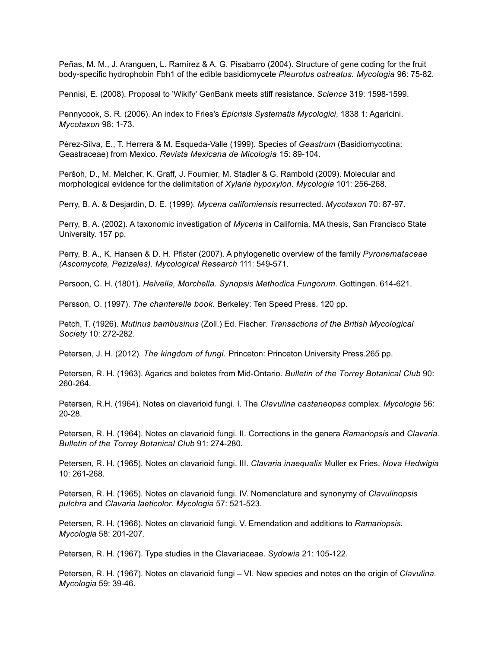Peñas, M. M., J. Aranguen, L. Ramírez & A. G. Pisabarro (2004). Structure of gene coding for the fruit body-specific hydrophobin Fbh1 of the edible basidiomycete *Pleurotus ostreatus. Mycologia* 96: 75-82.

Pennisi, E. (2008). Proposal to 'Wikify' GenBank meets stiff resistance. *Science* 319: 1598-1599.

Pennycook, S. R. (2006). An index to Fries's *Epicrisis Systematis Mycologici*, 1838 1: Agaricini. *Mycotaxon* 98: 1-73.

Pérez-Silva, E., T. Herrera & M. Esqueda-Valle (1999). Species of *Geastrum* (Basidiomycotina: Geastraceae) from Mexico. *Revista Mexicana de Micología* 15: 89-104.

Peršoh, D., M. Melcher, K. Graff, J. Fournier, M. Stadler & G. Rambold (2009). Molecular and morphological evidence for the delimitation of *Xylaria hypoxylon. Mycologia* 101: 256-268.

Perry, B. A. & Desjardin, D. E. (1999). *Mycena californiensis* resurrected. *Mycotaxon* 70: 87-97.

Perry, B. A. (2002). A taxonomic investigation of *Mycena* in California. MA thesis, San Francisco State University. 157 pp.

Perry, B. A., K. Hansen & D. H. Pfister (2007). A phylogenetic overview of the family *Pyronemataceae (Ascomycota, Pezizales). Mycological Research* 111: 549-571.

Persoon, C. H. (1801). *Helvella, Morchella. Synopsis Methodica Fungorum*. Gottingen. 614-621.

Persson, O. (1997). *The chanterelle book*. Berkeley: Ten Speed Press. 120 pp.

Petch, T. (1926). *Mutinus bambusinus* (Zoll.) Ed. Fischer. *Transactions of the British Mycological Society* 10: 272-282.

Petersen, J. H. (2012). *The kingdom of fungi.* Princeton: Princeton University Press.265 pp.

Petersen, R. H. (1963). Agarics and boletes from Mid-Ontario. *Bulletin of the Torrey Botanical Club* 90: 260-264.

Petersen, R.H. (1964). Notes on clavarioid fungi. I. The *Clavulina castaneopes* complex. *Mycologia* 56: 20-28.

Petersen, R. H. (1964). Notes on clavarioid fungi. II. Corrections in the genera *Ramariopsis* and *Clavaria. Bulletin of the Torrey Botanical Club* 91: 274-280.

Petersen, R. H. (1965). Notes on clavarioid fungi. III. *Clavaria inaequalis* Muller ex Fries. *Nova Hedwigia* 10: 261-268.

Petersen, R. H. (1965). Notes on clavarioid fungi. IV. Nomenclature and synonymy of *Clavulinopsis pulchra* and *Clavaria laeticolor. Mycologia* 57: 521-523.

Petersen, R. H. (1966). Notes on clavarioid fungi. V. Emendation and additions to *Ramariopsis. Mycologia* 58: 201-207.

Petersen, R. H. (1967). Type studies in the Clavariaceae. *Sydowia* 21: 105-122.

Petersen, R. H. (1967). Notes on clavarioid fungi – VI. New species and notes on the origin of *Clavulina. Mycologia* 59: 39-46.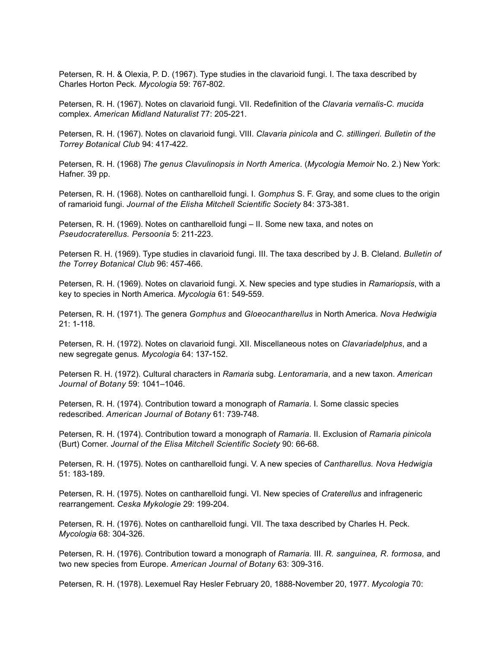Petersen, R. H. & Olexia, P. D. (1967). Type studies in the clavarioid fungi. I. The taxa described by Charles Horton Peck*. Mycologia* 59: 767-802.

Petersen, R. H. (1967). Notes on clavarioid fungi. VII. Redefinition of the *Clavaria vernalis-C. mucida* complex. *American Midland Naturalist* 77: 205-221.

Petersen, R. H. (1967). Notes on clavarioid fungi. VIII. *Clavaria pinicola* and *C. stillingeri. Bulletin of the Torrey Botanical Club* 94: 417-422.

Petersen, R. H. (1968) *The genus Clavulinopsis in North America*. (*Mycologia Memoir* No. 2.) New York: Hafner. 39 pp.

Petersen, R. H. (1968). Notes on cantharelloid fungi. I. *Gomphus* S. F. Gray, and some clues to the origin of ramarioid fungi. *Journal of the Elisha Mitchell Scientific Society* 84: 373-381.

Petersen, R. H. (1969). Notes on cantharelloid fungi – II. Some new taxa, and notes on *Pseudocraterellus. Persoonia* 5: 211-223.

Petersen R. H. (1969). Type studies in clavarioid fungi. III. The taxa described by J. B. Cleland. *Bulletin of the Torrey Botanical Club* 96: 457-466.

Petersen, R. H. (1969). Notes on clavarioid fungi. X. New species and type studies in *Ramariopsis*, with a key to species in North America. *Mycologia* 61: 549-559.

Petersen, R. H. (1971). The genera *Gomphus* and *Gloeocantharellus* in North America. *Nova Hedwigia* 21: 1-118.

Petersen, R. H. (1972). Notes on clavarioid fungi. XII. Miscellaneous notes on *Clavariadelphus*, and a new segregate genus*. Mycologia* 64: 137-152.

Petersen R. H. (1972). Cultural characters in *Ramaria* subg. *Lentoramaria*, and a new taxon. *American Journal of Botany* 59: 1041–1046.

Petersen, R. H. (1974). Contribution toward a monograph of *Ramaria*. I. Some classic species redescribed. *American Journal of Botany* 61: 739-748.

Petersen, R. H. (1974). Contribution toward a monograph of *Ramaria*. II. Exclusion of *Ramaria pinicola* (Burt) Corner. *Journal of the Elisa Mitchell Scientific Society* 90: 66-68.

Petersen, R. H. (1975). Notes on cantharelloid fungi. V. A new species of *Cantharellus. Nova Hedwigia* 51: 183-189.

Petersen, R. H. (1975). Notes on cantharelloid fungi. VI. New species of *Craterellus* and infrageneric rearrangement. *Ceska Mykologie* 29: 199-204.

Petersen, R. H. (1976). Notes on cantharelloid fungi. VII. The taxa described by Charles H. Peck. *Mycologia* 68: 304-326.

Petersen, R. H. (1976). Contribution toward a monograph of *Ramaria.* III. *R. sanguinea, R. formosa,* and two new species from Europe. *American Journal of Botany* 63: 309-316.

Petersen, R. H. (1978). Lexemuel Ray Hesler February 20, 1888-November 20, 1977. *Mycologia* 70: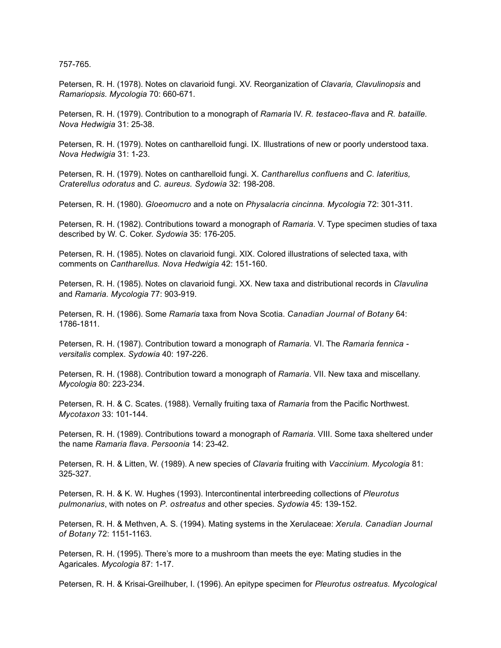757-765.

Petersen, R. H. (1978). Notes on clavarioid fungi. XV. Reorganization of *Clavaria, Clavulinopsis* and *Ramariopsis. Mycologia* 70: 660-671.

Petersen, R. H. (1979). Contribution to a monograph of *Ramaria* IV. *R. testaceo-flava* and *R. bataille. Nova Hedwigia* 31: 25-38.

Petersen, R. H. (1979). Notes on cantharelloid fungi. IX. Illustrations of new or poorly understood taxa. *Nova Hedwigia* 31: 1-23.

Petersen, R. H. (1979). Notes on cantharelloid fungi. X. *Cantharellus confluens* and *C. lateritius, Craterellus odoratus* and *C. aureus. Sydowia* 32: 198-208.

Petersen, R. H. (1980). *Gloeomucro* and a note on *Physalacria cincinna. Mycologia* 72: 301-311.

Petersen, R. H. (1982). Contributions toward a monograph of *Ramaria*. V. Type specimen studies of taxa described by W. C. Coker. *Sydowia* 35: 176-205.

Petersen, R. H. (1985). Notes on clavarioid fungi. XIX. Colored illustrations of selected taxa, with comments on *Cantharellus. Nova Hedwigia* 42: 151-160.

Petersen, R. H. (1985). Notes on clavarioid fungi. XX. New taxa and distributional records in *Clavulina* and *Ramaria. Mycologia* 77: 903-919.

Petersen, R. H. (1986). Some *Ramaria* taxa from Nova Scotia. *Canadian Journal of Botany* 64: 1786-1811.

Petersen, R. H. (1987). Contribution toward a monograph of *Ramaria.* VI. The *Ramaria fennica versitalis* complex. *Sydowia* 40: 197-226.

Petersen, R. H. (1988). Contribution toward a monograph of *Ramaria*. VII. New taxa and miscellany. *Mycologia* 80: 223-234.

Petersen, R. H. & C. Scates. (1988). Vernally fruiting taxa of *Ramaria* from the Pacific Northwest. *Mycotaxon* 33: 101-144.

Petersen, R. H. (1989). Contributions toward a monograph of *Ramaria*. VIII. Some taxa sheltered under the name *Ramaria flava*. *Persoonia* 14: 23-42.

Petersen, R. H. & Litten, W. (1989). A new species of *Clavaria* fruiting with *Vaccinium. Mycologia* 81: 325-327.

Petersen, R. H. & K. W. Hughes (1993). Intercontinental interbreeding collections of *Pleurotus pulmonarius*, with notes on *P. ostreatus* and other species. *Sydowia* 45: 139-152.

Petersen, R. H. & Methven, A. S. (1994). Mating systems in the Xerulaceae: *Xerula. Canadian Journal of Botany* 72: 1151-1163.

Petersen, R. H. (1995). There's more to a mushroom than meets the eye: Mating studies in the Agaricales. *Mycologia* 87: 1-17.

Petersen, R. H. & Krisai-Greilhuber, I. (1996). An epitype specimen for *Pleurotus ostreatus. Mycological*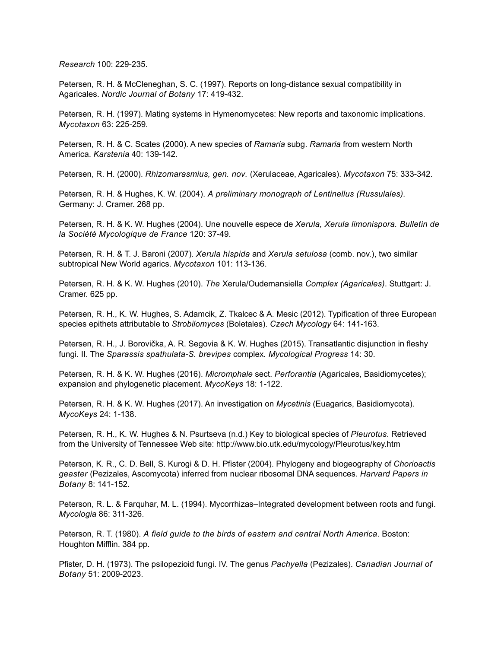*Research* 100: 229-235.

Petersen, R. H. & McCleneghan, S. C. (1997). Reports on long-distance sexual compatibility in Agaricales. *Nordic Journal of Botany* 17: 419-432.

Petersen, R. H. (1997). Mating systems in Hymenomycetes: New reports and taxonomic implications. *Mycotaxon* 63: 225-259.

Petersen, R. H. & C. Scates (2000). A new species of *Ramaria* subg. *Ramaria* from western North America. *Karstenia* 40: 139-142.

Petersen, R. H. (2000). *Rhizomarasmius, gen. nov.* (Xerulaceae, Agaricales). *Mycotaxon* 75: 333-342.

Petersen, R. H. & Hughes, K. W. (2004). *A preliminary monograph of Lentinellus (Russulales).* Germany: J. Cramer. 268 pp.

Petersen, R. H. & K. W. Hughes (2004). Une nouvelle espece de *Xerula, Xerula limonispora. Bulletin de la Société Mycologique de France* 120: 37-49.

Petersen, R. H. & T. J. Baroni (2007). *Xerula hispida* and *Xerula setulosa* (comb. nov.), two similar subtropical New World agarics. *Mycotaxon* 101: 113-136.

Petersen, R. H. & K. W. Hughes (2010). *The* Xerula/Oudemansiella *Complex (Agaricales)*. Stuttgart: J. Cramer. 625 pp.

Petersen, R. H., K. W. Hughes, S. Adamcik, Z. Tkalcec & A. Mesic (2012). Typification of three European species epithets attributable to *Strobilomyces* (Boletales). *Czech Mycology* 64: 141-163.

Petersen, R. H., J. Borovička, A. R. Segovia & K. W. Hughes (2015). Transatlantic disjunction in fleshy fungi. II. The *Sparassis spathulata-S. brevipes* complex*. Mycological Progress* 14: 30.

Petersen, R. H. & K. W. Hughes (2016). *Micromphale* sect. *Perforantia* (Agaricales, Basidiomycetes); expansion and phylogenetic placement. *MycoKeys* 18: 1-122.

Petersen, R. H. & K. W. Hughes (2017). An investigation on *Mycetinis* (Euagarics, Basidiomycota). *MycoKeys* 24: 1-138.

Petersen, R. H., K. W. Hughes & N. Psurtseva (n.d.) Key to biological species of *Pleurotus*. Retrieved from the University of Tennessee Web site: http://www.bio.utk.edu/mycology/Pleurotus/key.htm

Peterson, K. R., C. D. Bell, S. Kurogi & D. H. Pfister (2004). Phylogeny and biogeography of *Chorioactis geaster* (Pezizales, Ascomycota) inferred from nuclear ribosomal DNA sequences. *Harvard Papers in Botany* 8: 141-152.

Peterson, R. L. & Farquhar, M. L. (1994). Mycorrhizas–Integrated development between roots and fungi. *Mycologia* 86: 311-326.

Peterson, R. T. (1980). *A field guide to the birds of eastern and central North America*. Boston: Houghton Mifflin. 384 pp.

Pfister, D. H. (1973). The psilopezioid fungi. IV. The genus *Pachyella* (Pezizales). *Canadian Journal of Botany* 51: 2009-2023.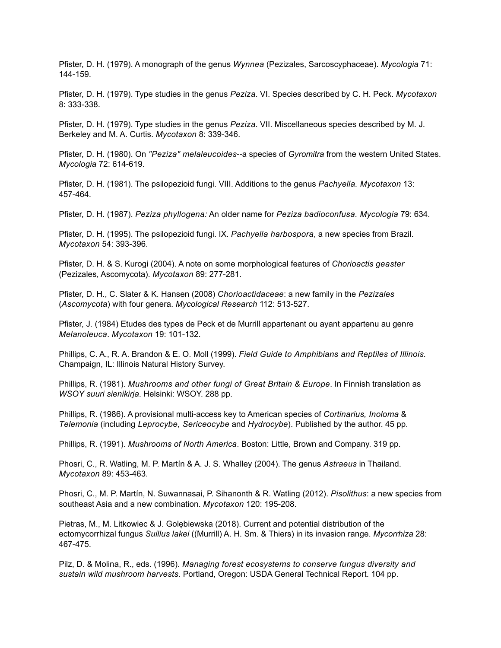Pfister, D. H. (1979). A monograph of the genus *Wynnea* (Pezizales, Sarcoscyphaceae). *Mycologia* 71: 144-159.

Pfister, D. H. (1979). Type studies in the genus *Peziza*. VI. Species described by C. H. Peck. *Mycotaxon* 8: 333-338.

Pfister, D. H. (1979). Type studies in the genus *Peziza*. VII. Miscellaneous species described by M. J. Berkeley and M. A. Curtis. *Mycotaxon* 8: 339-346.

Pfister, D. H. (1980). On *"Peziza" melaleucoides*--a species of *Gyromitra* from the western United States. *Mycologia* 72: 614-619.

Pfister, D. H. (1981). The psilopezioid fungi. VIII. Additions to the genus *Pachyella. Mycotaxon* 13: 457-464.

Pfister, D. H. (1987). *Peziza phyllogena:* An older name for *Peziza badioconfusa. Mycologia* 79: 634.

Pfister, D. H. (1995). The psilopezioid fungi. IX. *Pachyella harbospora*, a new species from Brazil. *Mycotaxon* 54: 393-396.

Pfister, D. H. & S. Kurogi (2004). A note on some morphological features of *Chorioactis geaster* (Pezizales, Ascomycota). *Mycotaxon* 89: 277-281.

Pfister, D. H., C. Slater & K. Hansen (2008) *Chorioactidaceae*: a new family in the *Pezizales* (*Ascomycota*) with four genera. *Mycological Research* 112: 513-527.

Pfister, J. (1984) Etudes des types de Peck et de Murrill appartenant ou ayant appartenu au genre *Melanoleuca*. *Mycotaxon* 19: 101-132.

Phillips, C. A., R. A. Brandon & E. O. Moll (1999). *Field Guide to Amphibians and Reptiles of Illinois.* Champaign, IL: Illinois Natural History Survey.

Phillips, R. (1981). *Mushrooms and other fungi of Great Britain & Europe*. In Finnish translation as *WSOY suuri sienikirja*. Helsinki: WSOY. 288 pp.

Phillips, R. (1986). A provisional multi-access key to American species of *Cortinarius, Inoloma* & *Telemonia* (including *Leprocybe, Sericeocybe* and *Hydrocybe*). Published by the author. 45 pp.

Phillips, R. (1991). *Mushrooms of North America*. Boston: Little, Brown and Company. 319 pp.

Phosri, C., R. Watling, M. P. Martín & A. J. S. Whalley (2004). The genus *Astraeus* in Thailand. *Mycotaxon* 89: 453-463.

Phosri, C., M. P. Martín, N. Suwannasai, P. Sihanonth & R. Watling (2012). *Pisolithus*: a new species from southeast Asia and a new combination. *Mycotaxon* 120: 195-208.

Pietras, M., M. Litkowiec & J. Golębiewska (2018). Current and potential distribution of the ectomycorrhizal fungus *Suillus lakei* ((Murrill) A. H. Sm. & Thiers) in its invasion range. *Mycorrhiza* 28: 467-475.

Pilz, D. & Molina, R., eds. (1996). *Managing forest ecosystems to conserve fungus diversity and sustain wild mushroom harvests.* Portland, Oregon: USDA General Technical Report. 104 pp.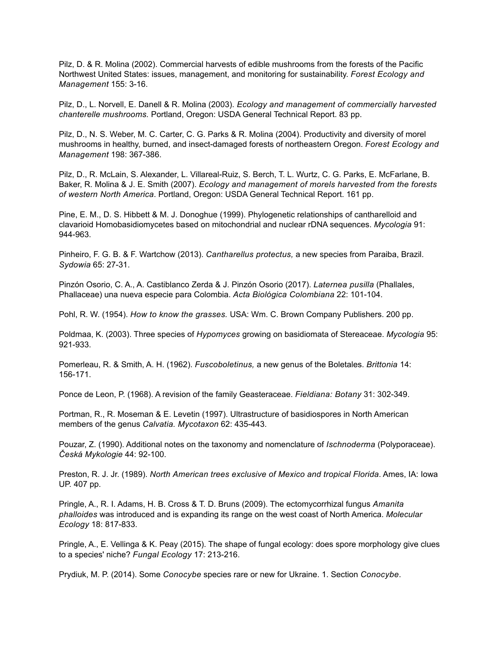Pilz, D. & R. Molina (2002). Commercial harvests of edible mushrooms from the forests of the Pacific Northwest United States: issues, management, and monitoring for sustainability. *Forest Ecology and Management* 155: 3-16.

Pilz, D., L. Norvell, E. Danell & R. Molina (2003). *Ecology and management of commercially harvested chanterelle mushrooms.* Portland, Oregon: USDA General Technical Report. 83 pp.

Pilz, D., N. S. Weber, M. C. Carter, C. G. Parks & R. Molina (2004). Productivity and diversity of morel mushrooms in healthy, burned, and insect-damaged forests of northeastern Oregon. *Forest Ecology and Management* 198: 367-386.

Pilz, D., R. McLain, S. Alexander, L. Villareal-Ruiz, S. Berch, T. L. Wurtz, C. G. Parks, E. McFarlane, B. Baker, R. Molina & J. E. Smith (2007). *Ecology and management of morels harvested from the forests of western North America*. Portland, Oregon: USDA General Technical Report. 161 pp.

Pine, E. M., D. S. Hibbett & M. J. Donoghue (1999). Phylogenetic relationships of cantharelloid and clavarioid Homobasidiomycetes based on mitochondrial and nuclear rDNA sequences. *Mycologia* 91: 944-963.

Pinheiro, F. G. B. & F. Wartchow (2013). *Cantharellus protectus,* a new species from Paraiba, Brazil. *Sydowia* 65: 27-31.

Pinzón Osorio, C. A., A. Castiblanco Zerda & J. Pinzón Osorio (2017). *Laternea pusilla* (Phallales, Phallaceae) una nueva especie para Colombia. *Acta Biológica Colombiana* 22: 101-104.

Pohl, R. W. (1954). *How to know the grasses.* USA: Wm. C. Brown Company Publishers. 200 pp.

Poldmaa, K. (2003). Three species of *Hypomyces* growing on basidiomata of Stereaceae. *Mycologia* 95: 921-933.

Pomerleau, R. & Smith, A. H. (1962). *Fuscoboletinus,* a new genus of the Boletales. *Brittonia* 14: 156-171.

Ponce de Leon, P. (1968). A revision of the family Geasteraceae. *Fieldiana: Botany* 31: 302-349.

Portman, R., R. Moseman & E. Levetin (1997). Ultrastructure of basidiospores in North American members of the genus *Calvatia. Mycotaxon* 62: 435-443.

Pouzar, Z. (1990). Additional notes on the taxonomy and nomenclature of *Ischnoderma* (Polyporaceae). *Česká Mykologie* 44: 92-100.

Preston, R. J. Jr. (1989). *North American trees exclusive of Mexico and tropical Florida*. Ames, IA: Iowa UP. 407 pp.

Pringle, A., R. I. Adams, H. B. Cross & T. D. Bruns (2009). The ectomycorrhizal fungus *Amanita phalloides* was introduced and is expanding its range on the west coast of North America. *Molecular Ecology* 18: 817-833.

Pringle, A., E. Vellinga & K. Peay (2015). The shape of fungal ecology: does spore morphology give clues to a species' niche? *Fungal Ecology* 17: 213-216.

Prydiuk, M. P. (2014). Some *Conocybe* species rare or new for Ukraine. 1. Section *Conocybe*.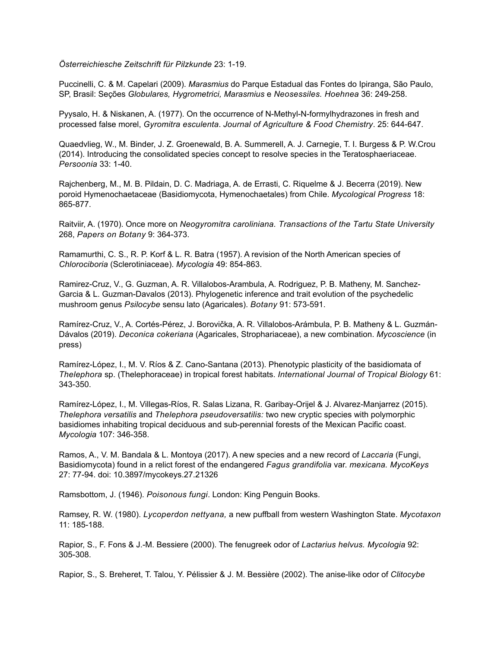*Österreichiesche Zeitschrift für Pilzkunde* 23: 1-19.

Puccinelli, C. & M. Capelari (2009). *Marasmius* do Parque Estadual das Fontes do Ipiranga, São Paulo, SP, Brasil: Seções *Globulares, Hygrometrici, Marasmius* e *Neosessiles. Hoehnea* 36: 249-258.

Pyysalo, H. & Niskanen, A. (1977). On the occurrence of N-Methyl-N-formylhydrazones in fresh and processed false morel, *Gyromitra esculenta*. *Journal of Agriculture & Food Chemistry*. 25: 644-647.

Quaedvlieg, W., M. Binder, J. Z. Groenewald, B. A. Summerell, A. J. Carnegie, T. I. Burgess & P. W.Crou (2014). Introducing the consolidated species concept to resolve species in the Teratosphaeriaceae. *Persoonia* 33: 1-40.

Rajchenberg, M., M. B. Pildain, D. C. Madriaga, A. de Errasti, C. Riquelme & J. Becerra (2019). New poroid Hymenochaetaceae (Basidiomycota, Hymenochaetales) from Chile. *Mycological Progress* 18: 865-877.

Raitviir, A. (1970). Once more on *Neogyromitra caroliniana. Transactions of the Tartu State University* 268, *Papers on Botany* 9: 364-373.

Ramamurthi, C. S., R. P. Korf & L. R. Batra (1957). A revision of the North American species of *Chlorociboria* (Sclerotiniaceae). *Mycologia* 49: 854-863.

Ramirez-Cruz, V., G. Guzman, A. R. Villalobos-Arambula, A. Rodriguez, P. B. Matheny, M. Sanchez-Garcia & L. Guzman-Davalos (2013). Phylogenetic inference and trait evolution of the psychedelic mushroom genus *Psilocybe* sensu lato (Agaricales). *Botany* 91: 573-591.

Ramírez-Cruz, V., A. Cortés-Pérez, J. Borovička, A. R. Villalobos-Arámbula, P. B. Matheny & L. Guzmán-Dávalos (2019). *Deconica cokeriana* (Agaricales, Strophariaceae), a new combination. *Mycoscience* (in press)

Ramírez-López, I., M. V. Ríos & Z. Cano-Santana (2013). Phenotypic plasticity of the basidiomata of *Thelephora* sp. (Thelephoraceae) in tropical forest habitats. *International Journal of Tropical Biology* 61: 343-350.

Ramírez-López, I., M. Villegas-Ríos, R. Salas Lizana, R. Garibay-Orijel & J. Alvarez-Manjarrez (2015). *Thelephora versatilis* and *Thelephora pseudoversatilis:* two new cryptic species with polymorphic basidiomes inhabiting tropical deciduous and sub-perennial forests of the Mexican Pacific coast. *Mycologia* 107: 346-358.

Ramos, A., V. M. Bandala & L. Montoya (2017). A new species and a new record of *Laccaria* (Fungi, Basidiomycota) found in a relict forest of the endangered *Fagus grandifolia* var. *mexicana. MycoKeys* 27: 77-94. doi: 10.3897/mycokeys.27.21326

Ramsbottom, J. (1946). *Poisonous fungi*. London: King Penguin Books.

Ramsey, R. W. (1980). *Lycoperdon nettyana,* a new puffball from western Washington State. *Mycotaxon* 11: 185-188.

Rapior, S., F. Fons & J.-M. Bessiere (2000). The fenugreek odor of *Lactarius helvus. Mycologia* 92: 305-308.

Rapior, S., S. Breheret, T. Talou, Y. Pélissier & J. M. Bessière (2002). The anise-like odor of *Clitocybe*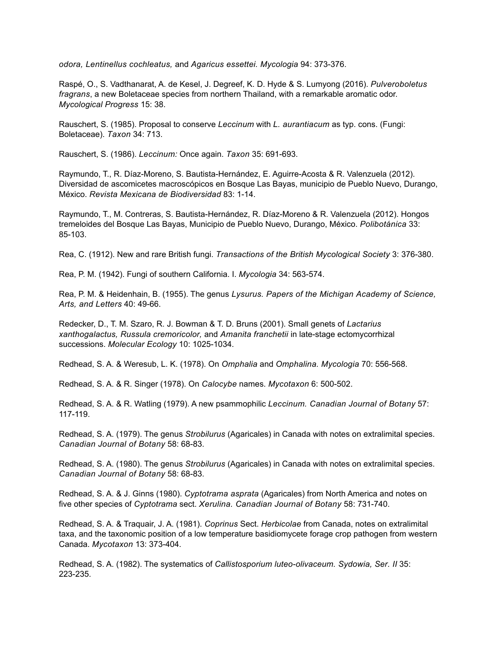*odora, Lentinellus cochleatus,* and *Agaricus essettei. Mycologia* 94: 373-376.

Raspé, O., S. Vadthanarat, A. de Kesel, J. Degreef, K. D. Hyde & S. Lumyong (2016). *Pulveroboletus fragrans*, a new Boletaceae species from northern Thailand, with a remarkable aromatic odor. *Mycological Progress* 15: 38.

Rauschert, S. (1985). Proposal to conserve *Leccinum* with *L. aurantiacum* as typ. cons. (Fungi: Boletaceae). *Taxon* 34: 713.

Rauschert, S. (1986). *Leccinum:* Once again. *Taxon* 35: 691-693.

Raymundo, T., R. Díaz-Moreno, S. Bautista-Hernández, E. Aguirre-Acosta & R. Valenzuela (2012). Diversidad de ascomicetes macroscópicos en Bosque Las Bayas, municipio de Pueblo Nuevo, Durango, México. *Revista Mexicana de Biodiversidad* 83: 1-14.

Raymundo, T., M. Contreras, S. Bautista-Hernández, R. Díaz-Moreno & R. Valenzuela (2012). Hongos tremeloides del Bosque Las Bayas, Municipio de Pueblo Nuevo, Durango, México. *Polibotánica* 33: 85-103.

Rea, C. (1912). New and rare British fungi. *Transactions of the British Mycological Society* 3: 376-380.

Rea, P. M. (1942). Fungi of southern California. I. *Mycologia* 34: 563-574.

Rea, P. M. & Heidenhain, B. (1955). The genus *Lysurus. Papers of the Michigan Academy of Science, Arts, and Letters* 40: 49-66.

Redecker, D., T. M. Szaro, R. J. Bowman & T. D. Bruns (2001). Small genets of *Lactarius xanthogalactus, Russula cremoricolor,* and *Amanita franchetii* in late-stage ectomycorrhizal successions. *Molecular Ecology* 10: 1025-1034.

Redhead, S. A. & Weresub, L. K. (1978). On *Omphalia* and *Omphalina. Mycologia* 70: 556-568.

Redhead, S. A. & R. Singer (1978). On *Calocybe* names. *Mycotaxon* 6: 500-502.

Redhead, S. A. & R. Watling (1979). A new psammophilic *Leccinum. Canadian Journal of Botany* 57: 117-119.

Redhead, S. A. (1979). The genus *Strobilurus* (Agaricales) in Canada with notes on extralimital species. *Canadian Journal of Botany* 58: 68-83.

Redhead, S. A. (1980). The genus *Strobilurus* (Agaricales) in Canada with notes on extralimital species. *Canadian Journal of Botany* 58: 68-83.

Redhead, S. A. & J. Ginns (1980). *Cyptotrama asprata* (Agaricales) from North America and notes on five other species of *Cyptotrama* sect. *Xerulina. Canadian Journal of Botany* 58: 731-740.

Redhead, S. A. & Traquair, J. A. (1981). *Coprinus* Sect. *Herbicolae* from Canada, notes on extralimital taxa, and the taxonomic position of a low temperature basidiomycete forage crop pathogen from western Canada. *Mycotaxon* 13: 373-404.

Redhead, S. A. (1982). The systematics of *Callistosporium luteo-olivaceum. Sydowia, Ser. II* 35: 223-235.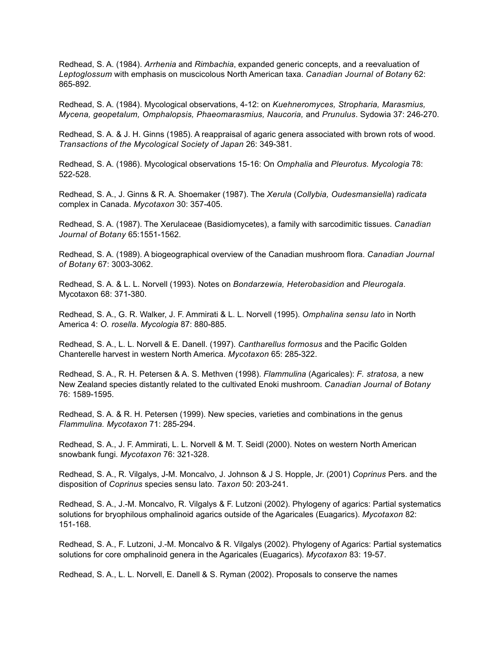Redhead, S. A. (1984). *Arrhenia* and *Rimbachia*, expanded generic concepts, and a reevaluation of *Leptoglossum* with emphasis on muscicolous North American taxa. *Canadian Journal of Botany* 62: 865-892.

Redhead, S. A. (1984). Mycological observations, 4-12: on *Kuehneromyces, Stropharia, Marasmius, Mycena, geopetalum, Omphalopsis, Phaeomarasmius, Naucoria,* and *Prunulus*. Sydowia 37: 246-270.

Redhead, S. A. & J. H. Ginns (1985). A reappraisal of agaric genera associated with brown rots of wood. *Transactions of the Mycological Society of Japan* 26: 349-381.

Redhead, S. A. (1986). Mycological observations 15-16: On *Omphalia* and *Pleurotus. Mycologia* 78: 522-528.

Redhead, S. A., J. Ginns & R. A. Shoemaker (1987). The *Xerula* (*Collybia, Oudesmansiella*) *radicata* complex in Canada. *Mycotaxon* 30: 357-405.

Redhead, S. A. (1987). The Xerulaceae (Basidiomycetes), a family with sarcodimitic tissues. *Canadian Journal of Botany* 65:1551-1562.

Redhead, S. A. (1989). A biogeographical overview of the Canadian mushroom flora. *Canadian Journal of Botany* 67: 3003-3062.

Redhead, S. A. & L. L. Norvell (1993). Notes on *Bondarzewia, Heterobasidion* and *Pleurogala*. Mycotaxon 68: 371-380.

Redhead, S. A., G. R. Walker, J. F. Ammirati & L. L. Norvell (1995). *Omphalina sensu lato* in North America 4: *O. rosella*. *Mycologia* 87: 880-885.

Redhead, S. A., L. L. Norvell & E. Danell. (1997). *Cantharellus formosus* and the Pacific Golden Chanterelle harvest in western North America. *Mycotaxon* 65: 285-322.

Redhead, S. A., R. H. Petersen & A. S. Methven (1998). *Flammulina* (Agaricales): *F. stratosa,* a new New Zealand species distantly related to the cultivated Enoki mushroom. *Canadian Journal of Botany* 76: 1589-1595.

Redhead, S. A. & R. H. Petersen (1999). New species, varieties and combinations in the genus *Flammulina. Mycotaxon* 71: 285-294.

Redhead, S. A., J. F. Ammirati, L. L. Norvell & M. T. Seidl (2000). Notes on western North American snowbank fungi. *Mycotaxon* 76: 321-328.

Redhead, S. A., R. Vilgalys, J-M. Moncalvo, J. Johnson & J S. Hopple, Jr. (2001) *Coprinus* Pers. and the disposition of *Coprinus* species sensu lato. *Taxon* 50: 203-241.

Redhead, S. A., J.-M. Moncalvo, R. Vilgalys & F. Lutzoni (2002). Phylogeny of agarics: Partial systematics solutions for bryophilous omphalinoid agarics outside of the Agaricales (Euagarics). *Mycotaxon* 82: 151-168.

Redhead, S. A., F. Lutzoni, J.-M. Moncalvo & R. Vilgalys (2002). Phylogeny of Agarics: Partial systematics solutions for core omphalinoid genera in the Agaricales (Euagarics). *Mycotaxon* 83: 19-57.

Redhead, S. A., L. L. Norvell, E. Danell & S. Ryman (2002). Proposals to conserve the names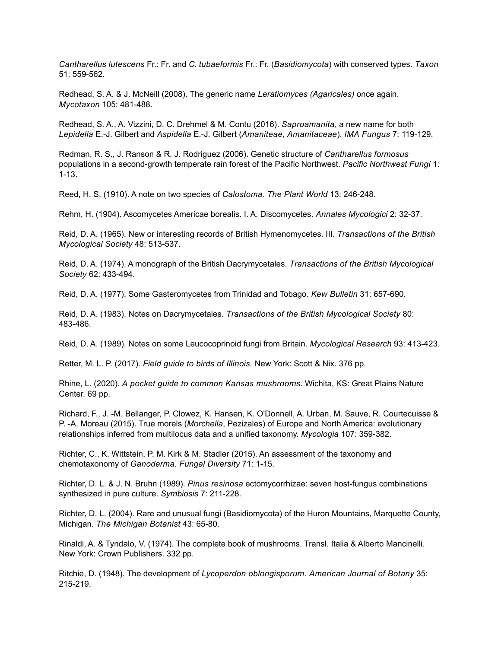*Cantharellus lutescens* Fr.: Fr. and *C*. *tubaeformis* Fr.: Fr. (*Basidiomycota*) with conserved types. *Taxon* 51: 559-562.

Redhead, S. A. & J. McNeill (2008). The generic name *Leratiomyces (Agaricales)* once again. *Mycotaxon* 105: 481-488.

Redhead, S. A., A. Vizzini, D. C. Drehmel & M. Contu (2016). *Saproamanita*, a new name for both *Lepidella* E.-J. Gilbert and *Aspidella* E.-J. Gilbert (*Amaniteae*, *Amanitaceae*). *IMA Fungus* 7: 119-129.

Redman, R. S., J. Ranson & R. J. Rodriguez (2006). Genetic structure of *Cantharellus formosus* populations in a second-growth temperate rain forest of the Pacific Northwest. *Pacific Northwest Fungi* 1: 1-13.

Reed, H. S. (1910). A note on two species of *Calostoma. The Plant World* 13: 246-248.

Rehm, H. (1904). Ascomycetes Americae borealis. I. A. Discomycetes. *Annales Mycologici* 2: 32-37.

Reid, D. A. (1965). New or interesting records of British Hymenomycetes. III. *Transactions of the British Mycological Society* 48: 513-537.

Reid, D. A. (1974). A monograph of the British Dacrymycetales. *Transactions of the British Mycological Society* 62: 433-494.

Reid, D. A. (1977). Some Gasteromycetes from Trinidad and Tobago. *Kew Bulletin* 31: 657-690.

Reid, D. A. (1983). Notes on Dacrymycetales. *Transactions of the British Mycological Society* 80: 483-486.

Reid, D. A. (1989). Notes on some Leucocoprinoid fungi from Britain. *Mycological Research* 93: 413-423.

Retter, M. L. P. (2017). *Field guide to birds of Illinois.* New York: Scott & Nix. 376 pp.

Rhine, L. (2020). *A pocket guide to common Kansas mushrooms*. Wichita, KS: Great Plains Nature Center. 69 pp.

Richard, F., J. -M. Bellanger, P. Clowez, K. Hansen, K. O'Donnell, A. Urban, M. Sauve, R. Courtecuisse & P. -A. Moreau (2015). True morels (*Morchella*, Pezizales) of Europe and North America: evolutionary relationships inferred from multilocus data and a unified taxonomy. *Mycologia* 107: 359-382.

Richter, C., K. Wittstein, P. M. Kirk & M. Stadler (2015). An assessment of the taxonomy and chemotaxonomy of *Ganoderma. Fungal Diversity* 71: 1-15.

Richter, D. L. & J. N. Bruhn (1989). *Pinus resinosa* ectomycorrhizae: seven host-fungus combinations synthesized in pure culture. *Symbiosis* 7: 211-228.

Richter, D. L. (2004). Rare and unusual fungi (Basidiomycota) of the Huron Mountains, Marquette County, Michigan. *The Michigan Botanist* 43: 65-80.

Rinaldi, A. & Tyndalo, V. (1974). The complete book of mushrooms. Transl. Italia & Alberto Mancinelli. New York: Crown Publishers. 332 pp.

Ritchie, D. (1948). The development of *Lycoperdon oblongisporum. American Journal of Botany* 35: 215-219.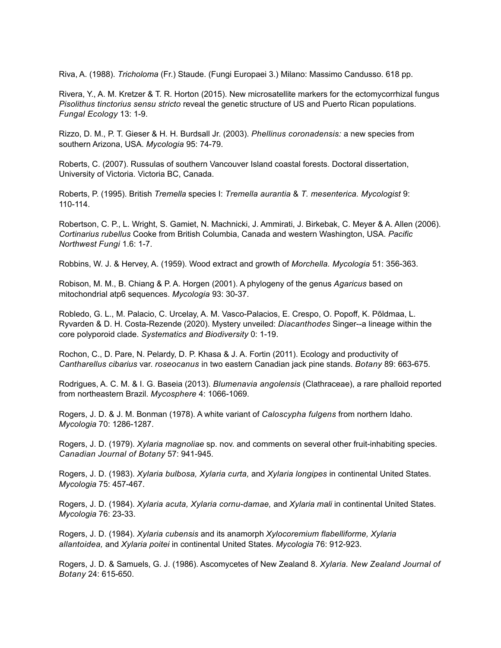Riva, A. (1988). *Tricholoma* (Fr.) Staude. (Fungi Europaei 3.) Milano: Massimo Candusso. 618 pp.

Rivera, Y., A. M. Kretzer & T. R. Horton (2015). New microsatellite markers for the ectomycorrhizal fungus *Pisolithus tinctorius sensu stricto* reveal the genetic structure of US and Puerto Rican populations. *Fungal Ecology* 13: 1-9.

Rizzo, D. M., P. T. Gieser & H. H. Burdsall Jr. (2003). *Phellinus coronadensis:* a new species from southern Arizona, USA. *Mycologia* 95: 74-79.

Roberts, C. (2007). Russulas of southern Vancouver Island coastal forests. Doctoral dissertation, University of Victoria. Victoria BC, Canada.

Roberts, P. (1995). British *Tremella* species I: *Tremella aurantia* & *T. mesenterica. Mycologist* 9: 110-114.

Robertson, C. P., L. Wright, S. Gamiet, N. Machnicki, J. Ammirati, J. Birkebak, C. Meyer & A. Allen (2006). *Cortinarius rubellus* Cooke from British Columbia, Canada and western Washington, USA. *Pacific Northwest Fungi* 1.6: 1-7.

Robbins, W. J. & Hervey, A. (1959). Wood extract and growth of *Morchella. Mycologia* 51: 356-363.

Robison, M. M., B. Chiang & P. A. Horgen (2001). A phylogeny of the genus *Agaricus* based on mitochondrial atp6 sequences. *Mycologia* 93: 30-37.

Robledo, G. L., M. Palacio, C. Urcelay, A. M. Vasco-Palacios, E. Crespo, O. Popoff, K. Põldmaa, L. Ryvarden & D. H. Costa-Rezende (2020). Mystery unveiled: *Diacanthodes* Singer--a lineage within the core polyporoid clade. *Systematics and Biodiversity* 0: 1-19.

Rochon, C., D. Pare, N. Pelardy, D. P. Khasa & J. A. Fortin (2011). Ecology and productivity of *Cantharellus cibarius* var. *roseocanus* in two eastern Canadian jack pine stands. *Botany* 89: 663-675.

Rodrigues, A. C. M. & I. G. Baseia (2013). *Blumenavia angolensis* (Clathraceae), a rare phalloid reported from northeastern Brazil. *Mycosphere* 4: 1066-1069.

Rogers, J. D. & J. M. Bonman (1978). A white variant of *Caloscypha fulgens* from northern Idaho. *Mycologia* 70: 1286-1287.

Rogers, J. D. (1979). *Xylaria magnoliae* sp. nov. and comments on several other fruit-inhabiting species. *Canadian Journal of Botany* 57: 941-945.

Rogers, J. D. (1983). *Xylaria bulbosa, Xylaria curta,* and *Xylaria longipes* in continental United States. *Mycologia* 75: 457-467.

Rogers, J. D. (1984). *Xylaria acuta, Xylaria cornu-damae,* and *Xylaria mali* in continental United States. *Mycologia* 76: 23-33.

Rogers, J. D. (1984). *Xylaria cubensis* and its anamorph *Xylocoremium flabelliforme, Xylaria allantoidea,* and *Xylaria poitei* in continental United States. *Mycologia* 76: 912-923.

Rogers, J. D. & Samuels, G. J. (1986). Ascomycetes of New Zealand 8. *Xylaria. New Zealand Journal of Botany* 24: 615-650.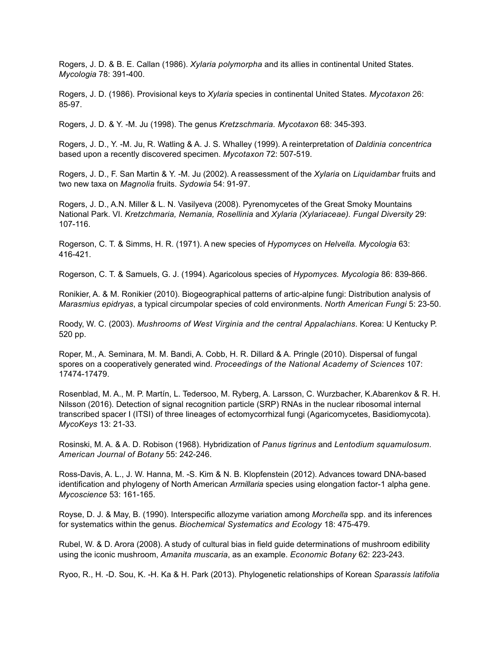Rogers, J. D. & B. E. Callan (1986). *Xylaria polymorpha* and its allies in continental United States. *Mycologia* 78: 391-400.

Rogers, J. D. (1986). Provisional keys to *Xylaria* species in continental United States. *Mycotaxon* 26: 85-97.

Rogers, J. D. & Y. -M. Ju (1998). The genus *Kretzschmaria. Mycotaxon* 68: 345-393.

Rogers, J. D., Y. -M. Ju, R. Watling & A. J. S. Whalley (1999). A reinterpretation of *Daldinia concentrica* based upon a recently discovered specimen. *Mycotaxon* 72: 507-519.

Rogers, J. D., F. San Martin & Y. -M. Ju (2002). A reassessment of the *Xylaria* on *Liquidambar* fruits and two new taxa on *Magnolia* fruits. *Sydowia* 54: 91-97.

Rogers, J. D., A.N. Miller & L. N. Vasilyeva (2008). Pyrenomycetes of the Great Smoky Mountains National Park. VI. *Kretzchmaria, Nemania, Rosellinia* and *Xylaria (Xylariaceae). Fungal Diversity* 29: 107-116.

Rogerson, C. T. & Simms, H. R. (1971). A new species of *Hypomyces* on *Helvella. Mycologia* 63: 416-421.

Rogerson, C. T. & Samuels, G. J. (1994). Agaricolous species of *Hypomyces. Mycologia* 86: 839-866.

Ronikier, A. & M. Ronikier (2010). Biogeographical patterns of artic-alpine fungi: Distribution analysis of *Marasmius epidryas*, a typical circumpolar species of cold environments. *North American Fungi* 5: 23-50.

Roody, W. C. (2003). *Mushrooms of West Virginia and the central Appalachians*. Korea: U Kentucky P. 520 pp.

Roper, M., A. Seminara, M. M. Bandi, A. Cobb, H. R. Dillard & A. Pringle (2010). Dispersal of fungal spores on a cooperatively generated wind. *Proceedings of the National Academy of Sciences* 107: 17474-17479.

Rosenblad, M. A., M. P. Martín, L. Tedersoo, M. Ryberg, A. Larsson, C. Wurzbacher, K.Abarenkov & R. H. Nilsson (2016). Detection of signal recognition particle (SRP) RNAs in the nuclear ribosomal internal transcribed spacer I (ITSI) of three lineages of ectomycorrhizal fungi (Agaricomycetes, Basidiomycota). *MycoKeys* 13: 21-33.

Rosinski, M. A. & A. D. Robison (1968). Hybridization of *Panus tigrinus* and *Lentodium squamulosum*. *American Journal of Botany* 55: 242-246.

Ross-Davis, A. L., J. W. Hanna, M. -S. Kim & N. B. Klopfenstein (2012). Advances toward DNA-based identification and phylogeny of North American *Armillaria* species using elongation factor-1 alpha gene. *Mycoscience* 53: 161-165.

Royse, D. J. & May, B. (1990). Interspecific allozyme variation among *Morchella* spp. and its inferences for systematics within the genus. *Biochemical Systematics and Ecology* 18: 475-479.

Rubel, W. & D. Arora (2008). A study of cultural bias in field guide determinations of mushroom edibility using the iconic mushroom, *Amanita muscaria*, as an example. *Economic Botany* 62: 223-243.

Ryoo, R., H. -D. Sou, K. -H. Ka & H. Park (2013). Phylogenetic relationships of Korean *Sparassis latifolia*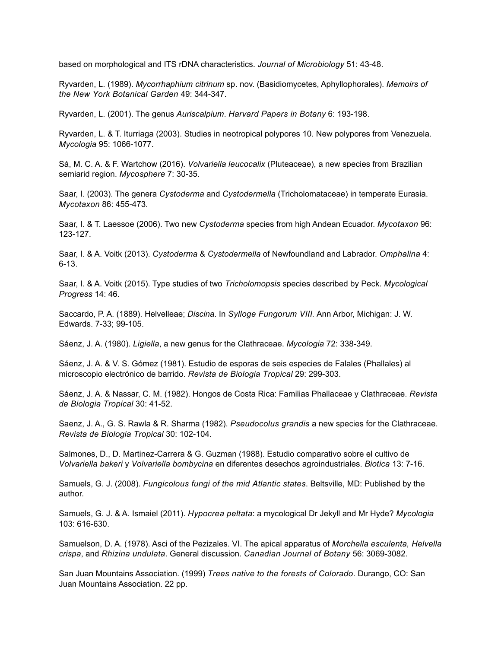based on morphological and ITS rDNA characteristics. *Journal of Microbiology* 51: 43-48.

Ryvarden, L. (1989). *Mycorrhaphium citrinum* sp. nov. (Basidiomycetes, Aphyllophorales). *Memoirs of the New York Botanical Garden* 49: 344-347.

Ryvarden, L. (2001). The genus *Auriscalpium*. *Harvard Papers in Botany* 6: 193-198.

Ryvarden, L. & T. Iturriaga (2003). Studies in neotropical polypores 10. New polypores from Venezuela. *Mycologia* 95: 1066-1077.

Sá, M. C. A. & F. Wartchow (2016). *Volvariella leucocalix* (Pluteaceae), a new species from Brazilian semiarid region. *Mycosphere* 7: 30-35.

Saar, I. (2003). The genera *Cystoderma* and *Cystodermella* (Tricholomataceae) in temperate Eurasia. *Mycotaxon* 86: 455-473.

Saar, I. & T. Laessoe (2006). Two new *Cystoderma* species from high Andean Ecuador. *Mycotaxon* 96: 123-127.

Saar, I. & A. Voitk (2013). *Cystoderma* & *Cystodermella* of Newfoundland and Labrador. *Omphalina* 4: 6-13.

Saar, I. & A. Voitk (2015). Type studies of two *Tricholomopsis* species described by Peck. *Mycological Progress* 14: 46.

Saccardo, P. A. (1889). Helvelleae; *Discina*. In *Sylloge Fungorum VIII.* Ann Arbor, Michigan: J. W. Edwards. 7-33; 99-105.

Sáenz, J. A. (1980). *Ligiella*, a new genus for the Clathraceae. *Mycologia* 72: 338-349.

Sáenz, J. A. & V. S. Gómez (1981). Estudio de esporas de seis especies de Falales (Phallales) al microscopio electrónico de barrido. *Revista de Biologia Tropical* 29: 299-303.

Sáenz, J. A. & Nassar, C. M. (1982). Hongos de Costa Rica: Familias Phallaceae y Clathraceae. *Revista de Biologia Tropical* 30: 41-52.

Saenz, J. A., G. S. Rawla & R. Sharma (1982). *Pseudocolus grandis* a new species for the Clathraceae. *Revista de Biologia Tropical* 30: 102-104.

Salmones, D., D. Martinez-Carrera & G. Guzman (1988). Estudio comparativo sobre el cultivo de *Volvariella bakeri* y *Volvariella bombycina* en diferentes desechos agroindustriales. *Biotica* 13: 7-16.

Samuels, G. J. (2008). *Fungicolous fungi of the mid Atlantic states*. Beltsville, MD: Published by the author.

Samuels, G. J. & A. Ismaiel (2011). *Hypocrea peltata*: a mycological Dr Jekyll and Mr Hyde? *Mycologia* 103: 616-630.

Samuelson, D. A. (1978). Asci of the Pezizales. VI. The apical apparatus of *Morchella esculenta, Helvella crispa*, and *Rhizina undulata*. General discussion. *Canadian Journal of Botany* 56: 3069-3082.

San Juan Mountains Association. (1999) *Trees native to the forests of Colorado*. Durango, CO: San Juan Mountains Association. 22 pp.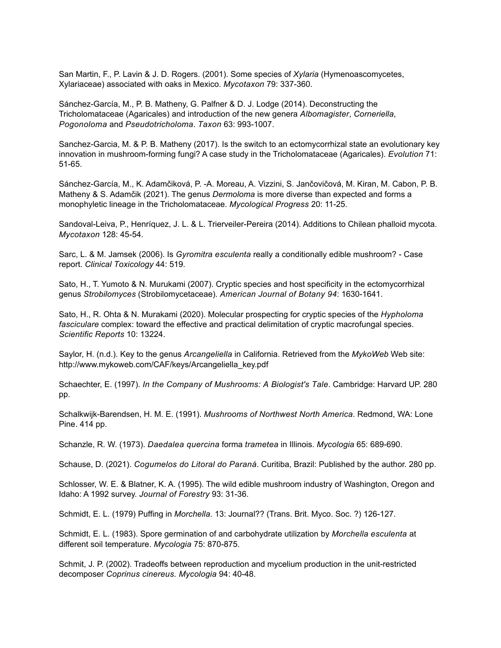San Martin, F., P. Lavin & J. D. Rogers. (2001). Some species of *Xylaria* (Hymenoascomycetes, Xylariaceae) associated with oaks in Mexico. *Mycotaxon* 79: 337-360.

Sánchez-García, M., P. B. Matheny, G. Palfner & D. J. Lodge (2014). Deconstructing the Tricholomataceae (Agaricales) and introduction of the new genera *Albomagister*, *Corneriella*, *Pogonoloma* and *Pseudotricholoma*. *Taxon* 63: 993-1007.

Sanchez-Garcia, M. & P. B. Matheny (2017). Is the switch to an ectomycorrhizal state an evolutionary key innovation in mushroom-forming fungi? A case study in the Tricholomataceae (Agaricales). *Evolution* 71: 51-65.

Sánchez-García, M., K. Adamčiková, P. -A. Moreau, A. Vizzini, S. Jančovičová, M. Kiran, M. Cabon, P. B. Matheny & S. Adamčik (2021). The genus *Dermoloma* is more diverse than expected and forms a monophyletic lineage in the Tricholomataceae. *Mycological Progress* 20: 11-25.

Sandoval-Leiva, P., Henríquez, J. L. & L. Trierveiler-Pereira (2014). Additions to Chilean phalloid mycota. *Mycotaxon* 128: 45-54.

Sarc, L. & M. Jamsek (2006). Is *Gyromitra esculenta* really a conditionally edible mushroom? - Case report. *Clinical Toxicology* 44: 519.

Sato, H., T. Yumoto & N. Murukami (2007). Cryptic species and host specificity in the ectomycorrhizal genus *Strobilomyces* (Strobilomycetaceae). *American Journal of Botany 94*: 1630-1641.

Sato, H., R. Ohta & N. Murakami (2020). Molecular prospecting for cryptic species of the *Hypholoma fasciculare* complex: toward the effective and practical delimitation of cryptic macrofungal species. *Scientific Reports* 10: 13224.

Saylor, H. (n.d.). Key to the genus *Arcangeliella* in California. Retrieved from the *MykoWeb* Web site: http://www.mykoweb.com/CAF/keys/Arcangeliella\_key.pdf

Schaechter, E. (1997). *In the Company of Mushrooms: A Biologist's Tale*. Cambridge: Harvard UP. 280 pp.

Schalkwijk-Barendsen, H. M. E. (1991). *Mushrooms of Northwest North America*. Redmond, WA: Lone Pine. 414 pp.

Schanzle, R. W. (1973). *Daedalea quercina* forma *trametea* in Illinois. *Mycologia* 65: 689-690.

Schause, D. (2021). *Cogumelos do Litoral do Paraná*. Curitiba, Brazil: Published by the author. 280 pp.

Schlosser, W. E. & Blatner, K. A. (1995). The wild edible mushroom industry of Washington, Oregon and Idaho: A 1992 survey. *Journal of Forestry* 93: 31-36.

Schmidt, E. L. (1979) Puffing in *Morchella*. 13: Journal?? (Trans. Brit. Myco. Soc. ?) 126-127.

Schmidt, E. L. (1983). Spore germination of and carbohydrate utilization by *Morchella esculenta* at different soil temperature. *Mycologia* 75: 870-875.

Schmit, J. P. (2002). Tradeoffs between reproduction and mycelium production in the unit-restricted decomposer *Coprinus cinereus. Mycologia* 94: 40-48.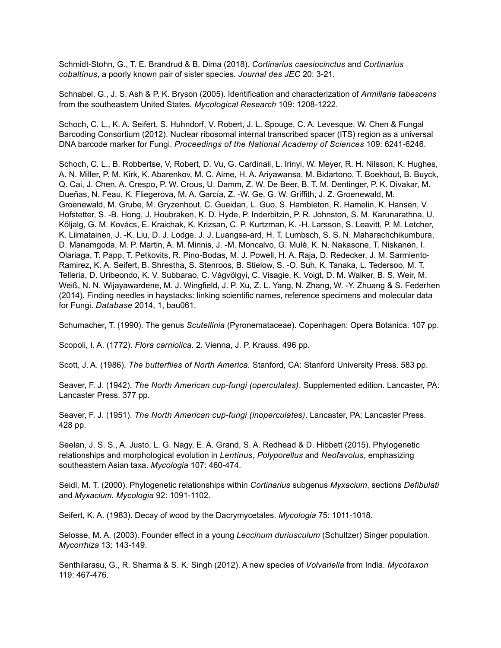Schmidt-Stohn, G., T. E. Brandrud & B. Dima (2018). *Cortinarius caesiocinctus* and *Cortinarius cobaltinus*, a poorly known pair of sister species. *Journal des JEC* 20: 3-21.

Schnabel, G., J. S. Ash & P. K. Bryson (2005). Identification and characterization of *Armillaria tabescens*  from the southeastern United States. *Mycological Research* 109: 1208-1222.

Schoch, C. L., K. A. Seifert, S. Huhndorf, V. Robert, J. L. Spouge, C. A. Levesque, W. Chen & Fungal Barcoding Consortium (2012). Nuclear ribosomal internal transcribed spacer (ITS) region as a universal DNA barcode marker for Fungi. *Proceedings of the National Academy of Sciences* 109: 6241-6246.

Schoch, C. L., B. Robbertse, V, Robert, D. Vu, G. Cardinali, L. Irinyi, W. Meyer, R. H. Nilsson, K. Hughes, A. N. Miller, P. M. Kirk, K. Abarenkov, M. C. Aime, H. A. Ariyawansa, M. Bidartono, T. Boekhout, B. Buyck, Q. Cai, J. Chen, A. Crespo, P. W. Crous, U. Damm, Z. W. De Beer, B. T. M. Dentinger, P. K. Divakar, M. Dueñas, N. Feau, K. Fliegerova, M. A. García, Z. -W. Ge, G. W. Griffith, J. Z. Groenewald, M. Groenewald, M. Grube, M. Gryzenhout, C. Gueidan, L. Guo, S. Hambleton, R. Hamelin, K. Hansen, V. Hofstetter, S. -B. Hong, J. Houbraken, K. D. Hyde, P. Inderbitzin, P. R. Johnston, S. M. Karunarathna, U. Kõljalg, G. M. Kovács, E. Kraichak, K. Krizsan, C. P. Kurtzman, K. -H. Larsson, S. Leavitt, P. M. Letcher, K. Liimatainen, J. -K. Liu, D. J. Lodge, J. J. Luangsa-ard, H. T. Lumbsch, S. S. N. Maharachchikumbura, D. Manamgoda, M. P. Martin, A. M. Minnis, J. -M. Moncalvo, G. Mulè, K. N. Nakasone, T. Niskanen, I. Olariaga, T. Papp, T. Petkovits, R. Pino-Bodas, M. J. Powell, H. A. Raja, D. Redecker, J. M. Sarmiento-Ramirez, K. A. Seifert, B. Shrestha, S. Stenroos, B. Stielow, S. -O. Suh, K. Tanaka, L. Tedersoo, M. T. Telleria, D. Uribeondo, K. V. Subbarao, C. Vágvölgyi, C. Visagie, K. Voigt, D. M. Walker, B. S. Weir, M. Weiß, N. N. Wijayawardene, M. J. Wingfield, J. P. Xu, Z. L. Yang, N. Zhang, W. -Y. Zhuang & S. Federhen (2014). Finding needles in haystacks: linking scientific names, reference specimens and molecular data for Fungi. *Database* 2014, 1, bau061.

Schumacher, T. (1990). The genus *Scutellinia* (Pyronemataceae). Copenhagen: Opera Botanica. 107 pp.

Scopoli, I. A. (1772). *Flora carniolica*. 2. Vienna, J. P. Krauss. 496 pp.

Scott, J. A. (1986). *The butterflies of North America.* Stanford, CA: Stanford University Press. 583 pp.

Seaver, F. J. (1942). *The North American cup-fungi (operculates)*. Supplemented edition. Lancaster, PA: Lancaster Press. 377 pp.

Seaver, F. J. (1951). *The North American cup-fungi (inoperculates)*. Lancaster, PA: Lancaster Press. 428 pp.

Seelan, J. S. S., A. Justo, L. G. Nagy, E. A. Grand, S. A. Redhead & D. Hibbett (2015). Phylogenetic relationships and morphological evolution in *Lentinus*, *Polyporellus* and *Neofavolus*, emphasizing southeastern Asian taxa. *Mycologia* 107: 460-474.

Seidl, M. T. (2000). Phylogenetic relationships within *Cortinarius* subgenus *Myxacium*, sections *Defibulati* and *Myxacium*. *Mycologia* 92: 1091-1102.

Seifert, K. A. (1983). Decay of wood by the Dacrymycetales. *Mycologia* 75: 1011-1018.

Selosse, M. A. (2003). Founder effect in a young *Leccinum duriusculum* (Schultzer) Singer population. *Mycorrhiza* 13: 143-149.

Senthilarasu, G., R. Sharma & S. K. Singh (2012). A new species of *Volvariella* from India. *Mycotaxon* 119: 467-476.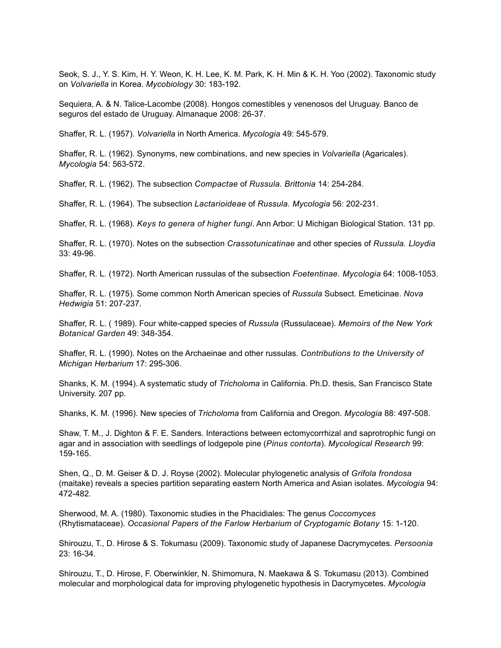Seok, S. J., Y. S. Kim, H. Y. Weon, K. H. Lee, K. M. Park, K. H. Min & K. H. Yoo (2002). Taxonomic study on *Volvariella* in Korea. *Mycobiology* 30: 183-192.

Sequiera, A. & N. Talice-Lacombe (2008). Hongos comestibles y venenosos del Uruguay. Banco de seguros del estado de Uruguay. Almanaque 2008: 26-37.

Shaffer, R. L. (1957). *Volvariella* in North America. *Mycologia* 49: 545-579.

Shaffer, R. L. (1962). Synonyms, new combinations, and new species in *Volvariella* (Agaricales). *Mycologia* 54: 563-572.

Shaffer, R. L. (1962). The subsection *Compactae* of *Russula. Brittonia* 14: 254-284.

Shaffer, R. L. (1964). The subsection *Lactarioideae* of *Russula. Mycologia* 56: 202-231.

Shaffer, R. L. (1968). *Keys to genera of higher fungi*. Ann Arbor: U Michigan Biological Station. 131 pp.

Shaffer, R. L. (1970). Notes on the subsection *Crassotunicatinae* and other species of *Russula. Lloydia* 33: 49-96.

Shaffer, R. L. (1972). North American russulas of the subsection *Foetentinae. Mycologia* 64: 1008-1053.

Shaffer, R. L. (1975). Some common North American species of *Russula* Subsect. Emeticinae. *Nova Hedwigia* 51: 207-237.

Shaffer, R. L. ( 1989). Four white-capped species of *Russula* (Russulaceae). *Memoirs of the New York Botanical Garden* 49: 348-354.

Shaffer, R. L. (1990). Notes on the Archaeinae and other russulas. *Contributions to the University of Michigan Herbarium* 17: 295-306.

Shanks, K. M. (1994). A systematic study of *Tricholoma* in California. Ph.D. thesis, San Francisco State University. 207 pp.

Shanks, K. M. (1996). New species of *Tricholoma* from California and Oregon. *Mycologia* 88: 497-508.

Shaw, T. M., J. Dighton & F. E. Sanders. Interactions between ectomycorrhizal and saprotrophic fungi on agar and in association with seedlings of lodgepole pine (*Pinus contorta*). *Mycological Research* 99: 159-165.

Shen, Q., D. M. Geiser & D. J. Royse (2002). Molecular phylogenetic analysis of *Grifola frondosa*  (maitake) reveals a species partition separating eastern North America and Asian isolates. *Mycologia* 94: 472-482.

Sherwood, M. A. (1980). Taxonomic studies in the Phacidiales: The genus *Coccomyces* (Rhytismataceae). *Occasional Papers of the Farlow Herbarium of Cryptogamic Botany* 15: 1-120.

Shirouzu, T., D. Hirose & S. Tokumasu (2009). Taxonomic study of Japanese Dacrymycetes. *Persoonia* 23: 16-34.

Shirouzu, T., D. Hirose, F. Oberwinkler, N. Shimomura, N. Maekawa & S. Tokumasu (2013). Combined molecular and morphological data for improving phylogenetic hypothesis in Dacrymycetes. *Mycologia*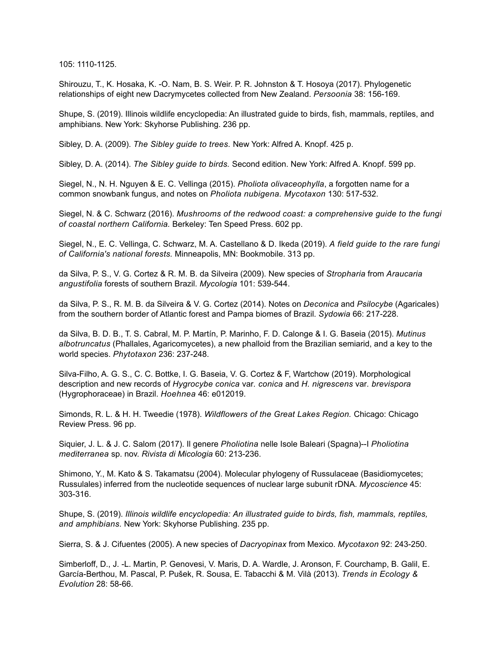105: 1110-1125.

Shirouzu, T., K. Hosaka, K. -O. Nam, B. S. Weir. P. R. Johnston & T. Hosoya (2017). Phylogenetic relationships of eight new Dacrymycetes collected from New Zealand. *Persoonia* 38: 156-169.

Shupe, S. (2019). Illinois wildlife encyclopedia: An illustrated guide to birds, fish, mammals, reptiles, and amphibians. New York: Skyhorse Publishing. 236 pp.

Sibley, D. A. (2009). *The Sibley guide to trees.* New York: Alfred A. Knopf. 425 p.

Sibley, D. A. (2014). *The Sibley guide to birds.* Second edition. New York: Alfred A. Knopf. 599 pp.

Siegel, N., N. H. Nguyen & E. C. Vellinga (2015). *Pholiota olivaceophylla*, a forgotten name for a common snowbank fungus, and notes on *Pholiota nubigena. Mycotaxon* 130: 517-532.

Siegel, N. & C. Schwarz (2016). *Mushrooms of the redwood coast: a comprehensive guide to the fungi of coastal northern California.* Berkeley: Ten Speed Press. 602 pp.

Siegel, N., E. C. Vellinga, C. Schwarz, M. A. Castellano & D. Ikeda (2019). *A field guide to the rare fungi of California's national forests.* Minneapolis, MN: Bookmobile. 313 pp.

da Silva, P. S., V. G. Cortez & R. M. B. da Silveira (2009). New species of *Stropharia* from *Araucaria angustifolia* forests of southern Brazil. *Mycologia* 101: 539-544.

da Silva, P. S., R. M. B. da Silveira & V. G. Cortez (2014). Notes on *Deconica* and *Psilocybe* (Agaricales) from the southern border of Atlantic forest and Pampa biomes of Brazil. *Sydowia* 66: 217-228.

da Silva, B. D. B., T. S. Cabral, M. P. Martín, P. Marinho, F. D. Calonge & I. G. Baseia (2015). *Mutinus albotruncatus* (Phallales, Agaricomycetes), a new phalloid from the Brazilian semiarid, and a key to the world species. *Phytotaxon* 236: 237-248.

Silva-Filho, A. G. S., C. C. Bottke, I. G. Baseia, V. G. Cortez & F, Wartchow (2019). Morphological description and new records of *Hygrocybe conica* var*. conica* and *H. nigrescens* var*. brevispora* (Hygrophoraceae) in Brazil. *Hoehnea* 46: e012019.

Simonds, R. L. & H. H. Tweedie (1978). *Wildflowers of the Great Lakes Region.* Chicago: Chicago Review Press. 96 pp.

Siquier, J. L. & J. C. Salom (2017). Il genere *Pholiotina* nelle Isole Baleari (Spagna)--I *Pholiotina mediterranea* sp. nov. *Rivista di Micologia* 60: 213-236.

Shimono, Y., M. Kato & S. Takamatsu (2004). Molecular phylogeny of Russulaceae (Basidiomycetes; Russulales) inferred from the nucleotide sequences of nuclear large subunit rDNA. *Mycoscience* 45: 303-316.

Shupe, S. (2019). *Illinois wildlife encyclopedia: An illustrated guide to birds, fish, mammals, reptiles, and amphibians.* New York: Skyhorse Publishing. 235 pp.

Sierra, S. & J. Cifuentes (2005). A new species of *Dacryopinax* from Mexico. *Mycotaxon* 92: 243-250.

Simberloff, D., J. -L. Martin, P. Genovesi, V. Maris, D. A. Wardle, J. Aronson, F. Courchamp, B. Galil, E. García-Berthou, M. Pascal, P. Pušek, R. Sousa, E. Tabacchi & M. Vilà (2013). *Trends in Ecology & Evolution* 28: 58-66.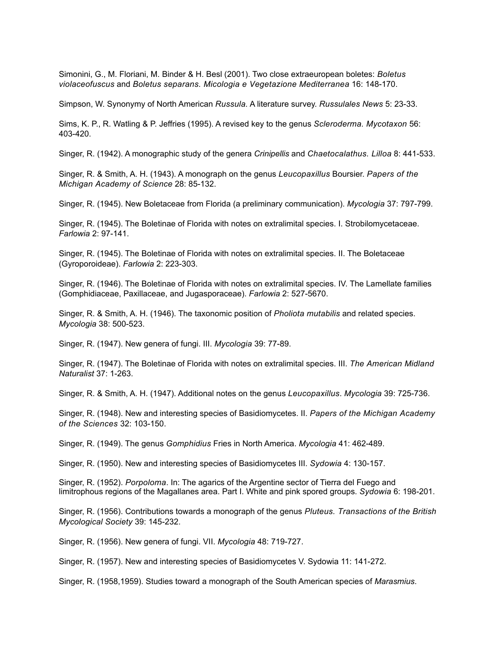Simonini, G., M. Floriani, M. Binder & H. Besl (2001). Two close extraeuropean boletes: *Boletus violaceofuscus* and *Boletus separans. Micologia e Vegetazione Mediterranea* 16: 148-170.

Simpson, W. Synonymy of North American *Russula.* A literature survey. *Russulales News* 5: 23-33.

Sims, K. P., R. Watling & P. Jeffries (1995). A revised key to the genus *Scleroderma. Mycotaxon* 56: 403-420.

Singer, R. (1942). A monographic study of the genera *Crinipellis* and *Chaetocalathus. Lilloa* 8: 441-533.

Singer, R. & Smith, A. H. (1943). A monograph on the genus *Leucopaxillus* Boursier. *Papers of the Michigan Academy of Science* 28: 85-132.

Singer, R. (1945). New Boletaceae from Florida (a preliminary communication). *Mycologia* 37: 797-799.

Singer, R. (1945). The Boletinae of Florida with notes on extralimital species. I. Strobilomycetaceae. *Farlowia* 2: 97-141.

Singer, R. (1945). The Boletinae of Florida with notes on extralimital species. II. The Boletaceae (Gyroporoideae). *Farlowia* 2: 223-303.

Singer, R. (1946). The Boletinae of Florida with notes on extralimital species. IV. The Lamellate families (Gomphidiaceae, Paxillaceae, and Jugasporaceae). *Farlowia* 2: 527-5670.

Singer, R. & Smith, A. H. (1946). The taxonomic position of *Pholiota mutabilis* and related species. *Mycologia* 38: 500-523.

Singer, R. (1947). New genera of fungi. III. *Mycologia* 39: 77-89.

Singer, R. (1947). The Boletinae of Florida with notes on extralimital species. III. *The American Midland Naturalist* 37: 1-263.

Singer, R. & Smith, A. H. (1947). Additional notes on the genus *Leucopaxillus*. *Mycologia* 39: 725-736.

Singer, R. (1948). New and interesting species of Basidiomycetes. II. *Papers of the Michigan Academy of the Sciences* 32: 103-150.

Singer, R. (1949). The genus *Gomphidius* Fries in North America. *Mycologia* 41: 462-489.

Singer, R. (1950). New and interesting species of Basidiomycetes III. *Sydowia* 4: 130-157.

Singer, R. (1952). *Porpoloma*. In: The agarics of the Argentine sector of Tierra del Fuego and limitrophous regions of the Magallanes area. Part I. White and pink spored groups. *Sydowia* 6: 198-201.

Singer, R. (1956). Contributions towards a monograph of the genus *Pluteus. Transactions of the British Mycological Society* 39: 145-232.

Singer, R. (1956). New genera of fungi. VII. *Mycologia* 48: 719-727.

Singer, R. (1957). New and interesting species of Basidiomycetes V. Sydowia 11: 141-272.

Singer, R. (1958,1959). Studies toward a monograph of the South American species of *Marasmius*.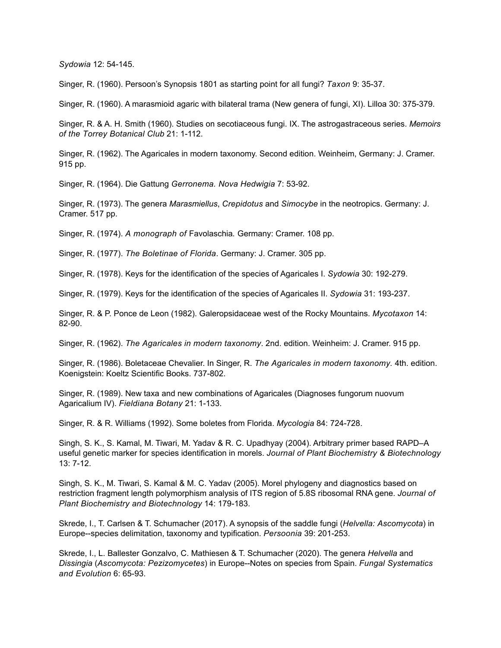*Sydowia* 12: 54-145.

Singer, R. (1960). Persoon's Synopsis 1801 as starting point for all fungi? *Taxon* 9: 35-37.

Singer, R. (1960). A marasmioid agaric with bilateral trama (New genera of fungi, XI). Lilloa 30: 375-379.

Singer, R. & A. H. Smith (1960). Studies on secotiaceous fungi. IX. The astrogastraceous series. *Memoirs of the Torrey Botanical Club* 21: 1-112.

Singer, R. (1962). The Agaricales in modern taxonomy. Second edition. Weinheim, Germany: J. Cramer. 915 pp.

Singer, R. (1964). Die Gattung *Gerronema. Nova Hedwigia* 7: 53-92.

Singer, R. (1973). The genera *Marasmiellus*, *Crepidotus* and *Simocybe* in the neotropics. Germany: J. Cramer. 517 pp.

Singer, R. (1974). *A monograph of* Favolaschia*.* Germany: Cramer. 108 pp.

Singer, R. (1977). *The Boletinae of Florida*. Germany: J. Cramer. 305 pp.

Singer, R. (1978). Keys for the identification of the species of Agaricales I. *Sydowia* 30: 192-279.

Singer, R. (1979). Keys for the identification of the species of Agaricales II. *Sydowia* 31: 193-237.

Singer, R. & P. Ponce de Leon (1982). Galeropsidaceae west of the Rocky Mountains. *Mycotaxon* 14: 82-90.

Singer, R. (1962). *The Agaricales in modern taxonomy*. 2nd. edition. Weinheim: J. Cramer. 915 pp.

Singer, R. (1986). Boletaceae Chevalier. In Singer, R. *The Agaricales in modern taxonomy.* 4th. edition. Koenigstein: Koeltz Scientific Books. 737-802.

Singer, R. (1989). New taxa and new combinations of Agaricales (Diagnoses fungorum nuovum Agaricalium IV). *Fieldiana Botany* 21: 1-133.

Singer, R. & R. Williams (1992). Some boletes from Florida. *Mycologia* 84: 724-728.

Singh, S. K., S. Kamal, M. Tiwari, M. Yadav & R. C. Upadhyay (2004). Arbitrary primer based RAPD–A useful genetic marker for species identification in morels. *Journal of Plant Biochemistry & Biotechnology* 13: 7-12.

Singh, S. K., M. Tiwari, S. Kamal & M. C. Yadav (2005). Morel phylogeny and diagnostics based on restriction fragment length polymorphism analysis of ITS region of 5.8S ribosomal RNA gene. *Journal of Plant Biochemistry and Biotechnology* 14: 179-183.

Skrede, I., T. Carlsen & T. Schumacher (2017). A synopsis of the saddle fungi (*Helvella: Ascomycota*) in Europe--species delimitation, taxonomy and typification. *Persoonia* 39: 201-253.

Skrede, I., L. Ballester Gonzalvo, C. Mathiesen & T. Schumacher (2020). The genera *Helvella* and *Dissingia* (*Ascomycota: Pezizomycetes*) in Europe--Notes on species from Spain. *Fungal Systematics and Evolution* 6: 65-93.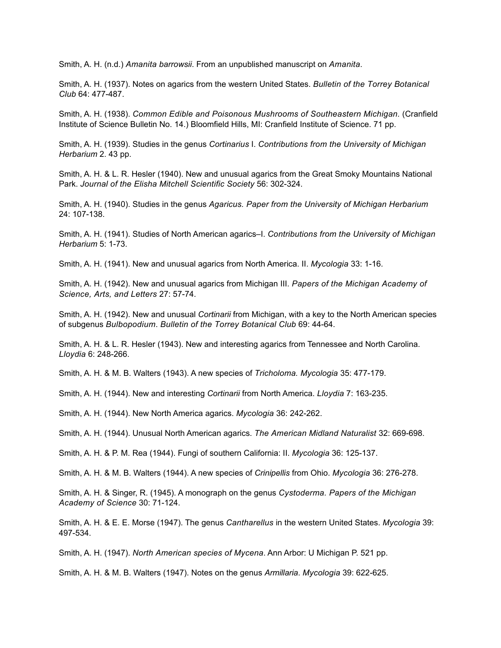Smith, A. H. (n.d.) *Amanita barrowsii*. From an unpublished manuscript on *Amanita*.

Smith, A. H. (1937). Notes on agarics from the western United States. *Bulletin of the Torrey Botanical Club* 64: 477-487.

Smith, A. H. (1938). *Common Edible and Poisonous Mushrooms of Southeastern Michigan.* (Cranfield Institute of Science Bulletin No. 14.) Bloomfield Hills, MI: Cranfield Institute of Science. 71 pp.

Smith, A. H. (1939). Studies in the genus *Cortinarius* I. *Contributions from the University of Michigan Herbarium* 2. 43 pp.

Smith, A. H. & L. R. Hesler (1940). New and unusual agarics from the Great Smoky Mountains National Park. *Journal of the Elisha Mitchell Scientific Society* 56: 302-324.

Smith, A. H. (1940). Studies in the genus *Agaricus. Paper from the University of Michigan Herbarium* 24: 107-138.

Smith, A. H. (1941). Studies of North American agarics–I. *Contributions from the University of Michigan Herbarium* 5: 1-73.

Smith, A. H. (1941). New and unusual agarics from North America. II. *Mycologia* 33: 1-16.

Smith, A. H. (1942). New and unusual agarics from Michigan III. *Papers of the Michigan Academy of Science, Arts, and Letters* 27: 57-74.

Smith, A. H. (1942). New and unusual *Cortinarii* from Michigan, with a key to the North American species of subgenus *Bulbopodium*. *Bulletin of the Torrey Botanical Club* 69: 44-64.

Smith, A. H. & L. R. Hesler (1943). New and interesting agarics from Tennessee and North Carolina. *Lloydia* 6: 248-266.

Smith, A. H. & M. B. Walters (1943). A new species of *Tricholoma. Mycologia* 35: 477-179.

Smith, A. H. (1944). New and interesting *Cortinarii* from North America. *Lloydia* 7: 163-235.

Smith, A. H. (1944). New North America agarics. *Mycologia* 36: 242-262.

Smith, A. H. (1944). Unusual North American agarics. *The American Midland Naturalist* 32: 669-698.

Smith, A. H. & P. M. Rea (1944). Fungi of southern California: II. *Mycologia* 36: 125-137.

Smith, A. H. & M. B. Walters (1944). A new species of *Crinipellis* from Ohio. *Mycologia* 36: 276-278.

Smith, A. H. & Singer, R. (1945). A monograph on the genus *Cystoderma. Papers of the Michigan Academy of Science* 30: 71-124.

Smith, A. H. & E. E. Morse (1947). The genus *Cantharellus* in the western United States. *Mycologia* 39: 497-534.

Smith, A. H. (1947). *North American species of Mycena*. Ann Arbor: U Michigan P. 521 pp.

Smith, A. H. & M. B. Walters (1947). Notes on the genus *Armillaria*. *Mycologia* 39: 622-625.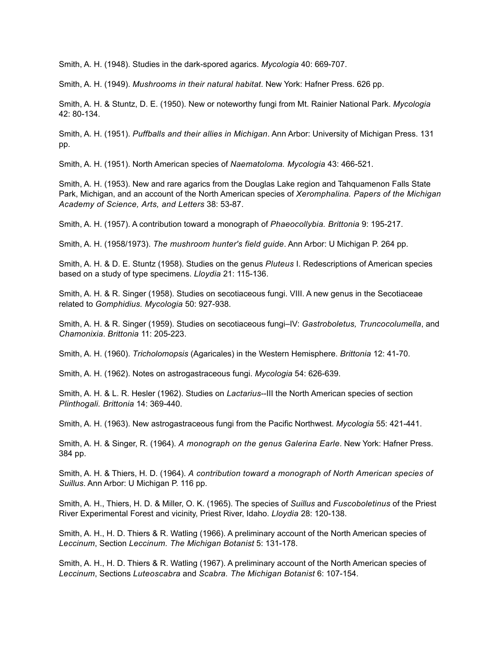Smith, A. H. (1948). Studies in the dark-spored agarics. *Mycologia* 40: 669-707.

Smith, A. H. (1949). *Mushrooms in their natural habitat*. New York: Hafner Press. 626 pp.

Smith, A. H. & Stuntz, D. E. (1950). New or noteworthy fungi from Mt. Rainier National Park. *Mycologia* 42: 80-134.

Smith, A. H. (1951). *Puffballs and their allies in Michigan*. Ann Arbor: University of Michigan Press. 131 pp.

Smith, A. H. (1951). North American species of *Naematoloma. Mycologia* 43: 466-521.

Smith, A. H. (1953). New and rare agarics from the Douglas Lake region and Tahquamenon Falls State Park, Michigan, and an account of the North American species of *Xeromphalina. Papers of the Michigan Academy of Science, Arts, and Letters* 38: 53-87.

Smith, A. H. (1957). A contribution toward a monograph of *Phaeocollybia. Brittonia* 9: 195-217.

Smith, A. H. (1958/1973). *The mushroom hunter's field guide*. Ann Arbor: U Michigan P. 264 pp.

Smith, A. H. & D. E. Stuntz (1958). Studies on the genus *Pluteus* I. Redescriptions of American species based on a study of type specimens. *Lloydia* 21: 115-136.

Smith, A. H. & R. Singer (1958). Studies on secotiaceous fungi. VIII. A new genus in the Secotiaceae related to *Gomphidius. Mycologia* 50: 927-938.

Smith, A. H. & R. Singer (1959). Studies on secotiaceous fungi–IV: *Gastroboletus, Truncocolumella*, and *Chamonixia*. *Brittonia* 11: 205-223.

Smith, A. H. (1960). *Tricholomopsis* (Agaricales) in the Western Hemisphere. *Brittonia* 12: 41-70.

Smith, A. H. (1962). Notes on astrogastraceous fungi. *Mycologia* 54: 626-639.

Smith, A. H. & L. R. Hesler (1962). Studies on *Lactarius*--III the North American species of section *Plinthogali. Brittonia* 14: 369-440.

Smith, A. H. (1963). New astrogastraceous fungi from the Pacific Northwest. *Mycologia* 55: 421-441.

Smith, A. H. & Singer, R. (1964). *A monograph on the genus Galerina Earle*. New York: Hafner Press. 384 pp.

Smith, A. H. & Thiers, H. D. (1964). *A contribution toward a monograph of North American species of Suillus*. Ann Arbor: U Michigan P. 116 pp.

Smith, A. H., Thiers, H. D. & Miller, O. K. (1965). The species of *Suillus* and *Fuscoboletinus* of the Priest River Experimental Forest and vicinity, Priest River, Idaho. *Lloydia* 28: 120-138.

Smith, A. H., H. D. Thiers & R. Watling (1966). A preliminary account of the North American species of *Leccinum*, Section *Leccinum. The Michigan Botanist* 5: 131-178.

Smith, A. H., H. D. Thiers & R. Watling (1967). A preliminary account of the North American species of *Leccinum*, Sections *Luteoscabra* and *Scabra. The Michigan Botanist* 6: 107-154.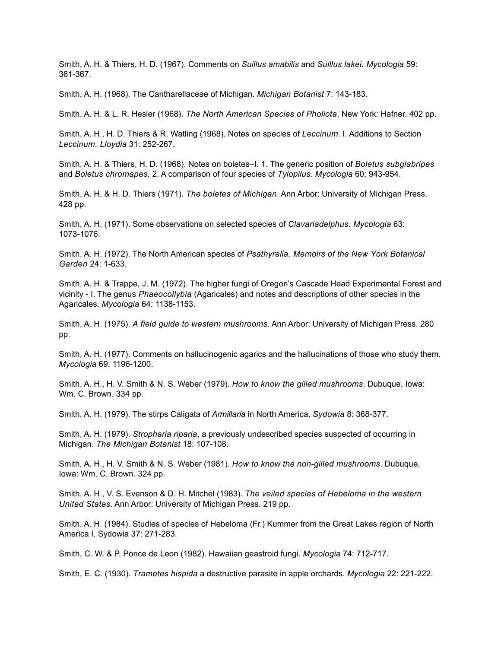Smith, A. H. & Thiers, H. D. (1967). Comments on *Suillus amabilis* and *Suillus lakei. Mycologia* 59: 361-367.

Smith, A. H. (1968). The Cantharellaceae of Michigan. *Michigan Botanist* 7: 143-183.

Smith, A. H. & L. R. Hesler (1968). *The North American Species of Pholiota*. New York: Hafner. 402 pp.

Smith, A. H., H. D. Thiers & R. Watling (1968). Notes on species of *Leccinum*. I. Additions to Section *Leccinum. Lloydia* 31: 252-267.

Smith, A. H. & Thiers, H. D. (1968). Notes on boletes–I. 1. The generic position of *Boletus subglabripes* and *Boletus chromapes.* 2. A comparison of four species of *Tylopilus. Mycologia* 60: 943-954.

Smith, A. H. & H. D. Thiers (1971). *The boletes of Michigan*. Ann Arbor: University of Michigan Press. 428 pp.

Smith, A. H. (1971). Some observations on selected species of *Clavariadelphus. Mycologia* 63: 1073-1076.

Smith, A. H. (1972). The North American species of *Psathyrella. Memoirs of the New York Botanical Garden* 24: 1-633.

Smith, A. H. & Trappe, J. M. (1972). The higher fungi of Oregon's Cascade Head Experimental Forest and vicinity - I. The genus *Phaeocollybia* (Agaricales) and notes and descriptions of other species in the Agaricales. *Mycologia* 64: 1138-1153.

Smith, A. H. (1975). *A field guide to western mushrooms*. Ann Arbor: University of Michigan Press. 280 pp.

Smith, A. H. (1977). Comments on hallucinogenic agarics and the hallucinations of those who study them. *Mycologia* 69: 1196-1200.

Smith, A. H., H. V. Smith & N. S. Weber (1979). *How to know the gilled mushrooms*. Dubuque, Iowa: Wm. C. Brown. 334 pp.

Smith, A. H. (1979). The stirps Caligata of *Armillaria* in North America. *Sydowia* 8: 368-377.

Smith, A. H. (1979). *Stropharia riparia*, a previously undescribed species suspected of occurring in Michigan. *The Michigan Botanist* 18: 107-108.

Smith, A. H., H. V. Smith & N. S. Weber (1981). *How to know the non-gilled mushrooms*. Dubuque, Iowa: Wm. C. Brown. 324 pp.

Smith, A. H., V. S. Evenson & D. H. Mitchel (1983). *The veiled species of Hebeloma in the western United States*. Ann Arbor: University of Michigan Press. 219 pp.

Smith, A. H. (1984). Studies of species of Hebeloma (Fr.) Kummer from the Great Lakes region of North America I. Sydowia 37: 271-283.

Smith, C. W. & P. Ponce de Leon (1982). Hawaiian geastroid fungi. *Mycologia* 74: 712-717.

Smith, E. C. (1930). *Trametes hispida* a destructive parasite in apple orchards. *Mycologia* 22: 221-222.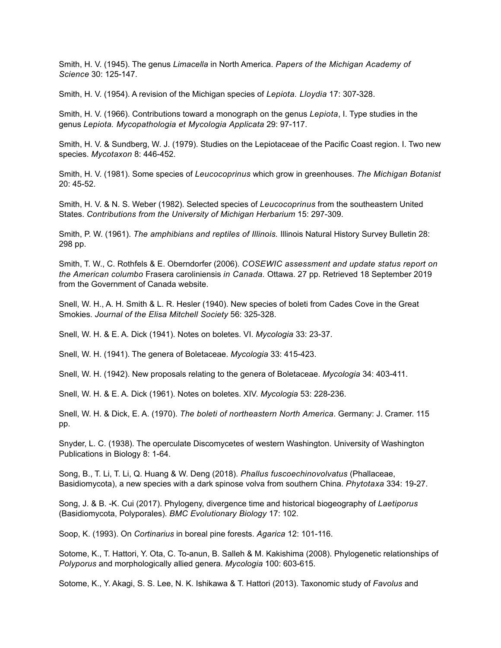Smith, H. V. (1945). The genus *Limacella* in North America. *Papers of the Michigan Academy of Science* 30: 125-147.

Smith, H. V. (1954). A revision of the Michigan species of *Lepiota. Lloydia* 17: 307-328.

Smith, H. V. (1966). Contributions toward a monograph on the genus *Lepiota*, I. Type studies in the genus *Lepiota. Mycopathologia et Mycologia Applicata* 29: 97-117.

Smith, H. V. & Sundberg, W. J. (1979). Studies on the Lepiotaceae of the Pacific Coast region. I. Two new species. *Mycotaxon* 8: 446-452.

Smith, H. V. (1981). Some species of *Leucocoprinus* which grow in greenhouses. *The Michigan Botanist* 20: 45-52.

Smith, H. V. & N. S. Weber (1982). Selected species of *Leucocoprinus* from the southeastern United States. *Contributions from the University of Michigan Herbarium* 15: 297-309.

Smith, P. W. (1961). *The amphibians and reptiles of Illinois.* Illinois Natural History Survey Bulletin 28: 298 pp.

Smith, T. W., C. Rothfels & E. Oberndorfer (2006). *COSEWIC assessment and update status report on the American columbo* Frasera caroliniensis *in Canada.* Ottawa. 27 pp. Retrieved 18 September 2019 from the Government of Canada website.

Snell, W. H., A. H. Smith & L. R. Hesler (1940). New species of boleti from Cades Cove in the Great Smokies. *Journal of the Elisa Mitchell Society* 56: 325-328.

Snell, W. H. & E. A. Dick (1941). Notes on boletes. VI. *Mycologia* 33: 23-37.

Snell, W. H. (1941). The genera of Boletaceae. *Mycologia* 33: 415-423.

Snell, W. H. (1942). New proposals relating to the genera of Boletaceae. *Mycologia* 34: 403-411.

Snell, W. H. & E. A. Dick (1961). Notes on boletes. XIV. *Mycologia* 53: 228-236.

Snell, W. H. & Dick, E. A. (1970). *The boleti of northeastern North America*. Germany: J. Cramer. 115 pp.

Snyder, L. C. (1938). The operculate Discomycetes of western Washington. University of Washington Publications in Biology 8: 1-64.

Song, B., T. Li, T. Li, Q. Huang & W. Deng (2018). *Phallus fuscoechinovolvatus* (Phallaceae, Basidiomycota), a new species with a dark spinose volva from southern China. *Phytotaxa* 334: 19-27.

Song, J. & B. -K. Cui (2017). Phylogeny, divergence time and historical biogeography of *Laetiporus* (Basidiomycota, Polyporales). *BMC Evolutionary Biology* 17: 102.

Soop, K. (1993). On *Cortinarius* in boreal pine forests. *Agarica* 12: 101-116.

Sotome, K., T. Hattori, Y. Ota, C. To-anun, B. Salleh & M. Kakishima (2008). Phylogenetic relationships of *Polyporus* and morphologically allied genera. *Mycologia* 100: 603-615.

Sotome, K., Y. Akagi, S. S. Lee, N. K. Ishikawa & T. Hattori (2013). Taxonomic study of *Favolus* and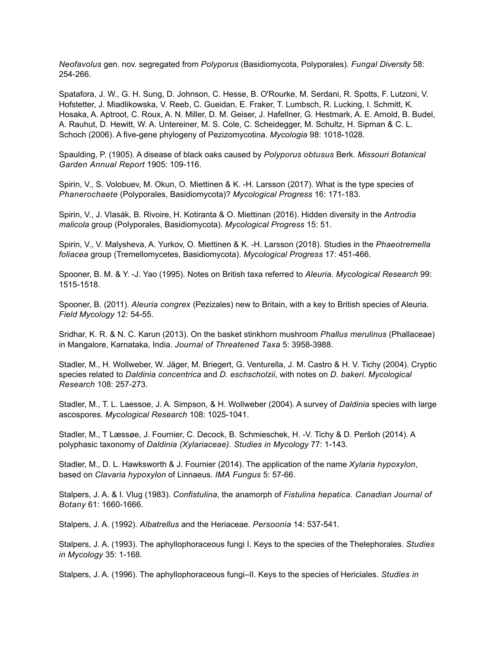*Neofavolus* gen. nov. segregated from *Polyporus* (Basidiomycota, Polyporales). *Fungal Diversity* 58: 254-266.

Spatafora, J. W., G. H. Sung, D. Johnson, C. Hesse, B. O'Rourke, M. Serdani, R. Spotts, F. Lutzoni, V. Hofstetter, J. Miadlikowska, V. Reeb, C. Gueidan, E. Fraker, T. Lumbsch, R. Lucking, I. Schmitt, K. Hosaka, A. Aptroot, C. Roux, A. N. Miller, D. M. Geiser, J. Hafellner, G. Hestmark, A. E. Arnold, B. Budel, A. Rauhut, D. Hewitt, W. A. Untereiner, M. S. Cole, C. Scheidegger, M. Schultz, H. Sipman & C. L. Schoch (2006). A five-gene phylogeny of Pezizomycotina. *Mycologia* 98: 1018-1028.

Spaulding, P. (1905). A disease of black oaks caused by *Polyporus obtusus* Berk. *Missouri Botanical Garden Annual Report* 1905: 109-116.

Spirin, V., S. Volobuev, M. Okun, O. Miettinen & K. -H. Larsson (2017). What is the type species of *Phanerochaete* (Polyporales, Basidiomycota)? *Mycological Progress* 16: 171-183.

Spirin, V., J. Vlasák, B. Rivoire, H. Kotiranta & O. Miettinan (2016). Hidden diversity in the *Antrodia malicola* group (Polyporales, Basidiomycota). *Mycological Progress* 15: 51.

Spirin, V., V. Malysheva, A. Yurkov, O. Miettinen & K. -H. Larsson (2018). Studies in the *Phaeotremella foliacea* group (Tremellomycetes, Basidiomycota). *Mycological Progress* 17: 451-466.

Spooner, B. M. & Y. -J. Yao (1995). Notes on British taxa referred to *Aleuria. Mycological Research* 99: 1515-1518.

Spooner, B. (2011). *Aleuria congrex* (Pezizales) new to Britain, with a key to British species of Aleuria. *Field Mycology* 12: 54-55.

Sridhar, K. R. & N. C. Karun (2013). On the basket stinkhorn mushroom *Phallus merulinus* (Phallaceae) in Mangalore, Karnataka, India. *Journal of Threatened Taxa* 5: 3958-3988.

Stadler, M., H. Wollweber, W. Jäger, M. Briegert, G. Venturella, J. M. Castro & H. V. Tichy (2004). Cryptic species related to *Daldinia concentrica* and *D. eschscholzii*, with notes on *D. bakeri*. *Mycological Research* 108: 257-273.

Stadler, M., T. L. Laessoe, J. A. Simpson, & H. Wollweber (2004). A survey of *Daldinia* species with large ascospores. *Mycological Research* 108: 1025-1041.

Stadler, M., T Læssøe, J. Fournier, C. Decock, B. Schmieschek, H. -V. Tichy & D. Peršoh (2014). A polyphasic taxonomy of *Daldinia (Xylariaceae). Studies in Mycology* 77: 1-143.

Stadler, M., D. L. Hawksworth & J. Fournier (2014). The application of the name *Xylaria hypoxylon*, based on *Clavaria hypoxylon* of Linnaeus. *IMA Fungus* 5: 57-66.

Stalpers, J. A. & I. Vlug (1983). *Confistulina*, the anamorph of *Fistulina hepatica. Canadian Journal of Botany* 61: 1660-1666.

Stalpers, J. A. (1992). *Albatrellus* and the Heriaceae. *Persoonia* 14: 537-541.

Stalpers, J. A. (1993). The aphyllophoraceous fungi I. Keys to the species of the Thelephorales. *Studies in Mycology* 35: 1-168.

Stalpers, J. A. (1996). The aphyllophoraceous fungi–II. Keys to the species of Hericiales. *Studies in*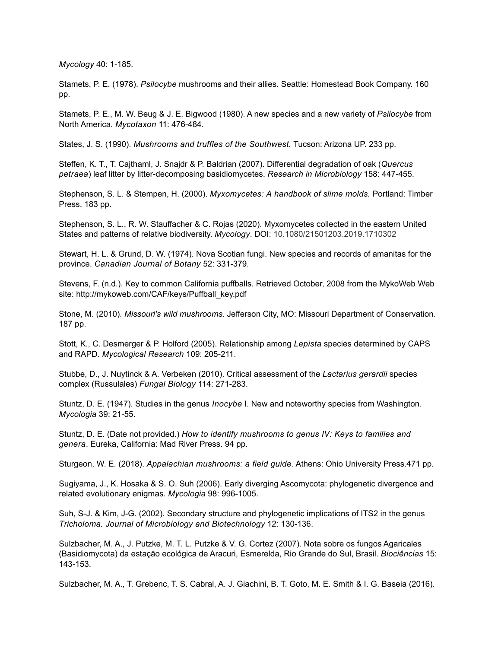*Mycology* 40: 1-185.

Stamets, P. E. (1978). *Psilocybe* mushrooms and their allies. Seattle: Homestead Book Company. 160 pp.

Stamets, P. E., M. W. Beug & J. E. Bigwood (1980). A new species and a new variety of *Psilocybe* from North America. *Mycotaxon* 11: 476-484.

States, J. S. (1990). *Mushrooms and truffles of the Southwest.* Tucson: Arizona UP. 233 pp.

Steffen, K. T., T. Cajthaml, J. Snajdr & P. Baldrian (2007). Differential degradation of oak (*Quercus petraea*) leaf litter by litter-decomposing basidiomycetes. *Research in Microbiology* 158: 447-455.

Stephenson, S. L. & Stempen, H. (2000). *Myxomycetes: A handbook of slime molds.* Portland: Timber Press. 183 pp.

Stephenson, S. L., R. W. Stauffacher & C. Rojas (2020). Myxomycetes collected in the eastern United States and patterns of relative biodiversity. *Mycology*. DOI: 10.1080/21501203.2019.1710302

Stewart, H. L. & Grund, D. W. (1974). Nova Scotian fungi. New species and records of amanitas for the province. *Canadian Journal of Botany* 52: 331-379.

Stevens, F. (n.d.). Key to common California puffballs. Retrieved October, 2008 from the MykoWeb Web site: http://mykoweb.com/CAF/keys/Puffball\_key.pdf

Stone, M. (2010). *Missouri's wild mushrooms*. Jefferson City, MO: Missouri Department of Conservation. 187 pp.

Stott, K., C. Desmerger & P. Holford (2005). Relationship among *Lepista* species determined by CAPS and RAPD. *Mycological Research* 109: 205-211.

Stubbe, D., J. Nuytinck & A. Verbeken (2010). Critical assessment of the *Lactarius gerardii* species complex (Russulales) *Fungal Biology* 114: 271-283.

Stuntz, D. E. (1947). Studies in the genus *Inocybe* I. New and noteworthy species from Washington. *Mycologia* 39: 21-55.

Stuntz, D. E. (Date not provided.) *How to identify mushrooms to genus IV: Keys to families and genera*. Eureka, California: Mad River Press. 94 pp.

Sturgeon, W. E. (2018). *Appalachian mushrooms: a field guide.* Athens: Ohio University Press.471 pp.

Sugiyama, J., K. Hosaka & S. O. Suh (2006). Early diverging Ascomycota: phylogenetic divergence and related evolutionary enigmas. *Mycologia* 98: 996-1005.

Suh, S-J. & Kim, J-G. (2002). Secondary structure and phylogenetic implications of ITS2 in the genus *Tricholoma. Journal of Microbiology and Biotechnology* 12: 130-136.

Sulzbacher, M. A., J. Putzke, M. T. L. Putzke & V. G. Cortez (2007). Nota sobre os fungos Agaricales (Basidiomycota) da estaçāo ecológica de Aracuri, Esmerelda, Rio Grande do Sul, Brasil. *Biociências* 15: 143-153.

Sulzbacher, M. A., T. Grebenc, T. S. Cabral, A. J. Giachini, B. T. Goto, M. E. Smith & I. G. Baseia (2016).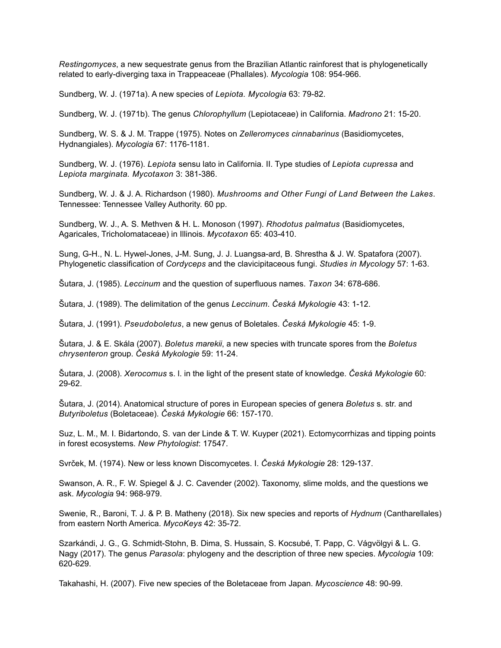*Restingomyces*, a new sequestrate genus from the Brazilian Atlantic rainforest that is phylogenetically related to early-diverging taxa in Trappeaceae (Phallales). *Mycologia* 108: 954-966.

Sundberg, W. J. (1971a). A new species of *Lepiota. Mycologia* 63: 79-82.

Sundberg, W. J. (1971b). The genus *Chlorophyllum* (Lepiotaceae) in California. *Madrono* 21: 15-20.

Sundberg, W. S. & J. M. Trappe (1975). Notes on *Zelleromyces cinnabarinus* (Basidiomycetes, Hydnangiales). *Mycologia* 67: 1176-1181.

Sundberg, W. J. (1976). *Lepiota* sensu lato in California. II. Type studies of *Lepiota cupressa* and *Lepiota marginata. Mycotaxon* 3: 381-386.

Sundberg, W. J. & J. A. Richardson (1980). *Mushrooms and Other Fungi of Land Between the Lakes*. Tennessee: Tennessee Valley Authority. 60 pp.

Sundberg, W. J., A. S. Methven & H. L. Monoson (1997). *Rhodotus palmatus* (Basidiomycetes, Agaricales, Tricholomataceae) in Illinois. *Mycotaxon* 65: 403-410.

Sung, G-H., N. L. Hywel-Jones, J-M. Sung, J. J. Luangsa-ard, B. Shrestha & J. W. Spatafora (2007). Phylogenetic classification of *Cordyceps* and the clavicipitaceous fungi. *Studies in Mycology* 57: 1-63.

Šutara, J. (1985). *Leccinum* and the question of superfluous names. *Taxon* 34: 678-686.

Šutara, J. (1989). The delimitation of the genus *Leccinum*. *Česká Mykologie* 43: 1-12.

Šutara, J. (1991). *Pseudoboletus*, a new genus of Boletales. *Česká Mykologie* 45: 1-9.

Šutara, J. & E. Skála (2007). *Boletus marekii*, a new species with truncate spores from the *Boletus chrysenteron* group. *Česká Mykologie* 59: 11-24.

Šutara, J. (2008). *Xerocomus* s. l. in the light of the present state of knowledge. *Česká Mykologie* 60: 29-62.

Šutara, J. (2014). Anatomical structure of pores in European species of genera *Boletus* s. str. and *Butyriboletus* (Boletaceae). *Česká Mykologie* 66: 157-170.

Suz, L. M., M. I. Bidartondo, S. van der Linde & T. W. Kuyper (2021). Ectomycorrhizas and tipping points in forest ecosystems. *New Phytologist*: 17547.

Svrček, M. (1974). New or less known Discomycetes. I. *Česká Mykologie* 28: 129-137.

Swanson, A. R., F. W. Spiegel & J. C. Cavender (2002). Taxonomy, slime molds, and the questions we ask. *Mycologia* 94: 968-979.

Swenie, R., Baroni, T. J. & P. B. Matheny (2018). Six new species and reports of *Hydnum* (Cantharellales) from eastern North America. *MycoKeys* 42: 35-72.

Szarkándi, J. G., G. Schmidt-Stohn, B. Dima, S. Hussain, S. Kocsubé, T. Papp, C. Vágvölgyi & L. G. Nagy (2017). The genus *Parasola*: phylogeny and the description of three new species. *Mycologia* 109: 620-629.

Takahashi, H. (2007). Five new species of the Boletaceae from Japan. *Mycoscience* 48: 90-99.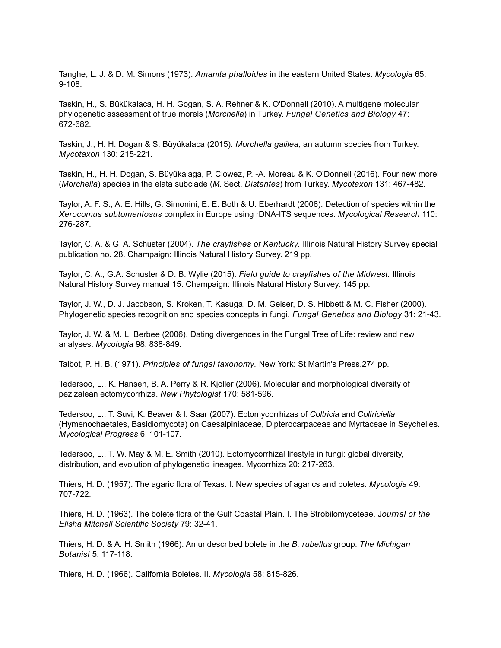Tanghe, L. J. & D. M. Simons (1973). *Amanita phalloides* in the eastern United States. *Mycologia* 65: 9-108.

Taskin, H., S. Bükükalaca, H. H. Gogan, S. A. Rehner & K. O'Donnell (2010). A multigene molecular phylogenetic assessment of true morels (*Morchella*) in Turkey. *Fungal Genetics and Biology* 47: 672-682.

Taskin, J., H. H. Dogan & S. Büyükalaca (2015). *Morchella galilea,* an autumn species from Turkey. *Mycotaxon* 130: 215-221.

Taskin, H., H. H. Dogan, S. Büyükalaga, P. Clowez, P. -A. Moreau & K. O'Donnell (2016). Four new morel (*Morchella*) species in the elata subclade (*M*. Sect. *Distantes*) from Turkey. *Mycotaxon* 131: 467-482.

Taylor, A. F. S., A. E. Hills, G. Simonini, E. E. Both & U. Eberhardt (2006). Detection of species within the *Xerocomus subtomentosus* complex in Europe using rDNA-ITS sequences. *Mycological Research* 110: 276-287.

Taylor, C. A. & G. A. Schuster (2004). *The crayfishes of Kentucky.* Illinois Natural History Survey special publication no. 28. Champaign: Illinois Natural History Survey. 219 pp.

Taylor, C. A., G.A. Schuster & D. B. Wylie (2015). *Field guide to crayfishes of the Midwest.* Illinois Natural History Survey manual 15. Champaign: Illinois Natural History Survey. 145 pp.

Taylor, J. W., D. J. Jacobson, S. Kroken, T. Kasuga, D. M. Geiser, D. S. Hibbett & M. C. Fisher (2000). Phylogenetic species recognition and species concepts in fungi. *Fungal Genetics and Biology* 31: 21-43.

Taylor, J. W. & M. L. Berbee (2006). Dating divergences in the Fungal Tree of Life: review and new analyses. *Mycologia* 98: 838-849.

Talbot, P. H. B. (1971). *Principles of fungal taxonomy.* New York: St Martin's Press.274 pp.

Tedersoo, L., K. Hansen, B. A. Perry & R. Kjoller (2006). Molecular and morphological diversity of pezizalean ectomycorrhiza. *New Phytologist* 170: 581-596.

Tedersoo, L., T. Suvi, K. Beaver & I. Saar (2007). Ectomycorrhizas of *Coltricia* and *Coltriciella* (Hymenochaetales, Basidiomycota) on Caesalpiniaceae, Dipterocarpaceae and Myrtaceae in Seychelles. *Mycological Progress* 6: 101-107.

Tedersoo, L., T. W. May & M. E. Smith (2010). Ectomycorrhizal lifestyle in fungi: global diversity, distribution, and evolution of phylogenetic lineages. Mycorrhiza 20: 217-263.

Thiers, H. D. (1957). The agaric flora of Texas. I. New species of agarics and boletes. *Mycologia* 49: 707-722.

Thiers, H. D. (1963). The bolete flora of the Gulf Coastal Plain. I. The Strobilomyceteae. J*ournal of the Elisha Mitchell Scientific Society* 79: 32-41.

Thiers, H. D. & A. H. Smith (1966). An undescribed bolete in the *B. rubellus* group. *The Michigan Botanist* 5: 117-118.

Thiers, H. D. (1966). California Boletes. II. *Mycologia* 58: 815-826.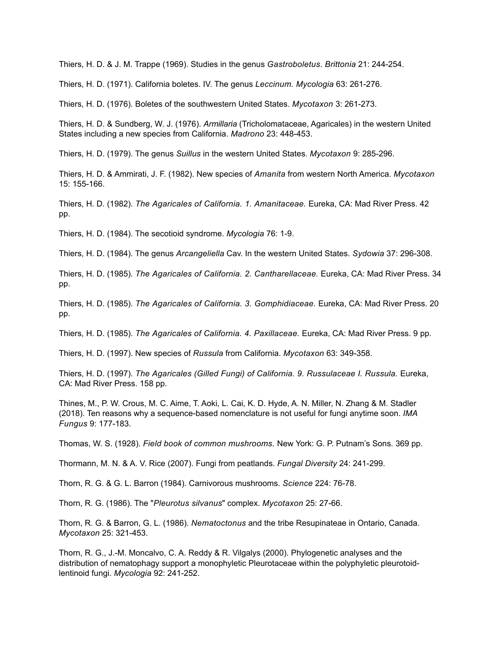Thiers, H. D. & J. M. Trappe (1969). Studies in the genus *Gastroboletus*. *Brittonia* 21: 244-254.

Thiers, H. D. (1971). California boletes. IV. The genus *Leccinum. Mycologia* 63: 261-276.

Thiers, H. D. (1976). Boletes of the southwestern United States. *Mycotaxon* 3: 261-273.

Thiers, H. D. & Sundberg, W. J. (1976). *Armillaria* (Tricholomataceae, Agaricales) in the western United States including a new species from California. *Madrono* 23: 448-453.

Thiers, H. D. (1979). The genus *Suillus* in the western United States. *Mycotaxon* 9: 285-296.

Thiers, H. D. & Ammirati, J. F. (1982). New species of *Amanita* from western North America. *Mycotaxon* 15: 155-166.

Thiers, H. D. (1982). *The Agaricales of California. 1. Amanitaceae.* Eureka, CA: Mad River Press. 42 pp.

Thiers, H. D. (1984). The secotioid syndrome. *Mycologia* 76: 1-9.

Thiers, H. D. (1984). The genus *Arcangeliella* Cav. In the western United States. *Sydowia* 37: 296-308.

Thiers, H. D. (1985). *The Agaricales of California. 2. Cantharellaceae.* Eureka, CA: Mad River Press. 34 pp.

Thiers, H. D. (1985). *The Agaricales of California. 3. Gomphidiaceae.* Eureka, CA: Mad River Press. 20 pp.

Thiers, H. D. (1985). *The Agaricales of California. 4. Paxillaceae.* Eureka, CA: Mad River Press. 9 pp.

Thiers, H. D. (1997). New species of *Russula* from California. *Mycotaxon* 63: 349-358.

Thiers, H. D. (1997). *The Agaricales (Gilled Fungi) of California. 9. Russulaceae I. Russula.* Eureka, CA: Mad River Press. 158 pp.

Thines, M., P. W. Crous, M. C. Aime, T. Aoki, L. Cai, K. D. Hyde, A. N. Miller, N. Zhang & M. Stadler (2018). Ten reasons why a sequence-based nomenclature is not useful for fungi anytime soon. *IMA Fungus* 9: 177-183.

Thomas, W. S. (1928). *Field book of common mushrooms.* New York: G. P. Putnam's Sons. 369 pp.

Thormann, M. N. & A. V. Rice (2007). Fungi from peatlands. *Fungal Diversity* 24: 241-299.

Thorn, R. G. & G. L. Barron (1984). Carnivorous mushrooms. *Science* 224: 76-78.

Thorn, R. G. (1986). The "*Pleurotus silvanus*" complex. *Mycotaxon* 25: 27-66.

Thorn, R. G. & Barron, G. L. (1986). *Nematoctonus* and the tribe Resupinateae in Ontario, Canada. *Mycotaxon* 25: 321-453.

Thorn, R. G., J.-M. Moncalvo, C. A. Reddy & R. Vilgalys (2000). Phylogenetic analyses and the distribution of nematophagy support a monophyletic Pleurotaceae within the polyphyletic pleurotoidlentinoid fungi. *Mycologia* 92: 241-252.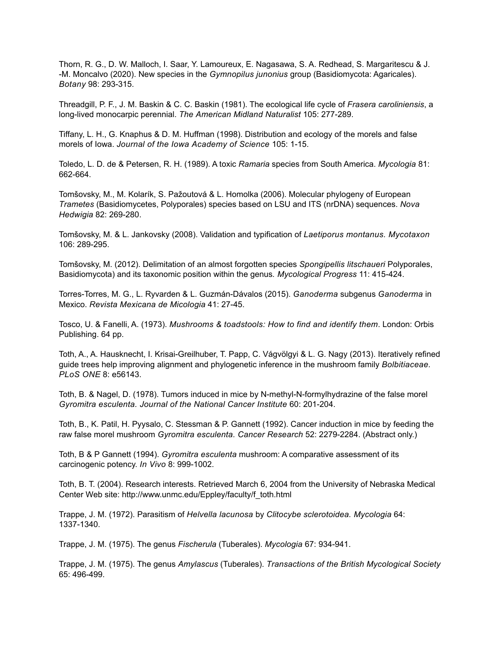Thorn, R. G., D. W. Malloch, I. Saar, Y. Lamoureux, E. Nagasawa, S. A. Redhead, S. Margaritescu & J. -M. Moncalvo (2020). New species in the *Gymnopilus junonius* group (Basidiomycota: Agaricales). *Botany* 98: 293-315.

Threadgill, P. F., J. M. Baskin & C. C. Baskin (1981). The ecological life cycle of *Frasera caroliniensis*, a long-lived monocarpic perennial. *The American Midland Naturalist* 105: 277-289.

Tiffany, L. H., G. Knaphus & D. M. Huffman (1998). Distribution and ecology of the morels and false morels of Iowa. *Journal of the Iowa Academy of Science* 105: 1-15.

Toledo, L. D. de & Petersen, R. H. (1989). A toxic *Ramaria* species from South America. *Mycologia* 81: 662-664.

Tomšovsky, M., M. Kolarík, S. Pažoutová & L. Homolka (2006). Molecular phylogeny of European *Trametes* (Basidiomycetes, Polyporales) species based on LSU and ITS (nrDNA) sequences. *Nova Hedwigia* 82: 269-280.

Tomšovsky, M. & L. Jankovsky (2008). Validation and typification of *Laetiporus montanus. Mycotaxon* 106: 289-295.

Tomšovsky, M. (2012). Delimitation of an almost forgotten species *Spongipellis litschaueri* Polyporales, Basidiomycota) and its taxonomic position within the genus*. Mycological Progress* 11: 415-424.

Torres-Torres, M. G., L. Ryvarden & L. Guzmán-Dávalos (2015). *Ganoderma* subgenus *Ganoderma* in Mexico. *Revista Mexicana de Micologia* 41: 27-45.

Tosco, U. & Fanelli, A. (1973). *Mushrooms & toadstools: How to find and identify them*. London: Orbis Publishing. 64 pp.

Toth, A., A. Hausknecht, I. Krisai-Greilhuber, T. Papp, C. Vágvölgyi & L. G. Nagy (2013). Iteratively refined guide trees help improving alignment and phylogenetic inference in the mushroom family *Bolbitiaceae. PLoS ONE* 8: e56143.

Toth, B. & Nagel, D. (1978). Tumors induced in mice by N-methyl-N-formylhydrazine of the false morel *Gyromitra esculenta. Journal of the National Cancer Institute* 60: 201-204.

Toth, B., K. Patil, H. Pyysalo, C. Stessman & P. Gannett (1992). Cancer induction in mice by feeding the raw false morel mushroom *Gyromitra esculenta. Cancer Research* 52: 2279-2284. (Abstract only.)

Toth, B & P Gannett (1994). *Gyromitra esculenta* mushroom: A comparative assessment of its carcinogenic potency. *In Vivo* 8: 999-1002.

Toth, B. T. (2004). Research interests. Retrieved March 6, 2004 from the University of Nebraska Medical Center Web site: http://www.unmc.edu/Eppley/faculty/f\_toth.html

Trappe, J. M. (1972). Parasitism of *Helvella lacunosa* by *Clitocybe sclerotoidea. Mycologia* 64: 1337-1340.

Trappe, J. M. (1975). The genus *Fischerula* (Tuberales). *Mycologia* 67: 934-941.

Trappe, J. M. (1975). The genus *Amylascus* (Tuberales). *Transactions of the British Mycological Society* 65: 496-499.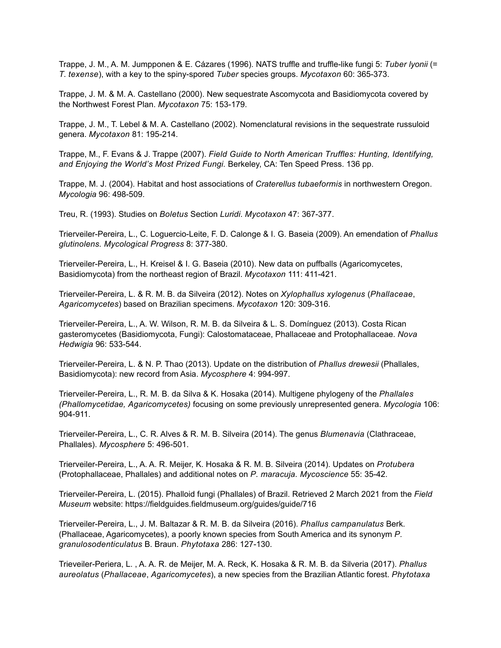Trappe, J. M., A. M. Jumpponen & E. Cázares (1996). NATS truffle and truffle-like fungi 5: *Tuber lyonii* (= *T*. *texense*), with a key to the spiny-spored *Tuber* species groups. *Mycotaxon* 60: 365-373.

Trappe, J. M. & M. A. Castellano (2000). New sequestrate Ascomycota and Basidiomycota covered by the Northwest Forest Plan. *Mycotaxon* 75: 153-179.

Trappe, J. M., T. Lebel & M. A. Castellano (2002). Nomenclatural revisions in the sequestrate russuloid genera. *Mycotaxon* 81: 195-214.

Trappe, M., F. Evans & J. Trappe (2007). *Field Guide to North American Truffles: Hunting, Identifying, and Enjoying the World's Most Prized Fungi.* Berkeley, CA: Ten Speed Press. 136 pp.

Trappe, M. J. (2004). Habitat and host associations of *Craterellus tubaeformis* in northwestern Oregon. *Mycologia* 96: 498-509.

Treu, R. (1993). Studies on *Boletus* Section *Luridi*. *Mycotaxon* 47: 367-377.

Trierveiler-Pereira, L., C. Loguercio-Leite, F. D. Calonge & I. G. Baseia (2009). An emendation of *Phallus glutinolens. Mycological Progress* 8: 377-380.

Trierveiler-Pereira, L., H. Kreisel & I. G. Baseia (2010). New data on puffballs (Agaricomycetes, Basidiomycota) from the northeast region of Brazil. *Mycotaxon* 111: 411-421.

Trierveiler-Pereira, L. & R. M. B. da Silveira (2012). Notes on *Xylophallus xylogenus* (*Phallaceae*, *Agaricomycetes*) based on Brazilian specimens. *Mycotaxon* 120: 309-316.

Trierveiler-Pereira, L., A. W. Wilson, R. M. B. da Silveira & L. S. Domínguez (2013). Costa Rican gasteromycetes (Basidiomycota, Fungi): Calostomataceae, Phallaceae and Protophallaceae. *Nova Hedwigia* 96: 533-544.

Trierveiler-Pereira, L. & N. P. Thao (2013). Update on the distribution of *Phallus drewesii* (Phallales, Basidiomycota): new record from Asia. *Mycosphere* 4: 994-997.

Trierveiler-Pereira, L., R. M. B. da Silva & K. Hosaka (2014). Multigene phylogeny of the *Phallales (Phallomycetidae, Agaricomycetes)* focusing on some previously unrepresented genera. *Mycologia* 106: 904-911.

Trierveiler-Pereira, L., C. R. Alves & R. M. B. Silveira (2014). The genus *Blumenavia* (Clathraceae, Phallales). *Mycosphere* 5: 496-501.

Trierveiler-Pereira, L., A. A. R. Meijer, K. Hosaka & R. M. B. Silveira (2014). Updates on *Protubera* (Protophallaceae, Phallales) and additional notes on *P. maracuja. Mycoscience* 55: 35-42.

Trierveiler-Pereira, L. (2015). Phalloid fungi (Phallales) of Brazil. Retrieved 2 March 2021 from the *Field Museum* website: https://fieldguides.fieldmuseum.org/guides/guide/716

Trierveiler-Pereira, L., J. M. Baltazar & R. M. B. da Silveira (2016). *Phallus campanulatus* Berk. (Phallaceae, Agaricomycetes), a poorly known species from South America and its synonym *P. granulosodenticulatus* B. Braun. *Phytotaxa* 286: 127-130.

Trieveiler-Periera, L. , A. A. R. de Meijer, M. A. Reck, K. Hosaka & R. M. B. da Silveria (2017). *Phallus aureolatus* (*Phallaceae*, *Agaricomycetes*), a new species from the Brazilian Atlantic forest. *Phytotaxa*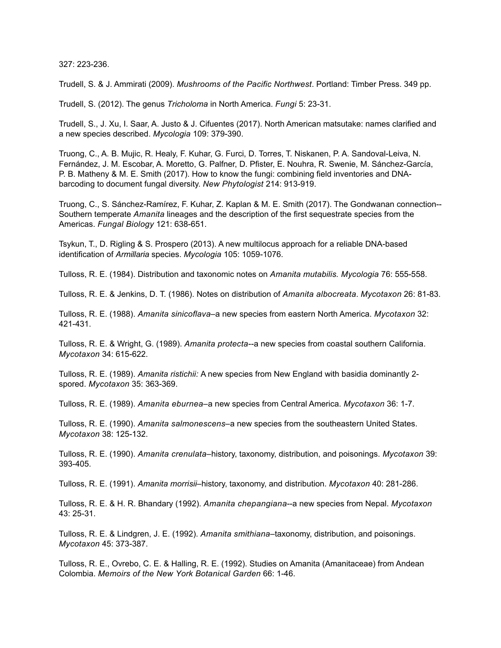327: 223-236.

Trudell, S. & J. Ammirati (2009). *Mushrooms of the Pacific Northwest*. Portland: Timber Press. 349 pp.

Trudell, S. (2012). The genus *Tricholoma* in North America. *Fungi* 5: 23-31.

Trudell, S., J. Xu, I. Saar, A. Justo & J. Cifuentes (2017). North American matsutake: names clarified and a new species described. *Mycologia* 109: 379-390.

Truong, C., A. B. Mujic, R. Healy, F. Kuhar, G. Furci, D. Torres, T. Niskanen, P. A. Sandoval-Leiva, N. Fernández, J. M. Escobar, A. Moretto, G. Palfner, D. Pfister, E. Nouhra, R. Swenie, M. Sánchez-García, P. B. Matheny & M. E. Smith (2017). How to know the fungi: combining field inventories and DNAbarcoding to document fungal diversity. *New Phytologist* 214: 913-919.

Truong, C., S. Sánchez-Ramírez, F. Kuhar, Z. Kaplan & M. E. Smith (2017). The Gondwanan connection-- Southern temperate *Amanita* lineages and the description of the first sequestrate species from the Americas. *Fungal Biology* 121: 638-651.

Tsykun, T., D. Rigling & S. Prospero (2013). A new multilocus approach for a reliable DNA-based identification of *Armillaria* species. *Mycologia* 105: 1059-1076.

Tulloss, R. E. (1984). Distribution and taxonomic notes on *Amanita mutabilis. Mycologia* 76: 555-558.

Tulloss, R. E. & Jenkins, D. T. (1986). Notes on distribution of *Amanita albocreata*. *Mycotaxon* 26: 81-83.

Tulloss, R. E. (1988). *Amanita sinicoflava–*a new species from eastern North America. *Mycotaxon* 32: 421-431.

Tulloss, R. E. & Wright, G. (1989). *Amanita protecta--*a new species from coastal southern California. *Mycotaxon* 34: 615-622.

Tulloss, R. E. (1989). *Amanita ristichii:* A new species from New England with basidia dominantly 2 spored. *Mycotaxon* 35: 363-369.

Tulloss, R. E. (1989). *Amanita eburnea–*a new species from Central America. *Mycotaxon* 36: 1-7.

Tulloss, R. E. (1990). *Amanita salmonescens–*a new species from the southeastern United States. *Mycotaxon* 38: 125-132.

Tulloss, R. E. (1990). *Amanita crenulata–*history, taxonomy, distribution, and poisonings. *Mycotaxon* 39: 393-405.

Tulloss, R. E. (1991). *Amanita morrisii–*history, taxonomy, and distribution. *Mycotaxon* 40: 281-286.

Tulloss, R. E. & H. R. Bhandary (1992). *Amanita chepangiana*--a new species from Nepal. *Mycotaxon* 43: 25-31.

Tulloss, R. E. & Lindgren, J. E. (1992). *Amanita smithiana–*taxonomy, distribution, and poisonings. *Mycotaxon* 45: 373-387.

Tulloss, R. E., Ovrebo, C. E. & Halling, R. E. (1992). Studies on Amanita (Amanitaceae) from Andean Colombia. *Memoirs of the New York Botanical Garden* 66: 1-46.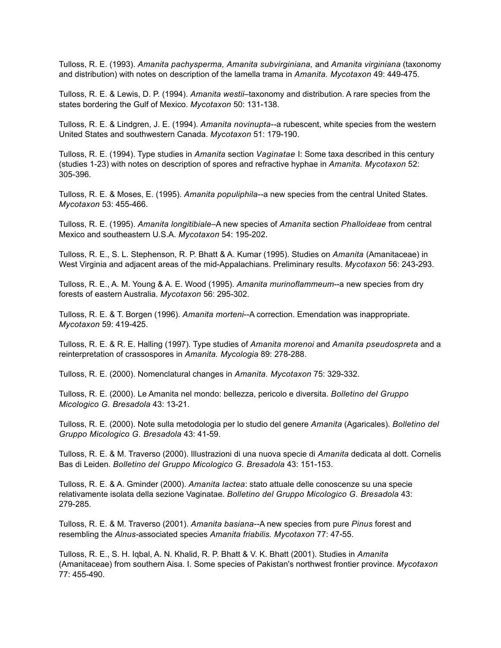Tulloss, R. E. (1993). *Amanita pachysperma, Amanita subvirginiana,* and *Amanita virginiana* (taxonomy and distribution) with notes on description of the lamella trama in *Amanita. Mycotaxon* 49: 449-475.

Tulloss, R. E. & Lewis, D. P. (1994). *Amanita westii*–taxonomy and distribution. A rare species from the states bordering the Gulf of Mexico. *Mycotaxon* 50: 131-138.

Tulloss, R. E. & Lindgren, J. E. (1994). *Amanita novinupta--*a rubescent, white species from the western United States and southwestern Canada. *Mycotaxon* 51: 179-190.

Tulloss, R. E. (1994). Type studies in *Amanita* section *Vaginatae* I: Some taxa described in this century (studies 1-23) with notes on description of spores and refractive hyphae in *Amanita. Mycotaxon* 52: 305-396.

Tulloss, R. E. & Moses, E. (1995). *Amanita populiphila--*a new species from the central United States. *Mycotaxon* 53: 455-466.

Tulloss, R. E. (1995). *Amanita longitibiale*–A new species of *Amanita* section *Phalloideae* from central Mexico and southeastern U.S.A. *Mycotaxon* 54: 195-202.

Tulloss, R. E., S. L. Stephenson, R. P. Bhatt & A. Kumar (1995). Studies on *Amanita* (Amanitaceae) in West Virginia and adjacent areas of the mid-Appalachians. Preliminary results. *Mycotaxon* 56: 243-293.

Tulloss, R. E., A. M. Young & A. E. Wood (1995). *Amanita murinoflammeum*--a new species from dry forests of eastern Australia. *Mycotaxon* 56: 295-302.

Tulloss, R. E. & T. Borgen (1996). *Amanita morteni*--A correction. Emendation was inappropriate. *Mycotaxon* 59: 419-425.

Tulloss, R. E. & R. E. Halling (1997). Type studies of *Amanita morenoi* and *Amanita pseudospreta* and a reinterpretation of crassospores in *Amanita. Mycologia* 89: 278-288.

Tulloss, R. E. (2000). Nomenclatural changes in *Amanita. Mycotaxon* 75: 329-332.

Tulloss, R. E. (2000). Le Amanita nel mondo: bellezza, pericolo e diversita. *Bolletino del Gruppo Micologico G. Bresadola* 43: 13-21.

Tulloss, R. E. (2000). Note sulla metodologia per lo studio del genere *Amanita* (Agaricales). *Bolletino del Gruppo Micologico G. Bresadola* 43: 41-59.

Tulloss, R. E. & M. Traverso (2000). Illustrazioni di una nuova specie di *Amanita* dedicata al dott. Cornelis Bas di Leiden. *Bolletino del Gruppo Micologico G. Bresadola* 43: 151-153.

Tulloss, R. E. & A. Gminder (2000). *Amanita lactea*: stato attuale delle conoscenze su una specie relativamente isolata della sezione Vaginatae. *Bolletino del Gruppo Micologico G. Bresadola* 43: 279-285.

Tulloss, R. E. & M. Traverso (2001). *Amanita basiana--*A new species from pure *Pinus* forest and resembling the *Alnus-*associated species *Amanita friabilis. Mycotaxon* 77: 47-55.

Tulloss, R. E., S. H. Iqbal, A. N. Khalid, R. P. Bhatt & V. K. Bhatt (2001). Studies in *Amanita* (Amanitaceae) from southern Aisa. I. Some species of Pakistan's northwest frontier province. *Mycotaxon* 77: 455-490.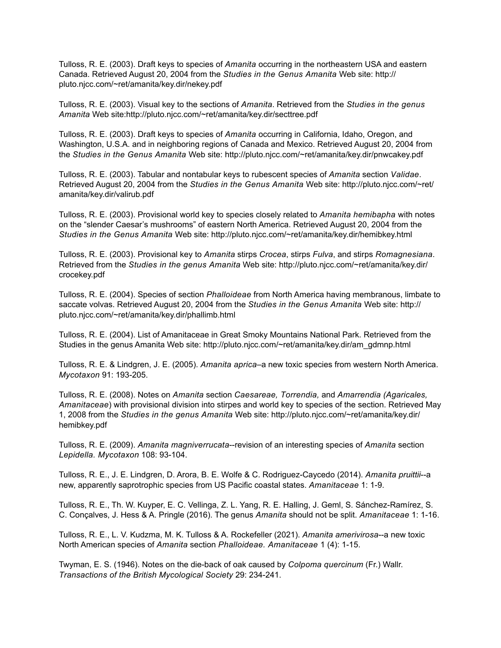Tulloss, R. E. (2003). Draft keys to species of *Amanita* occurring in the northeastern USA and eastern Canada. Retrieved August 20, 2004 from the *Studies in the Genus Amanita* Web site: http:// pluto.njcc.com/~ret/amanita/key.dir/nekey.pdf

Tulloss, R. E. (2003). Visual key to the sections of *Amanita*. Retrieved from the *Studies in the genus Amanita* Web site:http://pluto.njcc.com/~ret/amanita/key.dir/secttree.pdf

Tulloss, R. E. (2003). Draft keys to species of *Amanita* occurring in California, Idaho, Oregon, and Washington, U.S.A. and in neighboring regions of Canada and Mexico. Retrieved August 20, 2004 from the *Studies in the Genus Amanita* Web site: http://pluto.njcc.com/~ret/amanita/key.dir/pnwcakey.pdf

Tulloss, R. E. (2003). Tabular and nontabular keys to rubescent species of *Amanita* section *Validae*. Retrieved August 20, 2004 from the *Studies in the Genus Amanita* Web site: http://pluto.njcc.com/~ret/ amanita/key.dir/valirub.pdf

Tulloss, R. E. (2003). Provisional world key to species closely related to *Amanita hemibapha* with notes on the "slender Caesar's mushrooms" of eastern North America. Retrieved August 20, 2004 from the *Studies in the Genus Amanita* Web site: http://pluto.njcc.com/~ret/amanita/key.dir/hemibkey.html

Tulloss, R. E. (2003). Provisional key to *Amanita* stirps *Crocea*, stirps *Fulva*, and stirps *Romagnesiana*. Retrieved from the *Studies in the genus Amanita* Web site: http://pluto.njcc.com/~ret/amanita/key.dir/ crocekey.pdf

Tulloss, R. E. (2004). Species of section *Phalloideae* from North America having membranous, limbate to saccate volvas. Retrieved August 20, 2004 from the *Studies in the Genus Amanita* Web site: http:// pluto.njcc.com/~ret/amanita/key.dir/phallimb.html

Tulloss, R. E. (2004). List of Amanitaceae in Great Smoky Mountains National Park. Retrieved from the Studies in the genus Amanita Web site: http://pluto.njcc.com/~ret/amanita/key.dir/am\_gdmnp.html

Tulloss, R. E. & Lindgren, J. E. (2005). *Amanita aprica*–a new toxic species from western North America. *Mycotaxon* 91: 193-205.

Tulloss, R. E. (2008). Notes on *Amanita* section *Caesareae, Torrendia,* and *Amarrendia (Agaricales, Amanitaceae*) with provisional division into stirpes and world key to species of the section. Retrieved May 1, 2008 from the *Studies in the genus Amanita* Web site: http://pluto.njcc.com/~ret/amanita/key.dir/ hemibkey.pdf

Tulloss, R. E. (2009). *Amanita magniverrucata*--revision of an interesting species of *Amanita* section *Lepidella. Mycotaxon* 108: 93-104.

Tulloss, R. E., J. E. Lindgren, D. Arora, B. E. Wolfe & C. Rodriguez-Caycedo (2014). *Amanita pruittii*--a new, apparently saprotrophic species from US Pacific coastal states. *Amanitaceae* 1: 1-9.

Tulloss, R. E., Th. W. Kuyper, E. C. Vellinga, Z. L. Yang, R. E. Halling, J. Geml, S. Sánchez-Ramírez, S. C. Conçalves, J. Hess & A. Pringle (2016). The genus *Amanita* should not be split. *Amanitaceae* 1: 1-16.

Tulloss, R. E., L. V. Kudzma, M. K. Tulloss & A. Rockefeller (2021). *Amanita amerivirosa*--a new toxic North American species of *Amanita* section *Phalloideae. Amanitaceae* 1 (4): 1-15.

Twyman, E. S. (1946). Notes on the die-back of oak caused by *Colpoma quercinum* (Fr.) Wallr. *Transactions of the British Mycological Society* 29: 234-241.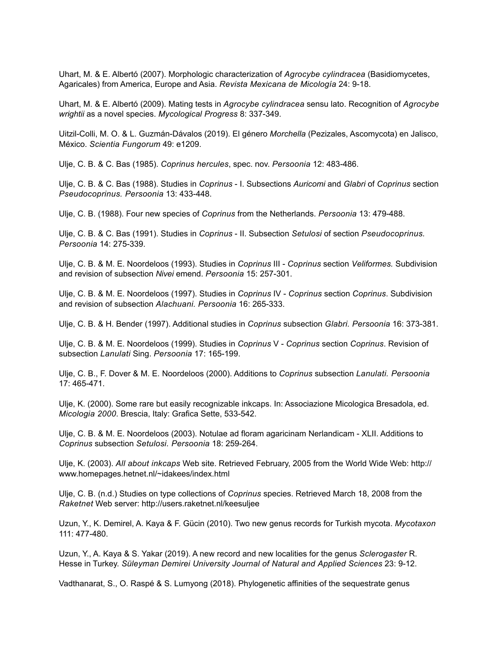Uhart, M. & E. Albertó (2007). Morphologic characterization of *Agrocybe cylindracea* (Basidiomycetes, Agaricales) from America, Europe and Asia. *Revista Mexicana de Micología* 24: 9-18.

Uhart, M. & E. Albertó (2009). Mating tests in *Agrocybe cylindracea* sensu lato. Recognition of *Agrocybe wrightii* as a novel species. *Mycological Progress* 8: 337-349.

Uitzil-Colli, M. O. & L. Guzmán-Dávalos (2019). El género *Morchella* (Pezizales, Ascomycota) en Jalisco, México. *Scientia Fungorum* 49: e1209.

Ulje, C. B. & C. Bas (1985). *Coprinus hercules*, spec. nov. *Persoonia* 12: 483-486.

Ulje, C. B. & C. Bas (1988). Studies in *Coprinus* - I. Subsections *Auricomi* and *Glabri* of *Coprinus* section *Pseudocoprinus. Persoonia* 13: 433-448.

Ulje, C. B. (1988). Four new species of *Coprinus* from the Netherlands. *Persoonia* 13: 479-488.

Ulje, C. B. & C. Bas (1991). Studies in *Coprinus* - II. Subsection *Setulosi* of section *Pseudocoprinus. Persoonia* 14: 275-339.

Ulje, C. B. & M. E. Noordeloos (1993). Studies in *Coprinus* III - *Coprinus* section *Veliformes.* Subdivision and revision of subsection *Nivei* emend. *Persoonia* 15: 257-301.

Ulje, C. B. & M. E. Noordeloos (1997). Studies in *Coprinus* IV - *Coprinus* section *Coprinus*. Subdivision and revision of subsection *Alachuani. Persoonia* 16: 265-333.

Ulje, C. B. & H. Bender (1997). Additional studies in *Coprinus* subsection *Glabri. Persoonia* 16: 373-381.

Ulje, C. B. & M. E. Noordeloos (1999). Studies in *Coprinus* V - *Coprinus* section *Coprinus*. Revision of subsection *Lanulati* Sing. *Persoonia* 17: 165-199.

Ulje, C. B., F. Dover & M. E. Noordeloos (2000). Additions to *Coprinus* subsection *Lanulati. Persoonia* 17: 465-471.

Ulje, K. (2000). Some rare but easily recognizable inkcaps. In: Associazione Micologica Bresadola, ed. *Micologia 2000*. Brescia, Italy: Grafica Sette, 533-542.

Ulje, C. B. & M. E. Noordeloos (2003). Notulae ad floram agaricinam Nerlandicam - XLII. Additions to *Coprinus* subsection *Setulosi. Persoonia* 18: 259-264.

Ulje, K. (2003). *All about inkcaps* Web site. Retrieved February, 2005 from the World Wide Web: http:// www.homepages.hetnet.nl/~idakees/index.html

Ulje, C. B. (n.d.) Studies on type collections of *Coprinus* species. Retrieved March 18, 2008 from the *Raketnet* Web server: http://users.raketnet.nl/keesuljee

Uzun, Y., K. Demirel, A. Kaya & F. Gücin (2010). Two new genus records for Turkish mycota. *Mycotaxon* 111: 477-480.

Uzun, Y., A. Kaya & S. Yakar (2019). A new record and new localities for the genus *Sclerogaster* R. Hesse in Turkey. *Süleyman Demirei University Journal of Natural and Applied Sciences* 23: 9-12.

Vadthanarat, S., O. Raspé & S. Lumyong (2018). Phylogenetic affinities of the sequestrate genus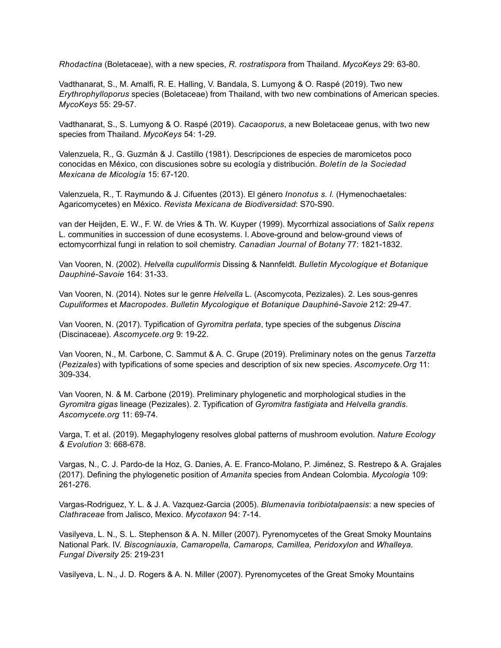*Rhodactina* (Boletaceae), with a new species, *R. rostratispora* from Thailand. *MycoKeys* 29: 63-80.

Vadthanarat, S., M. Amalfi, R. E. Halling, V. Bandala, S. Lumyong & O. Raspé (2019). Two new *Erythrophylloporus* species (Boletaceae) from Thailand, with two new combinations of American species. *MycoKeys* 55: 29-57.

Vadthanarat, S., S. Lumyong & O. Raspé (2019). *Cacaoporus*, a new Boletaceae genus, with two new species from Thailand. *MycoKeys* 54: 1-29.

Valenzuela, R., G. Guzmán & J. Castillo (1981). Descripciones de especies de maromicetos poco conocidas en México, con discusiones sobre su ecología y distribución. *Boletín de la Sociedad Mexicana de Micología* 15: 67-120.

Valenzuela, R., T. Raymundo & J. Cifuentes (2013). El género *Inonotus s. l.* (Hymenochaetales: Agaricomycetes) en México. *Revista Mexicana de Biodiversidad*: S70-S90.

van der Heijden, E. W., F. W. de Vries & Th. W. Kuyper (1999). Mycorrhizal associations of *Salix repens* L. communities in succession of dune ecosystems. I. Above-ground and below-ground views of ectomycorrhizal fungi in relation to soil chemistry. *Canadian Journal of Botany* 77: 1821-1832.

Van Vooren, N. (2002). *Helvella cupuliformis* Dissing & Nannfeldt. *Bulletin Mycologique et Botanique Dauphiné-Savoie* 164: 31-33.

Van Vooren, N. (2014). Notes sur le genre *Helvella* L. (Ascomycota, Pezizales). 2. Les sous-genres *Cupuliformes* et *Macropodes*. *Bulletin Mycologique et Botanique Dauphiné-Savoie* 212: 29-47.

Van Vooren, N. (2017). Typification of *Gyromitra perlata*, type species of the subgenus *Discina* (Discinaceae). *Ascomycete.org* 9: 19-22.

Van Vooren, N., M. Carbone, C. Sammut & A. C. Grupe (2019). Preliminary notes on the genus *Tarzetta* (*Pezizales*) with typifications of some species and description of six new species. *Ascomycete.Org* 11: 309-334.

Van Vooren, N. & M. Carbone (2019). Preliminary phylogenetic and morphological studies in the *Gyromitra gigas* lineage (Pezizales). 2. Typification of *Gyromitra fastigiata* and *Helvella grandis*. *Ascomycete.org* 11: 69-74.

Varga, T. et al. (2019). Megaphylogeny resolves global patterns of mushroom evolution. *Nature Ecology & Evolution* 3: 668-678.

Vargas, N., C. J. Pardo-de la Hoz, G. Danies, A. E. Franco-Molano, P. Jiménez, S. Restrepo & A. Grajales (2017). Defining the phylogenetic position of *Amanita* species from Andean Colombia. *Mycologia* 109: 261-276.

Vargas-Rodriguez, Y. L. & J. A. Vazquez-Garcia (2005). *Blumenavia toribiotalpaensis*: a new species of *Clathraceae* from Jalisco, Mexico. *Mycotaxon* 94: 7-14.

Vasilyeva, L. N., S. L. Stephenson & A. N. Miller (2007). Pyrenomycetes of the Great Smoky Mountains National Park. IV. Biscogniauxia, Camaropella, Camarops, Camillea, Peridoxylon and *Whalleya*. *Fungal Diversity* 25: 219-231

Vasilyeva, L. N., J. D. Rogers & A. N. Miller (2007). Pyrenomycetes of the Great Smoky Mountains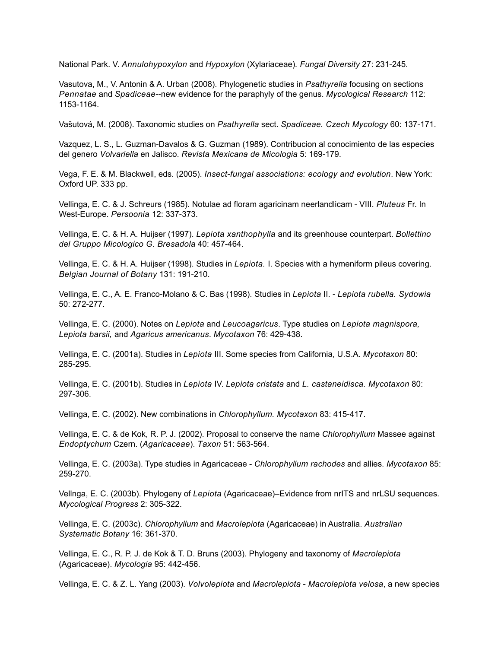National Park. V. *Annulohypoxylon* and *Hypoxylon* (Xylariaceae)*. Fungal Diversity* 27: 231-245.

Vasutova, M., V. Antonin & A. Urban (2008). Phylogenetic studies in *Psathyrella* focusing on sections *Pennatae* and *Spadiceae*--new evidence for the paraphyly of the genus. *Mycological Research* 112: 1153-1164.

Vašutová, M. (2008). Taxonomic studies on *Psathyrella* sect. *Spadiceae. Czech Mycology* 60: 137-171.

Vazquez, L. S., L. Guzman-Davalos & G. Guzman (1989). Contribucion al conocimiento de las especies del genero *Volvariella* en Jalisco. *Revista Mexicana de Micologia* 5: 169-179.

Vega, F. E. & M. Blackwell, eds. (2005). *Insect-fungal associations: ecology and evolution*. New York: Oxford UP. 333 pp.

Vellinga, E. C. & J. Schreurs (1985). Notulae ad floram agaricinam neerlandlicam - VIII. *Pluteus* Fr. In West-Europe. *Persoonia* 12: 337-373.

Vellinga, E. C. & H. A. Huijser (1997). *Lepiota xanthophylla* and its greenhouse counterpart. *Bollettino del Gruppo Micologico G. Bresadola* 40: 457-464.

Vellinga, E. C. & H. A. Huijser (1998). Studies in *Lepiota.* I. Species with a hymeniform pileus covering. *Belgian Journal of Botany* 131: 191-210.

Vellinga, E. C., A. E. Franco-Molano & C. Bas (1998). Studies in *Lepiota* II. - *Lepiota rubella. Sydowia* 50: 272-277.

Vellinga, E. C. (2000). Notes on *Lepiota* and *Leucoagaricus*. Type studies on *Lepiota magnispora, Lepiota barsii,* and *Agaricus americanus*. *Mycotaxon* 76: 429-438.

Vellinga, E. C. (2001a). Studies in *Lepiota* III. Some species from California, U.S.A. *Mycotaxon* 80: 285-295.

Vellinga, E. C. (2001b). Studies in *Lepiota* IV. *Lepiota cristata* and *L. castaneidisca. Mycotaxon* 80: 297-306.

Vellinga, E. C. (2002). New combinations in *Chlorophyllum. Mycotaxon* 83: 415-417.

Vellinga, E. C. & de Kok, R. P. J. (2002). Proposal to conserve the name *Chlorophyllum* Massee against *Endoptychum* Czern. (*Agaricaceae*). *Taxon* 51: 563-564.

Vellinga, E. C. (2003a). Type studies in Agaricaceae - *Chlorophyllum rachodes* and allies. *Mycotaxon* 85: 259-270.

Vellnga, E. C. (2003b). Phylogeny of *Lepiota* (Agaricaceae)–Evidence from nrITS and nrLSU sequences. *Mycological Progress* 2: 305-322.

Vellinga, E. C. (2003c). *Chlorophyllum* and *Macrolepiota* (Agaricaceae) in Australia. *Australian Systematic Botany* 16: 361-370.

Vellinga, E. C., R. P. J. de Kok & T. D. Bruns (2003). Phylogeny and taxonomy of *Macrolepiota*  (Agaricaceae). *Mycologia* 95: 442-456.

Vellinga, E. C. & Z. L. Yang (2003). *Volvolepiota* and *Macrolepiota* - *Macrolepiota velosa*, a new species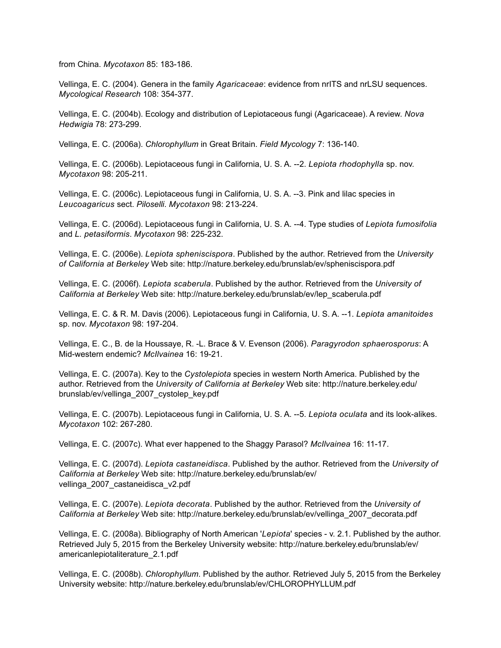from China. *Mycotaxon* 85: 183-186.

Vellinga, E. C. (2004). Genera in the family *Agaricaceae*: evidence from nrITS and nrLSU sequences. *Mycological Research* 108: 354-377.

Vellinga, E. C. (2004b). Ecology and distribution of Lepiotaceous fungi (Agaricaceae). A review. *Nova Hedwigia* 78: 273-299.

Vellinga, E. C. (2006a). *Chlorophyllum* in Great Britain. *Field Mycology* 7: 136-140.

Vellinga, E. C. (2006b). Lepiotaceous fungi in California, U. S. A. --2. *Lepiota rhodophylla* sp. nov. *Mycotaxon* 98: 205-211.

Vellinga, E. C. (2006c). Lepiotaceous fungi in California, U. S. A. --3. Pink and lilac species in *Leucoagaricus* sect. *Piloselli*. *Mycotaxon* 98: 213-224.

Vellinga, E. C. (2006d). Lepiotaceous fungi in California, U. S. A. --4. Type studies of *Lepiota fumosifolia*  and *L. petasiformis*. *Mycotaxon* 98: 225-232.

Vellinga, E. C. (2006e). *Lepiota spheniscispora*. Published by the author. Retrieved from the *University of California at Berkeley* Web site: http://nature.berkeley.edu/brunslab/ev/spheniscispora.pdf

Vellinga, E. C. (2006f). *Lepiota scaberula*. Published by the author. Retrieved from the *University of California at Berkeley* Web site: http://nature.berkeley.edu/brunslab/ev/lep\_scaberula.pdf

Vellinga, E. C. & R. M. Davis (2006). Lepiotaceous fungi in California, U. S. A. --1. *Lepiota amanitoides*  sp. nov. *Mycotaxon* 98: 197-204.

Vellinga, E. C., B. de la Houssaye, R. -L. Brace & V. Evenson (2006). *Paragyrodon sphaerosporus*: A Mid-western endemic? *McIlvainea* 16: 19-21.

Vellinga, E. C. (2007a). Key to the *Cystolepiota* species in western North America. Published by the author. Retrieved from the *University of California at Berkeley* Web site: http://nature.berkeley.edu/ brunslab/ev/vellinga\_2007\_cystolep\_key.pdf

Vellinga, E. C. (2007b). Lepiotaceous fungi in California, U. S. A. --5. *Lepiota oculata* and its look-alikes. *Mycotaxon* 102: 267-280.

Vellinga, E. C. (2007c). What ever happened to the Shaggy Parasol? *McIlvainea* 16: 11-17.

Vellinga, E. C. (2007d). *Lepiota castaneidisca*. Published by the author. Retrieved from the *University of California at Berkeley* Web site: http://nature.berkeley.edu/brunslab/ev/ vellinga\_2007\_castaneidisca\_v2.pdf

Vellinga, E. C. (2007e). *Lepiota decorata*. Published by the author. Retrieved from the *University of California at Berkeley* Web site: http://nature.berkeley.edu/brunslab/ev/vellinga\_2007\_decorata.pdf

Vellinga, E. C. (2008a). Bibliography of North American '*Lepiota*' species - v. 2.1. Published by the author. Retrieved July 5, 2015 from the Berkeley University website: http://nature.berkeley.edu/brunslab/ev/ americanlepiotaliterature\_2.1.pdf

Vellinga, E. C. (2008b). *Chlorophyllum*. Published by the author. Retrieved July 5, 2015 from the Berkeley University website: http://nature.berkeley.edu/brunslab/ev/CHLOROPHYLLUM.pdf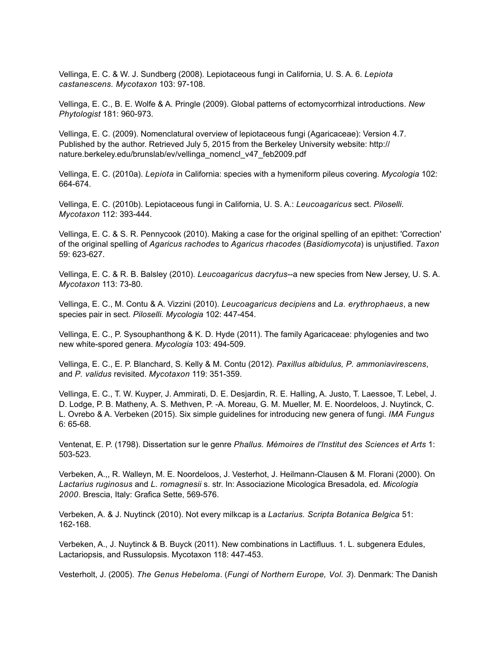Vellinga, E. C. & W. J. Sundberg (2008). Lepiotaceous fungi in California, U. S. A. 6. *Lepiota castanescens. Mycotaxon* 103: 97-108.

Vellinga, E. C., B. E. Wolfe & A. Pringle (2009). Global patterns of ectomycorrhizal introductions. *New Phytologist* 181: 960-973.

Vellinga, E. C. (2009). Nomenclatural overview of lepiotaceous fungi (Agaricaceae): Version 4.7. Published by the author. Retrieved July 5, 2015 from the Berkeley University website: http:// nature.berkeley.edu/brunslab/ev/vellinga\_nomencl\_v47\_feb2009.pdf

Vellinga, E. C. (2010a). *Lepiota* in California: species with a hymeniform pileus covering. *Mycologia* 102: 664-674.

Vellinga, E. C. (2010b). Lepiotaceous fungi in California, U. S. A.: *Leucoagaricus* sect. *Piloselli*. *Mycotaxon* 112: 393-444.

Vellinga, E. C. & S. R. Pennycook (2010). Making a case for the original spelling of an epithet: 'Correction' of the original spelling of *Agaricus rachodes* to *Agaricus rhacodes* (*Basidiomycota*) is unjustified. *Taxon* 59: 623-627.

Vellinga, E. C. & R. B. Balsley (2010). *Leucoagaricus dacrytus*--a new species from New Jersey, U. S. A. *Mycotaxon* 113: 73-80.

Vellinga, E. C., M. Contu & A. Vizzini (2010). *Leucoagaricus decipiens* and *La. erythrophaeus*, a new species pair in sect. *Piloselli. Mycologia* 102: 447-454.

Vellinga, E. C., P. Sysouphanthong & K. D. Hyde (2011). The family Agaricaceae: phylogenies and two new white-spored genera. *Mycologia* 103: 494-509.

Vellinga, E. C., E. P. Blanchard, S. Kelly & M. Contu (2012). *Paxillus albidulus, P. ammoniavirescens*, and *P. validus* revisited. *Mycotaxon* 119: 351-359.

Vellinga, E. C., T. W. Kuyper, J. Ammirati, D. E. Desjardin, R. E. Halling, A. Justo, T. Laessoe, T. Lebel, J. D. Lodge, P. B. Matheny, A. S. Methven, P. -A. Moreau, G. M. Mueller, M. E. Noordeloos, J. Nuytinck, C. L. Ovrebo & A. Verbeken (2015). Six simple guidelines for introducing new genera of fungi. *IMA Fungus* 6: 65-68.

Ventenat, E. P. (1798). Dissertation sur le genre *Phallus. Mémoires de l'Institut des Sciences et Arts* 1: 503-523.

Verbeken, A.,, R. Walleyn, M. E. Noordeloos, J. Vesterhot, J. Heilmann-Clausen & M. Florani (2000). On *Lactarius ruginosus* and *L. romagnesii* s. str. In: Associazione Micologica Bresadola, ed. *Micologia 2000*. Brescia, Italy: Grafica Sette, 569-576.

Verbeken, A. & J. Nuytinck (2010). Not every milkcap is a *Lactarius. Scripta Botanica Belgica* 51: 162-168.

Verbeken, A., J. Nuytinck & B. Buyck (2011). New combinations in Lactifluus. 1. L. subgenera Edules, Lactariopsis, and Russulopsis. Mycotaxon 118: 447-453.

Vesterholt, J. (2005). *The Genus Hebeloma*. (*Fungi of Northern Europe, Vol. 3*). Denmark: The Danish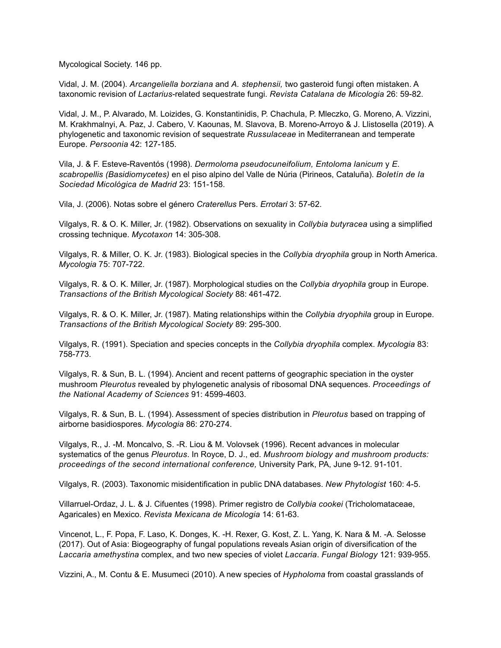Mycological Society. 146 pp.

Vidal, J. M. (2004). *Arcangeliella borziana* and *A. stephensii,* two gasteroid fungi often mistaken. A taxonomic revision of *Lactarius*-related sequestrate fungi. *Revista Catalana de Micologia* 26: 59-82.

Vidal, J. M., P. Alvarado, M. Loizides, G. Konstantinidis, P. Chachula, P. Mleczko, G. Moreno, A. Vizzini, M. Krakhmalnyi, A. Paz, J. Cabero, V. Kaounas, M. Slavova, B. Moreno-Arroyo & J. Llistosella (2019). A phylogenetic and taxonomic revision of sequestrate *Russulaceae* in Mediterranean and temperate Europe. *Persoonia* 42: 127-185.

Vila, J. & F. Esteve-Raventós (1998). *Dermoloma pseudocuneifolium, Entoloma lanicum* y *E. scabropellis (Basidiomycetes)* en el piso alpino del Valle de Núria (Pirineos, Cataluña). *Boletín de la Sociedad Micológica de Madrid* 23: 151-158.

Vila, J. (2006). Notas sobre el género *Craterellus* Pers. *Errotari* 3: 57-62.

Vilgalys, R. & O. K. Miller, Jr. (1982). Observations on sexuality in *Collybia butyracea* using a simplified crossing technique. *Mycotaxon* 14: 305-308.

Vilgalys, R. & Miller, O. K. Jr. (1983). Biological species in the *Collybia dryophila* group in North America. *Mycologia* 75: 707-722.

Vilgalys, R. & O. K. Miller, Jr. (1987). Morphological studies on the *Collybia dryophila* group in Europe. *Transactions of the British Mycological Society* 88: 461-472.

Vilgalys, R. & O. K. Miller, Jr. (1987). Mating relationships within the *Collybia dryophila* group in Europe. *Transactions of the British Mycological Society* 89: 295-300.

Vilgalys, R. (1991). Speciation and species concepts in the *Collybia dryophila* complex. *Mycologia* 83: 758-773.

Vilgalys, R. & Sun, B. L. (1994). Ancient and recent patterns of geographic speciation in the oyster mushroom *Pleurotus* revealed by phylogenetic analysis of ribosomal DNA sequences. *Proceedings of the National Academy of Sciences* 91: 4599-4603.

Vilgalys, R. & Sun, B. L. (1994). Assessment of species distribution in *Pleurotus* based on trapping of airborne basidiospores. *Mycologia* 86: 270-274.

Vilgalys, R., J. -M. Moncalvo, S. -R. Liou & M. Volovsek (1996). Recent advances in molecular systematics of the genus *Pleurotus*. In Royce, D. J., ed. *Mushroom biology and mushroom products: proceedings of the second international conference,* University Park, PA, June 9-12. 91-101.

Vilgalys, R. (2003). Taxonomic misidentification in public DNA databases. *New Phytologist* 160: 4-5.

Villarruel-Ordaz, J. L. & J. Cifuentes (1998). Primer registro de *Collybia cookei* (Tricholomataceae, Agaricales) en Mexico. *Revista Mexicana de Micologia* 14: 61-63.

Vincenot, L., F. Popa, F. Laso, K. Donges, K. -H. Rexer, G. Kost, Z. L. Yang, K. Nara & M. -A. Selosse (2017). Out of Asia: Biogeography of fungal populations reveals Asian origin of diversification of the *Laccaria amethystina* complex, and two new species of violet *Laccaria*. *Fungal Biology* 121: 939-955.

Vizzini, A., M. Contu & E. Musumeci (2010). A new species of *Hypholoma* from coastal grasslands of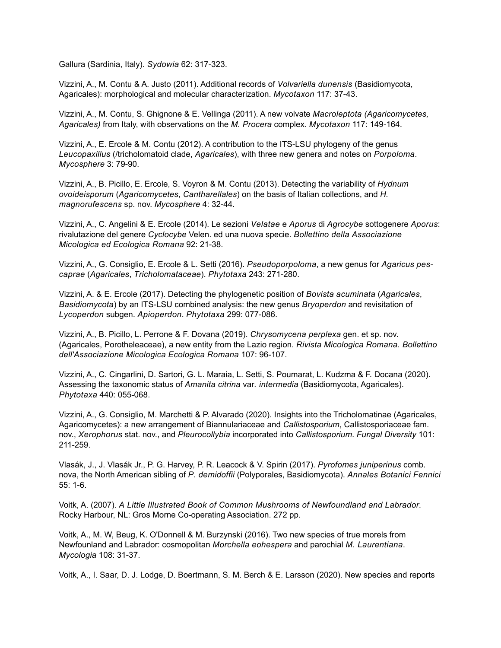Gallura (Sardinia, Italy). *Sydowia* 62: 317-323.

Vizzini, A., M. Contu & A. Justo (2011). Additional records of *Volvariella dunensis* (Basidiomycota, Agaricales): morphological and molecular characterization. *Mycotaxon* 117: 37-43.

Vizzini, A., M. Contu, S. Ghignone & E. Vellinga (2011). A new volvate *Macroleptota (Agaricomycetes, Agaricales)* from Italy, with observations on the *M. Procera* complex. *Mycotaxon* 117: 149-164.

Vizzini, A., E. Ercole & M. Contu (2012). A contribution to the ITS-LSU phylogeny of the genus *Leucopaxillus* (/tricholomatoid clade, *Agaricales*), with three new genera and notes on *Porpoloma*. *Mycosphere* 3: 79-90.

Vizzini, A., B. Picillo, E. Ercole, S. Voyron & M. Contu (2013). Detecting the variability of *Hydnum ovoideisporum* (*Agaricomycetes*, *Cantharellales*) on the basis of Italian collections, and *H*. *magnorufescens* sp. nov. *Mycosphere* 4: 32-44.

Vizzini, A., C. Angelini & E. Ercole (2014). Le sezioni *Velatae* e *Aporus* di *Agrocybe* sottogenere *Aporus*: rivalutazione del genere *Cyclocybe* Velen. ed una nuova specie. *Bollettino della Associazione Micologica ed Ecologica Romana* 92: 21-38.

Vizzini, A., G. Consiglio, E. Ercole & L. Setti (2016). *Pseudoporpoloma*, a new genus for *Agaricus pescaprae* (*Agaricales*, *Tricholomataceae*). *Phytotaxa* 243: 271-280.

Vizzini, A. & E. Ercole (2017). Detecting the phylogenetic position of *Bovista acuminata* (*Agaricales*, *Basidiomycota*) by an ITS-LSU combined analysis: the new genus *Bryoperdon* and revisitation of *Lycoperdon* subgen. *Apioperdon*. *Phytotaxa* 299: 077-086.

Vizzini, A., B. Picillo, L. Perrone & F. Dovana (2019). *Chrysomycena perplexa* gen. et sp. nov. (Agaricales, Porotheleaceae), a new entity from the Lazio region. *Rivista Micologica Romana. Bollettino dell'Associazione Micologica Ecologica Romana* 107: 96-107.

Vizzini, A., C. Cingarlini, D. Sartori, G. L. Maraia, L. Setti, S. Poumarat, L. Kudzma & F. Docana (2020). Assessing the taxonomic status of *Amanita citrina* var*. intermedia* (Basidiomycota, Agaricales). *Phytotaxa* 440: 055-068.

Vizzini, A., G. Consiglio, M. Marchetti & P. Alvarado (2020). Insights into the Tricholomatinae (Agaricales, Agaricomycetes): a new arrangement of Biannulariaceae and *Callistosporium*, Callistosporiaceae fam. nov., *Xerophorus* stat. nov., and *Pleurocollybia* incorporated into *Callistosporium*. *Fungal Diversity* 101: 211-259.

Vlasák, J., J. Vlasák Jr., P. G. Harvey, P. R. Leacock & V. Spirin (2017). *Pyrofomes juniperinus* comb. nova, the North American sibling of *P. demidoffii* (Polyporales, Basidiomycota). *Annales Botanici Fennici* 55: 1-6.

Voitk, A. (2007). *A Little Illustrated Book of Common Mushrooms of Newfoundland and Labrador.* Rocky Harbour, NL: Gros Morne Co-operating Association. 272 pp.

Voitk, A., M. W, Beug, K. O'Donnell & M. Burzynski (2016). Two new species of true morels from Newfounland and Labrador: cosmopolitan *Morchella eohespera* and parochial *M. Laurentiana*. *Mycologia* 108: 31-37.

Voitk, A., I. Saar, D. J. Lodge, D. Boertmann, S. M. Berch & E. Larsson (2020). New species and reports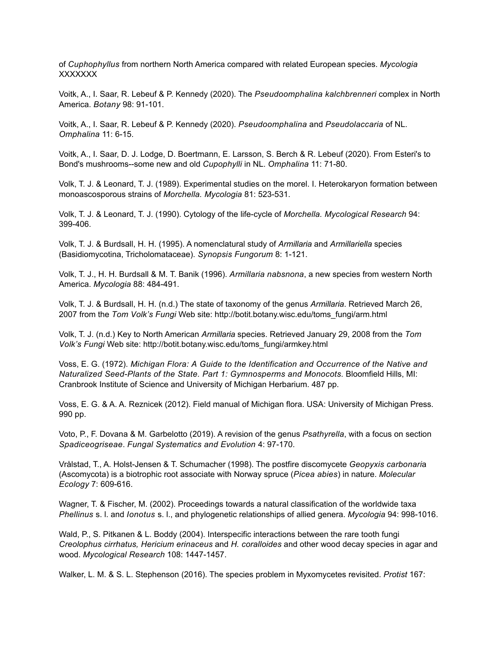of *Cuphophyllus* from northern North America compared with related European species. *Mycologia* XXXXXXX

Voitk, A., I. Saar, R. Lebeuf & P. Kennedy (2020). The *Pseudoomphalina kalchbrenneri* complex in North America. *Botany* 98: 91-101.

Voitk, A., I. Saar, R. Lebeuf & P. Kennedy (2020). *Pseudoomphalina* and *Pseudolaccaria* of NL. *Omphalina* 11: 6-15.

Voitk, A., I. Saar, D. J. Lodge, D. Boertmann, E. Larsson, S. Berch & R. Lebeuf (2020). From Esteri's to Bond's mushrooms--some new and old *Cupophylli* in NL. *Omphalina* 11: 71-80.

Volk, T. J. & Leonard, T. J. (1989). Experimental studies on the morel. I. Heterokaryon formation between monoascosporous strains of *Morchella. Mycologia* 81: 523-531.

Volk, T. J. & Leonard, T. J. (1990). Cytology of the life-cycle of *Morchella. Mycological Research* 94: 399-406.

Volk, T. J. & Burdsall, H. H. (1995). A nomenclatural study of *Armillaria* and *Armillariella* species (Basidiomycotina, Tricholomataceae). *Synopsis Fungorum* 8: 1-121.

Volk, T. J., H. H. Burdsall & M. T. Banik (1996). *Armillaria nabsnona*, a new species from western North America. *Mycologia* 88: 484-491.

Volk, T. J. & Burdsall, H. H. (n.d.) The state of taxonomy of the genus *Armillaria*. Retrieved March 26, 2007 from the *Tom Volk's Fungi* Web site: http://botit.botany.wisc.edu/toms\_fungi/arm.html

Volk, T. J. (n.d.) Key to North American *Armillaria* species. Retrieved January 29, 2008 from the *Tom Volk's Fungi* Web site: http://botit.botany.wisc.edu/toms\_fungi/armkey.html

Voss, E. G. (1972). *Michigan Flora: A Guide to the Identification and Occurrence of the Native and Naturalized Seed-Plants of the State. Part 1: Gymnosperms and Monocots.* Bloomfield Hills, MI: Cranbrook Institute of Science and University of Michigan Herbarium. 487 pp.

Voss, E. G. & A. A. Reznicek (2012). Field manual of Michigan flora. USA: University of Michigan Press. 990 pp.

Voto, P., F. Dovana & M. Garbelotto (2019). A revision of the genus *Psathyrella*, with a focus on section *Spadiceogriseae*. *Fungal Systematics and Evolution* 4: 97-170.

Vrålstad, T., A. Holst-Jensen & T. Schumacher (1998). The postfire discomycete *Geopyxis carbonari*a (Ascomycota) is a biotrophic root associate with Norway spruce (*Picea abies*) in nature. *Molecular Ecology* 7: 609-616.

Wagner, T. & Fischer, M. (2002). Proceedings towards a natural classification of the worldwide taxa *Phellinus* s. l. and *Ionotus* s. l., and phylogenetic relationships of allied genera. *Mycologia* 94: 998-1016.

Wald, P., S. Pitkanen & L. Boddy (2004). Interspecific interactions between the rare tooth fungi *Creolophus cirrhatus, Hericium erinaceus* and *H. coralloides* and other wood decay species in agar and wood. *Mycological Research* 108: 1447-1457.

Walker, L. M. & S. L. Stephenson (2016). The species problem in Myxomycetes revisited. *Protist* 167: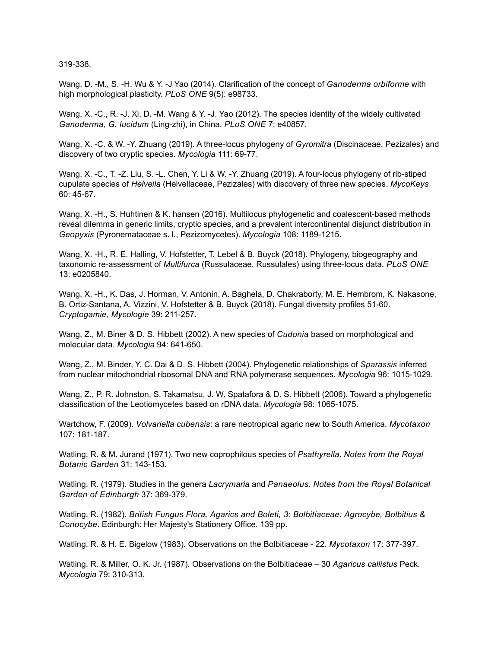319-338.

Wang, D. -M., S. -H. Wu & Y. -J Yao (2014). Clarification of the concept of *Ganoderma orbiforme* with high morphological plasticity. *PLoS ONE* 9(5): e98733.

Wang, X. -C., R. -J. Xi, D. -M. Wang & Y. -J. Yao (2012). The species identity of the widely cultivated *Ganoderma, G. lucidum* (Ling-zhi), in China. *PLoS ONE* 7: e40857.

Wang, X. -C. & W. -Y. Zhuang (2019). A three-locus phylogeny of *Gyromitra* (Discinaceae, Pezizales) and discovery of two cryptic species. *Mycologia* 111: 69-77.

Wang, X. -C., T. -Z. Liu, S. -L. Chen, Y. Li & W. -Y. Zhuang (2019). A four-locus phylogeny of rib-stiped cupulate species of *Helvella* (Helvellaceae, Pezizales) with discovery of three new species. *MycoKeys* 60: 45-67.

Wang, X. -H., S. Huhtinen & K. hansen (2016). Multilocus phylogenetic and coalescent-based methods reveal dilemma in generic limits, cryptic species, and a prevalent intercontinental disjunct distribution in *Geopyxis* (Pyronemataceae s. l., Pezizomycetes). *Mycologia* 108: 1189-1215.

Wang, X. -H., R. E. Halling, V. Hofstetter, T. Lebel & B. Buyck (2018). Phylogeny, biogeography and taxonomic re-assessment of *Multifurca* (Russulaceae, Russulales) using three-locus data. *PLoS ONE* 13: e0205840.

Wang, X. -H., K. Das, J. Horman, V. Antonin, A. Baghela, D. Chakraborty, M. E. Hembrom, K. Nakasone, B. Ortiz-Santana, A. Vizzini, V. Hofstetter & B. Buyck (2018). Fungal diversity profiles 51-60. *Cryptogamie, Mycologie* 39: 211-257.

Wang, Z., M. Biner & D. S. Hibbett (2002). A new species of *Cudonia* based on morphological and molecular data. *Mycologia* 94: 641-650.

Wang, Z., M. Binder, Y. C. Dai & D. S. Hibbett (2004). Phylogenetic relationships of *Sparassis* inferred from nuclear mitochondrial ribosomal DNA and RNA polymerase sequences. *Mycologia* 96: 1015-1029.

Wang, Z., P. R. Johnston, S. Takamatsu, J. W. Spatafora & D. S. Hibbett (2006). Toward a phylogenetic classification of the Leotiomycetes based on rDNA data. *Mycologia* 98: 1065-1075.

Wartchow, F. (2009). *Volvariella cubensis*: a rare neotropical agaric new to South America. *Mycotaxon* 107: 181-187.

Watling, R. & M. Jurand (1971). Two new coprophilous species of *Psathyrella*. *Notes from the Royal Botanic Garden* 31: 143-153.

Watling, R. (1979). Studies in the genera *Lacrymaria* and *Panaeolus*. *Notes from the Royal Botanical Garden of Edinburgh* 37: 369-379.

Watling, R. (1982). *British Fungus Flora, Agarics and Boleti, 3: Bolbitiaceae: Agrocybe, Bolbitius & Conocybe*. Edinburgh: Her Majesty's Stationery Office. 139 pp.

Watling, R. & H. E. Bigelow (1983). Observations on the Bolbitiaceae - 22. *Mycotaxon* 17: 377-397.

Watling, R. & Miller, O. K. Jr. (1987). Observations on the Bolbitiaceae – 30 *Agaricus callistus* Peck. *Mycologia* 79: 310-313.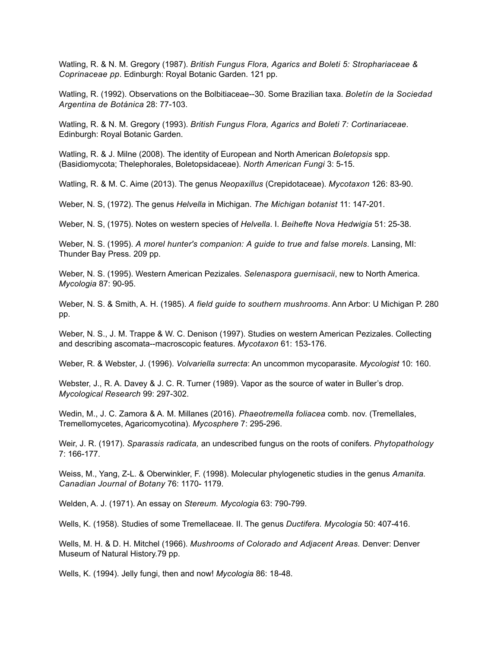Watling, R. & N. M. Gregory (1987). *British Fungus Flora, Agarics and Boleti 5: Strophariaceae & Coprinaceae pp*. Edinburgh: Royal Botanic Garden. 121 pp.

Watling, R. (1992). Observations on the Bolbitiaceae--30. Some Brazilian taxa. *Boletín de la Sociedad Argentina de Botánica* 28: 77-103.

Watling, R. & N. M. Gregory (1993). *British Fungus Flora, Agarics and Boleti 7: Cortinariaceae*. Edinburgh: Royal Botanic Garden.

Watling, R. & J. Milne (2008). The identity of European and North American *Boletopsis* spp. (Basidiomycota; Thelephorales, Boletopsidaceae). *North American Fungi* 3: 5-15.

Watling, R. & M. C. Aime (2013). The genus *Neopaxillus* (Crepidotaceae). *Mycotaxon* 126: 83-90.

Weber, N. S, (1972). The genus *Helvella* in Michigan. *The Michigan botanist* 11: 147-201.

Weber, N. S, (1975). Notes on western species of *Helvella*. I. *Beihefte Nova Hedwigia* 51: 25-38.

Weber, N. S. (1995). *A morel hunter's companion: A guide to true and false morels*. Lansing, MI: Thunder Bay Press. 209 pp.

Weber, N. S. (1995). Western American Pezizales. *Selenaspora guernisacii*, new to North America. *Mycologia* 87: 90-95.

Weber, N. S. & Smith, A. H. (1985). *A field guide to southern mushrooms*. Ann Arbor: U Michigan P. 280 pp.

Weber, N. S., J. M. Trappe & W. C. Denison (1997). Studies on western American Pezizales. Collecting and describing ascomata--macroscopic features. *Mycotaxon* 61: 153-176.

Weber, R. & Webster, J. (1996). *Volvariella surrecta*: An uncommon mycoparasite. *Mycologist* 10: 160.

Webster, J., R. A. Davey & J. C. R. Turner (1989). Vapor as the source of water in Buller's drop. *Mycological Research* 99: 297-302.

Wedin, M., J. C. Zamora & A. M. Millanes (2016). *Phaeotremella foliacea* comb. nov. (Tremellales, Tremellomycetes, Agaricomycotina). *Mycosphere* 7: 295-296.

Weir, J. R. (1917). *Sparassis radicata,* an undescribed fungus on the roots of conifers. *Phytopathology* 7: 166-177.

Weiss, M., Yang, Z-L. & Oberwinkler, F. (1998). Molecular phylogenetic studies in the genus *Amanita. Canadian Journal of Botany* 76: 1170- 1179.

Welden, A. J. (1971). An essay on *Stereum. Mycologia* 63: 790-799.

Wells, K. (1958). Studies of some Tremellaceae. II. The genus *Ductifera. Mycologia* 50: 407-416.

Wells, M. H. & D. H. Mitchel (1966). *Mushrooms of Colorado and Adjacent Areas.* Denver: Denver Museum of Natural History.79 pp.

Wells, K. (1994). Jelly fungi, then and now! *Mycologia* 86: 18-48.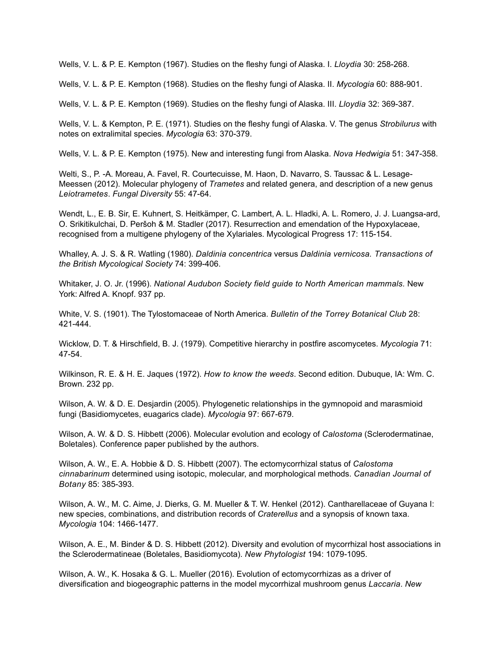Wells, V. L. & P. E. Kempton (1967). Studies on the fleshy fungi of Alaska. I. *Lloydia* 30: 258-268.

Wells, V. L. & P. E. Kempton (1968). Studies on the fleshy fungi of Alaska. II. *Mycologia* 60: 888-901.

Wells, V. L. & P. E. Kempton (1969). Studies on the fleshy fungi of Alaska. III. *Lloydia* 32: 369-387.

Wells, V. L. & Kempton, P. E. (1971). Studies on the fleshy fungi of Alaska. V. The genus *Strobilurus* with notes on extralimital species. *Mycologia* 63: 370-379.

Wells, V. L. & P. E. Kempton (1975). New and interesting fungi from Alaska. *Nova Hedwigia* 51: 347-358.

Welti, S., P. -A. Moreau, A. Favel, R. Courtecuisse, M. Haon, D. Navarro, S. Taussac & L. Lesage-Meessen (2012). Molecular phylogeny of *Trametes* and related genera, and description of a new genus *Leiotrametes*. *Fungal Diversity* 55: 47-64.

Wendt, L., E. B. Sir, E. Kuhnert, S. Heitkämper, C. Lambert, A. L. Hladki, A. L. Romero, J. J. Luangsa-ard, O. Srikitikulchai, D. Peršoh & M. Stadler (2017). Resurrection and emendation of the Hypoxylaceae, recognised from a multigene phylogeny of the Xylariales. Mycological Progress 17: 115-154.

Whalley, A. J. S. & R. Watling (1980). *Daldinia concentrica* versus *Daldinia vernicosa. Transactions of the British Mycological Society* 74: 399-406.

Whitaker, J. O. Jr. (1996). *National Audubon Society field guide to North American mammals.* New York: Alfred A. Knopf. 937 pp.

White, V. S. (1901). The Tylostomaceae of North America. *Bulletin of the Torrey Botanical Club* 28: 421-444.

Wicklow, D. T. & Hirschfield, B. J. (1979). Competitive hierarchy in postfire ascomycetes. *Mycologia* 71: 47-54.

Wilkinson, R. E. & H. E. Jaques (1972). *How to know the weeds*. Second edition. Dubuque, IA: Wm. C. Brown. 232 pp.

Wilson, A. W. & D. E. Desjardin (2005). Phylogenetic relationships in the gymnopoid and marasmioid fungi (Basidiomycetes, euagarics clade). *Mycologia* 97: 667-679.

Wilson, A. W. & D. S. Hibbett (2006). Molecular evolution and ecology of *Calostoma* (Sclerodermatinae, Boletales). Conference paper published by the authors.

Wilson, A. W., E. A. Hobbie & D. S. Hibbett (2007). The ectomycorrhizal status of *Calostoma cinnabarinum* determined using isotopic, molecular, and morphological methods. *Canadian Journal of Botany* 85: 385-393.

Wilson, A. W., M. C. Aime, J. Dierks, G. M. Mueller & T. W. Henkel (2012). Cantharellaceae of Guyana I: new species, combinations, and distribution records of *Craterellus* and a synopsis of known taxa. *Mycologia* 104: 1466-1477.

Wilson, A. E., M. Binder & D. S. Hibbett (2012). Diversity and evolution of mycorrhizal host associations in the Sclerodermatineae (Boletales, Basidiomycota). *New Phytologist* 194: 1079-1095.

Wilson, A. W., K. Hosaka & G. L. Mueller (2016). Evolution of ectomycorrhizas as a driver of diversification and biogeographic patterns in the model mycorrhizal mushroom genus *Laccaria*. *New*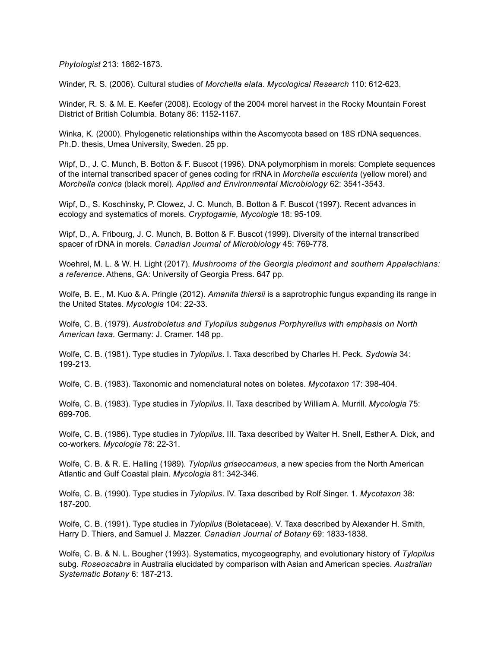*Phytologist* 213: 1862-1873.

Winder, R. S. (2006). Cultural studies of *Morchella elata*. *Mycological Research* 110: 612-623.

Winder, R. S. & M. E. Keefer (2008). Ecology of the 2004 morel harvest in the Rocky Mountain Forest District of British Columbia. Botany 86: 1152-1167.

Winka, K. (2000). Phylogenetic relationships within the Ascomycota based on 18S rDNA sequences. Ph.D. thesis, Umea University, Sweden. 25 pp.

Wipf, D., J. C. Munch, B. Botton & F. Buscot (1996). DNA polymorphism in morels: Complete sequences of the internal transcribed spacer of genes coding for rRNA in *Morchella esculenta* (yellow morel) and *Morchella conica* (black morel). *Applied and Environmental Microbiology* 62: 3541-3543.

Wipf, D., S. Koschinsky, P. Clowez, J. C. Munch, B. Botton & F. Buscot (1997). Recent advances in ecology and systematics of morels. *Cryptogamie, Mycologie* 18: 95-109.

Wipf, D., A. Fribourg, J. C. Munch, B. Botton & F. Buscot (1999). Diversity of the internal transcribed spacer of rDNA in morels. *Canadian Journal of Microbiology* 45: 769-778.

Woehrel, M. L. & W. H. Light (2017). *Mushrooms of the Georgia piedmont and southern Appalachians: a reference*. Athens, GA: University of Georgia Press. 647 pp.

Wolfe, B. E., M. Kuo & A. Pringle (2012). *Amanita thiersii* is a saprotrophic fungus expanding its range in the United States. *Mycologia* 104: 22-33.

Wolfe, C. B. (1979). *Austroboletus and Tylopilus subgenus Porphyrellus with emphasis on North American taxa.* Germany: J. Cramer. 148 pp.

Wolfe, C. B. (1981). Type studies in *Tylopilus*. I. Taxa described by Charles H. Peck. *Sydowia* 34: 199-213.

Wolfe, C. B. (1983). Taxonomic and nomenclatural notes on boletes. *Mycotaxon* 17: 398-404.

Wolfe, C. B. (1983). Type studies in *Tylopilus*. II. Taxa described by William A. Murrill. *Mycologia* 75: 699-706.

Wolfe, C. B. (1986). Type studies in *Tylopilus*. III. Taxa described by Walter H. Snell, Esther A. Dick, and co-workers. *Mycologia* 78: 22-31.

Wolfe, C. B. & R. E. Halling (1989). *Tylopilus griseocarneus*, a new species from the North American Atlantic and Gulf Coastal plain. *Mycologia* 81: 342-346.

Wolfe, C. B. (1990). Type studies in *Tylopilus*. IV. Taxa described by Rolf Singer. 1. *Mycotaxon* 38: 187-200.

Wolfe, C. B. (1991). Type studies in *Tylopilus* (Boletaceae). V. Taxa described by Alexander H. Smith, Harry D. Thiers, and Samuel J. Mazzer. *Canadian Journal of Botany* 69: 1833-1838.

Wolfe, C. B. & N. L. Bougher (1993). Systematics, mycogeography, and evolutionary history of *Tylopilus* subg. *Roseoscabra* in Australia elucidated by comparison with Asian and American species. *Australian Systematic Botany* 6: 187-213.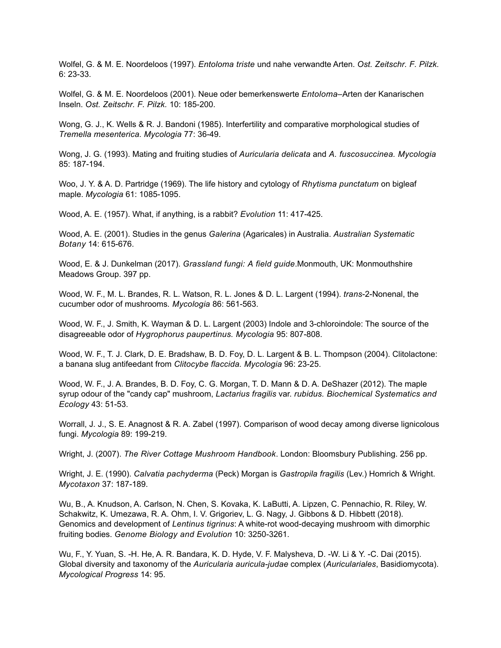Wolfel, G. & M. E. Noordeloos (1997). *Entoloma triste* und nahe verwandte Arten. *Ost. Zeitschr. F. Pilzk.*  6: 23-33.

Wolfel, G. & M. E. Noordeloos (2001). Neue oder bemerkenswerte *Entoloma–*Arten der Kanarischen Inseln. *Ost. Zeitschr. F. Pilzk.* 10: 185-200.

Wong, G. J., K. Wells & R. J. Bandoni (1985). Interfertility and comparative morphological studies of *Tremella mesenterica. Mycologia* 77: 36-49.

Wong, J. G. (1993). Mating and fruiting studies of *Auricularia delicata* and *A. fuscosuccinea. Mycologia* 85: 187-194.

Woo, J. Y. & A. D. Partridge (1969). The life history and cytology of *Rhytisma punctatum* on bigleaf maple. *Mycologia* 61: 1085-1095.

Wood, A. E. (1957). What, if anything, is a rabbit? *Evolution* 11: 417-425.

Wood, A. E. (2001). Studies in the genus *Galerina* (Agaricales) in Australia. *Australian Systematic Botany* 14: 615-676.

Wood, E. & J. Dunkelman (2017). *Grassland fungi: A field guide*.Monmouth, UK: Monmouthshire Meadows Group. 397 pp.

Wood, W. F., M. L. Brandes, R. L. Watson, R. L. Jones & D. L. Largent (1994). *trans*-2-Nonenal, the cucumber odor of mushrooms*. Mycologia* 86: 561-563.

Wood, W. F., J. Smith, K. Wayman & D. L. Largent (2003) Indole and 3-chloroindole: The source of the disagreeable odor of *Hygrophorus paupertinus. Mycologia* 95: 807-808.

Wood, W. F., T. J. Clark, D. E. Bradshaw, B. D. Foy, D. L. Largent & B. L. Thompson (2004). Clitolactone: a banana slug antifeedant from *Clitocybe flaccida. Mycologia* 96: 23-25.

Wood, W. F., J. A. Brandes, B. D. Foy, C. G. Morgan, T. D. Mann & D. A. DeShazer (2012). The maple syrup odour of the "candy cap" mushroom, *Lactarius fragilis* var. *rubidus. Biochemical Systematics and Ecology* 43: 51-53.

Worrall, J. J., S. E. Anagnost & R. A. Zabel (1997). Comparison of wood decay among diverse lignicolous fungi. *Mycologia* 89: 199-219.

Wright, J. (2007). *The River Cottage Mushroom Handbook*. London: Bloomsbury Publishing. 256 pp.

Wright, J. E. (1990). *Calvatia pachyderma* (Peck) Morgan is *Gastropila fragilis* (Lev.) Homrich & Wright. *Mycotaxon* 37: 187-189.

Wu, B., A. Knudson, A. Carlson, N. Chen, S. Kovaka, K. LaButti, A. Lipzen, C. Pennachio, R. Riley, W. Schakwitz, K. Umezawa, R. A. Ohm, I. V. Grigoriev, L. G. Nagy, J. Gibbons & D. Hibbett (2018). Genomics and development of *Lentinus tigrinus*: A white-rot wood-decaying mushroom with dimorphic fruiting bodies. *Genome Biology and Evolution* 10: 3250-3261.

Wu, F., Y. Yuan, S. -H. He, A. R. Bandara, K. D. Hyde, V. F. Malysheva, D. -W. Li & Y. -C. Dai (2015). Global diversity and taxonomy of the *Auricularia auricula-judae* complex (*Auriculariales*, Basidiomycota). *Mycological Progress* 14: 95.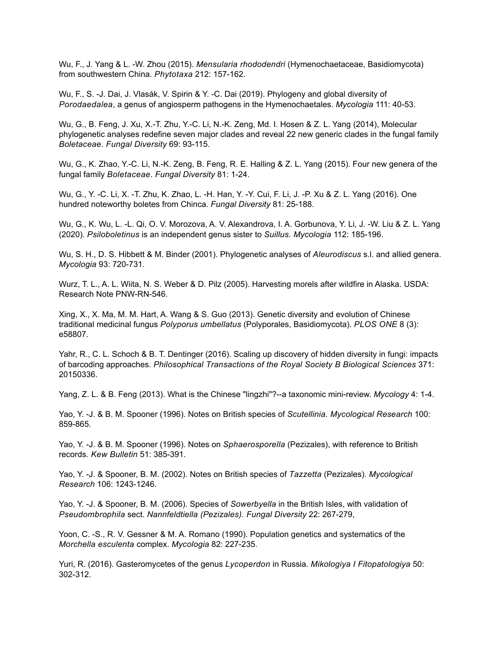Wu, F., J. Yang & L. -W. Zhou (2015). *Mensularia rhododendri* (Hymenochaetaceae, Basidiomycota) from southwestern China. *Phytotaxa* 212: 157-162.

Wu, F., S. -J. Dai, J. Vlasák, V. Spirin & Y. -C. Dai (2019). Phylogeny and global diversity of *Porodaedalea*, a genus of angiosperm pathogens in the Hymenochaetales. *Mycologia* 111: 40-53.

Wu, G., B. Feng, J. Xu, X.-T. Zhu, Y.-C. Li, N.-K. Zeng, Md. I. Hosen & Z. L. Yang (2014), Molecular phylogenetic analyses redefine seven major clades and reveal 22 new generic clades in the fungal family *Boletaceae. Fungal Diversity* 69: 93-115.

Wu, G., K. Zhao, Y.-C. Li, N.-K. Zeng, B. Feng, R. E. Halling & Z. L. Yang (2015). Four new genera of the fungal family *Boletaceae*. *Fungal Diversity* 81: 1-24.

Wu, G., Y. -C. Li, X. -T. Zhu, K. Zhao, L. -H. Han, Y. -Y. Cui, F. Li, J. -P. Xu & Z. L. Yang (2016). One hundred noteworthy boletes from Chinca. *Fungal Diversity* 81: 25-188.

Wu, G., K. Wu, L. -L. Qi, O. V. Morozova, A. V. Alexandrova, I. A. Gorbunova, Y. Li, J. -W. Liu & Z. L. Yang (2020). *Psiloboletinus* is an independent genus sister to *Suillus. Mycologia* 112: 185-196.

Wu, S. H., D. S. Hibbett & M. Binder (2001). Phylogenetic analyses of *Aleurodiscus* s.l. and allied genera. *Mycologia* 93: 720-731.

Wurz, T. L., A. L. Wiita, N. S. Weber & D. Pilz (2005). Harvesting morels after wildfire in Alaska. USDA: Research Note PNW-RN-546.

Xing, X., X. Ma, M. M. Hart, A. Wang & S. Guo (2013). Genetic diversity and evolution of Chinese traditional medicinal fungus *Polyporus umbellatus* (Polyporales, Basidiomycota). *PLOS ONE* 8 (3): e58807.

Yahr, R., C. L. Schoch & B. T. Dentinger (2016). Scaling up discovery of hidden diversity in fungi: impacts of barcoding approaches. *Philosophical Transactions of the Royal Society B Biological Sciences* 371: 20150336.

Yang, Z. L. & B. Feng (2013). What is the Chinese "lingzhi"?--a taxonomic mini-review. *Mycology* 4: 1-4.

Yao, Y. -J. & B. M. Spooner (1996). Notes on British species of *Scutellinia. Mycological Research* 100: 859-865.

Yao, Y. -J. & B. M. Spooner (1996). Notes on *Sphaerosporella* (Pezizales), with reference to British records*. Kew Bulletin* 51: 385-391.

Yao, Y. -J. & Spooner, B. M. (2002). Notes on British species of *Tazzetta* (Pezizales). *Mycological Research* 106: 1243-1246.

Yao, Y. -J. & Spooner, B. M. (2006). Species of *Sowerbyella* in the British Isles, with validation of *Pseudombrophila* sect. *Nannfeldtiella (Pezizales). Fungal Diversity* 22: 267-279,

Yoon, C. -S., R. V. Gessner & M. A. Romano (1990). Population genetics and systematics of the *Morchella esculenta* complex. *Mycologia* 82: 227-235.

Yuri, R. (2016). Gasteromycetes of the genus *Lycoperdon* in Russia. *Mikologiya I Fitopatologiya* 50: 302-312.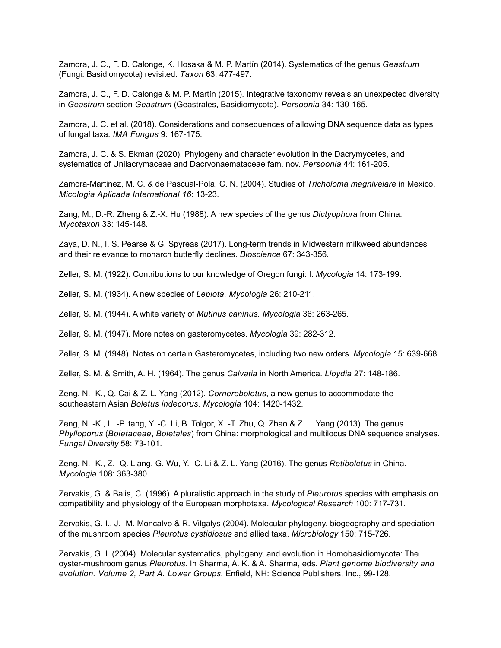Zamora, J. C., F. D. Calonge, K. Hosaka & M. P. Martín (2014). Systematics of the genus *Geastrum* (Fungi: Basidiomycota) revisited. *Taxon* 63: 477-497.

Zamora, J. C., F. D. Calonge & M. P. Martín (2015). Integrative taxonomy reveals an unexpected diversity in *Geastrum* section *Geastrum* (Geastrales, Basidiomycota). *Persoonia* 34: 130-165.

Zamora, J. C. et al. (2018). Considerations and consequences of allowing DNA sequence data as types of fungal taxa. *IMA Fungus* 9: 167-175.

Zamora, J. C. & S. Ekman (2020). Phylogeny and character evolution in the Dacrymycetes, and systematics of Unilacrymaceae and Dacryonaemataceae fam. nov. *Persoonia* 44: 161-205.

Zamora-Martinez, M. C. & de Pascual-Pola, C. N. (2004). Studies of *Tricholoma magnivelare* in Mexico. *Micologia Aplicada International 16*: 13-23.

Zang, M., D.-R. Zheng & Z.-X. Hu (1988). A new species of the genus *Dictyophora* from China. *Mycotaxon* 33: 145-148.

Zaya, D. N., I. S. Pearse & G. Spyreas (2017). Long-term trends in Midwestern milkweed abundances and their relevance to monarch butterfly declines. *Bioscience* 67: 343-356.

Zeller, S. M. (1922). Contributions to our knowledge of Oregon fungi: I. *Mycologia* 14: 173-199.

Zeller, S. M. (1934). A new species of *Lepiota. Mycologia* 26: 210-211.

Zeller, S. M. (1944). A white variety of *Mutinus caninus. Mycologia* 36: 263-265.

Zeller, S. M. (1947). More notes on gasteromycetes. *Mycologia* 39: 282-312.

Zeller, S. M. (1948). Notes on certain Gasteromycetes, including two new orders. *Mycologia* 15: 639-668.

Zeller, S. M. & Smith, A. H. (1964). The genus *Calvatia* in North America. *Lloydia* 27: 148-186.

Zeng, N. -K., Q. Cai & Z. L. Yang (2012). *Corneroboletus*, a new genus to accommodate the southeastern Asian *Boletus indecorus. Mycologia* 104: 1420-1432.

Zeng, N. -K., L. -P. tang, Y. -C. Li, B. Tolgor, X. -T. Zhu, Q. Zhao & Z. L. Yang (2013). The genus *Phylloporus* (*Boletaceae*, *Boletales*) from China: morphological and multilocus DNA sequence analyses. *Fungal Diversity* 58: 73-101.

Zeng, N. -K., Z. -Q. Liang, G. Wu, Y. -C. Li & Z. L. Yang (2016). The genus *Retiboletus* in China. *Mycologia* 108: 363-380.

Zervakis, G. & Balis, C. (1996). A pluralistic approach in the study of *Pleurotus* species with emphasis on compatibility and physiology of the European morphotaxa. *Mycological Research* 100: 717-731.

Zervakis, G. I., J. -M. Moncalvo & R. Vilgalys (2004). Molecular phylogeny, biogeography and speciation of the mushroom species *Pleurotus cystidiosus* and allied taxa. *Microbiology* 150: 715-726.

Zervakis, G. I. (2004). Molecular systematics, phylogeny, and evolution in Homobasidiomycota: The oyster-mushroom genus *Pleurotus*. In Sharma, A. K. & A. Sharma, eds. *Plant genome biodiversity and evolution. Volume 2, Part A. Lower Groups.* Enfield, NH: Science Publishers, Inc., 99-128.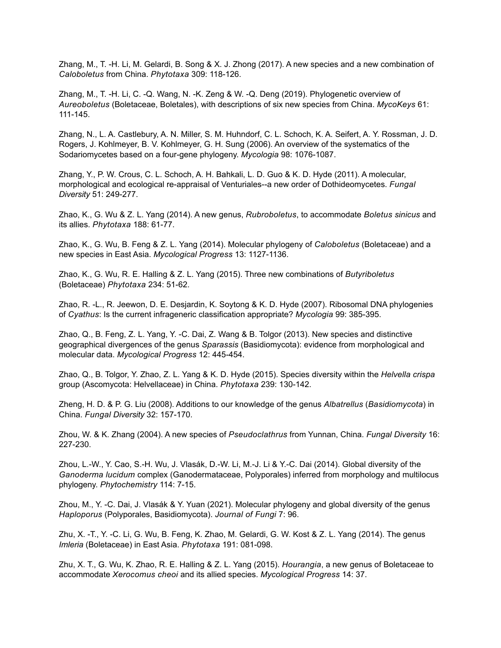Zhang, M., T. -H. Li, M. Gelardi, B. Song & X. J. Zhong (2017). A new species and a new combination of *Caloboletus* from China. *Phytotaxa* 309: 118-126.

Zhang, M., T. -H. Li, C. -Q. Wang, N. -K. Zeng & W. -Q. Deng (2019). Phylogenetic overview of *Aureoboletus* (Boletaceae, Boletales), with descriptions of six new species from China. *MycoKeys* 61: 111-145.

Zhang, N., L. A. Castlebury, A. N. Miller, S. M. Huhndorf, C. L. Schoch, K. A. Seifert, A. Y. Rossman, J. D. Rogers, J. Kohlmeyer, B. V. Kohlmeyer, G. H. Sung (2006). An overview of the systematics of the Sodariomycetes based on a four-gene phylogeny. *Mycologia* 98: 1076-1087.

Zhang, Y., P. W. Crous, C. L. Schoch, A. H. Bahkali, L. D. Guo & K. D. Hyde (2011). A molecular, morphological and ecological re-appraisal of Venturiales--a new order of Dothideomycetes. *Fungal Diversity* 51: 249-277.

Zhao, K., G. Wu & Z. L. Yang (2014). A new genus, *Rubroboletus*, to accommodate *Boletus sinicus* and its allies. *Phytotaxa* 188: 61-77.

Zhao, K., G. Wu, B. Feng & Z. L. Yang (2014). Molecular phylogeny of *Caloboletus* (Boletaceae) and a new species in East Asia. *Mycological Progress* 13: 1127-1136.

Zhao, K., G. Wu, R. E. Halling & Z. L. Yang (2015). Three new combinations of *Butyriboletus* (Boletaceae) *Phytotaxa* 234: 51-62.

Zhao, R. -L., R. Jeewon, D. E. Desjardin, K. Soytong & K. D. Hyde (2007). Ribosomal DNA phylogenies of *Cyathus*: Is the current infrageneric classification appropriate? *Mycologia* 99: 385-395.

Zhao, Q., B. Feng, Z. L. Yang, Y. -C. Dai, Z. Wang & B. Tolgor (2013). New species and distinctive geographical divergences of the genus *Sparassis* (Basidiomycota): evidence from morphological and molecular data. *Mycological Progress* 12: 445-454.

Zhao, Q., B. Tolgor, Y. Zhao, Z. L. Yang & K. D. Hyde (2015). Species diversity within the *Helvella crispa* group (Ascomycota: Helvellaceae) in China. *Phytotaxa* 239: 130-142.

Zheng, H. D. & P. G. Liu (2008). Additions to our knowledge of the genus *Albatrellus* (*Basidiomycota*) in China. *Fungal Diversity* 32: 157-170.

Zhou, W. & K. Zhang (2004). A new species of *Pseudoclathrus* from Yunnan, China. *Fungal Diversity* 16: 227-230.

Zhou, L.-W., Y. Cao, S.-H. Wu, J. Vlasák, D.-W. Li, M.-J. Li & Y.-C. Dai (2014). Global diversity of the *Ganoderma lucidum* complex (Ganodermataceae, Polyporales) inferred from morphology and multilocus phylogeny. *Phytochemistry* 114: 7-15.

Zhou, M., Y. -C. Dai, J. Vlasák & Y. Yuan (2021). Molecular phylogeny and global diversity of the genus *Haploporus* (Polyporales, Basidiomycota). *Journal of Fungi* 7: 96.

Zhu, X. -T., Y. -C. Li, G. Wu, B. Feng, K. Zhao, M. Gelardi, G. W. Kost & Z. L. Yang (2014). The genus *Imleria* (Boletaceae) in East Asia. *Phytotaxa* 191: 081-098.

Zhu, X. T., G. Wu, K. Zhao, R. E. Halling & Z. L. Yang (2015). *Hourangia*, a new genus of Boletaceae to accommodate *Xerocomus cheoi* and its allied species. *Mycological Progress* 14: 37.